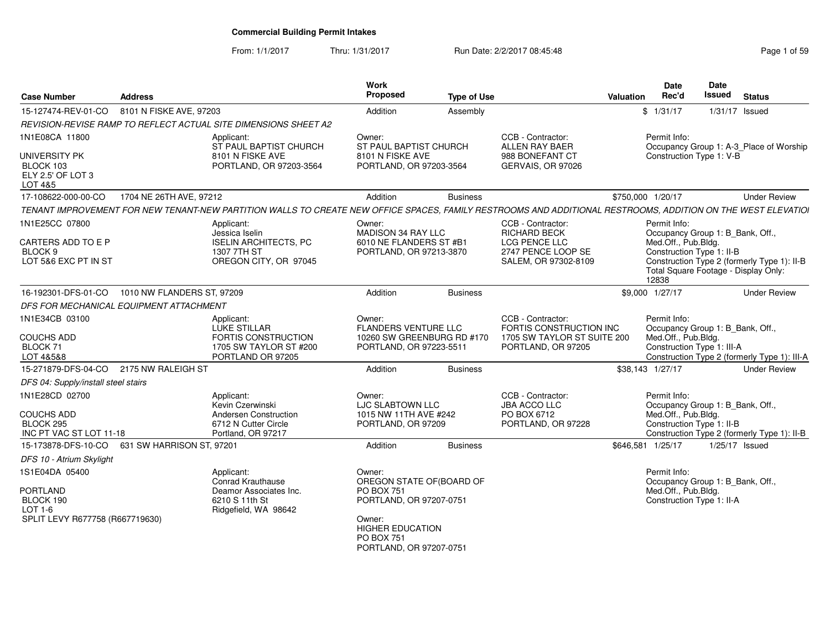#### From: 1/1/2017Thru: 1/31/2017 **Run Date: 2/2/2017 08:45:48** Page 1 of 59

| <b>Case Number</b>                                                                 | Address                    |                                                                                                                                                              | Work<br>Proposed                                                                               | <b>Type of Use</b> |                                                                                                   | Valuation | <b>Date</b><br>Rec'd                         | Date<br>Issued                                                 | <b>Status</b>                                                                       |
|------------------------------------------------------------------------------------|----------------------------|--------------------------------------------------------------------------------------------------------------------------------------------------------------|------------------------------------------------------------------------------------------------|--------------------|---------------------------------------------------------------------------------------------------|-----------|----------------------------------------------|----------------------------------------------------------------|-------------------------------------------------------------------------------------|
| 15-127474-REV-01-CO                                                                | 8101 N FISKE AVE, 97203    |                                                                                                                                                              | Addition                                                                                       | Assembly           |                                                                                                   |           | \$1/31/17                                    | $1/31/17$ Issued                                               |                                                                                     |
|                                                                                    |                            | REVISION-REVISE RAMP TO REFLECT ACTUAL SITE DIMENSIONS SHEET A2                                                                                              |                                                                                                |                    |                                                                                                   |           |                                              |                                                                |                                                                                     |
| 1N1E08CA 11800                                                                     |                            | Applicant:<br>ST PAUL BAPTIST CHURCH                                                                                                                         | Owner:<br>ST PAUL BAPTIST CHURCH                                                               |                    | CCB - Contractor:<br>ALLEN RAY BAER                                                               |           | Permit Info:                                 |                                                                | Occupancy Group 1: A-3_Place of Worship                                             |
| UNIVERSITY PK<br>BLOCK 103<br>ELY 2.5' OF LOT 3<br>LOT 4&5                         |                            | 8101 N FISKE AVE<br>PORTLAND, OR 97203-3564                                                                                                                  | 8101 N FISKE AVE<br>PORTLAND, OR 97203-3564                                                    |                    | 988 BONEFANT CT<br>GERVAIS, OR 97026                                                              |           |                                              | Construction Type 1: V-B                                       |                                                                                     |
| 17-108622-000-00-CO                                                                | 1704 NE 26TH AVE, 97212    |                                                                                                                                                              | Addition                                                                                       | <b>Business</b>    |                                                                                                   |           | \$750,000 1/20/17                            |                                                                | <b>Under Review</b>                                                                 |
|                                                                                    |                            | TENANT IMPROVEMENT FOR NEW TENANT-NEW PARTITION WALLS TO CREATE NEW OFFICE SPACES, FAMILY RESTROOMS AND ADDITIONAL RESTROOMS, ADDITION ON THE WEST ELEVATIOI |                                                                                                |                    |                                                                                                   |           |                                              |                                                                |                                                                                     |
| 1N1E25CC 07800<br>CARTERS ADD TO E P<br>BLOCK <sub>9</sub><br>LOT 5&6 EXC PT IN ST |                            | Applicant:<br>Jessica Iselin<br><b>ISELIN ARCHITECTS, PC</b><br>1307 7TH ST<br>OREGON CITY, OR 97045                                                         | Owner:<br>MADISON 34 RAY LLC<br>6010 NE FLANDERS ST #B1<br>PORTLAND, OR 97213-3870             |                    | CCB - Contractor:<br>RICHARD BECK<br>LCG PENCE LLC<br>2747 PENCE LOOP SE<br>SALEM, OR 97302-8109  |           | Permit Info:<br>Med.Off., Pub.Bldg.<br>12838 | Occupancy Group 1: B_Bank, Off.,<br>Construction Type 1: II-B  | Construction Type 2 (formerly Type 1): II-B<br>Total Square Footage - Display Only: |
| 16-192301-DFS-01-CO                                                                | 1010 NW FLANDERS ST, 97209 |                                                                                                                                                              | Addition                                                                                       | <b>Business</b>    |                                                                                                   |           | \$9,000 1/27/17                              |                                                                | <b>Under Review</b>                                                                 |
| DFS FOR MECHANICAL EQUIPMENT ATTACHMENT                                            |                            |                                                                                                                                                              |                                                                                                |                    |                                                                                                   |           |                                              |                                                                |                                                                                     |
| 1N1E34CB 03100<br><b>COUCHS ADD</b><br>BLOCK 71<br>LOT 4&5&8                       |                            | Applicant:<br><b>LUKE STILLAR</b><br><b>FORTIS CONSTRUCTION</b><br>1705 SW TAYLOR ST #200<br>PORTLAND OR 97205                                               | Owner:<br><b>FLANDERS VENTURE LLC</b><br>10260 SW GREENBURG RD #170<br>PORTLAND, OR 97223-5511 |                    | CCB - Contractor:<br>FORTIS CONSTRUCTION INC<br>1705 SW TAYLOR ST SUITE 200<br>PORTLAND, OR 97205 |           | Permit Info:<br>Med.Off., Pub.Bldg.          | Occupancy Group 1: B_Bank, Off.,<br>Construction Type 1: III-A | Construction Type 2 (formerly Type 1): III-A                                        |
| 15-271879-DFS-04-CO                                                                | 2175 NW RALEIGH ST         |                                                                                                                                                              | Addition                                                                                       | <b>Business</b>    |                                                                                                   |           | \$38,143 1/27/17                             |                                                                | <b>Under Review</b>                                                                 |
| DFS 04: Supply/install steel stairs                                                |                            |                                                                                                                                                              |                                                                                                |                    |                                                                                                   |           |                                              |                                                                |                                                                                     |
| 1N1E28CD 02700                                                                     |                            | Applicant:<br>Kevin Czerwinski                                                                                                                               | Owner:<br>LJC SLABTOWN LLC                                                                     |                    | CCB - Contractor:<br><b>JBA ACCO LLC</b>                                                          |           | Permit Info:                                 | Occupancy Group 1: B Bank, Off.,                               |                                                                                     |
| <b>COUCHS ADD</b><br>BLOCK 295<br>INC PT VAC ST LOT 11-18                          |                            | Andersen Construction<br>6712 N Cutter Circle<br>Portland, OR 97217                                                                                          | 1015 NW 11TH AVE #242<br>PORTLAND, OR 97209                                                    |                    | PO BOX 6712<br>PORTLAND, OR 97228                                                                 |           | Med.Off., Pub.Bldg.                          | Construction Type 1: II-B                                      | Construction Type 2 (formerly Type 1): II-B                                         |
| 15-173878-DFS-10-CO                                                                | 631 SW HARRISON ST, 97201  |                                                                                                                                                              | Addition                                                                                       | <b>Business</b>    |                                                                                                   |           | \$646,581 1/25/17                            |                                                                | $1/25/17$ Issued                                                                    |
| DFS 10 - Atrium Skylight                                                           |                            |                                                                                                                                                              |                                                                                                |                    |                                                                                                   |           |                                              |                                                                |                                                                                     |
| 1S1E04DA 05400<br><b>PORTLAND</b><br>BLOCK 190<br>$LOT 1-6$                        |                            | Applicant:<br>Conrad Krauthause<br>Deamor Associates Inc.<br>6210 S 11th St<br>Ridgefield, WA 98642                                                          | Owner:<br>OREGON STATE OF(BOARD OF<br><b>PO BOX 751</b><br>PORTLAND, OR 97207-0751             |                    |                                                                                                   |           | Permit Info:<br>Med.Off., Pub.Bldg.          | Occupancy Group 1: B_Bank, Off.,<br>Construction Type 1: II-A  |                                                                                     |
| SPLIT LEVY R677758 (R667719630)                                                    |                            |                                                                                                                                                              | Owner:<br><b>HIGHER EDUCATION</b><br><b>PO BOX 751</b><br>PORTLAND, OR 97207-0751              |                    |                                                                                                   |           |                                              |                                                                |                                                                                     |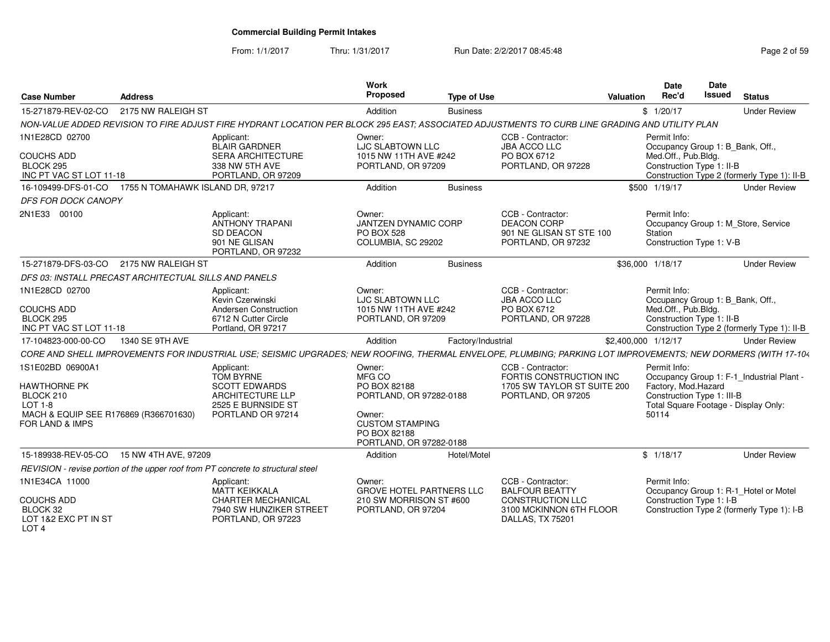From: 1/1/2017

Thru: 1/31/2017 **Run Date: 2/2/2017 08:45:48** Page 2 of 59

| <b>Case Number</b>                                                                                                                 | <b>Address</b>                   |                                                                                                                                                               | <b>Work</b><br>Proposed                                                                                                                    | <b>Type of Use</b> |                                                                                                                      | Valuation           | Date<br>Rec'd                                                                                        | Date<br><b>Issued</b> | <b>Status</b>                                                                       |
|------------------------------------------------------------------------------------------------------------------------------------|----------------------------------|---------------------------------------------------------------------------------------------------------------------------------------------------------------|--------------------------------------------------------------------------------------------------------------------------------------------|--------------------|----------------------------------------------------------------------------------------------------------------------|---------------------|------------------------------------------------------------------------------------------------------|-----------------------|-------------------------------------------------------------------------------------|
| 15-271879-REV-02-CO                                                                                                                | 2175 NW RALEIGH ST               |                                                                                                                                                               | Addition                                                                                                                                   | <b>Business</b>    |                                                                                                                      |                     | \$1/20/17                                                                                            |                       | <b>Under Review</b>                                                                 |
|                                                                                                                                    |                                  | NON-VALUE ADDED REVISION TO FIRE ADJUST FIRE HYDRANT LOCATION PER BLOCK 295 EAST; ASSOCIATED ADJUSTMENTS TO CURB LINE GRADING AND UTILITY PLAN                |                                                                                                                                            |                    |                                                                                                                      |                     |                                                                                                      |                       |                                                                                     |
| 1N1E28CD 02700<br><b>COUCHS ADD</b><br>BLOCK 295<br>INC PT VAC ST LOT 11-18                                                        |                                  | Applicant:<br><b>BLAIR GARDNER</b><br><b>SERA ARCHITECTURE</b><br>338 NW 5TH AVE<br>PORTLAND, OR 97209                                                        | Owner:<br>LJC SLABTOWN LLC<br>1015 NW 11TH AVE #242<br>PORTLAND, OR 97209                                                                  |                    | CCB - Contractor:<br><b>JBA ACCO LLC</b><br>PO BOX 6712<br>PORTLAND, OR 97228                                        |                     | Permit Info:<br>Occupancy Group 1: B_Bank, Off.,<br>Med.Off., Pub.Bldg.<br>Construction Type 1: II-B |                       | Construction Type 2 (formerly Type 1): II-B                                         |
| 16-109499-DFS-01-CO                                                                                                                | 1755 N TOMAHAWK ISLAND DR, 97217 |                                                                                                                                                               | Addition                                                                                                                                   | <b>Business</b>    |                                                                                                                      |                     | \$500 1/19/17                                                                                        |                       | <b>Under Review</b>                                                                 |
| DFS FOR DOCK CANOPY                                                                                                                |                                  |                                                                                                                                                               |                                                                                                                                            |                    |                                                                                                                      |                     |                                                                                                      |                       |                                                                                     |
| 2N1E33 00100                                                                                                                       |                                  | Applicant:<br><b>ANTHONY TRAPANI</b><br><b>SD DEACON</b><br>901 NE GLISAN<br>PORTLAND, OR 97232                                                               | Owner:<br><b>JANTZEN DYNAMIC CORP</b><br><b>PO BOX 528</b><br>COLUMBIA, SC 29202                                                           |                    | CCB - Contractor:<br><b>DEACON CORP</b><br>901 NE GLISAN ST STE 100<br>PORTLAND, OR 97232                            |                     | Permit Info:<br>Station<br>Construction Type 1: V-B                                                  |                       | Occupancy Group 1: M Store, Service                                                 |
| 15-271879-DFS-03-CO                                                                                                                | 2175 NW RALEIGH ST               |                                                                                                                                                               | Addition                                                                                                                                   | <b>Business</b>    |                                                                                                                      |                     | \$36,000 1/18/17                                                                                     |                       | <b>Under Review</b>                                                                 |
| DFS 03: INSTALL PRECAST ARCHITECTUAL SILLS AND PANELS                                                                              |                                  |                                                                                                                                                               |                                                                                                                                            |                    |                                                                                                                      |                     |                                                                                                      |                       |                                                                                     |
| 1N1E28CD 02700<br><b>COUCHS ADD</b><br>BLOCK 295<br>INC PT VAC ST LOT 11-18                                                        |                                  | Applicant:<br>Kevin Czerwinski<br>Andersen Construction<br>6712 N Cutter Circle<br>Portland, OR 97217                                                         | Owner:<br><b>LJC SLABTOWN LLC</b><br>1015 NW 11TH AVE #242<br>PORTLAND, OR 97209                                                           |                    | CCB - Contractor:<br><b>JBA ACCO LLC</b><br>PO BOX 6712<br>PORTLAND, OR 97228                                        |                     | Permit Info:<br>Occupancy Group 1: B Bank, Off.,<br>Med.Off., Pub.Bldg.<br>Construction Type 1: II-B |                       | Construction Type 2 (formerly Type 1): II-B                                         |
| 17-104823-000-00-CO                                                                                                                | 1340 SE 9TH AVE                  |                                                                                                                                                               | Addition                                                                                                                                   | Factory/Industrial |                                                                                                                      | \$2,400,000 1/12/17 |                                                                                                      |                       | <b>Under Review</b>                                                                 |
|                                                                                                                                    |                                  | CORE AND SHELL IMPROVEMENTS FOR INDUSTRIAL USE; SEISMIC UPGRADES; NEW ROOFING, THERMAL ENVELOPE, PLUMBING; PARKING LOT IMPROVEMENTS; NEW DORMERS (WITH 17-104 |                                                                                                                                            |                    |                                                                                                                      |                     |                                                                                                      |                       |                                                                                     |
| 1S1E02BD 06900A1<br><b>HAWTHORNE PK</b><br>BLOCK 210<br><b>LOT 1-8</b><br>MACH & EQUIP SEE R176869 (R366701630)<br>FOR LAND & IMPS |                                  | Applicant:<br><b>TOM BYRNE</b><br><b>SCOTT EDWARDS</b><br><b>ARCHITECTURE LLP</b><br>2525 E BURNSIDE ST<br>PORTLAND OR 97214                                  | Owner:<br>MFG CO<br>PO BOX 82188<br>PORTLAND, OR 97282-0188<br>Owner:<br><b>CUSTOM STAMPING</b><br>PO BOX 82188<br>PORTLAND, OR 97282-0188 |                    | CCB - Contractor:<br>FORTIS CONSTRUCTION INC<br>1705 SW TAYLOR ST SUITE 200<br>PORTLAND, OR 97205                    |                     | Permit Info:<br>Factory, Mod.Hazard<br>Construction Type 1: III-B<br>50114                           |                       | Occupancy Group 1: F-1_Industrial Plant -<br>Total Square Footage - Display Only:   |
| 15-189938-REV-05-CO                                                                                                                | 15 NW 4TH AVE, 97209             |                                                                                                                                                               | Addition                                                                                                                                   | Hotel/Motel        |                                                                                                                      |                     | \$1/18/17                                                                                            |                       | <b>Under Review</b>                                                                 |
|                                                                                                                                    |                                  | REVISION - revise portion of the upper roof from PT concrete to structural steel                                                                              |                                                                                                                                            |                    |                                                                                                                      |                     |                                                                                                      |                       |                                                                                     |
| 1N1E34CA 11000<br><b>COUCHS ADD</b><br>BLOCK 32<br>LOT 1&2 EXC PT IN ST<br>LOT <sub>4</sub>                                        |                                  | Applicant:<br><b>MATT KEIKKALA</b><br>CHARTER MECHANICAL<br>7940 SW HUNZIKER STREET<br>PORTLAND, OR 97223                                                     | Owner:<br><b>GROVE HOTEL PARTNERS LLC</b><br>210 SW MORRISON ST #600<br>PORTLAND, OR 97204                                                 |                    | CCB - Contractor:<br><b>BALFOUR BEATTY</b><br><b>CONSTRUCTION LLC</b><br>3100 MCKINNON 6TH FLOOR<br>DALLAS, TX 75201 |                     | Permit Info:<br>Construction Type 1: I-B                                                             |                       | Occupancy Group 1: R-1 Hotel or Motel<br>Construction Type 2 (formerly Type 1): I-B |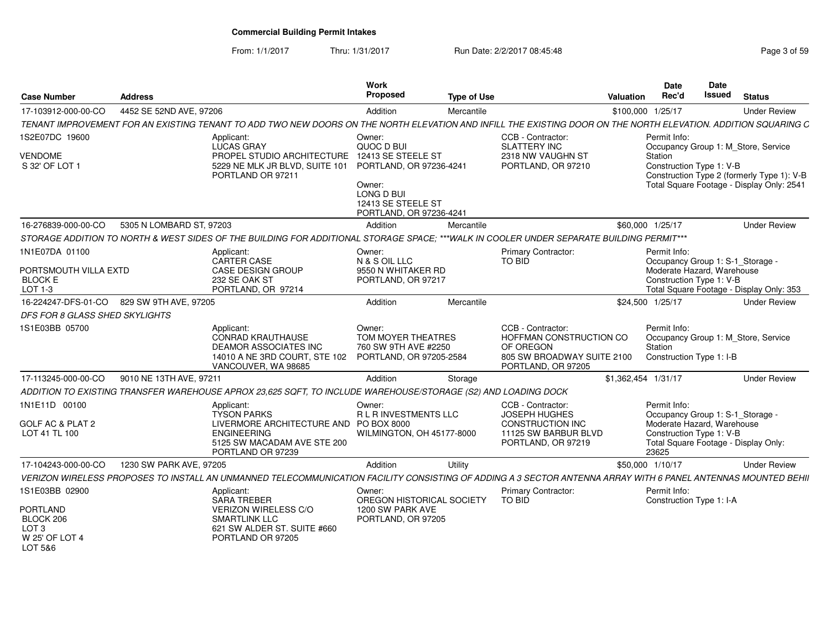From: 1/1/2017Thru: 1/31/2017 **Run Date: 2/2/2017 08:45:48** Pag

| Page 3 of 59 |  |
|--------------|--|
|--------------|--|

| <b>Case Number</b>                                                            | <b>Address</b>           |                                                                                                                                                                | Work<br><b>Proposed</b>                                                                     | Type of Use |                                                                                                               | Valuation           | Date<br>Rec'd                                                                                           | Date<br><b>Issued</b> | <b>Status</b>                                                                           |
|-------------------------------------------------------------------------------|--------------------------|----------------------------------------------------------------------------------------------------------------------------------------------------------------|---------------------------------------------------------------------------------------------|-------------|---------------------------------------------------------------------------------------------------------------|---------------------|---------------------------------------------------------------------------------------------------------|-----------------------|-----------------------------------------------------------------------------------------|
| 17-103912-000-00-CO                                                           | 4452 SE 52ND AVE, 97206  |                                                                                                                                                                | Addition                                                                                    | Mercantile  |                                                                                                               | \$100,000 1/25/17   |                                                                                                         |                       | <b>Under Review</b>                                                                     |
|                                                                               |                          | TENANT IMPROVEMENT FOR AN EXISTING TENANT TO ADD TWO NEW DOORS ON THE NORTH ELEVATION AND INFILL THE EXISTING DOOR ON THE NORTH ELEVATION. ADDITION SQUARING C |                                                                                             |             |                                                                                                               |                     |                                                                                                         |                       |                                                                                         |
| 1S2E07DC 19600                                                                |                          | Applicant:<br>LUCAS GRAY                                                                                                                                       | Owner:<br>QUOC D BUI                                                                        |             | CCB - Contractor:<br><b>SLATTERY INC</b>                                                                      |                     | Permit Info:<br>Occupancy Group 1: M_Store, Service                                                     |                       |                                                                                         |
| <b>VENDOME</b><br>S 32' OF LOT 1                                              |                          | PROPEL STUDIO ARCHITECTURE<br>5229 NE MLK JR BLVD, SUITE 101<br>PORTLAND OR 97211                                                                              | 12413 SE STEELE ST<br>PORTLAND, OR 97236-4241<br>Owner:<br>LONG D BUI<br>12413 SE STEELE ST |             | 2318 NW VAUGHN ST<br>PORTLAND, OR 97210                                                                       |                     | Station<br>Construction Type 1: V-B                                                                     |                       | Construction Type 2 (formerly Type 1): V-B<br>Total Square Footage - Display Only: 2541 |
|                                                                               |                          |                                                                                                                                                                | PORTLAND, OR 97236-4241                                                                     |             |                                                                                                               |                     |                                                                                                         |                       |                                                                                         |
| 16-276839-000-00-CO                                                           | 5305 N LOMBARD ST, 97203 |                                                                                                                                                                | Addition                                                                                    | Mercantile  |                                                                                                               |                     | \$60,000 1/25/17                                                                                        |                       | <b>Under Review</b>                                                                     |
|                                                                               |                          | STORAGE ADDITION TO NORTH & WEST SIDES OF THE BUILDING FOR ADDITIONAL STORAGE SPACE; ***WALK IN COOLER UNDER SEPARATE BUILDING PERMIT***                       |                                                                                             |             |                                                                                                               |                     |                                                                                                         |                       |                                                                                         |
| 1N1E07DA 01100                                                                |                          | Applicant:<br><b>CARTER CASE</b>                                                                                                                               | Owner:<br>N & S OIL LLC                                                                     |             | <b>Primary Contractor:</b><br>TO BID                                                                          |                     | Permit Info:<br>Occupancy Group 1: S-1_Storage -                                                        |                       |                                                                                         |
| PORTSMOUTH VILLA EXTD<br><b>BLOCK E</b><br>LOT 1-3                            |                          | <b>CASE DESIGN GROUP</b><br>232 SE OAK ST<br>PORTLAND, OR 97214                                                                                                | 9550 N WHITAKER RD<br>PORTLAND, OR 97217                                                    |             |                                                                                                               |                     | Moderate Hazard, Warehouse<br>Construction Type 1: V-B                                                  |                       | Total Square Footage - Display Only: 353                                                |
| 16-224247-DFS-01-CO 829 SW 9TH AVE, 97205                                     |                          |                                                                                                                                                                | Addition                                                                                    | Mercantile  |                                                                                                               |                     | \$24,500 1/25/17                                                                                        |                       | <b>Under Review</b>                                                                     |
| DFS FOR 8 GLASS SHED SKYLIGHTS                                                |                          |                                                                                                                                                                |                                                                                             |             |                                                                                                               |                     |                                                                                                         |                       |                                                                                         |
| 1S1E03BB 05700                                                                |                          | Applicant:<br><b>CONRAD KRAUTHAUSE</b><br><b>DEAMOR ASSOCIATES INC</b><br>14010 A NE 3RD COURT, STE 102<br>VANCOUVER, WA 98685                                 | Owner:<br>TOM MOYER THEATRES<br>760 SW 9TH AVE #2250<br>PORTLAND, OR 97205-2584             |             | CCB - Contractor:<br>HOFFMAN CONSTRUCTION CO<br>OF OREGON<br>805 SW BROADWAY SUITE 2100<br>PORTLAND, OR 97205 |                     | Permit Info:<br>Occupancy Group 1: M_Store, Service<br>Station<br>Construction Type 1: I-B              |                       |                                                                                         |
| 17-113245-000-00-CO                                                           | 9010 NE 13TH AVE, 97211  |                                                                                                                                                                | Addition                                                                                    | Storage     |                                                                                                               | \$1,362,454 1/31/17 |                                                                                                         |                       | <b>Under Review</b>                                                                     |
|                                                                               |                          | ADDITION TO EXISTING TRANSFER WAREHOUSE APROX 23,625 SQFT, TO INCLUDE WAREHOUSE/STORAGE (S2) AND LOADING DOCK                                                  |                                                                                             |             |                                                                                                               |                     |                                                                                                         |                       |                                                                                         |
| 1N1E11D 00100                                                                 |                          | Applicant:<br><b>TYSON PARKS</b>                                                                                                                               | Owner:<br>R L R INVESTMENTS LLC                                                             |             | CCB - Contractor:<br><b>JOSEPH HUGHES</b>                                                                     |                     | Permit Info:<br>Occupancy Group 1: S-1_Storage -                                                        |                       |                                                                                         |
| GOLF AC & PLAT 2<br>LOT 41 TL 100                                             |                          | LIVERMORE ARCHITECTURE AND PO BOX 8000<br><b>ENGINEERING</b><br>5125 SW MACADAM AVE STE 200<br>PORTLAND OR 97239                                               | WILMINGTON, OH 45177-8000                                                                   |             | CONSTRUCTION INC<br>11125 SW BARBUR BLVD<br>PORTLAND, OR 97219                                                |                     | Moderate Hazard, Warehouse<br>Construction Type 1: V-B<br>Total Square Footage - Display Only:<br>23625 |                       |                                                                                         |
| 17-104243-000-00-CO                                                           | 1230 SW PARK AVE, 97205  |                                                                                                                                                                | Addition                                                                                    | Utility     |                                                                                                               |                     | \$50,000 1/10/17                                                                                        |                       | <b>Under Review</b>                                                                     |
|                                                                               |                          | VERIZON WIRELESS PROPOSES TO INSTALL AN UNMANNED TELECOMMUNICATION FACILITY CONSISTING OF ADDING A 3 SECTOR ANTENNA ARRAY WITH 6 PANEL ANTENNAS MOUNTED BEHII  |                                                                                             |             |                                                                                                               |                     |                                                                                                         |                       |                                                                                         |
| 1S1E03BB 02900                                                                |                          | Applicant:<br><b>SARA TREBER</b>                                                                                                                               | Owner:<br>OREGON HISTORICAL SOCIETY                                                         |             | <b>Primary Contractor:</b><br>TO BID                                                                          |                     | Permit Info:<br>Construction Type 1: I-A                                                                |                       |                                                                                         |
| <b>PORTLAND</b><br>BLOCK 206<br>LOT <sub>3</sub><br>W 25' OF LOT 4<br>LOT 5&6 |                          | <b>VERIZON WIRELESS C/O</b><br><b>SMARTLINK LLC</b><br>621 SW ALDER ST. SUITE #660<br>PORTLAND OR 97205                                                        | 1200 SW PARK AVE<br>PORTLAND, OR 97205                                                      |             |                                                                                                               |                     |                                                                                                         |                       |                                                                                         |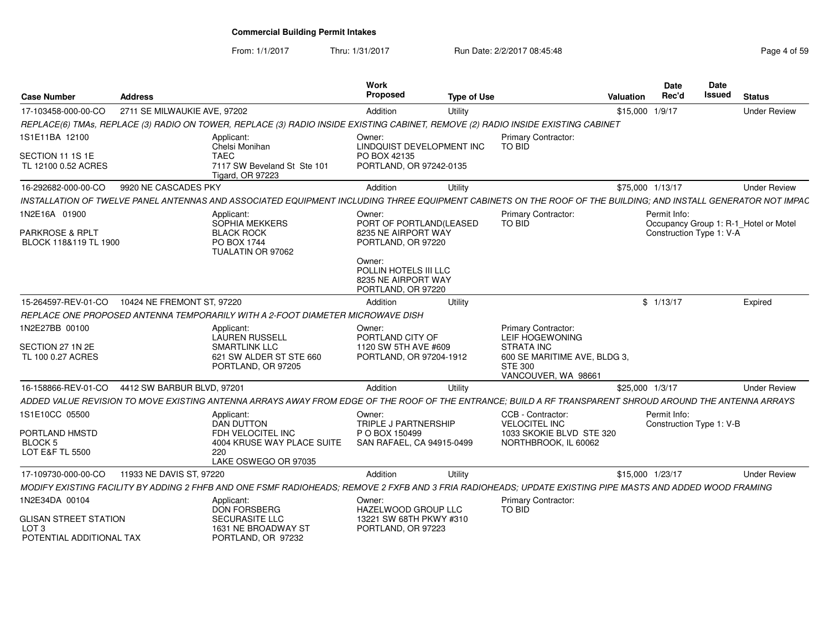From: 1/1/2017Thru: 1/31/2017 **Run Date: 2/2/2017 08:45:48** Page 4 of 59

| <b>Case Number</b>                                                | <b>Address</b>               |                                                                                                                                                                | <b>Work</b><br><b>Proposed</b>                                               | <b>Type of Use</b> |                                                                                     | <b>Valuation</b> | Date<br>Rec'd                            | Date<br><b>Issued</b> | <b>Status</b>                         |
|-------------------------------------------------------------------|------------------------------|----------------------------------------------------------------------------------------------------------------------------------------------------------------|------------------------------------------------------------------------------|--------------------|-------------------------------------------------------------------------------------|------------------|------------------------------------------|-----------------------|---------------------------------------|
| 17-103458-000-00-CO                                               | 2711 SE MILWAUKIE AVE, 97202 |                                                                                                                                                                | Addition                                                                     | Utility            |                                                                                     | \$15,000 1/9/17  |                                          |                       | <b>Under Review</b>                   |
|                                                                   |                              | REPLACE(6) TMAs, REPLACE (3) RADIO ON TOWER, REPLACE (3) RADIO INSIDE EXISTING CABINET, REMOVE (2) RADIO INSIDE EXISTING CABINET                               |                                                                              |                    |                                                                                     |                  |                                          |                       |                                       |
| 1S1E11BA 12100                                                    |                              | Applicant:<br>Chelsi Monihan                                                                                                                                   | Owner:<br>LINDOUIST DEVELOPMENT INC                                          |                    | Primary Contractor:<br>TO BID                                                       |                  |                                          |                       |                                       |
| SECTION 11 1S 1E<br>TL 12100 0.52 ACRES                           |                              | <b>TAEC</b><br>7117 SW Beveland St Ste 101<br><b>Tigard, OR 97223</b>                                                                                          | PO BOX 42135<br>PORTLAND, OR 97242-0135                                      |                    |                                                                                     |                  |                                          |                       |                                       |
| 16-292682-000-00-CO                                               | 9920 NE CASCADES PKY         |                                                                                                                                                                | Addition                                                                     | Utility            |                                                                                     |                  | \$75,000 1/13/17                         |                       | <b>Under Review</b>                   |
|                                                                   |                              | INSTALLATION OF TWELVE PANEL ANTENNAS AND ASSOCIATED EQUIPMENT INCLUDING THREE EQUIPMENT CABINETS ON THE ROOF OF THE BUILDING; AND INSTALL GENERATOR NOT IMPAC |                                                                              |                    |                                                                                     |                  |                                          |                       |                                       |
| 1N2E16A 01900<br><b>PARKROSE &amp; RPLT</b>                       |                              | Applicant:<br>SOPHIA MEKKERS<br><b>BLACK ROCK</b>                                                                                                              | Owner:<br>PORT OF PORTLAND(LEASED<br>8235 NE AIRPORT WAY                     |                    | Primary Contractor:<br><b>TO BID</b>                                                |                  | Permit Info:<br>Construction Type 1: V-A |                       | Occupancy Group 1: R-1 Hotel or Motel |
| BLOCK 118&119 TL 1900                                             |                              | PO BOX 1744<br>TUALATIN OR 97062                                                                                                                               | PORTLAND, OR 97220                                                           |                    |                                                                                     |                  |                                          |                       |                                       |
|                                                                   |                              |                                                                                                                                                                | Owner:<br>POLLIN HOTELS III LLC<br>8235 NE AIRPORT WAY<br>PORTLAND, OR 97220 |                    |                                                                                     |                  |                                          |                       |                                       |
| 15-264597-REV-01-CO                                               | 10424 NE FREMONT ST, 97220   |                                                                                                                                                                | Addition                                                                     | Utility            |                                                                                     |                  | \$1/13/17                                |                       | Expired                               |
|                                                                   |                              | REPLACE ONE PROPOSED ANTENNA TEMPORARILY WITH A 2-FOOT DIAMETER MICROWAVE DISH                                                                                 |                                                                              |                    |                                                                                     |                  |                                          |                       |                                       |
| 1N2E27BB 00100                                                    |                              | Applicant:<br><b>LAUREN RUSSELL</b>                                                                                                                            | Owner:<br>PORTLAND CITY OF                                                   |                    | Primary Contractor:<br>LEIF HOGEWONING                                              |                  |                                          |                       |                                       |
| SECTION 27 1N 2E<br>TL 100 0.27 ACRES                             |                              | <b>SMARTLINK LLC</b><br>621 SW ALDER ST STE 660<br>PORTLAND, OR 97205                                                                                          | 1120 SW 5TH AVE #609<br>PORTLAND, OR 97204-1912                              |                    | STRATA INC<br>600 SE MARITIME AVE, BLDG 3,<br><b>STE 300</b><br>VANCOUVER, WA 98661 |                  |                                          |                       |                                       |
| 16-158866-REV-01-CO                                               | 4412 SW BARBUR BLVD, 97201   |                                                                                                                                                                | Addition                                                                     | Utility            |                                                                                     | \$25,000 1/3/17  |                                          |                       | <b>Under Review</b>                   |
|                                                                   |                              | ADDED VALUE REVISION TO MOVE EXISTING ANTENNA ARRAYS AWAY FROM EDGE OF THE ROOF OF THE ENTRANCE; BUILD A RF TRANSPARENT SHROUD AROUND THE ANTENNA ARRAYS       |                                                                              |                    |                                                                                     |                  |                                          |                       |                                       |
| 1S1E10CC 05500                                                    |                              | Applicant:<br><b>DAN DUTTON</b>                                                                                                                                | Owner:<br>TRIPLE J PARTNERSHIP                                               |                    | CCB - Contractor:<br><b>VELOCITEL INC</b>                                           |                  | Permit Info:<br>Construction Type 1: V-B |                       |                                       |
| PORTLAND HMSTD<br>BLOCK 5                                         |                              | FDH VELOCITEL INC<br>4004 KRUSE WAY PLACE SUITE                                                                                                                | P O BOX 150499<br>SAN RAFAEL, CA 94915-0499                                  |                    | 1033 SKOKIE BLVD STE 320<br>NORTHBROOK, IL 60062                                    |                  |                                          |                       |                                       |
| <b>LOT E&amp;F TL 5500</b>                                        |                              | 220<br>LAKE OSWEGO OR 97035                                                                                                                                    |                                                                              |                    |                                                                                     |                  |                                          |                       |                                       |
| 17-109730-000-00-CO                                               | 11933 NE DAVIS ST, 97220     |                                                                                                                                                                | Addition                                                                     | Utility            |                                                                                     |                  | \$15,000 1/23/17                         |                       | <b>Under Review</b>                   |
|                                                                   |                              | MODIFY EXISTING FACILITY BY ADDING 2 FHFB AND ONE FSMF RADIOHEADS; REMOVE 2 FXFB AND 3 FRIA RADIOHEADS; UPDATE EXISTING PIPE MASTS AND ADDED WOOD FRAMING      |                                                                              |                    |                                                                                     |                  |                                          |                       |                                       |
| 1N2E34DA 00104                                                    |                              | Applicant:<br><b>DON FORSBERG</b>                                                                                                                              | Owner:<br>HAZELWOOD GROUP LLC                                                |                    | Primary Contractor:<br><b>TO BID</b>                                                |                  |                                          |                       |                                       |
| <b>GLISAN STREET STATION</b><br>LOT 3<br>POTENTIAL ADDITIONAL TAX |                              | <b>SECURASITE LLC</b><br>1631 NE BROADWAY ST<br>PORTLAND, OR 97232                                                                                             | 13221 SW 68TH PKWY #310<br>PORTLAND, OR 97223                                |                    |                                                                                     |                  |                                          |                       |                                       |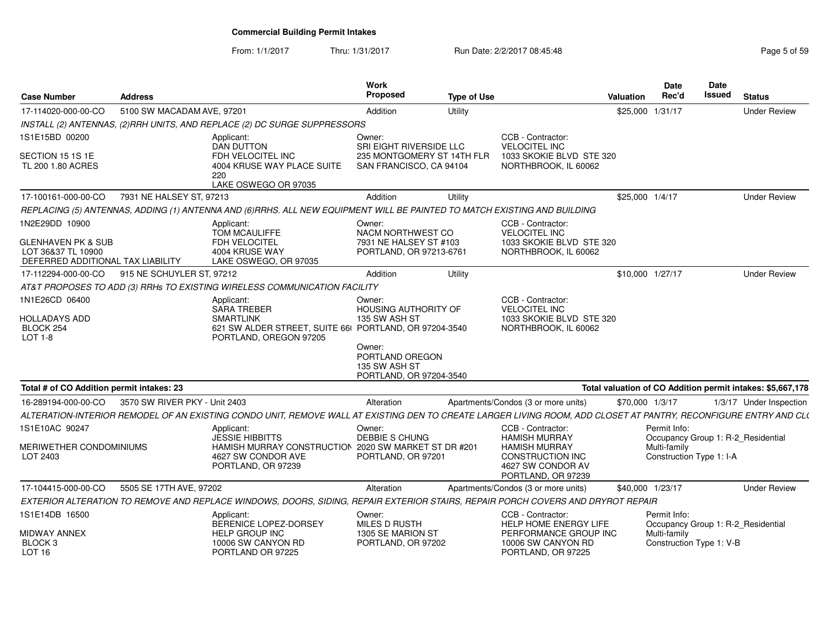From: 1/1/2017Thru: 1/31/2017 **Run Date: 2/2/2017 08:45:48** Page 5 of 59

| <b>Case Number</b>                                                                              | <b>Address</b>                |                                                                                                                                                                  | Work<br><b>Proposed</b>                                                          | <b>Type of Use</b> |                                                                                                                                         | Valuation        | <b>Date</b><br>Rec'd                                     | <b>Date</b><br>Issued    | <b>Status</b>                                              |
|-------------------------------------------------------------------------------------------------|-------------------------------|------------------------------------------------------------------------------------------------------------------------------------------------------------------|----------------------------------------------------------------------------------|--------------------|-----------------------------------------------------------------------------------------------------------------------------------------|------------------|----------------------------------------------------------|--------------------------|------------------------------------------------------------|
| 17-114020-000-00-CO                                                                             | 5100 SW MACADAM AVE, 97201    |                                                                                                                                                                  | Addition                                                                         | Utility            |                                                                                                                                         | \$25,000 1/31/17 |                                                          |                          | <b>Under Review</b>                                        |
|                                                                                                 |                               | INSTALL (2) ANTENNAS, (2) RRH UNITS, AND REPLACE (2) DC SURGE SUPPRESSORS                                                                                        |                                                                                  |                    |                                                                                                                                         |                  |                                                          |                          |                                                            |
| 1S1E15BD 00200                                                                                  |                               | Applicant:<br><b>DAN DUTTON</b>                                                                                                                                  | Owner:<br>SRI EIGHT RIVERSIDE LLC                                                |                    | CCB - Contractor:<br><b>VELOCITEL INC</b>                                                                                               |                  |                                                          |                          |                                                            |
| SECTION 15 1S 1E<br>TL 200 1.80 ACRES                                                           |                               | FDH VELOCITEL INC<br>4004 KRUSE WAY PLACE SUITE<br>220<br>LAKE OSWEGO OR 97035                                                                                   | 235 MONTGOMERY ST 14TH FLR<br>SAN FRANCISCO, CA 94104                            |                    | 1033 SKOKIE BLVD STE 320<br>NORTHBROOK, IL 60062                                                                                        |                  |                                                          |                          |                                                            |
| 17-100161-000-00-CO                                                                             | 7931 NE HALSEY ST, 97213      |                                                                                                                                                                  | Addition                                                                         | Utility            |                                                                                                                                         | \$25,000 1/4/17  |                                                          |                          | <b>Under Review</b>                                        |
|                                                                                                 |                               | REPLACING (5) ANTENNAS, ADDING (1) ANTENNA AND (6)RRHS. ALL NEW EQUIPMENT WILL BE PAINTED TO MATCH EXISTING AND BUILDING                                         |                                                                                  |                    |                                                                                                                                         |                  |                                                          |                          |                                                            |
| 1N2E29DD 10900<br>GLENHAVEN PK & SUB<br>LOT 36&37 TL 10900<br>DEFERRED ADDITIONAL TAX LIABILITY |                               | Applicant:<br>TOM MCAULIFFE<br>FDH VELOCITEL<br>4004 KRUSE WAY<br>LAKE OSWEGO, OR 97035                                                                          | Owner:<br>NACM NORTHWEST CO<br>7931 NE HALSEY ST #103<br>PORTLAND, OR 97213-6761 |                    | CCB - Contractor:<br><b>VELOCITEL INC</b><br>1033 SKOKIE BLVD STE 320<br>NORTHBROOK, IL 60062                                           |                  |                                                          |                          |                                                            |
| 17-112294-000-00-CO                                                                             | 915 NE SCHUYLER ST. 97212     |                                                                                                                                                                  | Addition                                                                         | Utility            |                                                                                                                                         | \$10,000 1/27/17 |                                                          |                          | <b>Under Review</b>                                        |
|                                                                                                 |                               | AT&T PROPOSES TO ADD (3) RRHs TO EXISTING WIRELESS COMMUNICATION FACILITY                                                                                        |                                                                                  |                    |                                                                                                                                         |                  |                                                          |                          |                                                            |
| 1N1E26CD 06400<br>HOLLADAYS ADD<br>BLOCK 254<br>LOT 1-8                                         |                               | Applicant:<br><b>SARA TREBER</b><br><b>SMARTLINK</b><br>621 SW ALDER STREET, SUITE 66( PORTLAND, OR 97204-3540<br>PORTLAND, OREGON 97205                         | Owner:<br><b>HOUSING AUTHORITY OF</b><br>135 SW ASH ST                           |                    | CCB - Contractor:<br><b>VELOCITEL INC</b><br>1033 SKOKIE BLVD STE 320<br>NORTHBROOK, IL 60062                                           |                  |                                                          |                          |                                                            |
|                                                                                                 |                               |                                                                                                                                                                  | Owner:<br>PORTLAND OREGON<br>135 SW ASH ST<br>PORTLAND, OR 97204-3540            |                    |                                                                                                                                         |                  |                                                          |                          |                                                            |
| Total # of CO Addition permit intakes: 23                                                       |                               |                                                                                                                                                                  |                                                                                  |                    |                                                                                                                                         |                  |                                                          |                          | Total valuation of CO Addition permit intakes: \$5,667,178 |
| 16-289194-000-00-CO                                                                             | 3570 SW RIVER PKY - Unit 2403 |                                                                                                                                                                  | Alteration                                                                       |                    | Apartments/Condos (3 or more units)                                                                                                     | \$70,000 1/3/17  |                                                          |                          | 1/3/17 Under Inspection                                    |
|                                                                                                 |                               | ALTERATION-INTERIOR REMODEL OF AN EXISTING CONDO UNIT, REMOVE WALL AT EXISTING DEN TO CREATE LARGER LIVING ROOM, ADD CLOSET AT PANTRY, RECONFIGURE ENTRY AND CL( |                                                                                  |                    |                                                                                                                                         |                  |                                                          |                          |                                                            |
| 1S1E10AC 90247<br>MERIWETHER CONDOMINIUMS<br>LOT 2403                                           |                               | Applicant:<br><b>JESSIE HIBBITTS</b><br>HAMISH MURRAY CONSTRUCTION 2020 SW MARKET ST DR #201<br>4627 SW CONDOR AVE<br>PORTLAND, OR 97239                         | Owner:<br><b>DEBBIE S CHUNG</b><br>PORTLAND, OR 97201                            |                    | CCB - Contractor:<br><b>HAMISH MURRAY</b><br><b>HAMISH MURRAY</b><br><b>CONSTRUCTION INC</b><br>4627 SW CONDOR AV<br>PORTLAND, OR 97239 |                  | Permit Info:<br>Multi-family<br>Construction Type 1: I-A |                          | Occupancy Group 1: R-2 Residential                         |
| 17-104415-000-00-CO                                                                             | 5505 SE 17TH AVE, 97202       |                                                                                                                                                                  | Alteration                                                                       |                    | Apartments/Condos (3 or more units)                                                                                                     | \$40,000 1/23/17 |                                                          |                          | <b>Under Review</b>                                        |
|                                                                                                 |                               | EXTERIOR ALTERATION TO REMOVE AND REPLACE WINDOWS, DOORS, SIDING, REPAIR EXTERIOR STAIRS, REPAIR PORCH COVERS AND DRYROT REPAIR                                  |                                                                                  |                    |                                                                                                                                         |                  |                                                          |                          |                                                            |
| 1S1E14DB 16500                                                                                  |                               | Applicant:<br>BERENICE LOPEZ-DORSEY                                                                                                                              | Owner:<br>MILES D RUSTH                                                          |                    | CCB - Contractor:<br><b>HELP HOME ENERGY LIFE</b>                                                                                       |                  | Permit Info:                                             |                          | Occupancy Group 1: R-2 Residential                         |
| <b>MIDWAY ANNEX</b><br>BLOCK 3<br>LOT <sub>16</sub>                                             |                               | <b>HELP GROUP INC</b><br>10006 SW CANYON RD<br>PORTLAND OR 97225                                                                                                 | 1305 SE MARION ST<br>PORTLAND, OR 97202                                          |                    | PERFORMANCE GROUP INC<br>10006 SW CANYON RD<br>PORTLAND, OR 97225                                                                       |                  | Multi-family                                             | Construction Type 1: V-B |                                                            |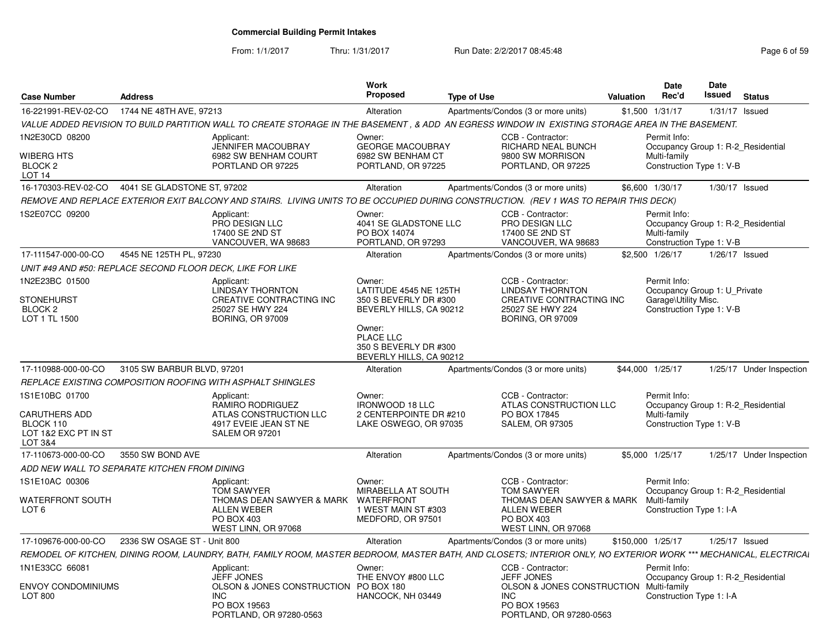From: 1/1/2017Thru: 1/31/2017 **Run Date: 2/2/2017 08:45:48** Page 6 of 59

| <b>Case Number</b>                                                                     | <b>Address</b>              |                                                                                                                                                                   | Work<br><b>Proposed</b>                                                              | <b>Type of Use</b> |                                                                                                                         | <b>Valuation</b> | Date<br>Rec'd                                                                                    | Date<br>Issued | <b>Status</b>                      |
|----------------------------------------------------------------------------------------|-----------------------------|-------------------------------------------------------------------------------------------------------------------------------------------------------------------|--------------------------------------------------------------------------------------|--------------------|-------------------------------------------------------------------------------------------------------------------------|------------------|--------------------------------------------------------------------------------------------------|----------------|------------------------------------|
| 16-221991-REV-02-CO                                                                    | 1744 NE 48TH AVE, 97213     |                                                                                                                                                                   | Alteration                                                                           |                    | Apartments/Condos (3 or more units)                                                                                     |                  | \$1,500 1/31/17                                                                                  |                | $1/31/17$ Issued                   |
|                                                                                        |                             | VALUE ADDED REVISION TO BUILD PARTITION WALL TO CREATE STORAGE IN THE BASEMENT , & ADD AN EGRESS WINDOW IN EXISTING STORAGE AREA IN THE BASEMENT.                 |                                                                                      |                    |                                                                                                                         |                  |                                                                                                  |                |                                    |
| 1N2E30CD 08200                                                                         |                             | Applicant:                                                                                                                                                        | Owner:                                                                               |                    | CCB - Contractor:                                                                                                       |                  | Permit Info:                                                                                     |                |                                    |
| <b>WIBERG HTS</b><br>BLOCK <sub>2</sub><br>LOT <sub>14</sub>                           |                             | JENNIFER MACOUBRAY<br>6982 SW BENHAM COURT<br>PORTLAND OR 97225                                                                                                   | <b>GEORGE MACOUBRAY</b><br>6982 SW BENHAM CT<br>PORTLAND, OR 97225                   |                    | RICHARD NEAL BUNCH<br>9800 SW MORRISON<br>PORTLAND, OR 97225                                                            |                  | Multi-family<br>Construction Type 1: V-B                                                         |                | Occupancy Group 1: R-2 Residential |
| 16-170303-REV-02-CO  4041 SE GLADSTONE ST, 97202                                       |                             |                                                                                                                                                                   | Alteration                                                                           |                    | Apartments/Condos (3 or more units)                                                                                     |                  | \$6,600 1/30/17                                                                                  |                | 1/30/17 Issued                     |
|                                                                                        |                             | REMOVE AND REPLACE EXTERIOR EXIT BALCONY AND STAIRS. LIVING UNITS TO BE OCCUPIED DURING CONSTRUCTION. (REV 1 WAS TO REPAIR THIS DECK)                             |                                                                                      |                    |                                                                                                                         |                  |                                                                                                  |                |                                    |
| 1S2E07CC 09200                                                                         |                             | Applicant:<br>PRO DESIGN LLC<br>17400 SE 2ND ST<br>VANCOUVER, WA 98683                                                                                            | Owner:<br>4041 SE GLADSTONE LLC<br>PO BOX 14074<br>PORTLAND, OR 97293                |                    | CCB - Contractor:<br>PRO DESIGN LLC<br>17400 SE 2ND ST<br>VANCOUVER, WA 98683                                           |                  | Permit Info:<br>Multi-family<br>Construction Type 1: V-B                                         |                | Occupancy Group 1: R-2 Residential |
| 17-111547-000-00-CO                                                                    | 4545 NE 125TH PL, 97230     |                                                                                                                                                                   | Alteration                                                                           |                    | Apartments/Condos (3 or more units)                                                                                     |                  | \$2,500 1/26/17                                                                                  |                | $1/26/17$ Issued                   |
| UNIT #49 AND #50: REPLACE SECOND FLOOR DECK, LIKE FOR LIKE                             |                             |                                                                                                                                                                   |                                                                                      |                    |                                                                                                                         |                  |                                                                                                  |                |                                    |
| 1N2E23BC 01500<br><b>STONEHURST</b><br>BLOCK <sub>2</sub><br>LOT 1 TL 1500             |                             | Applicant:<br>LINDSAY THORNTON<br>CREATIVE CONTRACTING INC<br>25027 SE HWY 224<br><b>BORING, OR 97009</b>                                                         | Owner:<br>LATITUDE 4545 NE 125TH<br>350 S BEVERLY DR #300<br>BEVERLY HILLS, CA 90212 |                    | CCB - Contractor:<br><b>LINDSAY THORNTON</b><br>CREATIVE CONTRACTING INC<br>25027 SE HWY 224<br><b>BORING, OR 97009</b> |                  | Permit Info:<br>Occupancy Group 1: U_Private<br>Garage\Utility Misc.<br>Construction Type 1: V-B |                |                                    |
|                                                                                        |                             |                                                                                                                                                                   | Owner:<br>PLACE LLC<br>350 S BEVERLY DR #300<br>BEVERLY HILLS, CA 90212              |                    |                                                                                                                         |                  |                                                                                                  |                |                                    |
| 17-110988-000-00-CO                                                                    | 3105 SW BARBUR BLVD, 97201  |                                                                                                                                                                   | Alteration                                                                           |                    | Apartments/Condos (3 or more units)                                                                                     |                  | \$44,000 1/25/17                                                                                 |                | 1/25/17 Under Inspection           |
|                                                                                        |                             | REPLACE EXISTING COMPOSITION ROOFING WITH ASPHALT SHINGLES                                                                                                        |                                                                                      |                    |                                                                                                                         |                  |                                                                                                  |                |                                    |
| 1S1E10BC 01700<br><b>CARUTHERS ADD</b><br>BLOCK 110<br>LOT 1&2 EXC PT IN ST<br>LOT 3&4 |                             | Applicant:<br>RAMIRO RODRIGUEZ<br>ATLAS CONSTRUCTION LLC<br>4917 EVEIE JEAN ST NE<br>SALEM OR 97201                                                               | Owner:<br><b>IRONWOOD 18 LLC</b><br>2 CENTERPOINTE DR #210<br>LAKE OSWEGO, OR 97035  |                    | CCB - Contractor:<br>ATLAS CONSTRUCTION LLC<br>PO BOX 17845<br><b>SALEM, OR 97305</b>                                   |                  | Permit Info:<br>Multi-family<br>Construction Type 1: V-B                                         |                | Occupancy Group 1: R-2 Residential |
| 17-110673-000-00-CO                                                                    | 3550 SW BOND AVE            |                                                                                                                                                                   | Alteration                                                                           |                    | Apartments/Condos (3 or more units)                                                                                     |                  | \$5,000 1/25/17                                                                                  |                | 1/25/17 Under Inspection           |
| ADD NEW WALL TO SEPARATE KITCHEN FROM DINING                                           |                             |                                                                                                                                                                   |                                                                                      |                    |                                                                                                                         |                  |                                                                                                  |                |                                    |
| 1S1E10AC 00306                                                                         |                             | Applicant:<br><b>TOM SAWYER</b>                                                                                                                                   | Owner:<br>MIRABELLA AT SOUTH                                                         |                    | CCB - Contractor:<br><b>TOM SAWYER</b>                                                                                  |                  | Permit Info:                                                                                     |                | Occupancy Group 1: R-2 Residential |
| WATERFRONT SOUTH<br>LOT <sub>6</sub>                                                   |                             | THOMAS DEAN SAWYER & MARK<br><b>ALLEN WEBER</b><br>PO BOX 403<br>WEST LINN, OR 97068                                                                              | WATERFRONT<br>1 WEST MAIN ST #303<br>MEDFORD, OR 97501                               |                    | THOMAS DEAN SAWYER & MARK<br><b>ALLEN WEBER</b><br>PO BOX 403<br>WEST LINN, OR 97068                                    |                  | Multi-family<br>Construction Type 1: I-A                                                         |                |                                    |
| 17-109676-000-00-CO                                                                    | 2336 SW OSAGE ST - Unit 800 |                                                                                                                                                                   | Alteration                                                                           |                    | Apartments/Condos (3 or more units)                                                                                     |                  | \$150,000 1/25/17                                                                                |                | $1/25/17$ Issued                   |
|                                                                                        |                             | REMODEL OF KITCHEN, DINING ROOM, LAUNDRY, BATH, FAMILY ROOM, MASTER BEDROOM, MASTER BATH, AND CLOSETS; INTERIOR ONLY, NO EXTERIOR WORK *** MECHANICAL, ELECTRICAI |                                                                                      |                    |                                                                                                                         |                  |                                                                                                  |                |                                    |
| 1N1E33CC 66081                                                                         |                             | Applicant:<br><b>JEFF JONES</b>                                                                                                                                   | Owner:<br>THE ENVOY #800 LLC                                                         |                    | CCB - Contractor:<br><b>JEFF JONES</b>                                                                                  |                  | Permit Info:                                                                                     |                | Occupancy Group 1: R-2 Residential |
| ENVOY CONDOMINIUMS<br>LOT 800                                                          |                             | OLSON & JONES CONSTRUCTION PO BOX 180<br><b>INC</b><br>PO BOX 19563<br>PORTLAND, OR 97280-0563                                                                    | HANCOCK, NH 03449                                                                    |                    | <b>OLSON &amp; JONES CONSTRUCTION Multi-family</b><br><b>INC</b><br>PO BOX 19563<br>PORTLAND, OR 97280-0563             |                  | Construction Type 1: I-A                                                                         |                |                                    |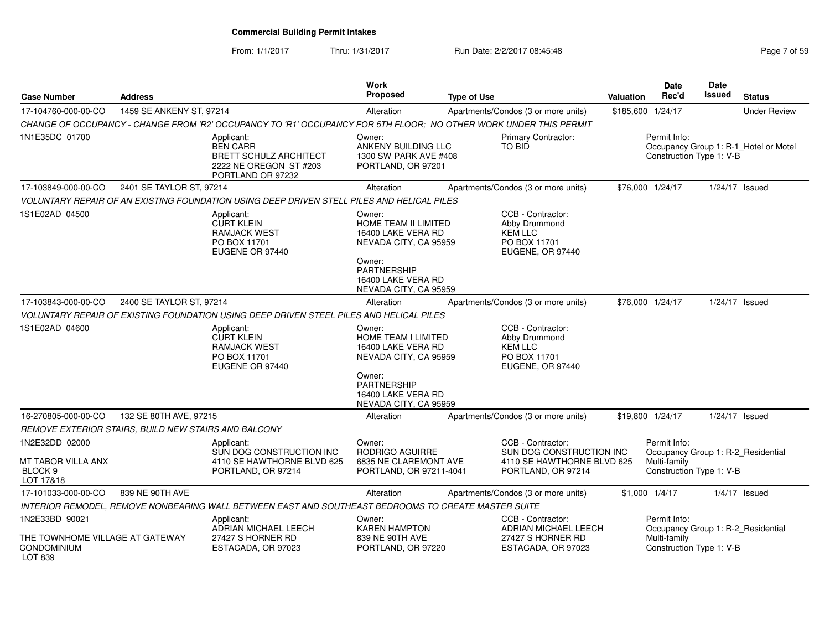From: 1/1/2017Thru: 1/31/2017 Run Date: 2/2/2017 08:45:48 Page 7 of 59

| <b>Case Number</b>                                                                 | <b>Address</b>           |                                                                                                                   | <b>Work</b><br>Proposed                                                                                                                                     | <b>Type of Use</b> |                                                                                                   | Valuation         | <b>Date</b><br>Rec'd                                     | <b>Date</b><br><b>Issued</b> | <b>Status</b>                         |
|------------------------------------------------------------------------------------|--------------------------|-------------------------------------------------------------------------------------------------------------------|-------------------------------------------------------------------------------------------------------------------------------------------------------------|--------------------|---------------------------------------------------------------------------------------------------|-------------------|----------------------------------------------------------|------------------------------|---------------------------------------|
| 17-104760-000-00-CO                                                                | 1459 SE ANKENY ST, 97214 |                                                                                                                   | Alteration                                                                                                                                                  |                    | Apartments/Condos (3 or more units)                                                               | \$185,600 1/24/17 |                                                          |                              | <b>Under Review</b>                   |
|                                                                                    |                          | CHANGE OF OCCUPANCY - CHANGE FROM 'R2' OCCUPANCY TO 'R1' OCCUPANCY FOR 5TH FLOOR: NO OTHER WORK UNDER THIS PERMIT |                                                                                                                                                             |                    |                                                                                                   |                   |                                                          |                              |                                       |
| 1N1E35DC 01700                                                                     |                          | Applicant:<br><b>BEN CARR</b><br><b>BRETT SCHULZ ARCHITECT</b><br>2222 NE OREGON ST #203<br>PORTLAND OR 97232     | Owner:<br>ANKENY BUILDING LLC<br>1300 SW PARK AVE #408<br>PORTLAND, OR 97201                                                                                |                    | Primary Contractor:<br>TO BID                                                                     |                   | Permit Info:<br>Construction Type 1: V-B                 |                              | Occupancy Group 1: R-1_Hotel or Motel |
| 17-103849-000-00-CO                                                                | 2401 SE TAYLOR ST, 97214 |                                                                                                                   | Alteration                                                                                                                                                  |                    | Apartments/Condos (3 or more units)                                                               |                   | \$76,000 1/24/17                                         |                              | 1/24/17 Issued                        |
|                                                                                    |                          | VOLUNTARY REPAIR OF AN EXISTING FOUNDATION USING DEEP DRIVEN STELL PILES AND HELICAL PILES                        |                                                                                                                                                             |                    |                                                                                                   |                   |                                                          |                              |                                       |
| 1S1E02AD 04500                                                                     |                          | Applicant:<br><b>CURT KLEIN</b><br><b>RAMJACK WEST</b><br>PO BOX 11701<br>EUGENE OR 97440                         | Owner:<br>HOME TEAM II LIMITED<br>16400 LAKE VERA RD<br>NEVADA CITY, CA 95959<br>Owner:<br>PARTNERSHIP<br>16400 LAKE VERA RD                                |                    | CCB - Contractor:<br>Abby Drummond<br><b>KEM LLC</b><br>PO BOX 11701<br>EUGENE, OR 97440          |                   |                                                          |                              |                                       |
| 17-103843-000-00-CO                                                                | 2400 SE TAYLOR ST, 97214 |                                                                                                                   | NEVADA CITY, CA 95959<br>Alteration                                                                                                                         |                    | Apartments/Condos (3 or more units)                                                               | \$76,000 1/24/17  |                                                          |                              | 1/24/17 Issued                        |
|                                                                                    |                          | VOLUNTARY REPAIR OF EXISTING FOUNDATION USING DEEP DRIVEN STEEL PILES AND HELICAL PILES                           |                                                                                                                                                             |                    |                                                                                                   |                   |                                                          |                              |                                       |
| 1S1E02AD 04600                                                                     |                          | Applicant:<br><b>CURT KLEIN</b><br><b>RAMJACK WEST</b><br>PO BOX 11701<br>EUGENE OR 97440                         | Owner:<br>HOME TEAM I LIMITED<br>16400 LAKE VERA RD<br>NEVADA CITY, CA 95959<br>Owner:<br><b>PARTNERSHIP</b><br>16400 LAKE VERA RD<br>NEVADA CITY, CA 95959 |                    | CCB - Contractor:<br>Abby Drummond<br><b>KEM LLC</b><br>PO BOX 11701<br>EUGENE, OR 97440          |                   |                                                          |                              |                                       |
| 16-270805-000-00-CO                                                                | 132 SE 80TH AVE, 97215   |                                                                                                                   | Alteration                                                                                                                                                  |                    | Apartments/Condos (3 or more units)                                                               | \$19,800 1/24/17  |                                                          |                              | $1/24/17$ Issued                      |
| REMOVE EXTERIOR STAIRS, BUILD NEW STAIRS AND BALCONY                               |                          |                                                                                                                   |                                                                                                                                                             |                    |                                                                                                   |                   |                                                          |                              |                                       |
| 1N2E32DD 02000<br>MT TABOR VILLA ANX<br>BLOCK <sub>9</sub><br>LOT 17&18            |                          | Applicant:<br>SUN DOG CONSTRUCTION INC<br>4110 SE HAWTHORNE BLVD 625<br>PORTLAND, OR 97214                        | Owner:<br>RODRIGO AGUIRRE<br>6835 NE CLAREMONT AVE<br>PORTLAND, OR 97211-4041                                                                               |                    | CCB - Contractor:<br>SUN DOG CONSTRUCTION INC<br>4110 SE HAWTHORNE BLVD 625<br>PORTLAND, OR 97214 |                   | Permit Info:<br>Multi-family<br>Construction Type 1: V-B |                              | Occupancy Group 1: R-2_Residential    |
| 17-101033-000-00-CO                                                                | 839 NE 90TH AVE          |                                                                                                                   | Alteration                                                                                                                                                  |                    | Apartments/Condos (3 or more units)                                                               | $$1,000$ $1/4/17$ |                                                          |                              | $1/4/17$ Issued                       |
|                                                                                    |                          | INTERIOR REMODEL, REMOVE NONBEARING WALL BETWEEN EAST AND SOUTHEAST BEDROOMS TO CREATE MASTER SUITE               |                                                                                                                                                             |                    |                                                                                                   |                   |                                                          |                              |                                       |
| 1N2E33BD 90021<br>THE TOWNHOME VILLAGE AT GATEWAY<br><b>CONDOMINIUM</b><br>LOT 839 |                          | Applicant:<br>ADRIAN MICHAEL LEECH<br>27427 S HORNER RD<br>ESTACADA, OR 97023                                     | Owner:<br><b>KAREN HAMPTON</b><br>839 NE 90TH AVE<br>PORTLAND, OR 97220                                                                                     |                    | CCB - Contractor:<br>ADRIAN MICHAEL LEECH<br>27427 S HORNER RD<br>ESTACADA, OR 97023              |                   | Permit Info:<br>Multi-family<br>Construction Type 1: V-B |                              | Occupancy Group 1: R-2_Residential    |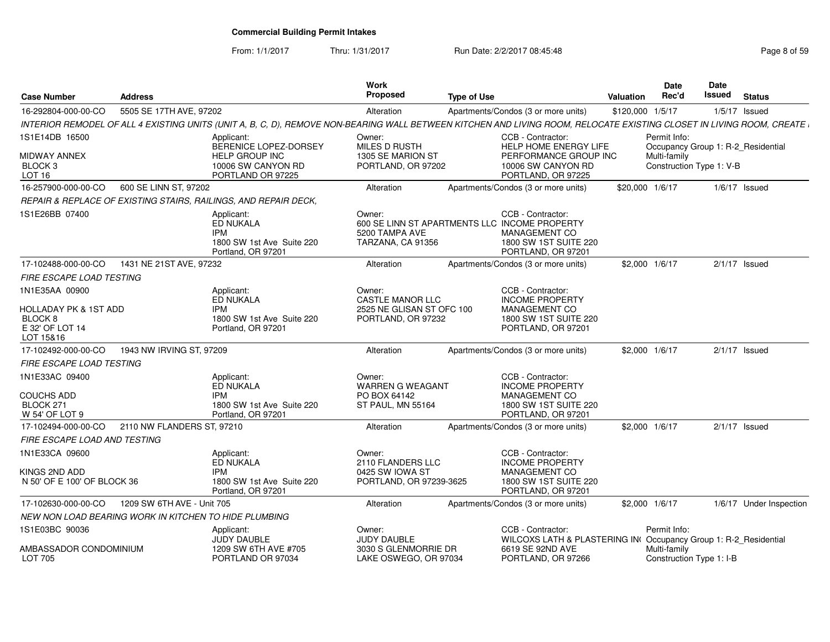#### From: 1/1/2017Thru: 1/31/2017 **Run Date: 2/2/2017 08:45:48** Page 8 of 59

| <b>Case Number</b>                                          | <b>Address</b>             |                                                                                                                                                                      | <b>Work</b><br>Proposed                                                                        | <b>Type of Use</b> |                                                                                          | <b>Valuation</b> | <b>Date</b><br>Rec'd         | Date<br>Issued           | <b>Status</b>                      |
|-------------------------------------------------------------|----------------------------|----------------------------------------------------------------------------------------------------------------------------------------------------------------------|------------------------------------------------------------------------------------------------|--------------------|------------------------------------------------------------------------------------------|------------------|------------------------------|--------------------------|------------------------------------|
| 16-292804-000-00-CO                                         | 5505 SE 17TH AVE, 97202    |                                                                                                                                                                      | Alteration                                                                                     |                    | Apartments/Condos (3 or more units)                                                      | \$120,000 1/5/17 |                              |                          | $1/5/17$ Issued                    |
|                                                             |                            | INTERIOR REMODEL OF ALL 4 EXISTING UNITS (UNIT A, B, C, D), REMOVE NON-BEARING WALL BETWEEN KITCHEN AND LIVING ROOM, RELOCATE EXISTING CLOSET IN LIVING ROOM, CREATE |                                                                                                |                    |                                                                                          |                  |                              |                          |                                    |
| 1S1E14DB 16500<br><b>MIDWAY ANNEX</b><br>BLOCK <sub>3</sub> |                            | Applicant:<br>BERENICE LOPEZ-DORSEY<br><b>HELP GROUP INC</b><br>10006 SW CANYON RD                                                                                   | Owner:<br><b>MILES D RUSTH</b><br>1305 SE MARION ST<br>PORTLAND, OR 97202                      |                    | CCB - Contractor<br>HELP HOME ENERGY LIFE<br>PERFORMANCE GROUP INC<br>10006 SW CANYON RD |                  | Permit Info:<br>Multi-family | Construction Type 1: V-B | Occupancy Group 1: R-2 Residential |
| LOT <sub>16</sub>                                           |                            | PORTLAND OR 97225                                                                                                                                                    |                                                                                                |                    | PORTLAND, OR 97225                                                                       |                  |                              |                          |                                    |
| 16-257900-000-00-CO                                         | 600 SE LINN ST, 97202      |                                                                                                                                                                      | Alteration                                                                                     |                    | Apartments/Condos (3 or more units)                                                      | \$20,000 1/6/17  |                              |                          | $1/6/17$ Issued                    |
|                                                             |                            | REPAIR & REPLACE OF EXISTING STAIRS, RAILINGS, AND REPAIR DECK,                                                                                                      |                                                                                                |                    |                                                                                          |                  |                              |                          |                                    |
| 1S1E26BB 07400                                              |                            | Applicant:<br>ED NUKALA<br><b>IPM</b><br>1800 SW 1st Ave Suite 220<br>Portland, OR 97201                                                                             | Owner:<br>600 SE LINN ST APARTMENTS LLC INCOME PROPERTY<br>5200 TAMPA AVE<br>TARZANA, CA 91356 |                    | CCB - Contractor:<br><b>MANAGEMENT CO</b><br>1800 SW 1ST SUITE 220<br>PORTLAND, OR 97201 |                  |                              |                          |                                    |
| 17-102488-000-00-CO                                         | 1431 NE 21ST AVE, 97232    |                                                                                                                                                                      | Alteration                                                                                     |                    | Apartments/Condos (3 or more units)                                                      | \$2,000 1/6/17   |                              |                          | $2/1/17$ Issued                    |
| <b>FIRE ESCAPE LOAD TESTING</b>                             |                            |                                                                                                                                                                      |                                                                                                |                    |                                                                                          |                  |                              |                          |                                    |
| 1N1E35AA 00900                                              |                            | Applicant:<br>ED NUKALA                                                                                                                                              | Owner:<br><b>CASTLE MANOR LLC</b>                                                              |                    | CCB - Contractor:<br><b>INCOME PROPERTY</b>                                              |                  |                              |                          |                                    |
| HOLLADAY PK & 1ST ADD                                       |                            | <b>IPM</b><br>1800 SW 1st Ave Suite 220                                                                                                                              | 2525 NE GLISAN ST OFC 100<br>PORTLAND, OR 97232                                                |                    | MANAGEMENT CO<br>1800 SW 1ST SUITE 220                                                   |                  |                              |                          |                                    |
| BLOCK 8<br>E 32' OF LOT 14<br>LOT 15&16                     |                            | Portland, OR 97201                                                                                                                                                   |                                                                                                |                    | PORTLAND, OR 97201                                                                       |                  |                              |                          |                                    |
| 17-102492-000-00-CO                                         | 1943 NW IRVING ST, 97209   |                                                                                                                                                                      | Alteration                                                                                     |                    | Apartments/Condos (3 or more units)                                                      | \$2,000 1/6/17   |                              |                          | $2/1/17$ Issued                    |
| <b>FIRE ESCAPE LOAD TESTING</b>                             |                            |                                                                                                                                                                      |                                                                                                |                    |                                                                                          |                  |                              |                          |                                    |
| 1N1E33AC 09400                                              |                            | Applicant:<br>ED NUKALA                                                                                                                                              | Owner:<br><b>WARREN G WEAGANT</b>                                                              |                    | CCB - Contractor:<br><b>INCOME PROPERTY</b>                                              |                  |                              |                          |                                    |
| <b>COUCHS ADD</b>                                           |                            | <b>IPM</b>                                                                                                                                                           | PO BOX 64142                                                                                   |                    | <b>MANAGEMENT CO</b>                                                                     |                  |                              |                          |                                    |
| BLOCK 271<br>W 54' OF LOT 9                                 |                            | 1800 SW 1st Ave Suite 220<br>Portland, OR 97201                                                                                                                      | ST PAUL, MN 55164                                                                              |                    | 1800 SW 1ST SUITE 220<br>PORTLAND, OR 97201                                              |                  |                              |                          |                                    |
| 17-102494-000-00-CO                                         | 2110 NW FLANDERS ST, 97210 |                                                                                                                                                                      | Alteration                                                                                     |                    | Apartments/Condos (3 or more units)                                                      | \$2,000 1/6/17   |                              |                          | $2/1/17$ Issued                    |
| <b>FIRE ESCAPE LOAD AND TESTING</b>                         |                            |                                                                                                                                                                      |                                                                                                |                    |                                                                                          |                  |                              |                          |                                    |
| 1N1E33CA 09600                                              |                            | Applicant:<br>ED NUKALA                                                                                                                                              | Owner:<br>2110 FLANDERS LLC                                                                    |                    | CCB - Contractor:<br><b>INCOME PROPERTY</b>                                              |                  |                              |                          |                                    |
| KINGS 2ND ADD<br>N 50' OF E 100' OF BLOCK 36                |                            | <b>IPM</b><br>1800 SW 1st Ave Suite 220<br>Portland, OR 97201                                                                                                        | 0425 SW IOWA ST<br>PORTLAND, OR 97239-3625                                                     |                    | <b>MANAGEMENT CO</b><br>1800 SW 1ST SUITE 220<br>PORTLAND, OR 97201                      |                  |                              |                          |                                    |
| 17-102630-000-00-CO                                         | 1209 SW 6TH AVE - Unit 705 |                                                                                                                                                                      | Alteration                                                                                     |                    | Apartments/Condos (3 or more units)                                                      | \$2,000 1/6/17   |                              |                          | 1/6/17 Under Inspection            |
| NEW NON LOAD BEARING WORK IN KITCHEN TO HIDE PLUMBING       |                            |                                                                                                                                                                      |                                                                                                |                    |                                                                                          |                  |                              |                          |                                    |
| 1S1E03BC 90036                                              |                            | Applicant:<br><b>JUDY DAUBLE</b>                                                                                                                                     | Owner:<br>JUDY DAUBLE                                                                          |                    | CCB - Contractor:<br>WILCOXS LATH & PLASTERING IN(Occupancy Group 1: R-2_Residential     |                  | Permit Info:                 |                          |                                    |
| AMBASSADOR CONDOMINIUM<br>LOT 705                           |                            | 1209 SW 6TH AVE #705<br>PORTLAND OR 97034                                                                                                                            | 3030 S GLENMORRIE DR<br>LAKE OSWEGO, OR 97034                                                  |                    | 6619 SE 92ND AVE<br>PORTLAND, OR 97266                                                   |                  | Multi-family                 | Construction Type 1: I-B |                                    |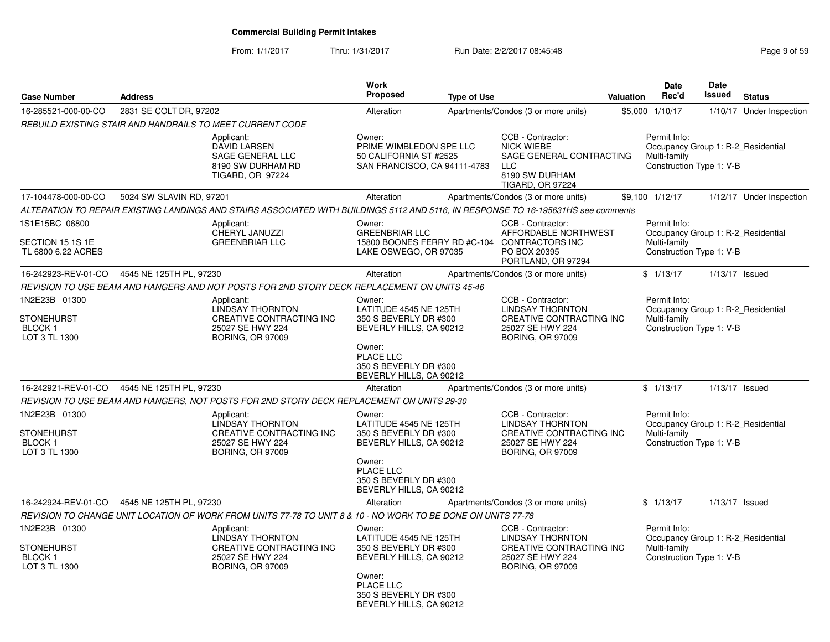#### From: 1/1/2017Thru: 1/31/2017 **Run Date: 2/2/2017 08:45:48** Page 9 of 59

| <b>Case Number</b>                                                   | <b>Address</b>           |                                                                                                                                    | <b>Work</b><br>Proposed                                                                                                                                         | <b>Type of Use</b> |                                                                                                                                 | Valuation | <b>Date</b><br>Rec'd                                                                           | <b>Date</b><br><b>Issued</b> | <b>Status</b>            |
|----------------------------------------------------------------------|--------------------------|------------------------------------------------------------------------------------------------------------------------------------|-----------------------------------------------------------------------------------------------------------------------------------------------------------------|--------------------|---------------------------------------------------------------------------------------------------------------------------------|-----------|------------------------------------------------------------------------------------------------|------------------------------|--------------------------|
| 16-285521-000-00-CO                                                  | 2831 SE COLT DR, 97202   |                                                                                                                                    | Alteration                                                                                                                                                      |                    | Apartments/Condos (3 or more units)                                                                                             |           | \$5,000 1/10/17                                                                                |                              | 1/10/17 Under Inspection |
|                                                                      |                          | REBUILD EXISTING STAIR AND HANDRAILS TO MEET CURRENT CODE                                                                          |                                                                                                                                                                 |                    |                                                                                                                                 |           |                                                                                                |                              |                          |
|                                                                      |                          | Applicant:<br>DAVID LARSEN<br>SAGE GENERAL LLC<br>8190 SW DURHAM RD<br><b>TIGARD, OR 97224</b>                                     | Owner:<br>PRIME WIMBLEDON SPE LLC<br>50 CALIFORNIA ST #2525<br>SAN FRANCISCO, CA 94111-4783                                                                     |                    | CCB - Contractor:<br><b>NICK WIEBE</b><br>SAGE GENERAL CONTRACTING<br><b>LLC</b><br>8190 SW DURHAM<br><b>TIGARD, OR 97224</b>   |           | Permit Info:<br>Occupancy Group 1: R-2 Residential<br>Multi-family<br>Construction Type 1: V-B |                              |                          |
| 17-104478-000-00-CO                                                  | 5024 SW SLAVIN RD, 97201 |                                                                                                                                    | Alteration                                                                                                                                                      |                    | Apartments/Condos (3 or more units)                                                                                             |           | \$9,100 1/12/17                                                                                |                              | 1/12/17 Under Inspection |
|                                                                      |                          | ALTERATION TO REPAIR EXISTING LANDINGS AND STAIRS ASSOCIATED WITH BUILDINGS 5112 AND 5116. IN RESPONSE TO 16-195631HS see comments |                                                                                                                                                                 |                    |                                                                                                                                 |           |                                                                                                |                              |                          |
| 1S1E15BC 06800<br>SECTION 15 1S 1E<br>TL 6800 6.22 ACRES             |                          | Applicant:<br>CHERYL JANUZZI<br><b>GREENBRIAR LLC</b>                                                                              | Owner:<br><b>GREENBRIAR LLC</b><br>LAKE OSWEGO, OR 97035                                                                                                        |                    | CCB - Contractor:<br>AFFORDABLE NORTHWEST<br>15800 BOONES FERRY RD #C-104 CONTRACTORS INC<br>PO BOX 20395<br>PORTLAND, OR 97294 |           | Permit Info:<br>Occupancy Group 1: R-2 Residential<br>Multi-family<br>Construction Type 1: V-B |                              |                          |
| 16-242923-REV-01-CO                                                  | 4545 NE 125TH PL, 97230  |                                                                                                                                    | Alteration                                                                                                                                                      |                    | Apartments/Condos (3 or more units)                                                                                             |           | \$1/13/17                                                                                      | $1/13/17$ Issued             |                          |
|                                                                      |                          | REVISION TO USE BEAM AND HANGERS AND NOT POSTS FOR 2ND STORY DECK REPLACEMENT ON UNITS 45-46                                       |                                                                                                                                                                 |                    |                                                                                                                                 |           |                                                                                                |                              |                          |
| 1N2E23B 01300<br><b>STONEHURST</b><br><b>BLOCK1</b><br>LOT 3 TL 1300 |                          | Applicant:<br><b>LINDSAY THORNTON</b><br>CREATIVE CONTRACTING INC<br>25027 SE HWY 224<br><b>BORING, OR 97009</b>                   | Owner:<br>LATITUDE 4545 NE 125TH<br>350 S BEVERLY DR #300<br>BEVERLY HILLS, CA 90212<br>Owner:<br>PLACE LLC<br>350 S BEVERLY DR #300<br>BEVERLY HILLS, CA 90212 |                    | CCB - Contractor:<br><b>LINDSAY THORNTON</b><br>CREATIVE CONTRACTING INC<br>25027 SE HWY 224<br><b>BORING, OR 97009</b>         |           | Permit Info:<br>Occupancy Group 1: R-2_Residential<br>Multi-family<br>Construction Type 1: V-B |                              |                          |
| 16-242921-REV-01-CO                                                  | 4545 NE 125TH PL, 97230  |                                                                                                                                    | Alteration                                                                                                                                                      |                    | Apartments/Condos (3 or more units)                                                                                             |           | \$1/13/17                                                                                      | $1/13/17$ Issued             |                          |
|                                                                      |                          | REVISION TO USE BEAM AND HANGERS, NOT POSTS FOR 2ND STORY DECK REPLACEMENT ON UNITS 29-30                                          |                                                                                                                                                                 |                    |                                                                                                                                 |           |                                                                                                |                              |                          |
| 1N2E23B 01300<br><b>STONEHURST</b><br><b>BLOCK1</b><br>LOT 3 TL 1300 |                          | Applicant:<br><b>LINDSAY THORNTON</b><br><b>CREATIVE CONTRACTING INC</b><br>25027 SE HWY 224<br><b>BORING, OR 97009</b>            | Owner:<br>LATITUDE 4545 NE 125TH<br>350 S BEVERLY DR #300<br>BEVERLY HILLS, CA 90212<br>Owner:<br>PLACE LLC<br>350 S BEVERLY DR #300<br>BEVERLY HILLS, CA 90212 |                    | CCB - Contractor:<br><b>LINDSAY THORNTON</b><br>CREATIVE CONTRACTING INC<br>25027 SE HWY 224<br><b>BORING, OR 97009</b>         |           | Permit Info:<br>Occupancy Group 1: R-2 Residential<br>Multi-family<br>Construction Type 1: V-B |                              |                          |
| 16-242924-REV-01-CO                                                  | 4545 NE 125TH PL, 97230  |                                                                                                                                    | Alteration                                                                                                                                                      |                    | Apartments/Condos (3 or more units)                                                                                             |           | \$1/13/17                                                                                      | $1/13/17$ Issued             |                          |
|                                                                      |                          | REVISION TO CHANGE UNIT LOCATION OF WORK FROM UNITS 77-78 TO UNIT 8 & 10 - NO WORK TO BE DONE ON UNITS 77-78                       |                                                                                                                                                                 |                    |                                                                                                                                 |           |                                                                                                |                              |                          |
| 1N2E23B 01300<br><b>STONEHURST</b><br>BLOCK 1<br>LOT 3 TL 1300       |                          | Applicant:<br><b>LINDSAY THORNTON</b><br>CREATIVE CONTRACTING INC<br>25027 SE HWY 224<br><b>BORING, OR 97009</b>                   | Owner:<br>LATITUDE 4545 NE 125TH<br>350 S BEVERLY DR #300<br>BEVERLY HILLS, CA 90212<br>Owner:<br>PLACE LLC<br>350 S BEVERLY DR #300<br>BEVERLY HILLS, CA 90212 |                    | CCB - Contractor:<br><b>LINDSAY THORNTON</b><br>CREATIVE CONTRACTING INC<br>25027 SE HWY 224<br><b>BORING, OR 97009</b>         |           | Permit Info:<br>Occupancy Group 1: R-2 Residential<br>Multi-family<br>Construction Type 1: V-B |                              |                          |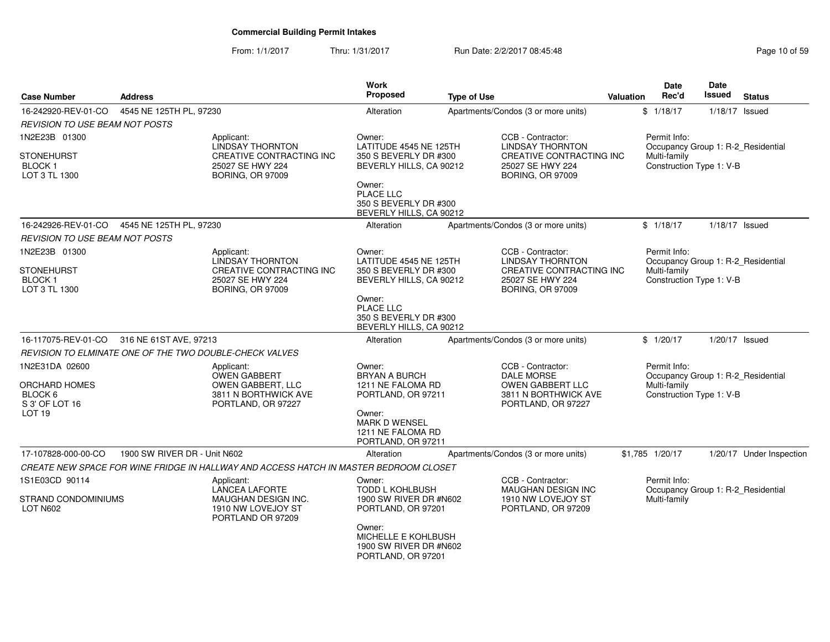From: 1/1/2017Thru: 1/31/2017 **Run Date: 2/2/2017 08:45:48** Page 10 of 59

| <b>Case Number</b>                                      | <b>Address</b>               |                                                                                       | <b>Work</b><br>Proposed                                                       | <b>Type of Use</b> |                                                                         | <b>Valuation</b> | <b>Date</b><br>Rec'd                               | Date<br>Issued   | <b>Status</b>            |
|---------------------------------------------------------|------------------------------|---------------------------------------------------------------------------------------|-------------------------------------------------------------------------------|--------------------|-------------------------------------------------------------------------|------------------|----------------------------------------------------|------------------|--------------------------|
| 16-242920-REV-01-CO                                     | 4545 NE 125TH PL, 97230      |                                                                                       | Alteration                                                                    |                    | Apartments/Condos (3 or more units)                                     |                  | \$1/18/17                                          | $1/18/17$ Issued |                          |
| <b>REVISION TO USE BEAM NOT POSTS</b>                   |                              |                                                                                       |                                                                               |                    |                                                                         |                  |                                                    |                  |                          |
| 1N2E23B 01300                                           |                              | Applicant:<br>LINDSAY THORNTON                                                        | Owner:<br>LATITUDE 4545 NE 125TH                                              |                    | CCB - Contractor:<br><b>LINDSAY THORNTON</b>                            |                  | Permit Info:<br>Occupancy Group 1: R-2_Residential |                  |                          |
| <b>STONEHURST</b><br>BLOCK 1<br>LOT 3 TL 1300           |                              | CREATIVE CONTRACTING INC<br>25027 SE HWY 224<br><b>BORING, OR 97009</b>               | 350 S BEVERLY DR #300<br>BEVERLY HILLS, CA 90212                              |                    | CREATIVE CONTRACTING INC<br>25027 SE HWY 224<br><b>BORING, OR 97009</b> |                  | Multi-family<br>Construction Type 1: V-B           |                  |                          |
|                                                         |                              |                                                                                       | Owner:<br>PLACE LLC<br>350 S BEVERLY DR #300<br>BEVERLY HILLS, CA 90212       |                    |                                                                         |                  |                                                    |                  |                          |
| 16-242926-REV-01-CO                                     | 4545 NE 125TH PL, 97230      |                                                                                       | Alteration                                                                    |                    | Apartments/Condos (3 or more units)                                     |                  | \$1/18/17                                          |                  | $1/18/17$ Issued         |
| <b>REVISION TO USE BEAM NOT POSTS</b>                   |                              |                                                                                       |                                                                               |                    |                                                                         |                  |                                                    |                  |                          |
| 1N2E23B 01300                                           |                              | Applicant:<br><b>LINDSAY THORNTON</b>                                                 | Owner:<br>LATITUDE 4545 NE 125TH                                              |                    | CCB - Contractor:<br><b>LINDSAY THORNTON</b>                            |                  | Permit Info:<br>Occupancy Group 1: R-2 Residential |                  |                          |
| STONEHURST<br><b>BLOCK1</b><br>LOT 3 TL 1300            |                              | CREATIVE CONTRACTING INC<br>25027 SE HWY 224<br><b>BORING, OR 97009</b>               | 350 S BEVERLY DR #300<br>BEVERLY HILLS, CA 90212                              |                    | CREATIVE CONTRACTING INC<br>25027 SE HWY 224<br><b>BORING, OR 97009</b> |                  | Multi-family<br>Construction Type 1: V-B           |                  |                          |
|                                                         |                              |                                                                                       | Owner:<br>PLACE LLC<br>350 S BEVERLY DR #300<br>BEVERLY HILLS, CA 90212       |                    |                                                                         |                  |                                                    |                  |                          |
| 16-117075-REV-01-CO                                     | 316 NE 61ST AVE, 97213       |                                                                                       | Alteration                                                                    |                    | Apartments/Condos (3 or more units)                                     |                  | \$1/20/17                                          |                  | $1/20/17$ Issued         |
| REVISION TO ELMINATE ONE OF THE TWO DOUBLE-CHECK VALVES |                              |                                                                                       |                                                                               |                    |                                                                         |                  |                                                    |                  |                          |
| 1N2E31DA 02600                                          |                              | Applicant:                                                                            | Owner:                                                                        |                    | CCB - Contractor:                                                       |                  | Permit Info:                                       |                  |                          |
| ORCHARD HOMES                                           |                              | <b>OWEN GABBERT</b><br>OWEN GABBERT, LLC                                              | <b>BRYAN A BURCH</b><br>1211 NE FALOMA RD                                     |                    | DALE MORSE<br><b>OWEN GABBERT LLC</b>                                   |                  | Occupancy Group 1: R-2_Residential<br>Multi-family |                  |                          |
| BLOCK 6<br>S 3' OF LOT 16                               |                              | 3811 N BORTHWICK AVE<br>PORTLAND, OR 97227                                            | PORTLAND, OR 97211                                                            |                    | 3811 N BORTHWICK AVE<br>PORTLAND, OR 97227                              |                  | Construction Type 1: V-B                           |                  |                          |
| LOT 19                                                  |                              |                                                                                       | Owner:<br>MARK D WENSEL<br>1211 NE FALOMA RD<br>PORTLAND, OR 97211            |                    |                                                                         |                  |                                                    |                  |                          |
| 17-107828-000-00-CO                                     | 1900 SW RIVER DR - Unit N602 |                                                                                       | Alteration                                                                    |                    | Apartments/Condos (3 or more units)                                     |                  | \$1,785 1/20/17                                    |                  | 1/20/17 Under Inspection |
|                                                         |                              | CREATE NEW SPACE FOR WINE FRIDGE IN HALLWAY AND ACCESS HATCH IN MASTER BEDROOM CLOSET |                                                                               |                    |                                                                         |                  |                                                    |                  |                          |
| 1S1E03CD 90114                                          |                              | Applicant:<br><b>LANCEA LAFORTE</b>                                                   | Owner:<br><b>TODD L KOHLBUSH</b>                                              |                    | CCB - Contractor:<br><b>MAUGHAN DESIGN INC</b>                          |                  | Permit Info:<br>Occupancy Group 1: R-2_Residential |                  |                          |
| STRAND CONDOMINIUMS<br><b>LOT N602</b>                  |                              | MAUGHAN DESIGN INC.<br>1910 NW LOVEJOY ST<br>PORTLAND OR 97209                        | 1900 SW RIVER DR #N602<br>PORTLAND, OR 97201                                  |                    | 1910 NW LOVEJOY ST<br>PORTLAND, OR 97209                                |                  | Multi-family                                       |                  |                          |
|                                                         |                              |                                                                                       | Owner:<br>MICHELLE E KOHLBUSH<br>1900 SW RIVER DR #N602<br>PORTLAND, OR 97201 |                    |                                                                         |                  |                                                    |                  |                          |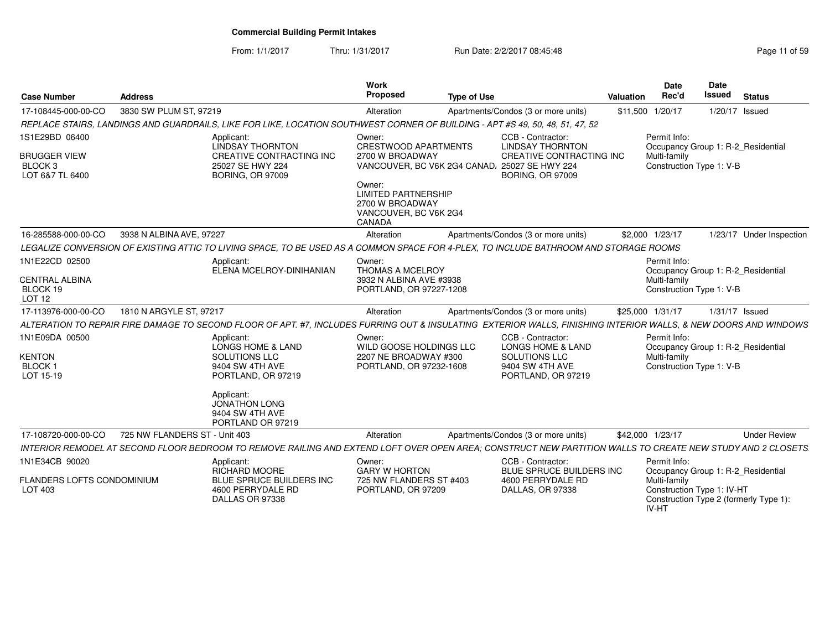From: 1/1/2017Thru: 1/31/2017 **Run Date: 2/2/2017 08:45:48** Page 11 of 59

| <b>Case Number</b>                                                             | <b>Address</b>                                                                                                                                                                     | Work<br>Proposed                                                                                                                                                                                        | <b>Type of Use</b> |                                                                                                                    | Valuation | <b>Date</b><br>Rec'd                                                                                      | Date<br><b>Issued</b> | <b>Status</b>                          |
|--------------------------------------------------------------------------------|------------------------------------------------------------------------------------------------------------------------------------------------------------------------------------|---------------------------------------------------------------------------------------------------------------------------------------------------------------------------------------------------------|--------------------|--------------------------------------------------------------------------------------------------------------------|-----------|-----------------------------------------------------------------------------------------------------------|-----------------------|----------------------------------------|
| 17-108445-000-00-CO                                                            | 3830 SW PLUM ST, 97219                                                                                                                                                             | Alteration                                                                                                                                                                                              |                    | Apartments/Condos (3 or more units)                                                                                |           | \$11,500 1/20/17                                                                                          | 1/20/17 Issued        |                                        |
|                                                                                | REPLACE STAIRS, LANDINGS AND GUARDRAILS, LIKE FOR LIKE, LOCATION SOUTHWEST CORNER OF BUILDING - APT #S 49, 50, 48, 51, 47, 52                                                      |                                                                                                                                                                                                         |                    |                                                                                                                    |           |                                                                                                           |                       |                                        |
| 1S1E29BD 06400<br><b>BRUGGER VIEW</b><br>BLOCK <sub>3</sub><br>LOT 6&7 TL 6400 | Applicant:<br><b>LINDSAY THORNTON</b><br>CREATIVE CONTRACTING INC<br>25027 SE HWY 224<br><b>BORING, OR 97009</b>                                                                   | Owner:<br><b>CRESTWOOD APARTMENTS</b><br>2700 W BROADWAY<br>VANCOUVER, BC V6K 2G4 CANAD, 25027 SE HWY 224<br>Owner:<br><b>LIMITED PARTNERSHIP</b><br>2700 W BROADWAY<br>VANCOUVER, BC V6K 2G4<br>CANADA |                    | CCB - Contractor:<br><b>LINDSAY THORNTON</b><br>CREATIVE CONTRACTING INC<br><b>BORING, OR 97009</b>                |           | Permit Info:<br>Occupancy Group 1: R-2_Residential<br>Multi-family<br>Construction Type 1: V-B            |                       |                                        |
| 16-285588-000-00-CO                                                            | 3938 N ALBINA AVE, 97227                                                                                                                                                           | Alteration                                                                                                                                                                                              |                    | Apartments/Condos (3 or more units)                                                                                |           | \$2,000 1/23/17                                                                                           |                       | 1/23/17 Under Inspection               |
|                                                                                | LEGALIZE CONVERSION OF EXISTING ATTIC TO LIVING SPACE, TO BE USED AS A COMMON SPACE FOR 4-PLEX, TO INCLUDE BATHROOM AND STORAGE ROOMS                                              |                                                                                                                                                                                                         |                    |                                                                                                                    |           |                                                                                                           |                       |                                        |
| 1N1E22CD 02500<br>CENTRAL ALBINA<br>BLOCK 19<br>LOT <sub>12</sub>              | Applicant:<br>ELENA MCELROY-DINIHANIAN                                                                                                                                             | Owner:<br>THOMAS A MCELROY<br>3932 N ALBINA AVE #3938<br>PORTLAND, OR 97227-1208                                                                                                                        |                    |                                                                                                                    |           | Permit Info:<br>Occupancy Group 1: R-2_Residential<br>Multi-family<br>Construction Type 1: V-B            |                       |                                        |
| 17-113976-000-00-CO                                                            | 1810 N ARGYLE ST. 97217                                                                                                                                                            | Alteration                                                                                                                                                                                              |                    | Apartments/Condos (3 or more units)                                                                                |           | \$25,000 1/31/17                                                                                          | $1/31/17$ Issued      |                                        |
|                                                                                | ALTERATION TO REPAIR FIRE DAMAGE TO SECOND FLOOR OF APT. #7, INCLUDES FURRING OUT & INSULATING EXTERIOR WALLS, FINISHING INTERIOR WALLS, & NEW DOORS AND WINDOWS                   |                                                                                                                                                                                                         |                    |                                                                                                                    |           |                                                                                                           |                       |                                        |
| 1N1E09DA 00500<br>KENTON<br><b>BLOCK1</b><br>LOT 15-19                         | Applicant:<br><b>LONGS HOME &amp; LAND</b><br>SOLUTIONS LLC<br>9404 SW 4TH AVE<br>PORTLAND, OR 97219<br>Applicant:<br><b>JONATHON LONG</b><br>9404 SW 4TH AVE<br>PORTLAND OR 97219 | Owner:<br>WILD GOOSE HOLDINGS LLC<br>2207 NE BROADWAY #300<br>PORTLAND, OR 97232-1608                                                                                                                   |                    | CCB - Contractor:<br><b>LONGS HOME &amp; LAND</b><br><b>SOLUTIONS LLC</b><br>9404 SW 4TH AVE<br>PORTLAND, OR 97219 |           | Permit Info:<br>Occupancy Group 1: R-2 Residential<br>Multi-family<br>Construction Type 1: V-B            |                       |                                        |
| 17-108720-000-00-CO                                                            | 725 NW FLANDERS ST - Unit 403                                                                                                                                                      | Alteration                                                                                                                                                                                              |                    | Apartments/Condos (3 or more units)                                                                                |           | \$42,000 1/23/17                                                                                          |                       | <b>Under Review</b>                    |
|                                                                                | INTERIOR REMODEL AT SECOND FLOOR BEDROOM TO REMOVE RAILING AND EXTEND LOFT OVER OPEN AREA: CONSTRUCT NEW PARTITION WALLS TO CREATE NEW STUDY AND 2 CLOSETS                         |                                                                                                                                                                                                         |                    |                                                                                                                    |           |                                                                                                           |                       |                                        |
| 1N1E34CB 90020<br><b>FLANDERS LOFTS CONDOMINIUM</b><br>LOT 403                 | Applicant:<br>RICHARD MOORE<br>BLUE SPRUCE BUILDERS INC<br>4600 PERRYDALE RD<br>DALLAS OR 97338                                                                                    | Owner:<br><b>GARY W HORTON</b><br>725 NW FLANDERS ST #403<br>PORTLAND, OR 97209                                                                                                                         |                    | CCB - Contractor:<br>BLUE SPRUCE BUILDERS INC<br>4600 PERRYDALE RD<br>DALLAS, OR 97338                             |           | Permit Info:<br>Occupancy Group 1: R-2_Residential<br>Multi-family<br>Construction Type 1: IV-HT<br>IV-HT |                       | Construction Type 2 (formerly Type 1): |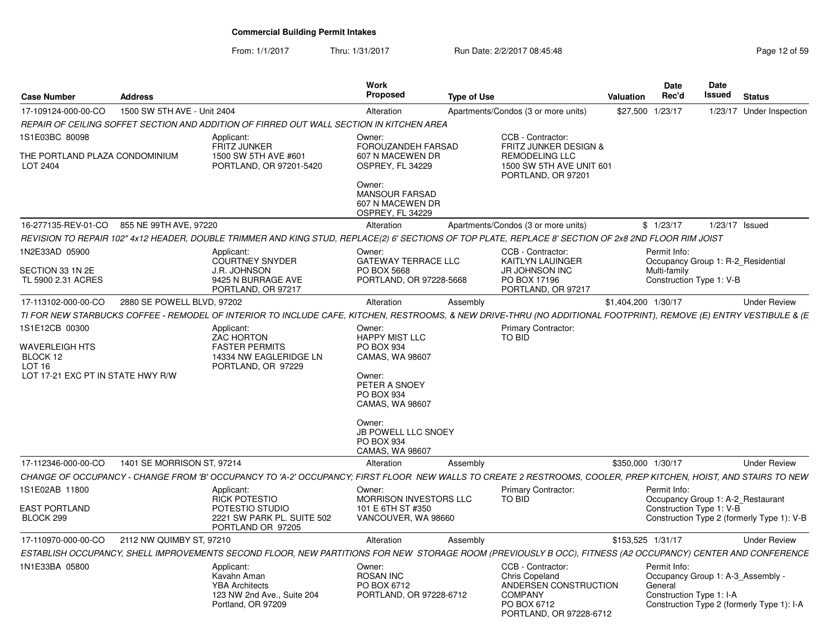From: 1/1/2017Thru: 1/31/2017 **Run Date: 2/2/2017 08:45:48** Page 12 of 59

| <b>Case Number</b>                              | <b>Address</b>              |                                                                                                                                                                    | <b>Work</b><br><b>Proposed</b>                                          | <b>Type of Use</b> |                                                                                                                                 | <b>Valuation</b>    | <b>Date</b><br>Rec'd                                | Date<br>Issued   | <b>Status</b>                                                                   |
|-------------------------------------------------|-----------------------------|--------------------------------------------------------------------------------------------------------------------------------------------------------------------|-------------------------------------------------------------------------|--------------------|---------------------------------------------------------------------------------------------------------------------------------|---------------------|-----------------------------------------------------|------------------|---------------------------------------------------------------------------------|
| 17-109124-000-00-CO                             | 1500 SW 5TH AVE - Unit 2404 |                                                                                                                                                                    | Alteration                                                              |                    | Apartments/Condos (3 or more units)                                                                                             | \$27,500            | 1/23/17                                             |                  | 1/23/17 Under Inspection                                                        |
|                                                 |                             | REPAIR OF CEILING SOFFET SECTION AND ADDITION OF FIRRED OUT WALL SECTION IN KITCHEN AREA                                                                           |                                                                         |                    |                                                                                                                                 |                     |                                                     |                  |                                                                                 |
| 1S1E03BC 80098                                  |                             | Applicant:                                                                                                                                                         | Owner:                                                                  |                    | CCB - Contractor:                                                                                                               |                     |                                                     |                  |                                                                                 |
| THE PORTLAND PLAZA CONDOMINIUM<br>LOT 2404      |                             | <b>FRITZ JUNKER</b><br>1500 SW 5TH AVE #601<br>PORTLAND, OR 97201-5420                                                                                             | FOROUZANDEH FARSAD<br>607 N MACEWEN DR<br>OSPREY, FL 34229              |                    | FRITZ JUNKER DESIGN &<br><b>REMODELING LLC</b><br>1500 SW 5TH AVE UNIT 601<br>PORTLAND, OR 97201                                |                     |                                                     |                  |                                                                                 |
|                                                 |                             |                                                                                                                                                                    | Owner:<br><b>MANSOUR FARSAD</b><br>607 N MACEWEN DR<br>OSPREY, FL 34229 |                    |                                                                                                                                 |                     |                                                     |                  |                                                                                 |
| 16-277135-REV-01-CO                             | 855 NE 99TH AVE, 97220      |                                                                                                                                                                    | Alteration                                                              |                    | Apartments/Condos (3 or more units)                                                                                             |                     | \$1/23/17                                           | $1/23/17$ Issued |                                                                                 |
|                                                 |                             | REVISION TO REPAIR 102" 4x12 HEADER, DOUBLE TRIMMER AND KING STUD, REPLACE(2) 6' SECTIONS OF TOP PLATE, REPLACE 8' SECTION OF 2x8 2ND FLOOR RIM JOIST              |                                                                         |                    |                                                                                                                                 |                     |                                                     |                  |                                                                                 |
| 1N2E33AD 05900                                  |                             | Applicant:<br><b>COURTNEY SNYDER</b>                                                                                                                               | Owner:<br><b>GATEWAY TERRACE LLC</b>                                    |                    | CCB - Contractor:<br><b>KAITLYN LAUINGER</b>                                                                                    |                     | Permit Info:                                        |                  | Occupancy Group 1: R-2 Residential                                              |
| SECTION 33 1N 2E<br>TL 5900 2.31 ACRES          |                             | <b>J.R. JOHNSON</b><br>9425 N BURRAGE AVE<br>PORTLAND, OR 97217                                                                                                    | PO BOX 5668<br>PORTLAND, OR 97228-5668                                  |                    | JR JOHNSON INC<br>PO BOX 17196<br>PORTLAND, OR 97217                                                                            |                     | Multi-family<br>Construction Type 1: V-B            |                  |                                                                                 |
| 17-113102-000-00-CO                             | 2880 SE POWELL BLVD, 97202  |                                                                                                                                                                    | Alteration                                                              | Assembly           |                                                                                                                                 | \$1,404,200 1/30/17 |                                                     |                  | <b>Under Review</b>                                                             |
|                                                 |                             | TI FOR NEW STARBUCKS COFFEE - REMODEL OF INTERIOR TO INCLUDE CAFE, KITCHEN, RESTROOMS, & NEW DRIVE-THRU (NO ADDITIONAL FOOTPRINT), REMOVE (E) ENTRY VESTIBULE & (E |                                                                         |                    |                                                                                                                                 |                     |                                                     |                  |                                                                                 |
| 1S1E12CB 00300                                  |                             | Applicant:<br><b>ZAC HORTON</b>                                                                                                                                    | Owner:<br><b>HAPPY MIST LLC</b>                                         |                    | <b>Primary Contractor:</b><br><b>TO BID</b>                                                                                     |                     |                                                     |                  |                                                                                 |
| WAVERLEIGH HTS<br>BLOCK 12<br>LOT <sub>16</sub> |                             | <b>FASTER PERMITS</b><br>14334 NW EAGLERIDGE LN<br>PORTLAND, OR 97229                                                                                              | <b>PO BOX 934</b><br>CAMAS, WA 98607                                    |                    |                                                                                                                                 |                     |                                                     |                  |                                                                                 |
| LOT 17-21 EXC PT IN STATE HWY R/W               |                             |                                                                                                                                                                    | Owner:<br>PETER A SNOEY<br>PO BOX 934<br>CAMAS, WA 98607                |                    |                                                                                                                                 |                     |                                                     |                  |                                                                                 |
|                                                 |                             |                                                                                                                                                                    | Owner:<br>JB POWELL LLC SNOEY<br><b>PO BOX 934</b><br>CAMAS, WA 98607   |                    |                                                                                                                                 |                     |                                                     |                  |                                                                                 |
| 17-112346-000-00-CO                             | 1401 SE MORRISON ST, 97214  |                                                                                                                                                                    | Alteration                                                              | Assembly           |                                                                                                                                 | \$350,000 1/30/17   |                                                     |                  | <b>Under Review</b>                                                             |
|                                                 |                             | CHANGE OF OCCUPANCY - CHANGE FROM 'B' OCCUPANCY TO 'A-2' OCCUPANCY; FIRST FLOOR  NEW WALLS TO CREATE 2 RESTROOMS, COOLER, PREP KITCHEN, HOIST, AND STAIRS TO NEW   |                                                                         |                    |                                                                                                                                 |                     |                                                     |                  |                                                                                 |
| 1S1E02AB 11800                                  |                             | Applicant:<br>RICK POTESTIO                                                                                                                                        | Owner:<br>MORRISON INVESTORS LLC                                        |                    | <b>Primary Contractor:</b><br>TO BID                                                                                            |                     | Permit Info:                                        |                  | Occupancy Group 1: A-2 Restaurant                                               |
| EAST PORTLAND<br>BLOCK 299                      |                             | POTESTIO STUDIO<br>2221 SW PARK PL. SUITE 502<br>PORTLAND OR 97205                                                                                                 | 101 E 6TH ST #350<br>VANCOUVER, WA 98660                                |                    |                                                                                                                                 |                     | Construction Type 1: V-B                            |                  | Construction Type 2 (formerly Type 1): V-B                                      |
|                                                 | 2112 NW QUIMBY ST, 97210    |                                                                                                                                                                    | Alteration                                                              | Assembly           |                                                                                                                                 | \$153,525 1/31/17   |                                                     |                  | <b>Under Review</b>                                                             |
| 17-110970-000-00-CO                             |                             |                                                                                                                                                                    |                                                                         |                    |                                                                                                                                 |                     |                                                     |                  |                                                                                 |
|                                                 |                             | ESTABLISH OCCUPANCY, SHELL IMPROVEMENTS SECOND FLOOR, NEW PARTITIONS FOR NEW STORAGE ROOM (PREVIOUSLY B OCC), FITNESS (A2 OCCUPANCY) CENTER AND CONFERENCE         |                                                                         |                    |                                                                                                                                 |                     |                                                     |                  |                                                                                 |
| 1N1E33BA 05800                                  |                             | Applicant:<br>Kavahn Aman<br><b>YBA Architects</b><br>123 NW 2nd Ave., Suite 204<br>Portland, OR 97209                                                             | Owner:<br><b>ROSAN INC</b><br>PO BOX 6712<br>PORTLAND, OR 97228-6712    |                    | CCB - Contractor:<br><b>Chris Copeland</b><br>ANDERSEN CONSTRUCTION<br><b>COMPANY</b><br>PO BOX 6712<br>PORTLAND, OR 97228-6712 |                     | Permit Info:<br>General<br>Construction Type 1: I-A |                  | Occupancy Group 1: A-3 Assembly -<br>Construction Type 2 (formerly Type 1): I-A |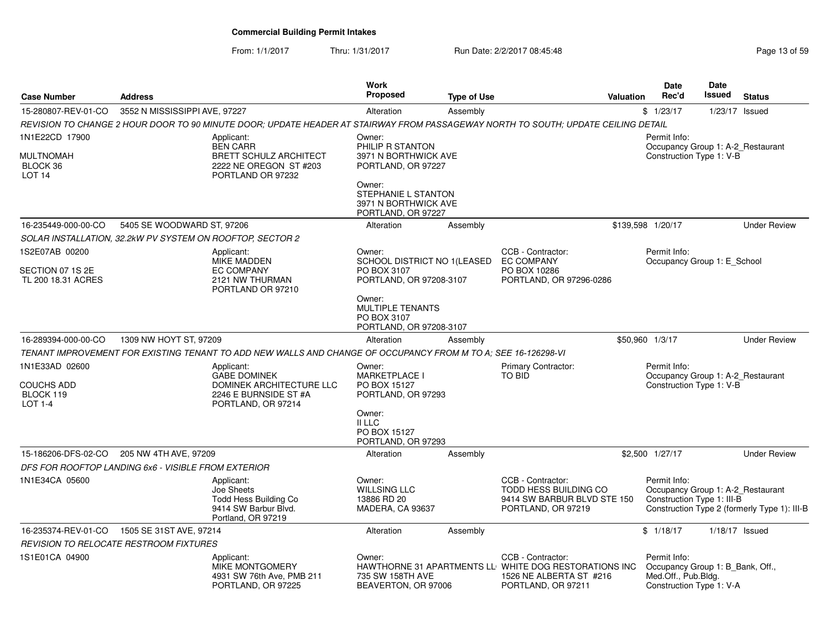From: 1/1/2017

Thru: 1/31/2017 **Run Date: 2/2/2017 08:45:48** Page 13 of 59

| <b>Case Number</b>                                                 | <b>Address</b>                                            |                                                                                                                                   | Work<br><b>Proposed</b>                                                                                                                                 | <b>Type of Use</b> |                                                                                                                             | <b>Valuation</b> | Date<br>Rec'd                                                                                       | <b>Date</b><br><b>Issued</b> | <b>Status</b>                                                                     |
|--------------------------------------------------------------------|-----------------------------------------------------------|-----------------------------------------------------------------------------------------------------------------------------------|---------------------------------------------------------------------------------------------------------------------------------------------------------|--------------------|-----------------------------------------------------------------------------------------------------------------------------|------------------|-----------------------------------------------------------------------------------------------------|------------------------------|-----------------------------------------------------------------------------------|
| 15-280807-REV-01-CO                                                | 3552 N MISSISSIPPI AVE, 97227                             |                                                                                                                                   | Alteration                                                                                                                                              | Assembly           |                                                                                                                             |                  | \$1/23/17                                                                                           | 1/23/17                      | Issued                                                                            |
|                                                                    |                                                           | REVISION TO CHANGE 2 HOUR DOOR TO 90 MINUTE DOOR; UPDATE HEADER AT STAIRWAY FROM PASSAGEWAY NORTH TO SOUTH; UPDATE CEILING DETAIL |                                                                                                                                                         |                    |                                                                                                                             |                  |                                                                                                     |                              |                                                                                   |
| 1N1E22CD 17900<br>MULTNOMAH<br>BLOCK 36<br>LOT <sub>14</sub>       |                                                           | Applicant:<br><b>BEN CARR</b><br><b>BRETT SCHULZ ARCHITECT</b><br>2222 NE OREGON ST #203<br>PORTLAND OR 97232                     | Owner:<br>PHILIP R STANTON<br>3971 N BORTHWICK AVE<br>PORTLAND, OR 97227<br>Owner:<br>STEPHANIE L STANTON<br>3971 N BORTHWICK AVE<br>PORTLAND, OR 97227 |                    |                                                                                                                             |                  | Permit Info:<br>Construction Type 1: V-B                                                            |                              | Occupancy Group 1: A-2_Restaurant                                                 |
| 16-235449-000-00-CO                                                | 5405 SE WOODWARD ST, 97206                                |                                                                                                                                   | Alteration                                                                                                                                              | Assembly           |                                                                                                                             |                  | \$139,598 1/20/17                                                                                   |                              | <b>Under Review</b>                                                               |
|                                                                    | SOLAR INSTALLATION, 32.2kW PV SYSTEM ON ROOFTOP, SECTOR 2 |                                                                                                                                   |                                                                                                                                                         |                    |                                                                                                                             |                  |                                                                                                     |                              |                                                                                   |
| 1S2E07AB 00200<br>SECTION 07 1S 2E<br>TL 200 18.31 ACRES           |                                                           | Applicant:<br><b>MIKE MADDEN</b><br><b>EC COMPANY</b><br>2121 NW THURMAN<br>PORTLAND OR 97210                                     | Owner:<br>SCHOOL DISTRICT NO 1(LEASED<br>PO BOX 3107<br>PORTLAND, OR 97208-3107<br>Owner:<br><b>MULTIPLE TENANTS</b><br>PO BOX 3107                     |                    | CCB - Contractor:<br><b>EC COMPANY</b><br>PO BOX 10286<br>PORTLAND, OR 97296-0286                                           |                  | Permit Info:<br>Occupancy Group 1: E School                                                         |                              |                                                                                   |
|                                                                    | 1309 NW HOYT ST, 97209                                    |                                                                                                                                   | PORTLAND, OR 97208-3107<br>Alteration                                                                                                                   |                    |                                                                                                                             |                  | \$50,960 1/3/17                                                                                     |                              | <b>Under Review</b>                                                               |
| 16-289394-000-00-CO                                                |                                                           | TENANT IMPROVEMENT FOR EXISTING TENANT TO ADD NEW WALLS AND CHANGE OF OCCUPANCY FROM M TO A: SEE 16-126298-VI                     |                                                                                                                                                         | Assembly           |                                                                                                                             |                  |                                                                                                     |                              |                                                                                   |
| 1N1E33AD 02600<br><b>COUCHS ADD</b><br>BLOCK 119<br><b>LOT 1-4</b> |                                                           | Applicant:<br><b>GABE DOMINEK</b><br>DOMINEK ARCHITECTURE LLC<br>2246 E BURNSIDE ST #A<br>PORTLAND, OR 97214                      | Owner:<br>MARKETPLACE I<br>PO BOX 15127<br>PORTLAND, OR 97293<br>Owner:<br>II LLC<br>PO BOX 15127<br>PORTLAND, OR 97293                                 |                    | Primary Contractor:<br>TO BID                                                                                               |                  | Permit Info:<br>Construction Type 1: V-B                                                            |                              | Occupancy Group 1: A-2_Restaurant                                                 |
|                                                                    | 15-186206-DFS-02-CO 205 NW 4TH AVE, 97209                 |                                                                                                                                   | Alteration                                                                                                                                              | Assembly           |                                                                                                                             |                  | \$2,500 1/27/17                                                                                     |                              | <b>Under Review</b>                                                               |
|                                                                    | DFS FOR ROOFTOP LANDING 6x6 - VISIBLE FROM EXTERIOR       |                                                                                                                                   |                                                                                                                                                         |                    |                                                                                                                             |                  |                                                                                                     |                              |                                                                                   |
| 1N1E34CA 05600                                                     |                                                           | Applicant:<br>Joe Sheets<br>Todd Hess Building Co<br>9414 SW Barbur Blvd.<br>Portland, OR 97219                                   | Owner:<br><b>WILLSING LLC</b><br>13886 RD 20<br><b>MADERA, CA 93637</b>                                                                                 |                    | CCB - Contractor:<br>TODD HESS BUILDING CO<br>9414 SW BARBUR BLVD STE 150<br>PORTLAND, OR 97219                             |                  | Permit Info:<br>Construction Type 1: III-B                                                          |                              | Occupancy Group 1: A-2_Restaurant<br>Construction Type 2 (formerly Type 1): III-B |
| 16-235374-REV-01-CO                                                | 1505 SE 31ST AVE, 97214                                   |                                                                                                                                   | Alteration                                                                                                                                              | Assembly           |                                                                                                                             |                  | \$1/18/17                                                                                           | $1/18/17$ Issued             |                                                                                   |
|                                                                    | REVISION TO RELOCATE RESTROOM FIXTURES                    |                                                                                                                                   |                                                                                                                                                         |                    |                                                                                                                             |                  |                                                                                                     |                              |                                                                                   |
| 1S1E01CA 04900                                                     |                                                           | Applicant:<br><b>MIKE MONTGOMERY</b><br>4931 SW 76th Ave, PMB 211<br>PORTLAND, OR 97225                                           | Owner:<br>735 SW 158TH AVE<br>BEAVERTON, OR 97006                                                                                                       |                    | CCB - Contractor:<br>HAWTHORNE 31 APARTMENTS LL WHITE DOG RESTORATIONS INC<br>1526 NE ALBERTA ST #216<br>PORTLAND, OR 97211 |                  | Permit Info:<br>Occupancy Group 1: B_Bank, Off.,<br>Med.Off., Pub.Bldg.<br>Construction Type 1: V-A |                              |                                                                                   |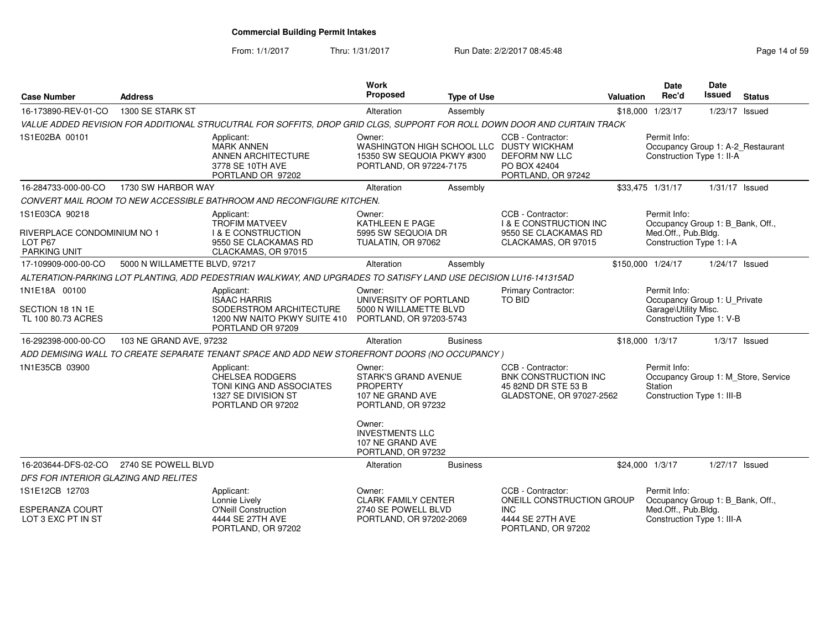From: 1/1/2017Thru: 1/31/2017 **Run Date: 2/2/2017 08:45:48** Page 14 of 59

| <b>Case Number</b>                                            | <b>Address</b>                |                                                                                                                          | Work<br>Proposed                                                                                   | <b>Type of Use</b> |                                                                                                                             | Valuation | <b>Date</b><br>Rec'd                                                                             | Date<br><b>Issued</b> | <b>Status</b>                       |
|---------------------------------------------------------------|-------------------------------|--------------------------------------------------------------------------------------------------------------------------|----------------------------------------------------------------------------------------------------|--------------------|-----------------------------------------------------------------------------------------------------------------------------|-----------|--------------------------------------------------------------------------------------------------|-----------------------|-------------------------------------|
| 16-173890-REV-01-CO                                           | 1300 SE STARK ST              |                                                                                                                          | Alteration                                                                                         | Assembly           |                                                                                                                             | \$18,000  | 1/23/17                                                                                          | 1/23/17 Issued        |                                     |
|                                                               |                               | VALUE ADDED REVISION FOR ADDITIONAL STRUCUTRAL FOR SOFFITS, DROP GRID CLGS, SUPPORT FOR ROLL DOWN DOOR AND CURTAIN TRACK |                                                                                                    |                    |                                                                                                                             |           |                                                                                                  |                       |                                     |
| 1S1E02BA 00101                                                |                               | Applicant:<br><b>MARK ANNEN</b><br>ANNEN ARCHITECTURE<br>3778 SE 10TH AVE<br>PORTLAND OR 97202                           | Owner:<br>15350 SW SEQUOIA PKWY #300<br>PORTLAND, OR 97224-7175                                    |                    | CCB - Contractor:<br>WASHINGTON HIGH SCHOOL LLC DUSTY WICKHAM<br><b>DEFORM NW LLC</b><br>PO BOX 42404<br>PORTLAND, OR 97242 |           | Permit Info:<br>Occupancy Group 1: A-2_Restaurant<br>Construction Type 1: II-A                   |                       |                                     |
| 16-284733-000-00-CO                                           | 1730 SW HARBOR WAY            |                                                                                                                          | Alteration                                                                                         | Assembly           |                                                                                                                             |           | \$33,475 1/31/17                                                                                 | 1/31/17 Issued        |                                     |
|                                                               |                               | CONVERT MAIL ROOM TO NEW ACCESSIBLE BATHROOM AND RECONFIGURE KITCHEN.                                                    |                                                                                                    |                    |                                                                                                                             |           |                                                                                                  |                       |                                     |
| 1S1E03CA 90218                                                |                               | Applicant:                                                                                                               | Owner:                                                                                             |                    | CCB - Contractor:                                                                                                           |           | Permit Info:                                                                                     |                       |                                     |
| RIVERPLACE CONDOMINIUM NO 1<br>LOT P67<br><b>PARKING UNIT</b> |                               | <b>TROFIM MATVEEV</b><br><b>I &amp; E CONSTRUCTION</b><br>9550 SE CLACKAMAS RD<br>CLACKAMAS, OR 97015                    | <b>KATHLEEN E PAGE</b><br>5995 SW SEQUOIA DR<br>TUALATIN, OR 97062                                 |                    | <b>I &amp; E CONSTRUCTION INC</b><br>9550 SE CLACKAMAS RD<br>CLACKAMAS, OR 97015                                            |           | Occupancy Group 1: B Bank, Off.,<br>Med.Off., Pub.Bldg.<br>Construction Type 1: I-A              |                       |                                     |
| 17-109909-000-00-CO                                           | 5000 N WILLAMETTE BLVD, 97217 |                                                                                                                          | Alteration                                                                                         | Assembly           |                                                                                                                             |           | \$150,000 1/24/17                                                                                | 1/24/17 Issued        |                                     |
|                                                               |                               | ALTERATION-PARKING LOT PLANTING, ADD PEDESTRIAN WALKWAY, AND UPGRADES TO SATISFY LAND USE DECISION LU16-141315AD         |                                                                                                    |                    |                                                                                                                             |           |                                                                                                  |                       |                                     |
| 1N1E18A 00100<br>SECTION 18 1N 1E<br>TL 100 80.73 ACRES       |                               | Applicant:<br><b>ISAAC HARRIS</b><br>SODERSTROM ARCHITECTURE<br>1200 NW NAITO PKWY SUITE 410                             | Owner:<br>UNIVERSITY OF PORTLAND<br>5000 N WILLAMETTE BLVD<br>PORTLAND, OR 97203-5743              |                    | Primary Contractor:<br>TO BID                                                                                               |           | Permit Info:<br>Occupancy Group 1: U Private<br>Garage\Utility Misc.<br>Construction Type 1: V-B |                       |                                     |
|                                                               |                               | PORTLAND OR 97209                                                                                                        |                                                                                                    |                    |                                                                                                                             |           |                                                                                                  |                       |                                     |
| 16-292398-000-00-CO                                           | 103 NE GRAND AVE, 97232       |                                                                                                                          | Alteration                                                                                         | <b>Business</b>    |                                                                                                                             |           | \$18,000 1/3/17                                                                                  |                       | $1/3/17$ Issued                     |
|                                                               |                               | ADD DEMISING WALL TO CREATE SEPARATE TENANT SPACE AND ADD NEW STOREFRONT DOORS (NO OCCUPANCY)                            |                                                                                                    |                    |                                                                                                                             |           |                                                                                                  |                       |                                     |
| 1N1E35CB 03900                                                |                               | Applicant:<br>CHELSEA RODGERS<br>TONI KING AND ASSOCIATES<br>1327 SE DIVISION ST<br>PORTLAND OR 97202                    | Owner:<br><b>STARK'S GRAND AVENUE</b><br><b>PROPERTY</b><br>107 NE GRAND AVE<br>PORTLAND, OR 97232 |                    | CCB - Contractor:<br><b>BNK CONSTRUCTION INC</b><br>45 82ND DR STE 53 B<br>GLADSTONE, OR 97027-2562                         |           | Permit Info:<br>Station<br>Construction Type 1: III-B                                            |                       | Occupancy Group 1: M_Store, Service |
|                                                               |                               |                                                                                                                          | Owner:<br><b>INVESTMENTS LLC</b><br>107 NE GRAND AVE<br>PORTLAND, OR 97232                         |                    |                                                                                                                             |           |                                                                                                  |                       |                                     |
| 16-203644-DFS-02-CO                                           | 2740 SE POWELL BLVD           |                                                                                                                          | Alteration                                                                                         | <b>Business</b>    |                                                                                                                             |           | \$24,000 1/3/17                                                                                  | 1/27/17 Issued        |                                     |
| DFS FOR INTERIOR GLAZING AND RELITES                          |                               |                                                                                                                          |                                                                                                    |                    |                                                                                                                             |           |                                                                                                  |                       |                                     |
| 1S1E12CB 12703                                                |                               | Applicant:<br>Lonnie Lively                                                                                              | Owner:<br><b>CLARK FAMILY CENTER</b>                                                               |                    | CCB - Contractor:<br>ONEILL CONSTRUCTION GROUP                                                                              |           | Permit Info:<br>Occupancy Group 1: B Bank, Off.,                                                 |                       |                                     |
| <b>ESPERANZA COURT</b><br>LOT 3 EXC PT IN ST                  |                               | <b>O'Neill Construction</b><br>4444 SE 27TH AVE<br>PORTLAND, OR 97202                                                    | 2740 SE POWELL BLVD<br>PORTLAND, OR 97202-2069                                                     |                    | <b>INC</b><br>4444 SE 27TH AVE<br>PORTLAND, OR 97202                                                                        |           | Med.Off., Pub.Bldg.<br>Construction Type 1: III-A                                                |                       |                                     |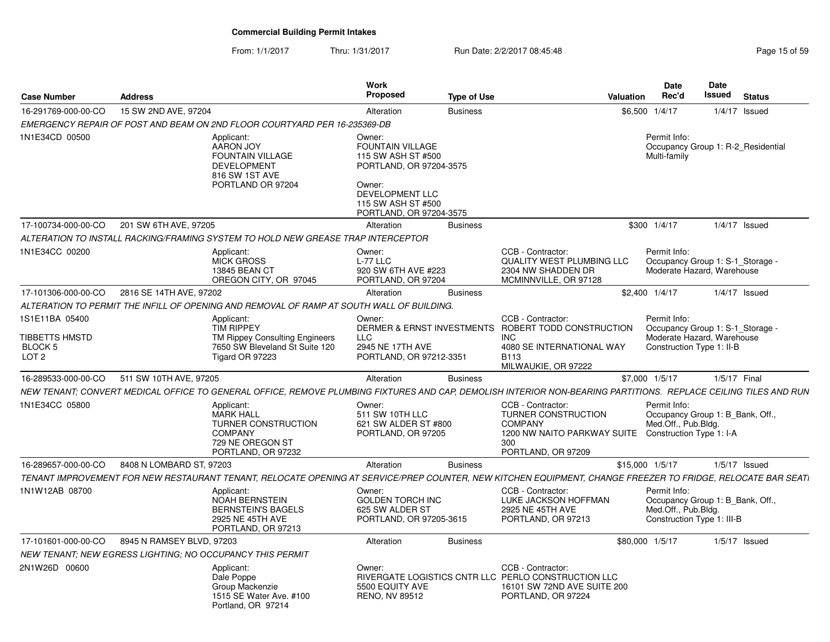#### From: 1/1/2017Thru: 1/31/2017 **Run Date: 2/2/2017 08:45:48** Page 15 of 59

| <b>Case Number</b>                                              | <b>Address</b>            |                                                                                                                                                                 | <b>Work</b><br><b>Proposed</b>                                                                                                                                   | <b>Type of Use</b> |                                                                                                                                                    | Valuation | <b>Date</b><br>Rec'd                                                                                        | <b>Date</b><br><b>Issued</b> | <b>Status</b>                      |
|-----------------------------------------------------------------|---------------------------|-----------------------------------------------------------------------------------------------------------------------------------------------------------------|------------------------------------------------------------------------------------------------------------------------------------------------------------------|--------------------|----------------------------------------------------------------------------------------------------------------------------------------------------|-----------|-------------------------------------------------------------------------------------------------------------|------------------------------|------------------------------------|
| 16-291769-000-00-CO                                             | 15 SW 2ND AVE, 97204      |                                                                                                                                                                 | Alteration                                                                                                                                                       | <b>Business</b>    |                                                                                                                                                    |           | \$6,500 1/4/17                                                                                              | 1/4/17                       | Issued                             |
|                                                                 |                           | EMERGENCY REPAIR OF POST AND BEAM ON 2ND FLOOR COURTYARD PER 16-235369-DB                                                                                       |                                                                                                                                                                  |                    |                                                                                                                                                    |           |                                                                                                             |                              |                                    |
| 1N1E34CD 00500                                                  |                           | Applicant:<br>AARON JOY<br><b>FOUNTAIN VILLAGE</b><br><b>DEVELOPMENT</b><br>816 SW 1ST AVE<br>PORTLAND OR 97204                                                 | Owner:<br><b>FOUNTAIN VILLAGE</b><br>115 SW ASH ST #500<br>PORTLAND, OR 97204-3575<br>Owner:<br>DEVELOPMENT LLC<br>115 SW ASH ST #500<br>PORTLAND, OR 97204-3575 |                    |                                                                                                                                                    |           | Permit Info:<br>Multi-family                                                                                |                              | Occupancy Group 1: R-2 Residential |
| 17-100734-000-00-CO                                             | 201 SW 6TH AVE, 97205     |                                                                                                                                                                 | Alteration                                                                                                                                                       | <b>Business</b>    |                                                                                                                                                    |           | \$300 1/4/17                                                                                                |                              | $1/4/17$ Issued                    |
|                                                                 |                           | ALTERATION TO INSTALL RACKING/FRAMING SYSTEM TO HOLD NEW GREASE TRAP INTERCEPTOR                                                                                |                                                                                                                                                                  |                    |                                                                                                                                                    |           |                                                                                                             |                              |                                    |
| 1N1E34CC 00200                                                  |                           | Applicant:<br><b>MICK GROSS</b><br>13845 BEAN CT<br>OREGON CITY, OR 97045                                                                                       | Owner:<br>$L-77$ LLC<br>920 SW 6TH AVE #223<br>PORTLAND, OR 97204                                                                                                |                    | CCB - Contractor:<br><b>QUALITY WEST PLUMBING LLC</b><br>2304 NW SHADDEN DR<br>MCMINNVILLE, OR 97128                                               |           | Permit Info:<br>Occupancy Group 1: S-1_Storage -<br>Moderate Hazard, Warehouse                              |                              |                                    |
| 17-101306-000-00-CO                                             | 2816 SE 14TH AVE, 97202   |                                                                                                                                                                 | Alteration                                                                                                                                                       | <b>Business</b>    |                                                                                                                                                    |           | \$2,400 1/4/17                                                                                              |                              | $1/4/17$ Issued                    |
|                                                                 |                           | ALTERATION TO PERMIT THE INFILL OF OPENING AND REMOVAL OF RAMP AT SOUTH WALL OF BUILDING.                                                                       |                                                                                                                                                                  |                    |                                                                                                                                                    |           |                                                                                                             |                              |                                    |
| 1S1E11BA 05400<br>TIBBETTS HMSTD<br>BLOCK 5<br>LOT <sub>2</sub> |                           | Applicant:<br><b>TIM RIPPEY</b><br>TM Rippey Consulting Engineers<br>7650 SW Bleveland St Suite 120<br>Tigard OR 97223                                          | Owner:<br><b>LLC</b><br>2945 NE 17TH AVE<br>PORTLAND, OR 97212-3351                                                                                              |                    | CCB - Contractor:<br>DERMER & ERNST INVESTMENTS ROBERT TODD CONSTRUCTION<br><b>INC</b><br>4080 SE INTERNATIONAL WAY<br>B113<br>MILWAUKIE, OR 97222 |           | Permit Info:<br>Occupancy Group 1: S-1_Storage -<br>Moderate Hazard, Warehouse<br>Construction Type 1: II-B |                              |                                    |
| 16-289533-000-00-CO                                             | 511 SW 10TH AVE, 97205    |                                                                                                                                                                 | Alteration                                                                                                                                                       | <b>Business</b>    |                                                                                                                                                    |           | \$7,000 1/5/17                                                                                              |                              | 1/5/17 Final                       |
|                                                                 |                           | NEW TENANT: CONVERT MEDICAL OFFICE TO GENERAL OFFICE, REMOVE PLUMBING FIXTURES AND CAP, DEMOLISH INTERIOR NON-BEARING PARTITIONS. REPLACE CEILING TILES AND RUN |                                                                                                                                                                  |                    |                                                                                                                                                    |           |                                                                                                             |                              |                                    |
| 1N1E34CC 05800                                                  |                           | Applicant:<br><b>MARK HALL</b><br>TURNER CONSTRUCTION<br><b>COMPANY</b><br>729 NE OREGON ST<br>PORTLAND, OR 97232                                               | Owner:<br>511 SW 10TH LLC<br>621 SW ALDER ST #800<br>PORTLAND, OR 97205                                                                                          |                    | CCB - Contractor:<br>TURNER CONSTRUCTION<br><b>COMPANY</b><br>1200 NW NAITO PARKWAY SUITE Construction Type 1: I-A<br>300<br>PORTLAND, OR 97209    |           | Permit Info:<br>Occupancy Group 1: B_Bank, Off.,<br>Med.Off., Pub.Bldg.                                     |                              |                                    |
| 16-289657-000-00-CO                                             | 8408 N LOMBARD ST, 97203  |                                                                                                                                                                 | Alteration                                                                                                                                                       | <b>Business</b>    |                                                                                                                                                    |           | \$15,000 1/5/17                                                                                             |                              | $1/5/17$ Issued                    |
|                                                                 |                           | TENANT IMPROVEMENT FOR NEW RESTAURANT TENANT, RELOCATE OPENING AT SERVICE/PREP COUNTER, NEW KITCHEN EQUIPMENT, CHANGE FREEZER TO FRIDGE, RELOCATE BAR SEATI     |                                                                                                                                                                  |                    |                                                                                                                                                    |           |                                                                                                             |                              |                                    |
| 1N1W12AB 08700                                                  |                           | Applicant:<br><b>NOAH BERNSTEIN</b><br><b>BERNSTEIN'S BAGELS</b><br>2925 NE 45TH AVE<br>PORTLAND, OR 97213                                                      | Owner:<br><b>GOLDEN TORCH INC</b><br>625 SW ALDER ST<br>PORTLAND, OR 97205-3615                                                                                  |                    | CCB - Contractor:<br>LUKE JACKSON HOFFMAN<br>2925 NE 45TH AVE<br>PORTLAND, OR 97213                                                                |           | Permit Info:<br>Occupancy Group 1: B Bank, Off.,<br>Med.Off., Pub.Bldg.<br>Construction Type 1: III-B       |                              |                                    |
| 17-101601-000-00-CO                                             | 8945 N RAMSEY BLVD, 97203 |                                                                                                                                                                 | Alteration                                                                                                                                                       | <b>Business</b>    |                                                                                                                                                    |           | \$80,000 1/5/17                                                                                             |                              | $1/5/17$ Issued                    |
|                                                                 |                           | NEW TENANT; NEW EGRESS LIGHTING; NO OCCUPANCY THIS PERMIT                                                                                                       |                                                                                                                                                                  |                    |                                                                                                                                                    |           |                                                                                                             |                              |                                    |
| 2N1W26D 00600                                                   |                           | Applicant:<br>Dale Poppe<br>Group Mackenzie<br>1515 SE Water Ave. #100<br>Portland, OR 97214                                                                    | Owner:<br>5500 EQUITY AVE<br><b>RENO, NV 89512</b>                                                                                                               |                    | CCB - Contractor:<br>RIVERGATE LOGISTICS CNTR LLC PERLO CONSTRUCTION LLC<br>16101 SW 72ND AVE SUITE 200<br>PORTLAND, OR 97224                      |           |                                                                                                             |                              |                                    |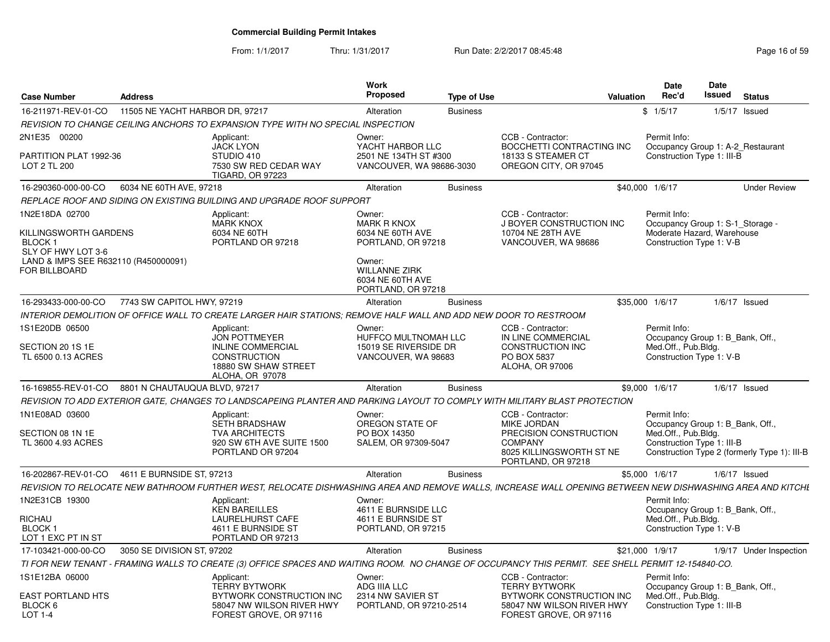From: 1/1/2017Thru: 1/31/2017 **Run Date: 2/2/2017 08:45:48** Page 16 of 59

| <b>Case Number</b>                                                                                                                           | <b>Address</b>                  |                                                                                                                                                           | <b>Work</b><br><b>Proposed</b>                                                                                                                     | <b>Type of Use</b> |                                                                                                                                       | Valuation | <b>Date</b><br>Rec'd                                                                                                                                  | Date<br>Issued | <b>Status</b>   |                         |
|----------------------------------------------------------------------------------------------------------------------------------------------|---------------------------------|-----------------------------------------------------------------------------------------------------------------------------------------------------------|----------------------------------------------------------------------------------------------------------------------------------------------------|--------------------|---------------------------------------------------------------------------------------------------------------------------------------|-----------|-------------------------------------------------------------------------------------------------------------------------------------------------------|----------------|-----------------|-------------------------|
| 16-211971-REV-01-CO                                                                                                                          | 11505 NE YACHT HARBOR DR, 97217 |                                                                                                                                                           | Alteration                                                                                                                                         | <b>Business</b>    |                                                                                                                                       |           | \$1/5/17                                                                                                                                              |                | $1/5/17$ Issued |                         |
|                                                                                                                                              |                                 | REVISION TO CHANGE CEILING ANCHORS TO EXPANSION TYPE WITH NO SPECIAL INSPECTION                                                                           |                                                                                                                                                    |                    |                                                                                                                                       |           |                                                                                                                                                       |                |                 |                         |
| 2N1E35 00200<br>PARTITION PLAT 1992-36<br>LOT 2 TL 200                                                                                       |                                 | Applicant:<br><b>JACK LYON</b><br>STUDIO 410<br>7530 SW RED CEDAR WAY<br><b>TIGARD, OR 97223</b>                                                          | Owner:<br>YACHT HARBOR LLC<br>2501 NE 134TH ST #300<br>VANCOUVER, WA 98686-3030                                                                    |                    | CCB - Contractor:<br>BOCCHETTI CONTRACTING INC<br>18133 S STEAMER CT<br>OREGON CITY, OR 97045                                         |           | Permit Info:<br>Occupancy Group 1: A-2 Restaurant<br>Construction Type 1: III-B                                                                       |                |                 |                         |
| 16-290360-000-00-CO                                                                                                                          | 6034 NE 60TH AVE, 97218         |                                                                                                                                                           | Alteration                                                                                                                                         | <b>Business</b>    |                                                                                                                                       |           | \$40,000 1/6/17                                                                                                                                       |                |                 | <b>Under Review</b>     |
|                                                                                                                                              |                                 | REPLACE ROOF AND SIDING ON EXISTING BUILDING AND UPGRADE ROOF SUPPORT                                                                                     |                                                                                                                                                    |                    |                                                                                                                                       |           |                                                                                                                                                       |                |                 |                         |
| 1N2E18DA 02700<br>KILLINGSWORTH GARDENS<br>BLOCK <sub>1</sub><br>SLY OF HWY LOT 3-6<br>LAND & IMPS SEE R632110 (R450000091)<br>FOR BILLBOARD |                                 | Applicant:<br><b>MARK KNOX</b><br>6034 NE 60TH<br>PORTLAND OR 97218                                                                                       | Owner:<br><b>MARK R KNOX</b><br>6034 NE 60TH AVE<br>PORTLAND, OR 97218<br>Owner:<br><b>WILLANNE ZIRK</b><br>6034 NE 60TH AVE<br>PORTLAND, OR 97218 |                    | CCB - Contractor:<br>J BOYER CONSTRUCTION INC<br>10704 NE 28TH AVE<br>VANCOUVER, WA 98686                                             |           | Permit Info:<br>Occupancy Group 1: S-1 Storage -<br>Moderate Hazard, Warehouse<br>Construction Type 1: V-B                                            |                |                 |                         |
| 16-293433-000-00-CO                                                                                                                          | 7743 SW CAPITOL HWY, 97219      |                                                                                                                                                           | Alteration                                                                                                                                         | <b>Business</b>    |                                                                                                                                       |           | \$35,000 1/6/17                                                                                                                                       |                | $1/6/17$ Issued |                         |
|                                                                                                                                              |                                 | INTERIOR DEMOLITION OF OFFICE WALL TO CREATE LARGER HAIR STATIONS; REMOVE HALF WALL AND ADD NEW DOOR TO RESTROOM                                          |                                                                                                                                                    |                    |                                                                                                                                       |           |                                                                                                                                                       |                |                 |                         |
| 1S1E20DB 06500<br>SECTION 20 1S 1E<br>TL 6500 0.13 ACRES                                                                                     |                                 | Applicant:<br><b>JON POTTMEYER</b><br><b>INLINE COMMERCIAL</b><br><b>CONSTRUCTION</b><br>18880 SW SHAW STREET<br>ALOHA, OR 97078                          | Owner:<br><b>HUFFCO MULTNOMAH LLC</b><br>15019 SE RIVERSIDE DR<br>VANCOUVER, WA 98683                                                              |                    | CCB - Contractor:<br>IN LINE COMMERCIAL<br><b>CONSTRUCTION INC</b><br>PO BOX 5837<br>ALOHA, OR 97006                                  |           | Permit Info:<br>Occupancy Group 1: B Bank, Off.,<br>Med.Off., Pub.Bldg.<br>Construction Type 1: V-B                                                   |                |                 |                         |
| 16-169855-REV-01-CO                                                                                                                          | 8801 N CHAUTAUQUA BLVD, 97217   |                                                                                                                                                           | Alteration                                                                                                                                         | <b>Business</b>    |                                                                                                                                       |           | \$9,000 1/6/17                                                                                                                                        |                | $1/6/17$ Issued |                         |
|                                                                                                                                              |                                 | REVISION TO ADD EXTERIOR GATE. CHANGES TO LANDSCAPEING PLANTER AND PARKING LAYOUT TO COMPLY WITH MILITARY BLAST PROTECTION                                |                                                                                                                                                    |                    |                                                                                                                                       |           |                                                                                                                                                       |                |                 |                         |
| 1N1E08AD 03600<br>SECTION 08 1N 1E<br>TL 3600 4.93 ACRES                                                                                     |                                 | Applicant:<br><b>SETH BRADSHAW</b><br><b>TVA ARCHITECTS</b><br>920 SW 6TH AVE SUITE 1500<br>PORTLAND OR 97204                                             | Owner:<br>OREGON STATE OF<br>PO BOX 14350<br>SALEM, OR 97309-5047                                                                                  |                    | CCB - Contractor:<br><b>MIKE JORDAN</b><br>PRECISION CONSTRUCTION<br><b>COMPANY</b><br>8025 KILLINGSWORTH ST NE<br>PORTLAND, OR 97218 |           | Permit Info:<br>Occupancy Group 1: B Bank, Off.,<br>Med.Off., Pub.Bldg.<br>Construction Type 1: III-B<br>Construction Type 2 (formerly Type 1): III-B |                |                 |                         |
| 16-202867-REV-01-CO                                                                                                                          | 4611 E BURNSIDE ST, 97213       |                                                                                                                                                           | Alteration                                                                                                                                         | <b>Business</b>    |                                                                                                                                       |           | \$5,000 1/6/17                                                                                                                                        |                | $1/6/17$ Issued |                         |
|                                                                                                                                              |                                 | REVISION TO RELOCATE NEW BATHROOM FURTHER WEST. RELOCATE DISHWASHING AREA AND REMOVE WALLS. INCREASE WALL OPENING BETWEEN NEW DISHWASHING AREA AND KITCHL |                                                                                                                                                    |                    |                                                                                                                                       |           |                                                                                                                                                       |                |                 |                         |
| 1N2E31CB 19300<br>RICHAU<br>BLOCK 1<br>LOT 1 EXC PT IN ST                                                                                    |                                 | Applicant:<br><b>KEN BAREILLES</b><br><b>LAURELHURST CAFE</b><br>4611 E BURNSIDE ST<br>PORTLAND OR 97213                                                  | Owner:<br>4611 E BURNSIDE LLC<br>4611 E BURNSIDE ST<br>PORTLAND, OR 97215                                                                          |                    |                                                                                                                                       |           | Permit Info:<br>Occupancy Group 1: B Bank, Off.,<br>Med.Off., Pub.Bldg.<br>Construction Type 1: V-B                                                   |                |                 |                         |
| 17-103421-000-00-CO                                                                                                                          | 3050 SE DIVISION ST, 97202      |                                                                                                                                                           | Alteration                                                                                                                                         | <b>Business</b>    |                                                                                                                                       |           | \$21,000 1/9/17                                                                                                                                       |                |                 | 1/9/17 Under Inspection |
|                                                                                                                                              |                                 | TI FOR NEW TENANT - FRAMING WALLS TO CREATE (3) OFFICE SPACES AND WAITING ROOM. NO CHANGE OF OCCUPANCY THIS PERMIT. SEE SHELL PERMIT 12-154840-CO.        |                                                                                                                                                    |                    |                                                                                                                                       |           |                                                                                                                                                       |                |                 |                         |
| 1S1E12BA 06000<br><b>EAST PORTLAND HTS</b><br>BLOCK 6                                                                                        |                                 | Applicant:<br><b>TERRY BYTWORK</b><br>BYTWORK CONSTRUCTION INC<br>58047 NW WILSON RIVER HWY                                                               | Owner:<br>ADG IIIA LLC<br>2314 NW SAVIER ST<br>PORTLAND, OR 97210-2514                                                                             |                    | CCB - Contractor:<br><b>TERRY BYTWORK</b><br>BYTWORK CONSTRUCTION INC<br>58047 NW WILSON RIVER HWY                                    |           | Permit Info:<br>Occupancy Group 1: B Bank, Off.,<br>Med.Off., Pub.Bldg.<br>Construction Type 1: III-B                                                 |                |                 |                         |
| LOT 1-4                                                                                                                                      |                                 | FOREST GROVE, OR 97116                                                                                                                                    |                                                                                                                                                    |                    | FOREST GROVE, OR 97116                                                                                                                |           |                                                                                                                                                       |                |                 |                         |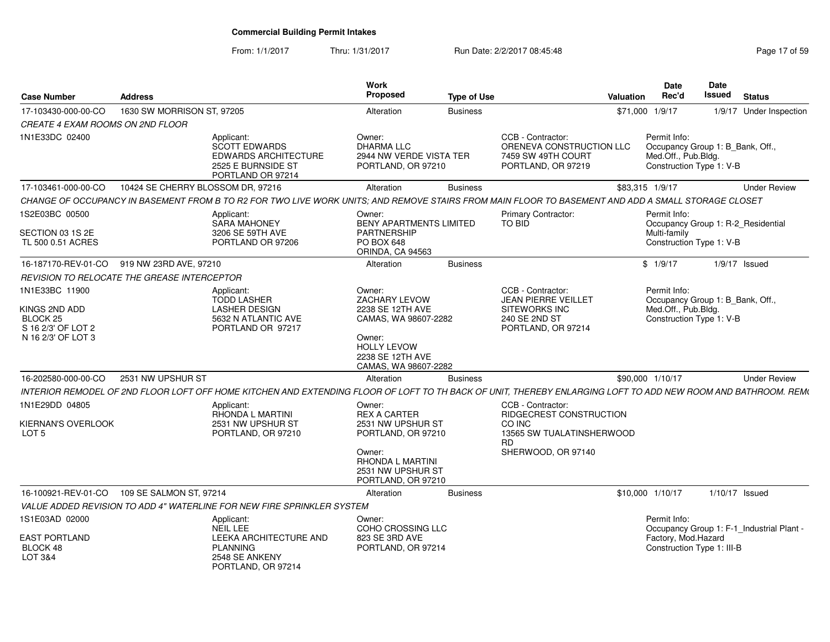From: 1/1/2017Thru: 1/31/2017 **Run Date: 2/2/2017 08:45:48** Page 17 of 59

| <b>Case Number</b>                                                    | <b>Address</b>                              |                                                                                                                                                               | Work<br><b>Proposed</b>                                                                   | <b>Type of Use</b> |                                                                                           | Valuation | <b>Date</b><br>Rec'd                                                                                | <b>Date</b><br><b>Issued</b> | <b>Status</b>                             |
|-----------------------------------------------------------------------|---------------------------------------------|---------------------------------------------------------------------------------------------------------------------------------------------------------------|-------------------------------------------------------------------------------------------|--------------------|-------------------------------------------------------------------------------------------|-----------|-----------------------------------------------------------------------------------------------------|------------------------------|-------------------------------------------|
| 17-103430-000-00-CO                                                   | 1630 SW MORRISON ST, 97205                  |                                                                                                                                                               | Alteration                                                                                | <b>Business</b>    |                                                                                           |           | \$71,000 1/9/17                                                                                     |                              | 1/9/17 Under Inspection                   |
| CREATE 4 EXAM ROOMS ON 2ND FLOOR                                      |                                             |                                                                                                                                                               |                                                                                           |                    |                                                                                           |           |                                                                                                     |                              |                                           |
| 1N1E33DC 02400                                                        |                                             | Applicant:<br><b>SCOTT EDWARDS</b><br><b>EDWARDS ARCHITECTURE</b><br>2525 E BURNSIDE ST<br>PORTLAND OR 97214                                                  | Owner:<br><b>DHARMA LLC</b><br>2944 NW VERDE VISTA TER<br>PORTLAND, OR 97210              |                    | CCB - Contractor:<br>ORENEVA CONSTRUCTION LLC<br>7459 SW 49TH COURT<br>PORTLAND, OR 97219 |           | Permit Info:<br>Occupancy Group 1: B_Bank, Off.,<br>Med.Off., Pub.Bldg.<br>Construction Type 1: V-B |                              |                                           |
| 17-103461-000-00-CO                                                   | 10424 SE CHERRY BLOSSOM DR, 97216           |                                                                                                                                                               | Alteration                                                                                | <b>Business</b>    |                                                                                           |           | \$83,315 1/9/17                                                                                     |                              | <b>Under Review</b>                       |
|                                                                       |                                             | CHANGE OF OCCUPANCY IN BASEMENT FROM B TO R2 FOR TWO LIVE WORK UNITS; AND REMOVE STAIRS FROM MAIN FLOOR TO BASEMENT AND ADD A SMALL STORAGE CLOSET            |                                                                                           |                    |                                                                                           |           |                                                                                                     |                              |                                           |
| 1S2E03BC 00500<br>SECTION 03 1S 2E<br>TL 500 0.51 ACRES               |                                             | Applicant:<br><b>SARA MAHONEY</b><br>3206 SE 59TH AVE<br>PORTLAND OR 97206                                                                                    | Owner:<br><b>BENY APARTMENTS LIMITED</b><br>PARTNERSHIP<br>PO BOX 648<br>ORINDA, CA 94563 |                    | <b>Primary Contractor:</b><br><b>TO BID</b>                                               |           | Permit Info:<br>Occupancy Group 1: R-2_Residential<br>Multi-family<br>Construction Type 1: V-B      |                              |                                           |
| 16-187170-REV-01-CO                                                   | 919 NW 23RD AVE, 97210                      |                                                                                                                                                               | Alteration                                                                                | <b>Business</b>    |                                                                                           |           | \$1/9/17                                                                                            |                              | $1/9/17$ Issued                           |
|                                                                       | REVISION TO RELOCATE THE GREASE INTERCEPTOR |                                                                                                                                                               |                                                                                           |                    |                                                                                           |           |                                                                                                     |                              |                                           |
| 1N1E33BC 11900                                                        |                                             | Applicant:                                                                                                                                                    | Owner:                                                                                    |                    | CCB - Contractor:                                                                         |           | Permit Info:                                                                                        |                              |                                           |
| KINGS 2ND ADD<br>BLOCK 25<br>S 16 2/3' OF LOT 2<br>N 16 2/3' OF LOT 3 |                                             | <b>TODD LASHER</b><br><b>LASHER DESIGN</b><br>5632 N ATLANTIC AVE<br>PORTLAND OR 97217                                                                        | ZACHARY LEVOW<br>2238 SE 12TH AVE<br>CAMAS, WA 98607-2282<br>Owner:<br><b>HOLLY LEVOW</b> |                    | JEAN PIERRE VEILLET<br>SITEWORKS INC<br>240 SE 2ND ST<br>PORTLAND, OR 97214               |           | Occupancy Group 1: B_Bank, Off.,<br>Med.Off., Pub.Bldg.<br>Construction Type 1: V-B                 |                              |                                           |
|                                                                       |                                             |                                                                                                                                                               | 2238 SE 12TH AVE<br>CAMAS, WA 98607-2282                                                  |                    |                                                                                           |           |                                                                                                     |                              |                                           |
| 16-202580-000-00-CO                                                   | 2531 NW UPSHUR ST                           |                                                                                                                                                               | Alteration                                                                                | <b>Business</b>    |                                                                                           |           | \$90,000 1/10/17                                                                                    |                              | <b>Under Review</b>                       |
|                                                                       |                                             | INTERIOR REMODEL OF 2ND FLOOR LOFT OFF HOME KITCHEN AND EXTENDING FLOOR OF LOFT TO TH BACK OF UNIT, THEREBY ENLARGING LOFT TO ADD NEW ROOM AND BATHROOM. REM( |                                                                                           |                    |                                                                                           |           |                                                                                                     |                              |                                           |
| 1N1E29DD 04805                                                        |                                             | Applicant:                                                                                                                                                    | Owner:                                                                                    |                    | CCB - Contractor:                                                                         |           |                                                                                                     |                              |                                           |
| KIERNAN'S OVERLOOK<br>LOT <sub>5</sub>                                |                                             | RHONDA L MARTINI<br>2531 NW UPSHUR ST<br>PORTLAND, OR 97210                                                                                                   | <b>REX A CARTER</b><br>2531 NW UPSHUR ST<br>PORTLAND, OR 97210                            |                    | RIDGECREST CONSTRUCTION<br>CO INC<br>13565 SW TUALATINSHERWOOD<br><b>RD</b>               |           |                                                                                                     |                              |                                           |
|                                                                       |                                             |                                                                                                                                                               | Owner:<br>RHONDA L MARTINI<br>2531 NW UPSHUR ST<br>PORTLAND, OR 97210                     |                    | SHERWOOD, OR 97140                                                                        |           |                                                                                                     |                              |                                           |
| 16-100921-REV-01-CO                                                   | 109 SE SALMON ST, 97214                     |                                                                                                                                                               | Alteration                                                                                | <b>Business</b>    |                                                                                           |           | \$10,000 1/10/17                                                                                    | 1/10/17 Issued               |                                           |
|                                                                       |                                             | VALUE ADDED REVISION TO ADD 4" WATERLINE FOR NEW FIRE SPRINKLER SYSTEM                                                                                        |                                                                                           |                    |                                                                                           |           |                                                                                                     |                              |                                           |
| 1S1E03AD 02000                                                        |                                             | Applicant:<br>NEIL LEE                                                                                                                                        | Owner:<br>COHO CROSSING LLC                                                               |                    |                                                                                           |           | Permit Info:                                                                                        |                              | Occupancy Group 1: F-1 Industrial Plant - |
| <b>EAST PORTLAND</b><br>BLOCK 48<br><b>LOT 3&amp;4</b>                |                                             | LEEKA ARCHITECTURE AND<br><b>PLANNING</b><br>2548 SE ANKENY<br>PORTLAND, OR 97214                                                                             | 823 SE 3RD AVE<br>PORTLAND, OR 97214                                                      |                    |                                                                                           |           | Factory, Mod.Hazard<br>Construction Type 1: III-B                                                   |                              |                                           |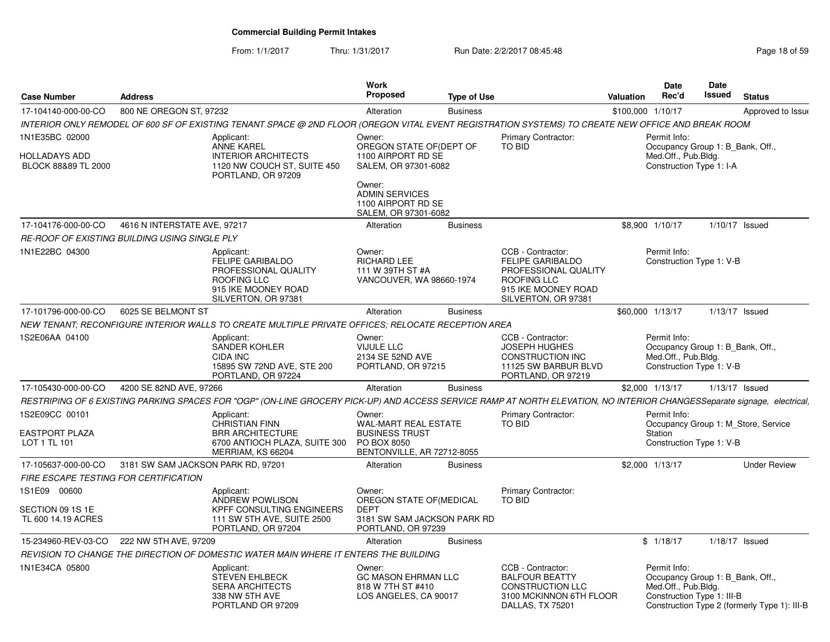From: 1/1/2017Thru: 1/31/2017 **Run Date: 2/2/2017 08:45:48** Page 18 of 59

| Case Number                                   | <b>Address</b>                     |                                                                                                                                                                          | <b>Work</b><br><b>Proposed</b>                                                     | <b>Type of Use</b> |                                                                                                                                   | Valuation | Date<br>Rec'd                                                                                         | Date<br><b>Issued</b> | <b>Status</b>                                |
|-----------------------------------------------|------------------------------------|--------------------------------------------------------------------------------------------------------------------------------------------------------------------------|------------------------------------------------------------------------------------|--------------------|-----------------------------------------------------------------------------------------------------------------------------------|-----------|-------------------------------------------------------------------------------------------------------|-----------------------|----------------------------------------------|
|                                               |                                    |                                                                                                                                                                          |                                                                                    |                    |                                                                                                                                   |           |                                                                                                       |                       |                                              |
| 17-104140-000-00-CO                           | 800 NE OREGON ST, 97232            | INTERIOR ONLY REMODEL OF 600 SF OF EXISTING TENANT SPACE @ 2ND FLOOR (OREGON VITAL EVENT REGISTRATION SYSTEMS) TO CREATE NEW OFFICE AND BREAK ROOM                       | Alteration                                                                         | <b>Business</b>    |                                                                                                                                   |           | \$100,000 1/10/17                                                                                     |                       | Approved to Issue                            |
| 1N1E35BC 02000                                |                                    | Applicant:<br><b>ANNE KAREL</b>                                                                                                                                          | Owner:                                                                             |                    | <b>Primary Contractor:</b><br>TO BID                                                                                              |           | Permit Info:                                                                                          |                       |                                              |
| HOLLADAYS ADD<br>BLOCK 88&89 TL 2000          |                                    | <b>INTERIOR ARCHITECTS</b><br>1120 NW COUCH ST, SUITE 450<br>PORTLAND, OR 97209                                                                                          | OREGON STATE OF (DEPT OF<br>1100 AIRPORT RD SE<br>SALEM, OR 97301-6082             |                    |                                                                                                                                   |           | Occupancy Group 1: B_Bank, Off.,<br>Med.Off., Pub.Bldg.<br>Construction Type 1: I-A                   |                       |                                              |
|                                               |                                    |                                                                                                                                                                          | Owner:<br><b>ADMIN SERVICES</b><br>1100 AIRPORT RD SE<br>SALEM, OR 97301-6082      |                    |                                                                                                                                   |           |                                                                                                       |                       |                                              |
| 17-104176-000-00-CO                           | 4616 N INTERSTATE AVE, 97217       |                                                                                                                                                                          | Alteration                                                                         | <b>Business</b>    |                                                                                                                                   |           | \$8,900 1/10/17                                                                                       |                       | $1/10/17$ Issued                             |
| RE-ROOF OF EXISTING BUILDING USING SINGLE PLY |                                    |                                                                                                                                                                          |                                                                                    |                    |                                                                                                                                   |           |                                                                                                       |                       |                                              |
| 1N1E22BC 04300                                |                                    | Applicant:<br><b>FELIPE GARIBALDO</b><br>PROFESSIONAL QUALITY<br>ROOFING LLC<br>915 IKE MOONEY ROAD<br>SILVERTON, OR 97381                                               | Owner:<br><b>RICHARD LEE</b><br>111 W 39TH ST #A<br>VANCOUVER, WA 98660-1974       |                    | CCB - Contractor:<br><b>FELIPE GARIBALDO</b><br>PROFESSIONAL QUALITY<br>ROOFING LLC<br>915 IKE MOONEY ROAD<br>SILVERTON, OR 97381 |           | Permit Info:<br>Construction Type 1: V-B                                                              |                       |                                              |
| 17-101796-000-00-CO                           | 6025 SE BELMONT ST                 |                                                                                                                                                                          | Alteration                                                                         | <b>Business</b>    |                                                                                                                                   |           | \$60,000 1/13/17                                                                                      |                       | $1/13/17$ Issued                             |
|                                               |                                    | NEW TENANT; RECONFIGURE INTERIOR WALLS TO CREATE MULTIPLE PRIVATE OFFICES; RELOCATE RECEPTION AREA                                                                       |                                                                                    |                    |                                                                                                                                   |           |                                                                                                       |                       |                                              |
| 1S2E06AA 04100                                |                                    | Applicant:<br>SANDER KOHLER<br>CIDA INC<br>15895 SW 72ND AVE, STE 200<br>PORTLAND, OR 97224                                                                              | Owner:<br><b>VIJULE LLC</b><br>2134 SE 52ND AVE<br>PORTLAND, OR 97215              |                    | CCB - Contractor:<br><b>JOSEPH HUGHES</b><br><b>CONSTRUCTION INC</b><br>11125 SW BARBUR BLVD<br>PORTLAND, OR 97219                |           | Permit Info:<br>Occupancy Group 1: B_Bank, Off.,<br>Med.Off., Pub.Bldg.<br>Construction Type 1: V-B   |                       |                                              |
| 17-105430-000-00-CO                           | 4200 SE 82ND AVE, 97266            |                                                                                                                                                                          | Alteration                                                                         | <b>Business</b>    |                                                                                                                                   |           | \$2,000 1/13/17                                                                                       |                       | $1/13/17$ Issued                             |
|                                               |                                    | RESTRIPING OF 6 EXISTING PARKING SPACES FOR "OGP" (ON-LINE GROCERY PICK-UP) AND ACCESS SERVICE RAMP AT NORTH ELEVATION, NO INTERIOR CHANGESSeparate signage, electrical, |                                                                                    |                    |                                                                                                                                   |           |                                                                                                       |                       |                                              |
| 1S2E09CC 00101                                |                                    | Applicant:<br><b>CHRISTIAN FINN</b>                                                                                                                                      | Owner:<br>WAL-MART REAL ESTATE                                                     |                    | Primary Contractor:<br><b>TO BID</b>                                                                                              |           | Permit Info:                                                                                          |                       | Occupancy Group 1: M_Store, Service          |
| EASTPORT PLAZA<br>LOT 1 TL 101                |                                    | <b>BRR ARCHITECTURE</b><br>6700 ANTIOCH PLAZA, SUITE 300<br>MERRIAM, KS 66204                                                                                            | <b>BUSINESS TRUST</b><br>PO BOX 8050<br>BENTONVILLE, AR 72712-8055                 |                    |                                                                                                                                   |           | Station<br>Construction Type 1: V-B                                                                   |                       |                                              |
| 17-105637-000-00-CO                           | 3181 SW SAM JACKSON PARK RD, 97201 |                                                                                                                                                                          | Alteration                                                                         | <b>Business</b>    |                                                                                                                                   |           | \$2,000 1/13/17                                                                                       |                       | <b>Under Review</b>                          |
| <b>FIRE ESCAPE TESTING FOR CERTIFICATION</b>  |                                    |                                                                                                                                                                          |                                                                                    |                    |                                                                                                                                   |           |                                                                                                       |                       |                                              |
| 1S1E09 00600                                  |                                    | Applicant:<br>ANDREW POWLISON                                                                                                                                            | Owner:<br>OREGON STATE OF (MEDICAL                                                 |                    | Primary Contractor:<br><b>TO BID</b>                                                                                              |           |                                                                                                       |                       |                                              |
| SECTION 09 1S 1E<br>TL 600 14.19 ACRES        |                                    | <b>KPFF CONSULTING ENGINEERS</b><br>111 SW 5TH AVE, SUITE 2500<br>PORTLAND, OR 97204                                                                                     | <b>DEPT</b><br>3181 SW SAM JACKSON PARK RD<br>PORTLAND, OR 97239                   |                    |                                                                                                                                   |           |                                                                                                       |                       |                                              |
| 15-234960-REV-03-CO                           | 222 NW 5TH AVE, 97209              |                                                                                                                                                                          | Alteration                                                                         | <b>Business</b>    |                                                                                                                                   |           | \$1/18/17                                                                                             |                       | $1/18/17$ Issued                             |
|                                               |                                    | REVISION TO CHANGE THE DIRECTION OF DOMESTIC WATER MAIN WHERE IT ENTERS THE BUILDING                                                                                     |                                                                                    |                    |                                                                                                                                   |           |                                                                                                       |                       |                                              |
| 1N1E34CA 05800                                |                                    | Applicant:<br><b>STEVEN EHLBECK</b><br><b>SERA ARCHITECTS</b><br>338 NW 5TH AVE<br>PORTLAND OR 97209                                                                     | Owner:<br><b>GC MASON EHRMAN LLC</b><br>818 W 7TH ST #410<br>LOS ANGELES, CA 90017 |                    | CCB - Contractor:<br><b>BALFOUR BEATTY</b><br><b>CONSTRUCTION LLC</b><br>3100 MCKINNON 6TH FLOOR<br>DALLAS, TX 75201              |           | Permit Info:<br>Occupancy Group 1: B Bank, Off.,<br>Med.Off., Pub.Bldg.<br>Construction Type 1: III-B |                       | Construction Type 2 (formerly Type 1): III-B |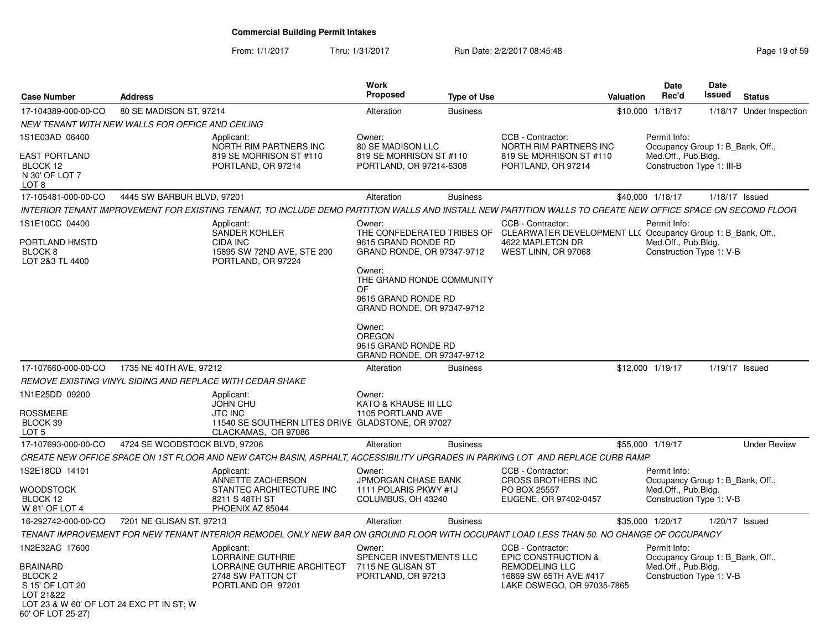From: 1/1/2017Thru: 1/31/2017 **Run Date: 2/2/2017 08:45:48** Page 19 of 59

| <b>Case Number</b>                                                                                                                                       | <b>Address</b>                                                                                                                                              |                                                                                                 | <b>Work</b><br><b>Proposed</b>                                                                                                  | <b>Type of Use</b> |                                                                                                                                                        | <b>Valuation</b> | Date<br>Rec'd                                                                                         | <b>Date</b><br>Issued | <b>Status</b>            |
|----------------------------------------------------------------------------------------------------------------------------------------------------------|-------------------------------------------------------------------------------------------------------------------------------------------------------------|-------------------------------------------------------------------------------------------------|---------------------------------------------------------------------------------------------------------------------------------|--------------------|--------------------------------------------------------------------------------------------------------------------------------------------------------|------------------|-------------------------------------------------------------------------------------------------------|-----------------------|--------------------------|
| 17-104389-000-00-CO                                                                                                                                      | 80 SE MADISON ST, 97214                                                                                                                                     |                                                                                                 | Alteration                                                                                                                      | <b>Business</b>    |                                                                                                                                                        | \$10,000 1/18/17 |                                                                                                       |                       | 1/18/17 Under Inspection |
|                                                                                                                                                          | NEW TENANT WITH NEW WALLS FOR OFFICE AND CEILING                                                                                                            |                                                                                                 |                                                                                                                                 |                    |                                                                                                                                                        |                  |                                                                                                       |                       |                          |
| 1S1E03AD 06400<br><b>EAST PORTLAND</b><br>BLOCK 12<br>N 30' OF LOT 7<br>LOT 8                                                                            | Applicant:                                                                                                                                                  | NORTH RIM PARTNERS INC<br>819 SE MORRISON ST #110<br>PORTLAND, OR 97214                         | Owner:<br>80 SE MADISON LLC<br>819 SE MORRISON ST #110<br>PORTLAND, OR 97214-6308                                               |                    | CCB - Contractor:<br>NORTH RIM PARTNERS INC<br>819 SE MORRISON ST #110<br>PORTLAND, OR 97214                                                           |                  | Permit Info:<br>Occupancy Group 1: B_Bank, Off.,<br>Med.Off., Pub.Bldg.<br>Construction Type 1: III-B |                       |                          |
| 17-105481-000-00-CO                                                                                                                                      | 4445 SW BARBUR BLVD, 97201                                                                                                                                  |                                                                                                 | Alteration                                                                                                                      | <b>Business</b>    |                                                                                                                                                        | \$40,000 1/18/17 |                                                                                                       | $1/18/17$ Issued      |                          |
|                                                                                                                                                          | INTERIOR TENANT IMPROVEMENT FOR EXISTING TENANT, TO INCLUDE DEMO PARTITION WALLS AND INSTALL NEW PARTITION WALLS TO CREATE NEW OFFICE SPACE ON SECOND FLOOR |                                                                                                 |                                                                                                                                 |                    |                                                                                                                                                        |                  |                                                                                                       |                       |                          |
| 1S1E10CC 04400<br>PORTLAND HMSTD<br>BLOCK 8<br>LOT 2&3 TL 4400                                                                                           | Applicant:<br>CIDA INC                                                                                                                                      | <b>SANDER KOHLER</b><br>15895 SW 72ND AVE, STE 200<br>PORTLAND, OR 97224                        | Owner:<br>9615 GRAND RONDE RD<br>GRAND RONDE, OR 97347-9712<br>Owner:<br>THE GRAND RONDE COMMUNITY<br>OF<br>9615 GRAND RONDE RD |                    | CCB - Contractor:<br>THE CONFEDERATED TRIBES OF CLEARWATER DEVELOPMENT LL( Occupancy Group 1: B_Bank, Off.,<br>4622 MAPLETON DR<br>WEST LINN, OR 97068 |                  | Permit Info:<br>Med.Off., Pub.Bldg.<br>Construction Type 1: V-B                                       |                       |                          |
|                                                                                                                                                          |                                                                                                                                                             |                                                                                                 | GRAND RONDE, OR 97347-9712<br>Owner:<br><b>OREGON</b><br>9615 GRAND RONDE RD<br>GRAND RONDE, OR 97347-9712                      |                    |                                                                                                                                                        |                  |                                                                                                       |                       |                          |
| 17-107660-000-00-CO                                                                                                                                      | 1735 NE 40TH AVE, 97212                                                                                                                                     |                                                                                                 | Alteration                                                                                                                      | <b>Business</b>    |                                                                                                                                                        | \$12,000 1/19/17 |                                                                                                       | $1/19/17$ Issued      |                          |
|                                                                                                                                                          | REMOVE EXISTING VINYL SIDING AND REPLACE WITH CEDAR SHAKE                                                                                                   |                                                                                                 |                                                                                                                                 |                    |                                                                                                                                                        |                  |                                                                                                       |                       |                          |
| 1N1E25DD 09200<br><b>ROSSMERE</b><br>BLOCK 39<br>LOT <sub>5</sub>                                                                                        | Applicant:<br><b>JOHN CHU</b><br><b>JTC INC</b>                                                                                                             | 11540 SE SOUTHERN LITES DRIVE GLADSTONE, OR 97027<br>CLACKAMAS, OR 97086                        | Owner:<br>KATO & KRAUSE III LLC<br>1105 PORTLAND AVE                                                                            |                    |                                                                                                                                                        |                  |                                                                                                       |                       |                          |
| 17-107693-000-00-CO                                                                                                                                      | 4724 SE WOODSTOCK BLVD, 97206                                                                                                                               |                                                                                                 | Alteration                                                                                                                      | <b>Business</b>    |                                                                                                                                                        | \$55,000 1/19/17 |                                                                                                       |                       | <b>Under Review</b>      |
|                                                                                                                                                          | CREATE NEW OFFICE SPACE ON 1ST FLOOR AND NEW CATCH BASIN, ASPHALT, ACCESSIBILITY UPGRADES IN PARKING LOT AND REPLACE CURB RAMP                              |                                                                                                 |                                                                                                                                 |                    |                                                                                                                                                        |                  |                                                                                                       |                       |                          |
| 1S2E18CD 14101<br><b>WOODSTOCK</b><br>BLOCK 12<br>W 81' OF LOT 4                                                                                         | Applicant:                                                                                                                                                  | ANNETTE ZACHERSON<br>STANTEC ARCHITECTURE INC<br>8211 S 48TH ST<br>PHOENIX AZ 85044             | Owner:<br>JPMORGAN CHASE BANK<br>1111 POLARIS PKWY #1J<br>COLUMBUS, OH 43240                                                    |                    | CCB - Contractor:<br>CROSS BROTHERS INC<br>PO BOX 25557<br>EUGENE, OR 97402-0457                                                                       |                  | Permit Info:<br>Occupancy Group 1: B_Bank, Off.,<br>Med.Off., Pub.Bldg.<br>Construction Type 1: V-B   |                       |                          |
| 16-292742-000-00-CO                                                                                                                                      | 7201 NE GLISAN ST, 97213                                                                                                                                    |                                                                                                 | Alteration                                                                                                                      | <b>Business</b>    |                                                                                                                                                        | \$35,000 1/20/17 |                                                                                                       | $1/20/17$ Issued      |                          |
|                                                                                                                                                          | TENANT IMPROVEMENT FOR NEW TENANT INTERIOR REMODEL ONLY NEW BAR ON GROUND FLOOR WITH OCCUPANT LOAD LESS THAN 50. NO CHANGE OF OCCUPANCY                     |                                                                                                 |                                                                                                                                 |                    |                                                                                                                                                        |                  |                                                                                                       |                       |                          |
| 1N2E32AC 17600<br><b>BRAINARD</b><br>BLOCK <sub>2</sub><br>S 15' OF LOT 20<br>LOT 21&22<br>LOT 23 & W 60' OF LOT 24 EXC PT IN ST; W<br>60' OF LOT 25-27) | Applicant:                                                                                                                                                  | <b>LORRAINE GUTHRIE</b><br>LORRAINE GUTHRIE ARCHITECT<br>2748 SW PATTON CT<br>PORTLAND OR 97201 | Owner:<br>SPENCER INVESTMENTS LLC<br>7115 NE GLISAN ST<br>PORTLAND, OR 97213                                                    |                    | CCB - Contractor:<br>EPIC CONSTRUCTION &<br><b>REMODELING LLC</b><br>16869 SW 65TH AVE #417<br>LAKE OSWEGO, OR 97035-7865                              |                  | Permit Info:<br>Occupancy Group 1: B_Bank, Off.,<br>Med.Off., Pub.Bldg.<br>Construction Type 1: V-B   |                       |                          |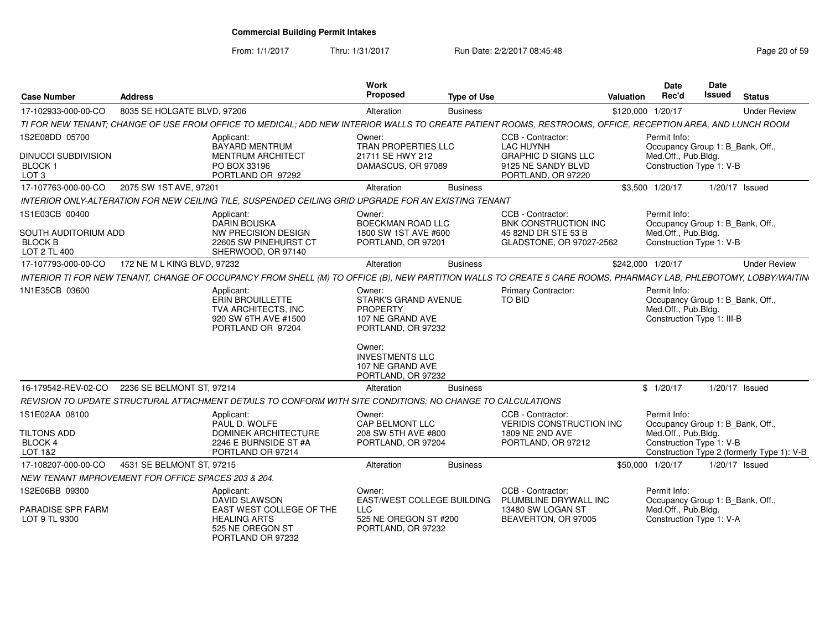From: 1/1/2017

Thru: 1/31/2017 **Run Date: 2/2/2017 08:45:48** Page 20 of 59

| <b>Case Number</b>                                                                     | <b>Address</b>              |                                                                                                                                                                  | <b>Work</b><br>Proposed                                                                                                                                                          | <b>Type of Use</b> |                                                                                                                 | <b>Valuation</b>  | <b>Date</b><br>Rec'd                                                                                  | Date<br><b>Issued</b> | <b>Status</b>                              |
|----------------------------------------------------------------------------------------|-----------------------------|------------------------------------------------------------------------------------------------------------------------------------------------------------------|----------------------------------------------------------------------------------------------------------------------------------------------------------------------------------|--------------------|-----------------------------------------------------------------------------------------------------------------|-------------------|-------------------------------------------------------------------------------------------------------|-----------------------|--------------------------------------------|
| 17-102933-000-00-CO                                                                    | 8035 SE HOLGATE BLVD, 97206 |                                                                                                                                                                  | Alteration                                                                                                                                                                       | <b>Business</b>    |                                                                                                                 | \$120,000 1/20/17 |                                                                                                       |                       | <b>Under Review</b>                        |
|                                                                                        |                             | TI FOR NEW TENANT; CHANGE OF USE FROM OFFICE TO MEDICAL; ADD NEW INTERIOR WALLS TO CREATE PATIENT ROOMS, RESTROOMS, OFFICE, RECEPTION AREA, AND LUNCH ROOM       |                                                                                                                                                                                  |                    |                                                                                                                 |                   |                                                                                                       |                       |                                            |
| 1S2E08DD 05700<br><b>DINUCCI SUBDIVISION</b><br>BLOCK <sub>1</sub><br>LOT <sub>3</sub> |                             | Applicant:<br>BAYARD MENTRUM<br><b>MENTRUM ARCHITECT</b><br>PO BOX 33196<br>PORTLAND OR 97292                                                                    | Owner:<br>TRAN PROPERTIES LLC<br>21711 SE HWY 212<br>DAMASCUS, OR 97089                                                                                                          |                    | CCB - Contractor:<br><b>LAC HUYNH</b><br><b>GRAPHIC D SIGNS LLC</b><br>9125 NE SANDY BLVD<br>PORTLAND, OR 97220 |                   | Permit Info:<br>Occupancy Group 1: B_Bank, Off.,<br>Med.Off., Pub.Bldg.<br>Construction Type 1: V-B   |                       |                                            |
| 17-107763-000-00-CO                                                                    | 2075 SW 1ST AVE, 97201      |                                                                                                                                                                  | Alteration                                                                                                                                                                       | <b>Business</b>    |                                                                                                                 |                   | \$3,500 1/20/17                                                                                       |                       | 1/20/17 Issued                             |
|                                                                                        |                             | INTERIOR ONLY-ALTERATION FOR NEW CEILING TILE, SUSPENDED CEILING GRID UPGRADE FOR AN EXISTING TENANT                                                             |                                                                                                                                                                                  |                    |                                                                                                                 |                   |                                                                                                       |                       |                                            |
| 1S1E03CB 00400<br>SOUTH AUDITORIUM ADD<br><b>BLOCK B</b><br>LOT 2 TL 400               |                             | Applicant:<br><b>DARIN BOUSKA</b><br><b>NW PRECISION DESIGN</b><br>22605 SW PINEHURST CT<br>SHERWOOD, OR 97140                                                   | Owner:<br>BOECKMAN ROAD LLC<br>1800 SW 1ST AVE #600<br>PORTLAND, OR 97201                                                                                                        |                    | CCB - Contractor:<br><b>BNK CONSTRUCTION INC</b><br>45 82ND DR STE 53 B<br>GLADSTONE, OR 97027-2562             |                   | Permit Info:<br>Occupancy Group 1: B_Bank, Off.,<br>Med.Off., Pub.Bldg.<br>Construction Type 1: V-B   |                       |                                            |
| 17-107793-000-00-CO                                                                    | 172 NE M L KING BLVD, 97232 |                                                                                                                                                                  | Alteration                                                                                                                                                                       | <b>Business</b>    |                                                                                                                 | \$242,000 1/20/17 |                                                                                                       |                       | <b>Under Review</b>                        |
|                                                                                        |                             | INTERIOR TI FOR NEW TENANT, CHANGE OF OCCUPANCY FROM SHELL (M) TO OFFICE (B), NEW PARTITION WALLS TO CREATE 5 CARE ROOMS, PHARMACY LAB, PHLEBOTOMY, LOBBY/WAITIN |                                                                                                                                                                                  |                    |                                                                                                                 |                   |                                                                                                       |                       |                                            |
| 1N1E35CB 03600                                                                         |                             | Applicant:<br>ERIN BROUILLETTE<br><b>TVA ARCHITECTS. INC</b><br>920 SW 6TH AVE #1500<br>PORTLAND OR 97204                                                        | Owner:<br><b>STARK'S GRAND AVENUE</b><br><b>PROPERTY</b><br>107 NE GRAND AVE<br>PORTLAND, OR 97232<br>Owner:<br><b>INVESTMENTS LLC</b><br>107 NE GRAND AVE<br>PORTLAND, OR 97232 |                    | <b>Primary Contractor:</b><br>TO BID                                                                            |                   | Permit Info:<br>Occupancy Group 1: B_Bank, Off.,<br>Med.Off., Pub.Bldg.<br>Construction Type 1: III-B |                       |                                            |
| 16-179542-REV-02-CO                                                                    | 2236 SE BELMONT ST, 97214   |                                                                                                                                                                  | Alteration                                                                                                                                                                       | <b>Business</b>    |                                                                                                                 |                   | \$1/20/17                                                                                             |                       | 1/20/17 Issued                             |
|                                                                                        |                             | REVISION TO UPDATE STRUCTURAL ATTACHMENT DETAILS TO CONFORM WITH SITE CONDITIONS; NO CHANGE TO CALCULATIONS                                                      |                                                                                                                                                                                  |                    |                                                                                                                 |                   |                                                                                                       |                       |                                            |
| 1S1E02AA 08100<br><b>TILTONS ADD</b><br>BLOCK 4<br><b>LOT 1&amp;2</b>                  |                             | Applicant:<br>PAUL D. WOLFE<br><b>DOMINEK ARCHITECTURE</b><br>2246 E BURNSIDE ST #A<br>PORTLAND OR 97214                                                         | Owner:<br>CAP BELMONT LLC<br>208 SW 5TH AVE #800<br>PORTLAND, OR 97204                                                                                                           |                    | CCB - Contractor:<br>VERIDIS CONSTRUCTION INC<br>1809 NE 2ND AVE<br>PORTLAND, OR 97212                          |                   | Permit Info:<br>Occupancy Group 1: B Bank, Off.,<br>Med.Off., Pub.Bldg.<br>Construction Type 1: V-B   |                       | Construction Type 2 (formerly Type 1): V-B |
| 17-108207-000-00-CO                                                                    | 4531 SE BELMONT ST. 97215   |                                                                                                                                                                  | Alteration                                                                                                                                                                       | <b>Business</b>    |                                                                                                                 | \$50.000 1/20/17  |                                                                                                       |                       | 1/20/17 Issued                             |
| NEW TENANT IMPROVEMENT FOR OFFICE SPACES 203 & 204.                                    |                             |                                                                                                                                                                  |                                                                                                                                                                                  |                    |                                                                                                                 |                   |                                                                                                       |                       |                                            |
| 1S2E06BB 09300<br>PARADISE SPR FARM<br>LOT 9 TL 9300                                   |                             | Applicant:<br><b>DAVID SLAWSON</b><br>EAST WEST COLLEGE OF THE<br><b>HEALING ARTS</b><br>525 NE OREGON ST<br>PORTLAND OR 97232                                   | Owner:<br>EAST/WEST COLLEGE BUILDING<br><b>LLC</b><br>525 NE OREGON ST #200<br>PORTLAND, OR 97232                                                                                |                    | CCB - Contractor:<br>PLUMBLINE DRYWALL INC<br>13480 SW LOGAN ST<br>BEAVERTON, OR 97005                          |                   | Permit Info:<br>Occupancy Group 1: B_Bank, Off.,<br>Med.Off., Pub.Bldg.<br>Construction Type 1: V-A   |                       |                                            |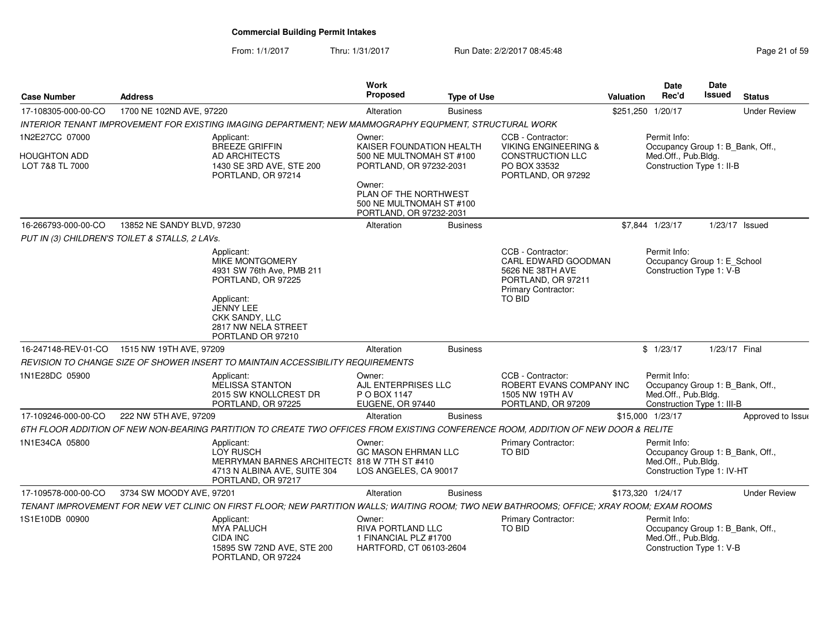From: 1/1/2017Thru: 1/31/2017 **Run Date: 2/2/2017 08:45:48** Page 21 of 59

| <b>Case Number</b>              | <b>Address</b>                                 |                                                                                                                                           | Work<br><b>Proposed</b>                                                                | <b>Type of Use</b> |                                                                                                                     | Valuation | <b>Date</b><br>Rec'd                                                                                  | Date<br><b>Issued</b> | <b>Status</b>       |
|---------------------------------|------------------------------------------------|-------------------------------------------------------------------------------------------------------------------------------------------|----------------------------------------------------------------------------------------|--------------------|---------------------------------------------------------------------------------------------------------------------|-----------|-------------------------------------------------------------------------------------------------------|-----------------------|---------------------|
| 17-108305-000-00-CO             | 1700 NE 102ND AVE, 97220                       |                                                                                                                                           | Alteration                                                                             | <b>Business</b>    |                                                                                                                     |           | \$251,250 1/20/17                                                                                     |                       | <b>Under Review</b> |
|                                 |                                                | INTERIOR TENANT IMPROVEMENT FOR EXISTING IMAGING DEPARTMENT; NEW MAMMOGRAPHY EQUPMENT, STRUCTURAL WORK                                    |                                                                                        |                    |                                                                                                                     |           |                                                                                                       |                       |                     |
| 1N2E27CC 07000                  |                                                | Applicant:<br><b>BREEZE GRIFFIN</b>                                                                                                       | Owner:<br>KAISER FOUNDATION HEALTH                                                     |                    | CCB - Contractor:<br><b>VIKING ENGINEERING &amp;</b>                                                                |           | Permit Info:<br>Occupancy Group 1: B_Bank, Off.,                                                      |                       |                     |
| HOUGHTON ADD<br>LOT 7&8 TL 7000 |                                                | AD ARCHITECTS<br>1430 SE 3RD AVE, STE 200<br>PORTLAND, OR 97214                                                                           | 500 NE MULTNOMAH ST #100<br>PORTLAND, OR 97232-2031                                    |                    | <b>CONSTRUCTION LLC</b><br>PO BOX 33532<br>PORTLAND, OR 97292                                                       |           | Med.Off., Pub.Bldg.<br>Construction Type 1: II-B                                                      |                       |                     |
|                                 |                                                |                                                                                                                                           | Owner:<br>PLAN OF THE NORTHWEST<br>500 NE MULTNOMAH ST #100<br>PORTLAND, OR 97232-2031 |                    |                                                                                                                     |           |                                                                                                       |                       |                     |
| 16-266793-000-00-CO             | 13852 NE SANDY BLVD, 97230                     |                                                                                                                                           | Alteration                                                                             | <b>Business</b>    |                                                                                                                     |           | \$7,844 1/23/17                                                                                       |                       | $1/23/17$ Issued    |
|                                 | PUT IN (3) CHILDREN'S TOILET & STALLS, 2 LAVs. |                                                                                                                                           |                                                                                        |                    |                                                                                                                     |           |                                                                                                       |                       |                     |
|                                 |                                                | Applicant:<br>MIKE MONTGOMERY<br>4931 SW 76th Ave, PMB 211<br>PORTLAND, OR 97225<br>Applicant:                                            |                                                                                        |                    | CCB - Contractor:<br>CARL EDWARD GOODMAN<br>5626 NE 38TH AVE<br>PORTLAND, OR 97211<br>Primary Contractor:<br>TO BID |           | Permit Info:<br>Occupancy Group 1: E_School<br>Construction Type 1: V-B                               |                       |                     |
|                                 |                                                | JENNY LEE<br>CKK SANDY, LLC<br>2817 NW NELA STREET<br>PORTLAND OR 97210                                                                   |                                                                                        |                    |                                                                                                                     |           |                                                                                                       |                       |                     |
| 16-247148-REV-01-CO             | 1515 NW 19TH AVE, 97209                        |                                                                                                                                           | Alteration                                                                             | <b>Business</b>    |                                                                                                                     |           | \$1/23/17                                                                                             | 1/23/17 Final         |                     |
|                                 |                                                | REVISION TO CHANGE SIZE OF SHOWER INSERT TO MAINTAIN ACCESSIBILITY REQUIREMENTS                                                           |                                                                                        |                    |                                                                                                                     |           |                                                                                                       |                       |                     |
| 1N1E28DC 05900                  |                                                | Applicant:<br>MELISSA STANTON<br>2015 SW KNOLLCREST DR<br>PORTLAND, OR 97225                                                              | Owner:<br>AJL ENTERPRISES LLC<br>P O BOX 1147<br>EUGENE, OR 97440                      |                    | CCB - Contractor:<br>ROBERT EVANS COMPANY INC<br>1505 NW 19TH AV<br>PORTLAND, OR 97209                              |           | Permit Info:<br>Occupancy Group 1: B_Bank, Off.,<br>Med.Off., Pub.Bldg.<br>Construction Type 1: III-B |                       |                     |
| 17-109246-000-00-CO             | 222 NW 5TH AVE, 97209                          |                                                                                                                                           | Alteration                                                                             | <b>Business</b>    |                                                                                                                     |           | \$15,000 1/23/17                                                                                      |                       | Approved to Issue   |
|                                 |                                                | 6TH FLOOR ADDITION OF NEW NON-BEARING PARTITION TO CREATE TWO OFFICES FROM EXISTING CONFERENCE ROOM, ADDITION OF NEW DOOR & RELITE        |                                                                                        |                    |                                                                                                                     |           |                                                                                                       |                       |                     |
| 1N1E34CA 05800                  |                                                | Applicant:<br>LOY RUSCH<br>MERRYMAN BARNES ARCHITECT: 818 W 7TH ST #410<br>4713 N ALBINA AVE, SUITE 304<br>PORTLAND, OR 97217             | Owner:<br><b>GC MASON EHRMAN LLC</b><br>LOS ANGELES, CA 90017                          |                    | Primary Contractor:<br>TO BID                                                                                       |           | Permit Info:<br>Occupancy Group 1: B_Bank, Off.,<br>Med.Off., Pub.Bldg.<br>Construction Type 1: IV-HT |                       |                     |
| 17-109578-000-00-CO             | 3734 SW MOODY AVE, 97201                       |                                                                                                                                           | Alteration                                                                             | <b>Business</b>    |                                                                                                                     |           | \$173,320 1/24/17                                                                                     |                       | <b>Under Review</b> |
|                                 |                                                | TENANT IMPROVEMENT FOR NEW VET CLINIC ON FIRST FLOOR; NEW PARTITION WALLS; WAITING ROOM; TWO NEW BATHROOMS; OFFICE; XRAY ROOM; EXAM ROOMS |                                                                                        |                    |                                                                                                                     |           |                                                                                                       |                       |                     |
| 1S1E10DB 00900                  |                                                | Applicant:<br><b>MYA PALUCH</b><br><b>CIDA INC</b><br>15895 SW 72ND AVE, STE 200<br>PORTLAND, OR 97224                                    | Owner:<br>RIVA PORTLAND LLC<br>1 FINANCIAL PLZ #1700<br>HARTFORD, CT 06103-2604        |                    | Primary Contractor:<br>TO BID                                                                                       |           | Permit Info:<br>Occupancy Group 1: B_Bank, Off.,<br>Med.Off., Pub.Bldg.<br>Construction Type 1: V-B   |                       |                     |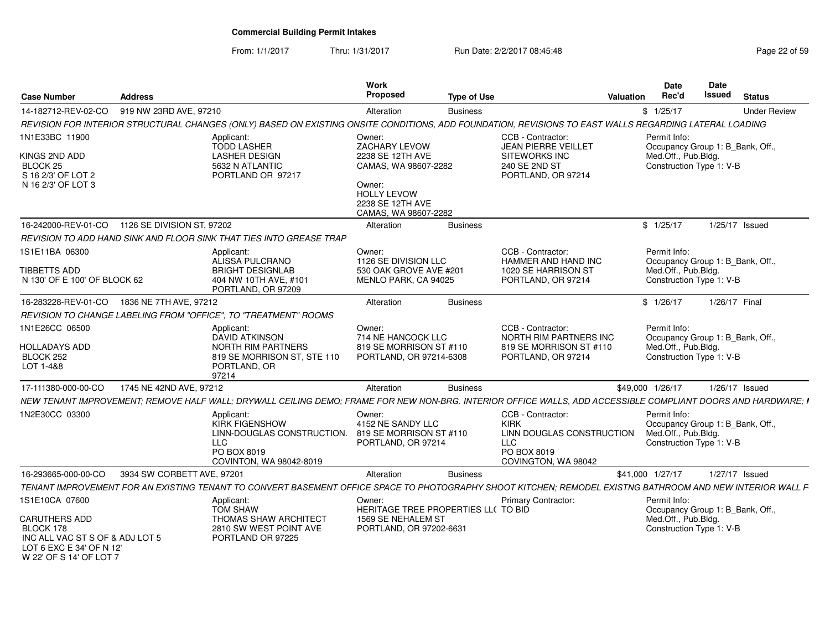From: 1/1/2017Thru: 1/31/2017 **Run Date: 2/2/2017 08:45:48** Page 22 of 59

| <b>Case Number</b>                                                                                                          | <b>Address</b>             |                                                                                                                                                              | Work<br><b>Proposed</b>                                                                      | <b>Type of Use</b> |                                                                                                                   | <b>Valuation</b> | <b>Date</b><br>Rec'd                                                                                | <b>Date</b><br><b>Issued</b> | <b>Status</b>       |
|-----------------------------------------------------------------------------------------------------------------------------|----------------------------|--------------------------------------------------------------------------------------------------------------------------------------------------------------|----------------------------------------------------------------------------------------------|--------------------|-------------------------------------------------------------------------------------------------------------------|------------------|-----------------------------------------------------------------------------------------------------|------------------------------|---------------------|
| 14-182712-REV-02-CO                                                                                                         | 919 NW 23RD AVE, 97210     |                                                                                                                                                              | Alteration                                                                                   | <b>Business</b>    |                                                                                                                   |                  | \$1/25/17                                                                                           |                              | <b>Under Review</b> |
|                                                                                                                             |                            | REVISION FOR INTERIOR STRUCTURAL CHANGES (ONLY) BASED ON EXISTING ONSITE CONDITIONS, ADD FOUNDATION, REVISIONS TO EAST WALLS REGARDING LATERAL LOADING       |                                                                                              |                    |                                                                                                                   |                  |                                                                                                     |                              |                     |
| 1N1E33BC 11900                                                                                                              |                            | Applicant:<br><b>TODD LASHER</b>                                                                                                                             | Owner:<br>ZACHARY LEVOW                                                                      |                    | CCB - Contractor:<br><b>JEAN PIERRE VEILLET</b>                                                                   |                  | Permit Info:<br>Occupancy Group 1: B_Bank, Off.,                                                    |                              |                     |
| KINGS 2ND ADD<br>BLOCK <sub>25</sub><br>S 16 2/3' OF LOT 2<br>N 16 2/3' OF LOT 3                                            |                            | <b>LASHER DESIGN</b><br>5632 N ATLANTIC<br>PORTLAND OR 97217                                                                                                 | 2238 SE 12TH AVE<br>CAMAS, WA 98607-2282<br>Owner:<br><b>HOLLY LEVOW</b><br>2238 SE 12TH AVE |                    | <b>SITEWORKS INC</b><br>240 SE 2ND ST<br>PORTLAND, OR 97214                                                       |                  | Med.Off., Pub.Bldg.<br>Construction Type 1: V-B                                                     |                              |                     |
|                                                                                                                             |                            |                                                                                                                                                              | CAMAS, WA 98607-2282                                                                         |                    |                                                                                                                   |                  |                                                                                                     |                              |                     |
| 16-242000-REV-01-CO 1126 SE DIVISION ST, 97202                                                                              |                            |                                                                                                                                                              | Alteration                                                                                   | <b>Business</b>    |                                                                                                                   |                  | \$1/25/17                                                                                           |                              | $1/25/17$ Issued    |
|                                                                                                                             |                            | REVISION TO ADD HAND SINK AND FLOOR SINK THAT TIES INTO GREASE TRAP                                                                                          |                                                                                              |                    |                                                                                                                   |                  |                                                                                                     |                              |                     |
| 1S1E11BA 06300<br>TIBBETTS ADD                                                                                              |                            | Applicant:<br>ALISSA PULCRANO<br><b>BRIGHT DESIGNLAB</b>                                                                                                     | Owner:<br>1126 SE DIVISION LLC<br>530 OAK GROVE AVE #201                                     |                    | CCB - Contractor:<br>HAMMER AND HAND INC<br>1020 SE HARRISON ST                                                   |                  | Permit Info:<br>Occupancy Group 1: B_Bank, Off.,<br>Med.Off., Pub.Bldg.                             |                              |                     |
| N 130' OF E 100' OF BLOCK 62                                                                                                |                            | 404 NW 10TH AVE, #101<br>PORTLAND, OR 97209                                                                                                                  | MENLO PARK, CA 94025                                                                         |                    | PORTLAND, OR 97214                                                                                                |                  | Construction Type 1: V-B                                                                            |                              |                     |
| 16-283228-REV-01-CO 1836 NE 7TH AVE, 97212                                                                                  |                            |                                                                                                                                                              | Alteration                                                                                   | <b>Business</b>    |                                                                                                                   |                  | \$1/26/17                                                                                           | 1/26/17 Final                |                     |
|                                                                                                                             |                            | REVISION TO CHANGE LABELING FROM "OFFICE", TO "TREATMENT" ROOMS                                                                                              |                                                                                              |                    |                                                                                                                   |                  |                                                                                                     |                              |                     |
| 1N1E26CC 06500<br><b>HOLLADAYS ADD</b><br>BLOCK 252<br>LOT 1-4&8                                                            |                            | Applicant:<br><b>DAVID ATKINSON</b><br>NORTH RIM PARTNERS<br>819 SE MORRISON ST, STE 110<br>PORTLAND, OR<br>97214                                            | Owner:<br>714 NE HANCOCK LLC<br>819 SE MORRISON ST #110<br>PORTLAND, OR 97214-6308           |                    | CCB - Contractor:<br>NORTH RIM PARTNERS INC<br>819 SE MORRISON ST #110<br>PORTLAND, OR 97214                      |                  | Permit Info:<br>Occupancy Group 1: B_Bank, Off.,<br>Med.Off., Pub.Bldg.<br>Construction Type 1: V-B |                              |                     |
| 17-111380-000-00-CO                                                                                                         | 1745 NE 42ND AVE, 97212    |                                                                                                                                                              | Alteration                                                                                   | <b>Business</b>    |                                                                                                                   | \$49,000 1/26/17 |                                                                                                     |                              | $1/26/17$ Issued    |
|                                                                                                                             |                            | NEW TENANT IMPROVEMENT; REMOVE HALF WALL; DRYWALL CEILING DEMO; FRAME FOR NEW NON-BRG. INTERIOR OFFICE WALLS, ADD ACCESSIBLE COMPLIANT DOORS AND HARDWARE; I |                                                                                              |                    |                                                                                                                   |                  |                                                                                                     |                              |                     |
| 1N2E30CC 03300                                                                                                              |                            | Applicant:<br><b>KIRK FIGENSHOW</b><br>LINN-DOUGLAS CONSTRUCTION.<br><b>LLC</b><br>PO BOX 8019<br>COVINTON, WA 98042-8019                                    | Owner:<br>4152 NE SANDY LLC<br>819 SE MORRISON ST #110<br>PORTLAND, OR 97214                 |                    | CCB - Contractor:<br><b>KIRK</b><br>LINN DOUGLAS CONSTRUCTION<br><b>LLC</b><br>PO BOX 8019<br>COVINGTON, WA 98042 |                  | Permit Info:<br>Occupancy Group 1: B Bank, Off.,<br>Med.Off., Pub.Bldg.<br>Construction Type 1: V-B |                              |                     |
| 16-293665-000-00-CO                                                                                                         | 3934 SW CORBETT AVE, 97201 |                                                                                                                                                              | Alteration                                                                                   | <b>Business</b>    |                                                                                                                   | \$41,000 1/27/17 |                                                                                                     |                              | 1/27/17 Issued      |
|                                                                                                                             |                            | TENANT IMPROVEMENT FOR AN EXISTING TENANT TO CONVERT BASEMENT OFFICE SPACE TO PHOTOGRAPHY SHOOT KITCHEN; REMODEL EXISTNG BATHROOM AND NEW INTERIOR WALL F    |                                                                                              |                    |                                                                                                                   |                  |                                                                                                     |                              |                     |
| 1S1E10CA 07600                                                                                                              |                            | Applicant:<br><b>TOM SHAW</b>                                                                                                                                | Owner:<br>HERITAGE TREE PROPERTIES LL( TO BID                                                |                    | <b>Primary Contractor:</b>                                                                                        |                  | Permit Info:<br>Occupancy Group 1: B_Bank, Off.,                                                    |                              |                     |
| <b>CARUTHERS ADD</b><br>BLOCK 178<br>INC ALL VAC ST S OF & ADJ LOT 5<br>LOT 6 EXC E 34' OF N 12'<br>W 22' OF S 14' OF LOT 7 |                            | THOMAS SHAW ARCHITECT<br>2810 SW WEST POINT AVE<br>PORTLAND OR 97225                                                                                         | 1569 SE NEHALEM ST<br>PORTLAND, OR 97202-6631                                                |                    |                                                                                                                   |                  | Med.Off., Pub.Bldg.<br>Construction Type 1: V-B                                                     |                              |                     |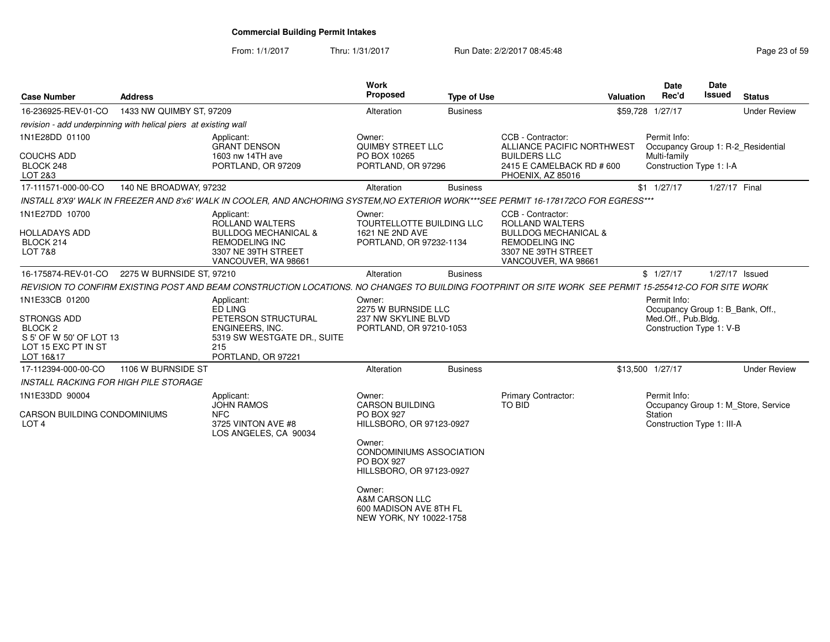From: 1/1/2017Thru: 1/31/2017 **Run Date: 2/2/2017 08:45:48** Page 23 of 59

| <b>Case Number</b>                                                                                                        | <b>Address</b>            |                                                                                                                                                        | <b>Work</b><br>Proposed                                                                                                                                                                                                        | <b>Type of Use</b> | Valuation                                                                                                                                      | <b>Date</b><br>Rec'd                                                                                | <b>Date</b><br>Issued | <b>Status</b>                       |
|---------------------------------------------------------------------------------------------------------------------------|---------------------------|--------------------------------------------------------------------------------------------------------------------------------------------------------|--------------------------------------------------------------------------------------------------------------------------------------------------------------------------------------------------------------------------------|--------------------|------------------------------------------------------------------------------------------------------------------------------------------------|-----------------------------------------------------------------------------------------------------|-----------------------|-------------------------------------|
| 16-236925-REV-01-CO                                                                                                       | 1433 NW QUIMBY ST, 97209  |                                                                                                                                                        | Alteration                                                                                                                                                                                                                     | <b>Business</b>    |                                                                                                                                                | \$59,728 1/27/17                                                                                    |                       | <b>Under Review</b>                 |
| revision - add underpinning with helical piers at existing wall                                                           |                           |                                                                                                                                                        |                                                                                                                                                                                                                                |                    |                                                                                                                                                |                                                                                                     |                       |                                     |
| 1N1E28DD 01100<br><b>COUCHS ADD</b><br>BLOCK 248<br>LOT 2&3                                                               |                           | Applicant:<br><b>GRANT DENSON</b><br>1603 nw 14TH ave<br>PORTLAND, OR 97209                                                                            | Owner:<br><b>QUIMBY STREET LLC</b><br>PO BOX 10265<br>PORTLAND, OR 97296                                                                                                                                                       |                    | CCB - Contractor:<br>ALLIANCE PACIFIC NORTHWEST<br><b>BUILDERS LLC</b><br>2415 E CAMELBACK RD # 600<br>PHOENIX, AZ 85016                       | Permit Info:<br>Occupancy Group 1: R-2 Residential<br>Multi-family<br>Construction Type 1: I-A      |                       |                                     |
| 17-111571-000-00-CO                                                                                                       | 140 NE BROADWAY, 97232    |                                                                                                                                                        | Alteration                                                                                                                                                                                                                     | <b>Business</b>    |                                                                                                                                                | $$1$ $1/27/17$                                                                                      | 1/27/17 Final         |                                     |
|                                                                                                                           |                           | INSTALL 8'X9' WALK IN FREEZER AND 8'x6' WALK IN COOLER, AND ANCHORING SYSTEM, NO EXTERIOR WORK***SEE PERMIT 16-178172CO FOR EGRESS***                  |                                                                                                                                                                                                                                |                    |                                                                                                                                                |                                                                                                     |                       |                                     |
| 1N1E27DD 10700<br><b>HOLLADAYS ADD</b><br>BLOCK 214<br>LOT 7&8                                                            |                           | Applicant:<br>ROLLAND WALTERS<br><b>BULLDOG MECHANICAL &amp;</b><br><b>REMODELING INC</b><br>3307 NE 39TH STREET<br>VANCOUVER, WA 98661                | Owner:<br>TOURTELLOTTE BUILDING LLC<br>1621 NE 2ND AVE<br>PORTLAND, OR 97232-1134                                                                                                                                              |                    | CCB - Contractor:<br>ROLLAND WALTERS<br><b>BULLDOG MECHANICAL &amp;</b><br><b>REMODELING INC</b><br>3307 NE 39TH STREET<br>VANCOUVER, WA 98661 |                                                                                                     |                       |                                     |
| 16-175874-REV-01-CO                                                                                                       | 2275 W BURNSIDE ST, 97210 |                                                                                                                                                        | Alteration                                                                                                                                                                                                                     | <b>Business</b>    |                                                                                                                                                | \$1/27/17                                                                                           | 1/27/17 Issued        |                                     |
|                                                                                                                           |                           | REVISION TO CONFIRM EXISTING POST AND BEAM CONSTRUCTION LOCATIONS. NO CHANGES TO BUILDING FOOTPRINT OR SITE WORK SEE PERMIT 15-255412-CO FOR SITE WORK |                                                                                                                                                                                                                                |                    |                                                                                                                                                |                                                                                                     |                       |                                     |
| 1N1E33CB 01200<br><b>STRONGS ADD</b><br>BLOCK <sub>2</sub><br>S 5' OF W 50' OF LOT 13<br>LOT 15 EXC PT IN ST<br>LOT 16&17 |                           | Applicant:<br>ED LING<br>PETERSON STRUCTURAL<br>ENGINEERS, INC.<br>5319 SW WESTGATE DR., SUITE<br>215<br>PORTLAND, OR 97221                            | Owner:<br>2275 W BURNSIDE LLC<br>237 NW SKYLINE BLVD<br>PORTLAND, OR 97210-1053                                                                                                                                                |                    |                                                                                                                                                | Permit Info:<br>Occupancy Group 1: B_Bank, Off.,<br>Med.Off., Pub.Bldg.<br>Construction Type 1: V-B |                       |                                     |
| 17-112394-000-00-CO                                                                                                       | 1106 W BURNSIDE ST        |                                                                                                                                                        | Alteration                                                                                                                                                                                                                     | <b>Business</b>    |                                                                                                                                                | \$13,500 1/27/17                                                                                    |                       | <b>Under Review</b>                 |
| <b>INSTALL RACKING FOR HIGH PILE STORAGE</b>                                                                              |                           |                                                                                                                                                        |                                                                                                                                                                                                                                |                    |                                                                                                                                                |                                                                                                     |                       |                                     |
| 1N1E33DD 90004<br><b>CARSON BUILDING CONDOMINIUMS</b><br>LOT <sub>4</sub>                                                 |                           | Applicant:<br><b>JOHN RAMOS</b><br><b>NFC</b><br>3725 VINTON AVE #8<br>LOS ANGELES, CA 90034                                                           | Owner:<br><b>CARSON BUILDING</b><br>PO BOX 927<br>HILLSBORO, OR 97123-0927<br>Owner:<br><b>CONDOMINIUMS ASSOCIATION</b><br><b>PO BOX 927</b><br>HILLSBORO, OR 97123-0927<br>Owner:<br>A&M CARSON LLC<br>600 MADISON AVE 8TH FL |                    | <b>Primary Contractor:</b><br>TO BID                                                                                                           | Permit Info:<br>Station<br>Construction Type 1: III-A                                               |                       | Occupancy Group 1: M_Store, Service |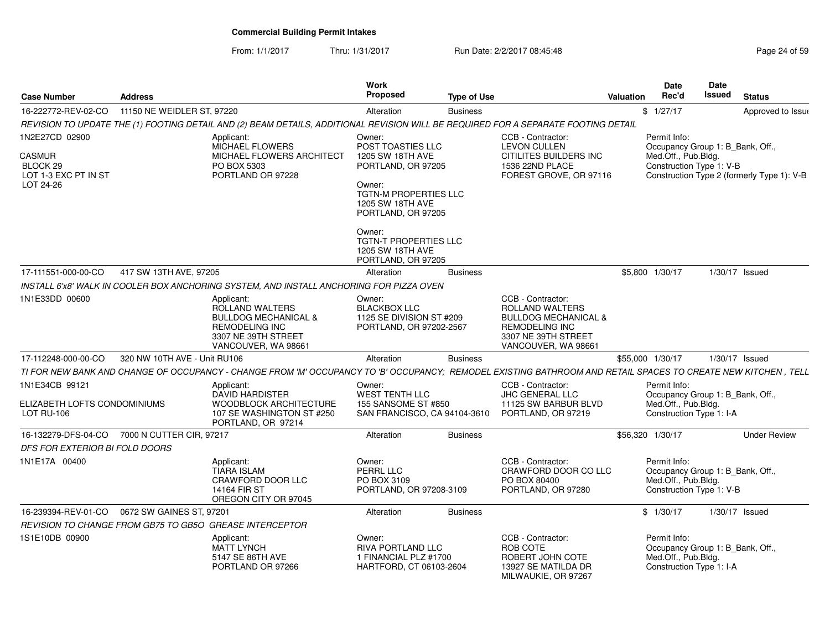From: 1/1/2017Thru: 1/31/2017 **Run Date: 2/2/2017 08:45:48** Page 24 of 59

| <b>Case Number</b>                                      | <b>Address</b>               |                                                                                                                                                               | Work<br>Proposed                                                                       | <b>Type of Use</b> |                                                                                                                                                | Valuation | <b>Date</b><br>Rec'd                                                                                | Date<br><b>Issued</b> | <b>Status</b>                              |
|---------------------------------------------------------|------------------------------|---------------------------------------------------------------------------------------------------------------------------------------------------------------|----------------------------------------------------------------------------------------|--------------------|------------------------------------------------------------------------------------------------------------------------------------------------|-----------|-----------------------------------------------------------------------------------------------------|-----------------------|--------------------------------------------|
| 16-222772-REV-02-CO                                     | 11150 NE WEIDLER ST, 97220   |                                                                                                                                                               | Alteration                                                                             | <b>Business</b>    |                                                                                                                                                |           | \$1/27/17                                                                                           |                       | Approved to Issue                          |
|                                                         |                              | REVISION TO UPDATE THE (1) FOOTING DETAIL AND (2) BEAM DETAILS, ADDITIONAL REVISION WILL BE REQUIRED FOR A SEPARATE FOOTING DETAIL                            |                                                                                        |                    |                                                                                                                                                |           |                                                                                                     |                       |                                            |
| 1N2E27CD 02900                                          |                              | Applicant:<br>MICHAEL FLOWERS                                                                                                                                 | Owner:<br>POST TOASTIES LLC                                                            |                    | CCB - Contractor:<br><b>LEVON CULLEN</b>                                                                                                       |           | Permit Info:<br>Occupancy Group 1: B_Bank, Off.,                                                    |                       |                                            |
| CASMUR<br>BLOCK 29<br>LOT 1-3 EXC PT IN ST<br>LOT 24-26 |                              | MICHAEL FLOWERS ARCHITECT<br>PO BOX 5303<br>PORTLAND OR 97228                                                                                                 | 1205 SW 18TH AVE<br>PORTLAND, OR 97205<br>Owner:                                       |                    | CITILITES BUILDERS INC<br>1536 22ND PLACE<br>FOREST GROVE, OR 97116                                                                            |           | Med.Off., Pub.Bldg.<br>Construction Type 1: V-B                                                     |                       | Construction Type 2 (formerly Type 1): V-B |
|                                                         |                              |                                                                                                                                                               | <b>TGTN-M PROPERTIES LLC</b><br>1205 SW 18TH AVE<br>PORTLAND, OR 97205                 |                    |                                                                                                                                                |           |                                                                                                     |                       |                                            |
|                                                         |                              |                                                                                                                                                               | Owner:<br><b>TGTN-T PROPERTIES LLC</b><br>1205 SW 18TH AVE<br>PORTLAND, OR 97205       |                    |                                                                                                                                                |           |                                                                                                     |                       |                                            |
| 17-111551-000-00-CO                                     | 417 SW 13TH AVE, 97205       |                                                                                                                                                               | Alteration                                                                             | <b>Business</b>    |                                                                                                                                                |           | \$5,800 1/30/17                                                                                     |                       | 1/30/17 Issued                             |
|                                                         |                              | INSTALL 6'x8' WALK IN COOLER BOX ANCHORING SYSTEM, AND INSTALL ANCHORING FOR PIZZA OVEN                                                                       |                                                                                        |                    |                                                                                                                                                |           |                                                                                                     |                       |                                            |
| 1N1E33DD 00600                                          |                              | Applicant:<br>ROLLAND WALTERS<br><b>BULLDOG MECHANICAL &amp;</b><br><b>REMODELING INC</b><br>3307 NE 39TH STREET<br>VANCOUVER, WA 98661                       | Owner:<br><b>BLACKBOX LLC</b><br>1125 SE DIVISION ST #209<br>PORTLAND, OR 97202-2567   |                    | CCB - Contractor:<br>ROLLAND WALTERS<br><b>BULLDOG MECHANICAL &amp;</b><br><b>REMODELING INC</b><br>3307 NE 39TH STREET<br>VANCOUVER, WA 98661 |           |                                                                                                     |                       |                                            |
| 17-112248-000-00-CO                                     | 320 NW 10TH AVE - Unit RU106 |                                                                                                                                                               | Alteration                                                                             | <b>Business</b>    |                                                                                                                                                |           | \$55,000 1/30/17                                                                                    |                       | $1/30/17$ Issued                           |
|                                                         |                              | TI FOR NEW BANK AND CHANGE OF OCCUPANCY - CHANGE FROM 'M' OCCUPANCY TO 'B' OCCUPANCY; REMODEL EXISTING BATHROOM AND RETAIL SPACES TO CREATE NEW KITCHEN, TELL |                                                                                        |                    |                                                                                                                                                |           |                                                                                                     |                       |                                            |
| 1N1E34CB 99121                                          |                              | Applicant:<br><b>DAVID HARDISTER</b>                                                                                                                          | Owner:<br><b>WEST TENTH LLC</b>                                                        |                    | CCB - Contractor:<br><b>JHC GENERAL LLC</b>                                                                                                    |           | Permit Info:<br>Occupancy Group 1: B_Bank, Off.,                                                    |                       |                                            |
| ELIZABETH LOFTS CONDOMINIUMS<br><b>LOT RU-106</b>       |                              | <b>WOODBLOCK ARCHITECTURE</b><br>107 SE WASHINGTON ST #250<br>PORTLAND, OR 97214                                                                              | 155 SANSOME ST #850<br>SAN FRANCISCO, CA 94104-3610                                    |                    | 11125 SW BARBUR BLVD<br>PORTLAND, OR 97219                                                                                                     |           | Med.Off., Pub.Bldg.<br>Construction Type 1: I-A                                                     |                       |                                            |
| 16-132279-DFS-04-CO                                     | 7000 N CUTTER CIR, 97217     |                                                                                                                                                               | Alteration                                                                             | <b>Business</b>    |                                                                                                                                                |           | \$56,320 1/30/17                                                                                    |                       | <b>Under Review</b>                        |
| DFS FOR EXTERIOR BI FOLD DOORS                          |                              |                                                                                                                                                               |                                                                                        |                    |                                                                                                                                                |           |                                                                                                     |                       |                                            |
| 1N1E17A 00400                                           |                              | Applicant:<br><b>TIARA ISLAM</b><br>CRAWFORD DOOR LLC<br>14164 FIR ST<br>OREGON CITY OR 97045                                                                 | Owner:<br>PERRL LLC<br>PO BOX 3109<br>PORTLAND, OR 97208-3109                          |                    | CCB - Contractor:<br>CRAWFORD DOOR CO LLC<br>PO BOX 80400<br>PORTLAND, OR 97280                                                                |           | Permit Info:<br>Occupancy Group 1: B Bank, Off.,<br>Med.Off., Pub.Bldg.<br>Construction Type 1: V-B |                       |                                            |
| 16-239394-REV-01-CO                                     | 0672 SW GAINES ST, 97201     |                                                                                                                                                               | Alteration                                                                             | <b>Business</b>    |                                                                                                                                                |           | \$1/30/17                                                                                           |                       | 1/30/17 Issued                             |
|                                                         |                              | REVISION TO CHANGE FROM GB75 TO GB5O GREASE INTERCEPTOR                                                                                                       |                                                                                        |                    |                                                                                                                                                |           |                                                                                                     |                       |                                            |
| 1S1E10DB 00900                                          |                              | Applicant:<br><b>MATT LYNCH</b><br>5147 SE 86TH AVE<br>PORTLAND OR 97266                                                                                      | Owner:<br><b>RIVA PORTLAND LLC</b><br>1 FINANCIAL PLZ #1700<br>HARTFORD, CT 06103-2604 |                    | CCB - Contractor:<br>ROB COTE<br>ROBERT JOHN COTE<br>13927 SE MATILDA DR<br>MILWAUKIE, OR 97267                                                |           | Permit Info:<br>Occupancy Group 1: B Bank, Off.,<br>Med.Off., Pub.Bldg.<br>Construction Type 1: I-A |                       |                                            |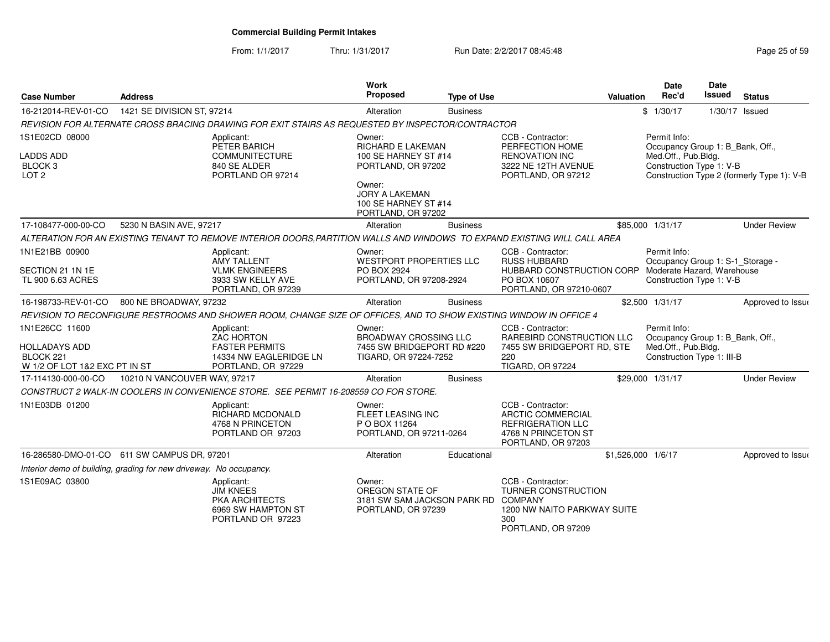From: 1/1/2017

Thru: 1/31/2017 **Run Date: 2/2/2017 08:45:48** Page 25 of 59 of 59 of 59 of 59 of 59 of 59 of 59 of 59 of 59 of 5

| Page 25 of 59 |  |  |  |
|---------------|--|--|--|
|---------------|--|--|--|

| <b>Case Number</b>                                                                   | <b>Address</b>               |                                                                                                                          | <b>Work</b><br>Proposed                                                                                                                                    | <b>Type of Use</b> |                                                                                                                        | Valuation          | <b>Date</b><br>Rec'd                                                                                       | Date<br><b>Issued</b> | <b>Status</b>                              |
|--------------------------------------------------------------------------------------|------------------------------|--------------------------------------------------------------------------------------------------------------------------|------------------------------------------------------------------------------------------------------------------------------------------------------------|--------------------|------------------------------------------------------------------------------------------------------------------------|--------------------|------------------------------------------------------------------------------------------------------------|-----------------------|--------------------------------------------|
| 16-212014-REV-01-CO                                                                  | 1421 SE DIVISION ST, 97214   |                                                                                                                          | Alteration                                                                                                                                                 | <b>Business</b>    |                                                                                                                        |                    | \$1/30/17                                                                                                  | 1/30/17 Issued        |                                            |
|                                                                                      |                              | REVISION FOR ALTERNATE CROSS BRACING DRAWING FOR EXIT STAIRS AS REQUESTED BY INSPECTOR/CONTRACTOR                        |                                                                                                                                                            |                    |                                                                                                                        |                    |                                                                                                            |                       |                                            |
| 1S1E02CD 08000<br><b>LADDS ADD</b><br>BLOCK <sub>3</sub><br>LOT <sub>2</sub>         |                              | Applicant:<br>PETER BARICH<br><b>COMMUNITECTURE</b><br>840 SE ALDER<br>PORTLAND OR 97214                                 | Owner:<br>RICHARD E LAKEMAN<br>100 SE HARNEY ST #14<br>PORTLAND, OR 97202<br>Owner:<br><b>JORY A LAKEMAN</b><br>100 SE HARNEY ST #14<br>PORTLAND, OR 97202 |                    | CCB - Contractor:<br>PERFECTION HOME<br><b>RENOVATION INC</b><br>3222 NE 12TH AVENUE<br>PORTLAND, OR 97212             |                    | Permit Info:<br>Occupancy Group 1: B_Bank, Off.,<br>Med.Off., Pub.Bldg.<br>Construction Type 1: V-B        |                       | Construction Type 2 (formerly Type 1): V-B |
| 17-108477-000-00-CO                                                                  | 5230 N BASIN AVE, 97217      |                                                                                                                          | Alteration                                                                                                                                                 | <b>Business</b>    |                                                                                                                        |                    | \$85,000 1/31/17                                                                                           |                       | <b>Under Review</b>                        |
|                                                                                      |                              | ALTERATION FOR AN EXISTING TENANT TO REMOVE INTERIOR DOORS,PARTITION WALLS AND WINDOWS TO EXPAND EXISTING WILL CALL AREA |                                                                                                                                                            |                    |                                                                                                                        |                    |                                                                                                            |                       |                                            |
| 1N1E21BB 00900<br>SECTION 21 1N 1E<br>TL 900 6.63 ACRES                              |                              | Applicant:<br><b>AMY TALLENT</b><br><b>VLMK ENGINEERS</b><br>3933 SW KELLY AVE<br>PORTLAND, OR 97239                     | Owner:<br><b>WESTPORT PROPERTIES LLC</b><br>PO BOX 2924<br>PORTLAND, OR 97208-2924                                                                         |                    | CCB - Contractor:<br><b>RUSS HUBBARD</b><br>HUBBARD CONSTRUCTION CORP<br>PO BOX 10607<br>PORTLAND, OR 97210-0607       |                    | Permit Info:<br>Occupancy Group 1: S-1_Storage -<br>Moderate Hazard, Warehouse<br>Construction Type 1: V-B |                       |                                            |
| 16-198733-REV-01-CO                                                                  | 800 NE BROADWAY, 97232       |                                                                                                                          | Alteration                                                                                                                                                 | <b>Business</b>    |                                                                                                                        |                    | \$2,500 1/31/17                                                                                            |                       | Approved to Issue                          |
|                                                                                      |                              | REVISION TO RECONFIGURE RESTROOMS AND SHOWER ROOM, CHANGE SIZE OF OFFICES, AND TO SHOW EXISTING WINDOW IN OFFICE 4       |                                                                                                                                                            |                    |                                                                                                                        |                    |                                                                                                            |                       |                                            |
| 1N1E26CC 11600<br><b>HOLLADAYS ADD</b><br>BLOCK 221<br>W 1/2 OF LOT 1&2 EXC PT IN ST |                              | Applicant:<br><b>ZAC HORTON</b><br><b>FASTER PERMITS</b><br>14334 NW EAGLERIDGE LN<br>PORTLAND, OR 97229                 | Owner:<br><b>BROADWAY CROSSING LLC</b><br>7455 SW BRIDGEPORT RD #220<br>TIGARD, OR 97224-7252                                                              |                    | CCB - Contractor:<br>RAREBIRD CONSTRUCTION LLC<br>7455 SW BRIDGEPORT RD, STE<br>220<br><b>TIGARD, OR 97224</b>         |                    | Permit Info:<br>Occupancy Group 1: B Bank, Off.,<br>Med.Off., Pub.Bldg.<br>Construction Type 1: III-B      |                       |                                            |
| 17-114130-000-00-CO                                                                  | 10210 N VANCOUVER WAY, 97217 |                                                                                                                          | Alteration                                                                                                                                                 | <b>Business</b>    |                                                                                                                        |                    | \$29,000 1/31/17                                                                                           |                       | <b>Under Review</b>                        |
|                                                                                      |                              | CONSTRUCT 2 WALK-IN COOLERS IN CONVENIENCE STORE. SEE PERMIT 16-208559 CO FOR STORE.                                     |                                                                                                                                                            |                    |                                                                                                                        |                    |                                                                                                            |                       |                                            |
| 1N1E03DB 01200                                                                       |                              | Applicant:<br>RICHARD MCDONALD<br>4768 N PRINCETON<br>PORTLAND OR 97203                                                  | Owner:<br>FLEET LEASING INC<br>P O BOX 11264<br>PORTLAND, OR 97211-0264                                                                                    |                    | CCB - Contractor:<br><b>ARCTIC COMMERCIAL</b><br><b>REFRIGERATION LLC</b><br>4768 N PRINCETON ST<br>PORTLAND, OR 97203 |                    |                                                                                                            |                       |                                            |
| 16-286580-DMO-01-CO 611 SW CAMPUS DR, 97201                                          |                              |                                                                                                                          | Alteration                                                                                                                                                 | Educational        |                                                                                                                        | \$1,526,000 1/6/17 |                                                                                                            |                       | Approved to Issue                          |
| Interior demo of building, grading for new driveway. No occupancy.                   |                              |                                                                                                                          |                                                                                                                                                            |                    |                                                                                                                        |                    |                                                                                                            |                       |                                            |
| 1S1E09AC 03800                                                                       |                              | Applicant:<br><b>JIM KNEES</b><br><b>PKA ARCHITECTS</b><br>6969 SW HAMPTON ST<br>PORTLAND OR 97223                       | Owner:<br>OREGON STATE OF<br>3181 SW SAM JACKSON PARK RD COMPANY<br>PORTLAND, OR 97239                                                                     |                    | CCB - Contractor:<br><b>TURNER CONSTRUCTION</b><br>1200 NW NAITO PARKWAY SUITE<br>300<br>PORTLAND, OR 97209            |                    |                                                                                                            |                       |                                            |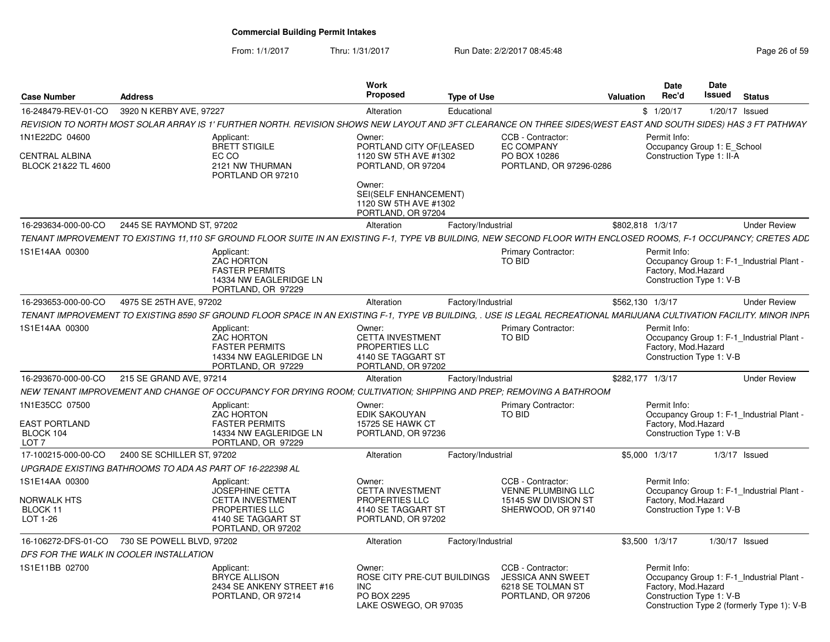From: 1/1/2017

Thru: 1/31/2017 **Run Date: 2/2/2017 08:45:48** Page 26 of 59

| <b>Case Number</b>                                               | <b>Address</b>                                                                                                                                                         | Work<br><b>Proposed</b>                                                                         | <b>Type of Use</b>                                                                       | <b>Valuation</b> | Date<br>Rec'd                        | <b>Date</b><br>Issued                                    | <b>Status</b>                                                                           |
|------------------------------------------------------------------|------------------------------------------------------------------------------------------------------------------------------------------------------------------------|-------------------------------------------------------------------------------------------------|------------------------------------------------------------------------------------------|------------------|--------------------------------------|----------------------------------------------------------|-----------------------------------------------------------------------------------------|
| 16-248479-REV-01-CO                                              | 3920 N KERBY AVE, 97227                                                                                                                                                | Alteration                                                                                      | Educational                                                                              |                  | \$1/20/17                            |                                                          | $1/20/17$ Issued                                                                        |
|                                                                  | REVISION TO NORTH MOST SOLAR ARRAY IS 1' FURTHER NORTH. REVISION SHOWS NEW LAYOUT AND 3FT CLEARANCE ON THREE SIDES(WEST EAST AND SOUTH SIDES) HAS 3 FT PATHWAY         |                                                                                                 |                                                                                          |                  |                                      |                                                          |                                                                                         |
| 1N1E22DC 04600<br><b>CENTRAL ALBINA</b><br>BLOCK 21&22 TL 4600   | Applicant:<br><b>BRETT STIGILE</b><br>EC CO<br>2121 NW THURMAN<br>PORTLAND OR 97210                                                                                    | Owner:<br>PORTLAND CITY OF (LEASED<br>1120 SW 5TH AVE #1302<br>PORTLAND, OR 97204               | CCB - Contractor:<br><b>EC COMPANY</b><br>PO BOX 10286<br>PORTLAND, OR 97296-0286        |                  | Permit Info:                         | Occupancy Group 1: E_School<br>Construction Type 1: II-A |                                                                                         |
|                                                                  |                                                                                                                                                                        | Owner:<br>SEI(SELF ENHANCEMENT)<br>1120 SW 5TH AVE #1302<br>PORTLAND, OR 97204                  |                                                                                          |                  |                                      |                                                          |                                                                                         |
| 16-293634-000-00-CO                                              | 2445 SE RAYMOND ST, 97202                                                                                                                                              | Alteration                                                                                      | Factory/Industrial                                                                       | \$802.818 1/3/17 |                                      |                                                          | <b>Under Review</b>                                                                     |
|                                                                  | TENANT IMPROVEMENT TO EXISTING 11.110 SF GROUND FLOOR SUITE IN AN EXISTING F-1. TYPE VB BUILDING. NEW SECOND FLOOR WITH ENCLOSED ROOMS. F-1 OCCUPANCY: CRETES ADL      |                                                                                                 |                                                                                          |                  |                                      |                                                          |                                                                                         |
| 1S1E14AA 00300                                                   | Applicant:<br>ZAC HORTON<br><b>FASTER PERMITS</b><br>14334 NW EAGLERIDGE LN<br>PORTLAND, OR 97229                                                                      |                                                                                                 | <b>Primary Contractor:</b><br><b>TO BID</b>                                              |                  | Permit Info:<br>Factory, Mod.Hazard  | Construction Type 1: V-B                                 | Occupancy Group 1: F-1_Industrial Plant -                                               |
| 16-293653-000-00-CO                                              | 4975 SE 25TH AVE, 97202                                                                                                                                                | Alteration                                                                                      | Factory/Industrial                                                                       | \$562.130 1/3/17 |                                      |                                                          | <b>Under Review</b>                                                                     |
|                                                                  | TENANT IMPROVEMENT TO EXISTING 8590 SF GROUND FLOOR SPACE IN AN EXISTING F-1, TYPE VB BUILDING, . USE IS LEGAL RECREATIONAL MARIJUANA CULTIVATION FACILITY. MINOR INPR |                                                                                                 |                                                                                          |                  |                                      |                                                          |                                                                                         |
| 1S1E14AA 00300                                                   | Applicant:<br><b>ZAC HORTON</b><br><b>FASTER PERMITS</b><br>14334 NW EAGLERIDGE LN<br>PORTLAND, OR 97229                                                               | Owner:<br><b>CETTA INVESTMENT</b><br>PROPERTIES LLC<br>4140 SE TAGGART ST<br>PORTLAND, OR 97202 | <b>Primary Contractor:</b><br>TO BID                                                     |                  | Permit Info:<br>Factory, Mod.Hazard  | Construction Type 1: V-B                                 | Occupancy Group 1: F-1_Industrial Plant -                                               |
| 16-293670-000-00-CO                                              | 215 SE GRAND AVE, 97214                                                                                                                                                | Alteration                                                                                      | Factory/Industrial                                                                       | \$282.177 1/3/17 |                                      |                                                          | <b>Under Review</b>                                                                     |
|                                                                  | NEW TENANT IMPROVEMENT AND CHANGE OF OCCUPANCY FOR DRYING ROOM: CULTIVATION: SHIPPING AND PREP: REMOVING A BATHROOM                                                    |                                                                                                 |                                                                                          |                  |                                      |                                                          |                                                                                         |
| 1N1E35CC 07500<br>EAST PORTLAND<br>BLOCK 104<br>LOT <sub>7</sub> | Applicant:<br><b>ZAC HORTON</b><br><b>FASTER PERMITS</b><br>14334 NW EAGLERIDGE LN<br>PORTLAND, OR 97229                                                               | Owner:<br><b>EDIK SAKOUYAN</b><br>15725 SE HAWK CT<br>PORTLAND, OR 97236                        | <b>Primary Contractor:</b><br><b>TO BID</b>                                              |                  | Permit Info:<br>Factory, Mod.Hazard  | Construction Type 1: V-B                                 | Occupancy Group 1: F-1_Industrial Plant -                                               |
| 17-100215-000-00-CO                                              | 2400 SE SCHILLER ST. 97202                                                                                                                                             | Alteration                                                                                      | Factory/Industrial                                                                       | \$5,000 1/3/17   |                                      |                                                          | $1/3/17$ Issued                                                                         |
|                                                                  | UPGRADE EXISTING BATHROOMS TO ADA AS PART OF 16-222398 AL                                                                                                              |                                                                                                 |                                                                                          |                  |                                      |                                                          |                                                                                         |
| 1S1E14AA 00300                                                   | Applicant:<br><b>JOSEPHINE CETTA</b>                                                                                                                                   | Owner:<br><b>CETTA INVESTMENT</b>                                                               | CCB - Contractor:<br><b>VENNE PLUMBING LLC</b>                                           |                  | Permit Info:                         |                                                          | Occupancy Group 1: F-1 Industrial Plant -                                               |
| NORWALK HTS<br>BLOCK 11<br>LOT 1-26                              | <b>CETTA INVESTMENT</b><br>PROPERTIES LLC<br>4140 SE TAGGART ST<br>PORTLAND, OR 97202                                                                                  | PROPERTIES LLC<br>4140 SE TAGGART ST<br>PORTLAND, OR 97202                                      | 15145 SW DIVISION ST<br>SHERWOOD, OR 97140                                               |                  | Factory, Mod.Hazard                  | Construction Type 1: V-B                                 |                                                                                         |
| 16-106272-DFS-01-CO                                              | 730 SE POWELL BLVD, 97202                                                                                                                                              | Alteration                                                                                      | Factory/Industrial                                                                       | \$3,500 1/3/17   |                                      |                                                          | $1/30/17$ Issued                                                                        |
|                                                                  | DFS FOR THE WALK IN COOLER INSTALLATION                                                                                                                                |                                                                                                 |                                                                                          |                  |                                      |                                                          |                                                                                         |
| 1S1E11BB 02700                                                   | Applicant:<br><b>BRYCE ALLISON</b><br>2434 SE ANKENY STREET #16<br>PORTLAND, OR 97214                                                                                  | Owner:<br>ROSE CITY PRE-CUT BUILDINGS<br>INC.<br>PO BOX 2295<br>LAKE OSWEGO, OR 97035           | CCB - Contractor:<br><b>JESSICA ANN SWEET</b><br>6218 SE TOLMAN ST<br>PORTLAND, OR 97206 |                  | Permit Info:<br>Factory, Mod. Hazard | Construction Type 1: V-B                                 | Occupancy Group 1: F-1 Industrial Plant -<br>Construction Type 2 (formerly Type 1): V-B |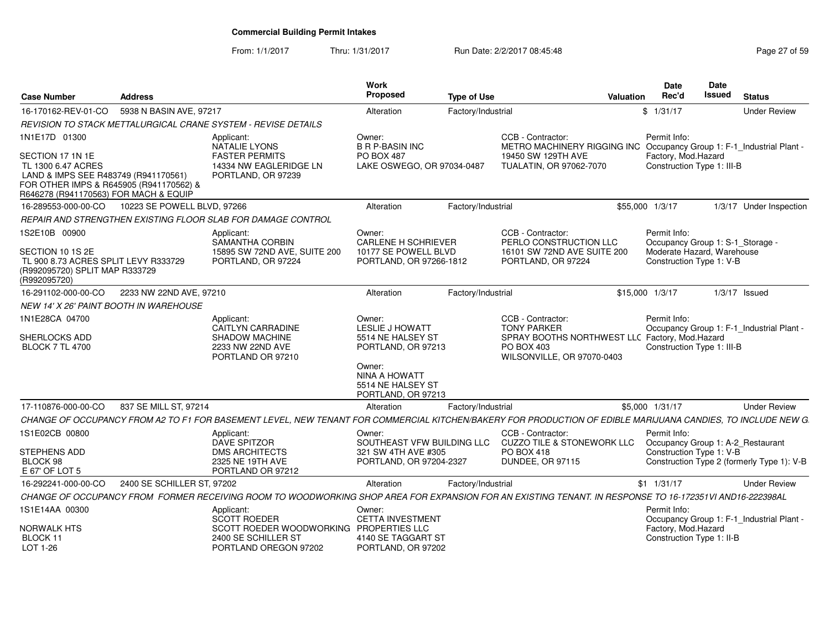From: 1/1/2017Thru: 1/31/2017 **Run Date: 2/2/2017 08:45:48** Page 27 of 59

| <b>Case Number</b>                                                                                                                                                 | <b>Address</b>              |                                                                                                                                                              | Work<br>Proposed                                                          | <b>Type of Use</b> |                                                                                                                        | Valuation | <b>Date</b><br>Rec'd                                   | Date<br>Issued | <b>Status</b>                              |
|--------------------------------------------------------------------------------------------------------------------------------------------------------------------|-----------------------------|--------------------------------------------------------------------------------------------------------------------------------------------------------------|---------------------------------------------------------------------------|--------------------|------------------------------------------------------------------------------------------------------------------------|-----------|--------------------------------------------------------|----------------|--------------------------------------------|
| 16-170162-REV-01-CO                                                                                                                                                | 5938 N BASIN AVE, 97217     |                                                                                                                                                              | Alteration                                                                | Factory/Industrial |                                                                                                                        |           | \$1/31/17                                              |                | <b>Under Review</b>                        |
|                                                                                                                                                                    |                             | REVISION TO STACK METTALURGICAL CRANE SYSTEM - REVISE DETAILS                                                                                                |                                                                           |                    |                                                                                                                        |           |                                                        |                |                                            |
| 1N1E17D 01300                                                                                                                                                      |                             | Applicant:                                                                                                                                                   | Owner:                                                                    |                    | CCB - Contractor:                                                                                                      |           | Permit Info:                                           |                |                                            |
| SECTION 17 1N 1E<br>TL 1300 6.47 ACRES<br>LAND & IMPS SEE R483749 (R941170561)<br>FOR OTHER IMPS & R645905 (R941170562) &<br>R646278 (R941170563) FOR MACH & EQUIP |                             | <b>NATALIE LYONS</b><br><b>FASTER PERMITS</b><br>14334 NW EAGLERIDGE LN<br>PORTLAND, OR 97239                                                                | <b>B R P-BASIN INC</b><br><b>PO BOX 487</b><br>LAKE OSWEGO, OR 97034-0487 |                    | METRO MACHINERY RIGGING INC Occupancy Group 1: F-1 Industrial Plant -<br>19450 SW 129TH AVE<br>TUALATIN, OR 97062-7070 |           | Factory, Mod.Hazard<br>Construction Type 1: III-B      |                |                                            |
| 16-289553-000-00-CO                                                                                                                                                | 10223 SE POWELL BLVD, 97266 |                                                                                                                                                              | Alteration                                                                | Factory/Industrial |                                                                                                                        |           | \$55,000 1/3/17                                        |                | 1/3/17 Under Inspection                    |
|                                                                                                                                                                    |                             | REPAIR AND STRENGTHEN EXISTING FLOOR SLAB FOR DAMAGE CONTROL                                                                                                 |                                                                           |                    |                                                                                                                        |           |                                                        |                |                                            |
| 1S2E10B 00900                                                                                                                                                      |                             | Applicant:<br>SAMANTHA CORBIN                                                                                                                                | Owner:<br><b>CARLENE H SCHRIEVER</b>                                      |                    | CCB - Contractor:<br>PERLO CONSTRUCTION LLC                                                                            |           | Permit Info:<br>Occupancy Group 1: S-1_Storage -       |                |                                            |
| SECTION 10 1S 2E<br>TL 900 8.73 ACRES SPLIT LEVY R333729<br>(R992095720) SPLIT MAP R333729<br>(R992095720)                                                         |                             | 15895 SW 72ND AVE, SUITE 200<br>PORTLAND, OR 97224                                                                                                           | 10177 SE POWELL BLVD<br>PORTLAND, OR 97266-1812                           |                    | 16101 SW 72ND AVE SUITE 200<br>PORTLAND, OR 97224                                                                      |           | Moderate Hazard, Warehouse<br>Construction Type 1: V-B |                |                                            |
| 16-291102-000-00-CO                                                                                                                                                | 2233 NW 22ND AVE, 97210     |                                                                                                                                                              | Alteration                                                                | Factory/Industrial |                                                                                                                        |           | \$15,000 1/3/17                                        |                | $1/3/17$ Issued                            |
| <b>NEW 14' X 26' PAINT BOOTH IN WAREHOUSE</b>                                                                                                                      |                             |                                                                                                                                                              |                                                                           |                    |                                                                                                                        |           |                                                        |                |                                            |
| 1N1E28CA 04700                                                                                                                                                     |                             | Applicant:<br><b>CAITLYN CARRADINE</b>                                                                                                                       | Owner:<br><b>LESLIE J HOWATT</b>                                          |                    | CCB - Contractor:<br><b>TONY PARKER</b>                                                                                |           | Permit Info:                                           |                | Occupancy Group 1: F-1_Industrial Plant -  |
| SHERLOCKS ADD<br><b>BLOCK 7 TL 4700</b>                                                                                                                            |                             | <b>SHADOW MACHINE</b><br>2233 NW 22ND AVE<br>PORTLAND OR 97210                                                                                               | 5514 NE HALSEY ST<br>PORTLAND, OR 97213                                   |                    | SPRAY BOOTHS NORTHWEST LLC Factory, Mod.Hazard<br>PO BOX 403<br>WILSONVILLE, OR 97070-0403                             |           | Construction Type 1: III-B                             |                |                                            |
|                                                                                                                                                                    |                             |                                                                                                                                                              | Owner:<br>NINA A HOWATT<br>5514 NE HALSEY ST<br>PORTLAND, OR 97213        |                    |                                                                                                                        |           |                                                        |                |                                            |
| 17-110876-000-00-CO                                                                                                                                                | 837 SE MILL ST, 97214       |                                                                                                                                                              | Alteration                                                                | Factory/Industrial |                                                                                                                        |           | \$5,000 1/31/17                                        |                | <b>Under Review</b>                        |
|                                                                                                                                                                    |                             | CHANGE OF OCCUPANCY FROM A2 TO F1 FOR BASEMENT LEVEL, NEW TENANT FOR COMMERCIAL KITCHEN/BAKERY FOR PRODUCTION OF EDIBLE MARIJUANA CANDIES, TO INCLUDE NEW G. |                                                                           |                    |                                                                                                                        |           |                                                        |                |                                            |
| 1S1E02CB 00800                                                                                                                                                     |                             | Applicant:<br><b>DAVE SPITZOR</b>                                                                                                                            | Owner:<br>SOUTHEAST VFW BUILDING LLC                                      |                    | CCB - Contractor:<br><b>CUZZO TILE &amp; STONEWORK LLC</b>                                                             |           | Permit Info:                                           |                | Occupancy Group 1: A-2_Restaurant          |
| STEPHENS ADD<br>BLOCK 98<br>E 67' OF LOT 5                                                                                                                         |                             | <b>DMS ARCHITECTS</b><br>2325 NE 19TH AVE<br>PORTLAND OR 97212                                                                                               | 321 SW 4TH AVE #305<br>PORTLAND, OR 97204-2327                            |                    | <b>PO BOX 418</b><br><b>DUNDEE, OR 97115</b>                                                                           |           | Construction Type 1: V-B                               |                | Construction Type 2 (formerly Type 1): V-B |
| 16-292241-000-00-CO                                                                                                                                                | 2400 SE SCHILLER ST, 97202  |                                                                                                                                                              | Alteration                                                                | Factory/Industrial |                                                                                                                        |           | $$1$ 1/31/17                                           |                | <b>Under Review</b>                        |
|                                                                                                                                                                    |                             |                                                                                                                                                              |                                                                           |                    |                                                                                                                        |           |                                                        |                |                                            |
|                                                                                                                                                                    |                             | CHANGE OF OCCUPANCY FROM FORMER RECEIVING ROOM TO WOODWORKING SHOP AREA FOR EXPANSION FOR AN EXISTING TENANT. IN RESPONSE TO 16-172351VI AND16-222398AL      |                                                                           |                    |                                                                                                                        |           |                                                        |                |                                            |
| 1S1E14AA 00300                                                                                                                                                     |                             | Applicant:<br><b>SCOTT ROEDER</b>                                                                                                                            | Owner:<br><b>CETTA INVESTMENT</b>                                         |                    |                                                                                                                        |           | Permit Info:                                           |                | Occupancy Group 1: F-1_Industrial Plant -  |
| <b>NORWALK HTS</b>                                                                                                                                                 |                             | SCOTT ROEDER WOODWORKING PROPERTIES LLC                                                                                                                      |                                                                           |                    |                                                                                                                        |           | Factory, Mod.Hazard                                    |                |                                            |
| BLOCK 11<br>LOT 1-26                                                                                                                                               |                             | 2400 SE SCHILLER ST<br>PORTLAND OREGON 97202                                                                                                                 | 4140 SE TAGGART ST<br>PORTLAND, OR 97202                                  |                    |                                                                                                                        |           | Construction Type 1: II-B                              |                |                                            |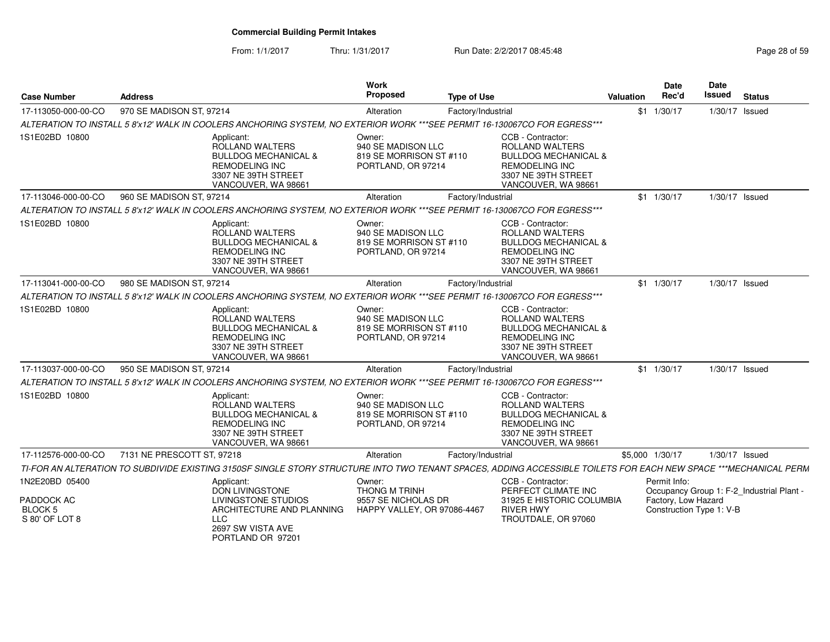From: 1/1/2017Thru: 1/31/2017 **Run Date: 2/2/2017 08:45:48** Page 28 of 59

| <b>Case Number</b>                             | <b>Address</b>             |                                                                                                                                                                  | Work<br>Proposed                                                              | <b>Type of Use</b> |                                                                                                                                                       | <b>Valuation</b> | Date<br>Rec'd                                   | Date<br>Issued | <b>Status</b>                             |
|------------------------------------------------|----------------------------|------------------------------------------------------------------------------------------------------------------------------------------------------------------|-------------------------------------------------------------------------------|--------------------|-------------------------------------------------------------------------------------------------------------------------------------------------------|------------------|-------------------------------------------------|----------------|-------------------------------------------|
| 17-113050-000-00-CO                            | 970 SE MADISON ST, 97214   |                                                                                                                                                                  | Alteration                                                                    | Factory/Industrial |                                                                                                                                                       |                  | $$1$ 1/30/17                                    | 1/30/17 Issued |                                           |
|                                                |                            | ALTERATION TO INSTALL 5 8'x12' WALK IN COOLERS ANCHORING SYSTEM, NO EXTERIOR WORK ***SEE PERMIT 16-130067CO FOR EGRESS***                                        |                                                                               |                    |                                                                                                                                                       |                  |                                                 |                |                                           |
| 1S1E02BD 10800                                 |                            | Applicant:<br>ROLLAND WALTERS<br><b>BULLDOG MECHANICAL &amp;</b><br><b>REMODELING INC</b><br>3307 NE 39TH STREET<br>VANCOUVER, WA 98661                          | Owner:<br>940 SE MADISON LLC<br>819 SE MORRISON ST #110<br>PORTLAND, OR 97214 |                    | CCB - Contractor:<br><b>ROLLAND WALTERS</b><br><b>BULLDOG MECHANICAL &amp;</b><br><b>REMODELING INC</b><br>3307 NE 39TH STREET<br>VANCOUVER, WA 98661 |                  |                                                 |                |                                           |
| 17-113046-000-00-CO                            | 960 SE MADISON ST, 97214   |                                                                                                                                                                  | Alteration                                                                    | Factory/Industrial |                                                                                                                                                       |                  | $$1 \quad 1/30/17$                              | 1/30/17 Issued |                                           |
|                                                |                            | ALTERATION TO INSTALL 5 8'x12' WALK IN COOLERS ANCHORING SYSTEM, NO EXTERIOR WORK ***SEE PERMIT 16-130067CO FOR EGRESS***                                        |                                                                               |                    |                                                                                                                                                       |                  |                                                 |                |                                           |
| 1S1E02BD 10800                                 |                            | Applicant:<br>ROLLAND WALTERS<br><b>BULLDOG MECHANICAL &amp;</b><br><b>REMODELING INC</b><br>3307 NE 39TH STREET<br>VANCOUVER, WA 98661                          | Owner:<br>940 SE MADISON LLC<br>819 SE MORRISON ST #110<br>PORTLAND, OR 97214 |                    | CCB - Contractor:<br>ROLLAND WALTERS<br><b>BULLDOG MECHANICAL &amp;</b><br><b>REMODELING INC</b><br>3307 NE 39TH STREET<br>VANCOUVER, WA 98661        |                  |                                                 |                |                                           |
| 17-113041-000-00-CO                            | 980 SE MADISON ST, 97214   |                                                                                                                                                                  | Alteration                                                                    | Factory/Industrial |                                                                                                                                                       |                  | $$1 \quad 1/30/17$                              | 1/30/17 Issued |                                           |
|                                                |                            | ALTERATION TO INSTALL 5 8'x12' WALK IN COOLERS ANCHORING SYSTEM, NO EXTERIOR WORK ***SEE PERMIT 16-130067CO FOR EGRESS***                                        |                                                                               |                    |                                                                                                                                                       |                  |                                                 |                |                                           |
| 1S1E02BD 10800                                 |                            | Applicant:<br>ROLLAND WALTERS<br><b>BULLDOG MECHANICAL &amp;</b><br><b>REMODELING INC</b><br>3307 NE 39TH STREET<br>VANCOUVER, WA 98661                          | Owner:<br>940 SE MADISON LLC<br>819 SE MORRISON ST #110<br>PORTLAND, OR 97214 |                    | CCB - Contractor:<br>ROLLAND WALTERS<br><b>BULLDOG MECHANICAL &amp;</b><br><b>REMODELING INC</b><br>3307 NE 39TH STREET<br>VANCOUVER, WA 98661        |                  |                                                 |                |                                           |
| 17-113037-000-00-CO                            | 950 SE MADISON ST, 97214   |                                                                                                                                                                  | Alteration                                                                    | Factory/Industrial |                                                                                                                                                       |                  | $$1 \quad 1/30/17$                              | 1/30/17 Issued |                                           |
|                                                |                            | ALTERATION TO INSTALL 5 8'x12' WALK IN COOLERS ANCHORING SYSTEM, NO EXTERIOR WORK ***SEE PERMIT 16-130067CO FOR EGRESS***                                        |                                                                               |                    |                                                                                                                                                       |                  |                                                 |                |                                           |
| 1S1E02BD 10800                                 |                            | Applicant:<br>ROLLAND WALTERS<br><b>BULLDOG MECHANICAL &amp;</b><br><b>REMODELING INC</b><br>3307 NE 39TH STREET<br>VANCOUVER, WA 98661                          | Owner:<br>940 SE MADISON LLC<br>819 SE MORRISON ST #110<br>PORTLAND, OR 97214 |                    | CCB - Contractor:<br><b>ROLLAND WALTERS</b><br><b>BULLDOG MECHANICAL &amp;</b><br><b>REMODELING INC</b><br>3307 NE 39TH STREET<br>VANCOUVER, WA 98661 |                  |                                                 |                |                                           |
| 17-112576-000-00-CO                            | 7131 NE PRESCOTT ST, 97218 |                                                                                                                                                                  | Alteration                                                                    | Factory/Industrial |                                                                                                                                                       |                  | \$5,000 1/30/17                                 | 1/30/17 Issued |                                           |
|                                                |                            | TI-FOR AN ALTERATION TO SUBDIVIDE EXISTING 3150SF SINGLE STORY STRUCTURE INTO TWO TENANT SPACES, ADDING ACCESSIBLE TOILETS FOR EACH NEW SPACE ***MECHANICAL PERM |                                                                               |                    |                                                                                                                                                       |                  |                                                 |                |                                           |
| 1N2E20BD 05400                                 |                            | Applicant:<br><b>DON LIVINGSTONE</b>                                                                                                                             | Owner:<br><b>THONG M TRINH</b>                                                |                    | CCB - Contractor:<br>PERFECT CLIMATE INC                                                                                                              |                  | Permit Info:                                    |                | Occupancy Group 1: F-2_Industrial Plant - |
| PADDOCK AC<br><b>BLOCK 5</b><br>S 80' OF LOT 8 |                            | <b>LIVINGSTONE STUDIOS</b><br>ARCHITECTURE AND PLANNING<br>LLC.<br>2697 SW VISTA AVE<br>PORTLAND OR 97201                                                        | 9557 SE NICHOLAS DR<br>HAPPY VALLEY, OR 97086-4467                            |                    | 31925 E HISTORIC COLUMBIA<br><b>RIVER HWY</b><br>TROUTDALE, OR 97060                                                                                  |                  | Factory, Low Hazard<br>Construction Type 1: V-B |                |                                           |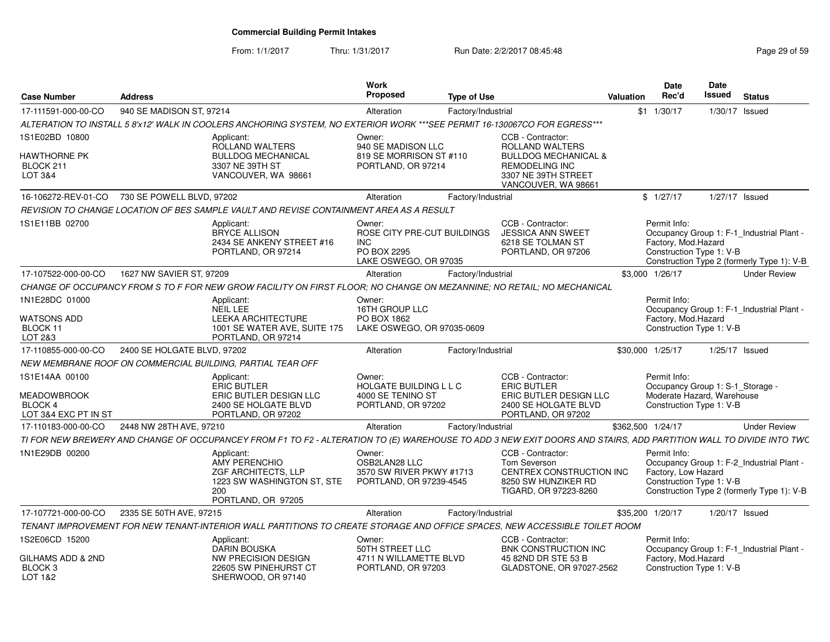From: 1/1/2017Thru: 1/31/2017 **Run Date: 2/2/2017 08:45:48** Page 29 of 59

| <b>Case Number</b>                                                      | <b>Address</b>                                |                                                                                                               | <b>Work</b><br>Proposed                                                                     | <b>Type of Use</b>                                                                                                                                                | Valuation          | <b>Date</b><br><b>Date</b><br>Rec'd<br>Issued                                                                                                             | <b>Status</b>  |                     |
|-------------------------------------------------------------------------|-----------------------------------------------|---------------------------------------------------------------------------------------------------------------|---------------------------------------------------------------------------------------------|-------------------------------------------------------------------------------------------------------------------------------------------------------------------|--------------------|-----------------------------------------------------------------------------------------------------------------------------------------------------------|----------------|---------------------|
| 17-111591-000-00-CO                                                     | 940 SE MADISON ST, 97214                      |                                                                                                               | Alteration                                                                                  | Factory/Industrial                                                                                                                                                | $$1 \quad 1/30/17$ |                                                                                                                                                           | 1/30/17 Issued |                     |
|                                                                         |                                               |                                                                                                               |                                                                                             | ALTERATION TO INSTALL 5 8'x12' WALK IN COOLERS ANCHORING SYSTEM. NO EXTERIOR WORK ***SEE PERMIT 16-130067CO FOR EGRESS***                                         |                    |                                                                                                                                                           |                |                     |
| 1S1E02BD 10800                                                          |                                               | Applicant:<br><b>ROLLAND WALTERS</b>                                                                          | Owner:<br>940 SE MADISON LLC                                                                | CCB - Contractor:<br>ROLLAND WALTERS                                                                                                                              |                    |                                                                                                                                                           |                |                     |
| <b>HAWTHORNE PK</b><br>BLOCK 211<br>LOT 3&4                             |                                               | <b>BULLDOG MECHANICAL</b><br>3307 NE 39TH ST<br>VANCOUVER, WA 98661                                           | 819 SE MORRISON ST #110<br>PORTLAND, OR 97214                                               | <b>BULLDOG MECHANICAL &amp;</b><br>REMODELING INC<br>3307 NE 39TH STREET<br>VANCOUVER, WA 98661                                                                   |                    |                                                                                                                                                           |                |                     |
|                                                                         | 16-106272-REV-01-CO 730 SE POWELL BLVD, 97202 |                                                                                                               | Alteration                                                                                  | Factory/Industrial                                                                                                                                                | \$1/27/17          |                                                                                                                                                           | 1/27/17 Issued |                     |
|                                                                         |                                               | REVISION TO CHANGE LOCATION OF BES SAMPLE VAULT AND REVISE CONTAINMENT AREA AS A RESULT                       |                                                                                             |                                                                                                                                                                   |                    |                                                                                                                                                           |                |                     |
| 1S1E11BB 02700                                                          |                                               | Applicant:<br><b>BRYCE ALLISON</b><br>2434 SE ANKENY STREET #16<br>PORTLAND, OR 97214                         | Owner:<br>ROSE CITY PRE-CUT BUILDINGS<br><b>INC</b><br>PO BOX 2295<br>LAKE OSWEGO, OR 97035 | CCB - Contractor:<br><b>JESSICA ANN SWEET</b><br>6218 SE TOLMAN ST<br>PORTLAND, OR 97206                                                                          |                    | Permit Info:<br>Occupancy Group 1: F-1_Industrial Plant<br>Factory, Mod. Hazard<br>Construction Type 1: V-B<br>Construction Type 2 (formerly Type 1): V-B |                |                     |
| 17-107522-000-00-CO                                                     | 1627 NW SAVIER ST, 97209                      |                                                                                                               | Alteration                                                                                  | Factory/Industrial                                                                                                                                                | \$3,000 1/26/17    |                                                                                                                                                           |                | <b>Under Review</b> |
|                                                                         |                                               |                                                                                                               |                                                                                             | CHANGE OF OCCUPANCY FROM S TO F FOR NEW GROW FACILITY ON FIRST FLOOR: NO CHANGE ON MEZANNINE; NO RETAIL; NO MECHANICAL                                            |                    |                                                                                                                                                           |                |                     |
| 1N1E28DC 01000<br><b>WATSONS ADD</b><br>BLOCK 11<br>LOT 2&3             |                                               | Applicant:<br>NEIL LEE<br><b>LEEKA ARCHITECTURE</b><br>1001 SE WATER AVE, SUITE 175<br>PORTLAND, OR 97214     | Owner:<br>16TH GROUP LLC<br>PO BOX 1862<br>LAKE OSWEGO, OR 97035-0609                       |                                                                                                                                                                   |                    | Permit Info:<br>Occupancy Group 1: F-1_Industrial Plant<br>Factory, Mod. Hazard<br>Construction Type 1: V-B                                               |                |                     |
| 17-110855-000-00-CO                                                     | 2400 SE HOLGATE BLVD, 97202                   |                                                                                                               | Alteration                                                                                  | Factory/Industrial                                                                                                                                                | \$30,000 1/25/17   |                                                                                                                                                           | 1/25/17 Issued |                     |
|                                                                         |                                               | NEW MEMBRANE ROOF ON COMMERCIAL BUILDING, PARTIAL TEAR OFF                                                    |                                                                                             |                                                                                                                                                                   |                    |                                                                                                                                                           |                |                     |
| 1S1E14AA 00100<br><b>MEADOWBROOK</b><br>BLOCK 4<br>LOT 3&4 EXC PT IN ST |                                               | Applicant:<br>ERIC BUTLER<br>ERIC BUTLER DESIGN LLC<br>2400 SE HOLGATE BLVD<br>PORTLAND, OR 97202             | Owner:<br>HOLGATE BUILDING L L C<br>4000 SE TENINO ST<br>PORTLAND, OR 97202                 | CCB - Contractor:<br><b>ERIC BUTLER</b><br>ERIC BUTLER DESIGN LLC<br>2400 SE HOLGATE BLVD<br>PORTLAND, OR 97202                                                   |                    | Permit Info:<br>Occupancy Group 1: S-1_Storage -<br>Moderate Hazard, Warehouse<br>Construction Type 1: V-B                                                |                |                     |
| 17-110183-000-00-CO                                                     | 2448 NW 28TH AVE, 97210                       |                                                                                                               | Alteration                                                                                  | Factory/Industrial                                                                                                                                                | \$362,500 1/24/17  |                                                                                                                                                           |                | <b>Under Review</b> |
|                                                                         |                                               |                                                                                                               |                                                                                             | TI FOR NEW BREWERY AND CHANGE OF OCCUPANCEY FROM F1 TO F2 - ALTERATION TO (E) WAREHOUSE TO ADD 3 NEW EXIT DOORS AND STAIRS, ADD PARTITION WALL TO DIVIDE INTO TWC |                    |                                                                                                                                                           |                |                     |
| 1N1E29DB 00200                                                          |                                               | Applicant:<br>AMY PERENCHIO<br>ZGF ARCHITECTS, LLP<br>1223 SW WASHINGTON ST, STE<br>200<br>PORTLAND, OR 97205 | Owner:<br>OSB2LAN28 LLC<br>3570 SW RIVER PKWY #1713<br>PORTLAND, OR 97239-4545              | CCB - Contractor:<br>Tom Severson<br>CENTREX CONSTRUCTION INC<br>8250 SW HUNZIKER RD<br>TIGARD, OR 97223-8260                                                     |                    | Permit Info:<br>Occupancy Group 1: F-2_Industrial Plant<br>Factory, Low Hazard<br>Construction Type 1: V-B<br>Construction Type 2 (formerly Type 1): V-B  |                |                     |
|                                                                         | 17-107721-000-00-CO 2335 SE 50TH AVE, 97215   |                                                                                                               | Alteration                                                                                  | Factory/Industrial                                                                                                                                                | \$35,200 1/20/17   |                                                                                                                                                           | 1/20/17 Issued |                     |
|                                                                         |                                               |                                                                                                               |                                                                                             | TENANT IMPROVEMENT FOR NEW TENANT-INTERIOR WALL PARTITIONS TO CREATE STORAGE AND OFFICE SPACES, NEW ACCESSIBLE TOILET ROOM                                        |                    |                                                                                                                                                           |                |                     |
| 1S2E06CD 15200                                                          |                                               | Applicant:<br>DARIN BOUSKA                                                                                    | Owner:<br>50TH STREET LLC                                                                   | CCB - Contractor:<br>BNK CONSTRUCTION INC                                                                                                                         |                    | Permit Info:<br>Occupancy Group 1: F-1_Industrial Plant                                                                                                   |                |                     |
| <b>GILHAMS ADD &amp; 2ND</b><br>BLOCK <sub>3</sub><br>LOT 1&2           |                                               | NW PRECISION DESIGN<br>22605 SW PINEHURST CT<br>SHERWOOD, OR 97140                                            | 4711 N WILLAMETTE BLVD<br>PORTLAND, OR 97203                                                | 45 82ND DR STE 53 B<br>GLADSTONE, OR 97027-2562                                                                                                                   |                    | Factory, Mod.Hazard<br>Construction Type 1: V-B                                                                                                           |                |                     |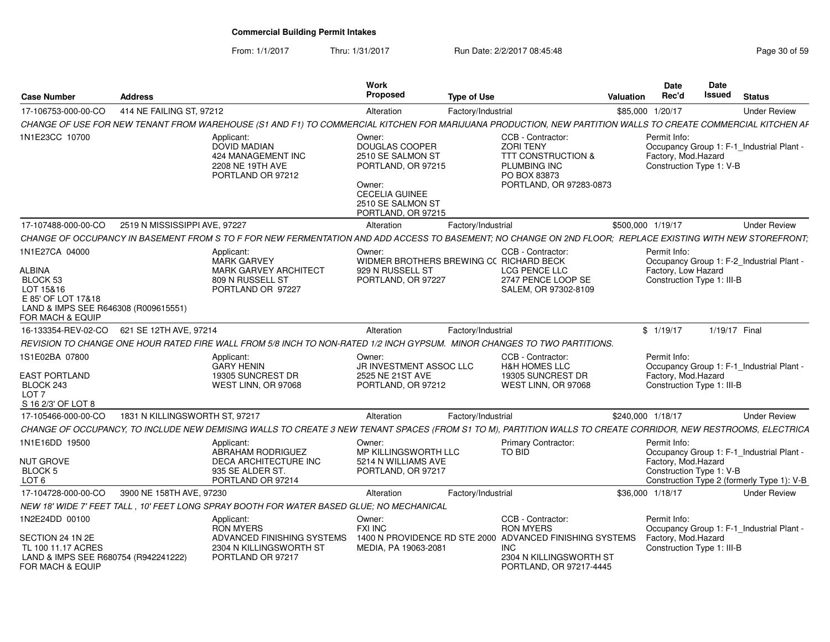From: 1/1/2017Thru: 1/31/2017 **Run Date: 2/2/2017 08:45:48** Page 30 of 59

| <b>Case Number</b>                                                                                                                         | <b>Address</b>                             |                                                                                                                                                               | Work<br><b>Proposed</b>                                                                                                                           | <b>Type of Use</b> |                                                                                                                                   | Valuation         | Date<br>Rec'd                                                      | <b>Date</b><br><b>Issued</b> | <b>Status</b>                              |
|--------------------------------------------------------------------------------------------------------------------------------------------|--------------------------------------------|---------------------------------------------------------------------------------------------------------------------------------------------------------------|---------------------------------------------------------------------------------------------------------------------------------------------------|--------------------|-----------------------------------------------------------------------------------------------------------------------------------|-------------------|--------------------------------------------------------------------|------------------------------|--------------------------------------------|
| 17-106753-000-00-CO                                                                                                                        | 414 NE FAILING ST, 97212                   |                                                                                                                                                               | Alteration                                                                                                                                        | Factory/Industrial |                                                                                                                                   |                   | \$85,000 1/20/17                                                   |                              | <b>Under Review</b>                        |
|                                                                                                                                            |                                            | CHANGE OF USE FOR NEW TENANT FROM WAREHOUSE (S1 AND F1) TO COMMERCIAL KITCHEN FOR MARIJUANA PRODUCTION, NEW PARTITION WALLS TO CREATE COMMERCIAL KITCHEN AF   |                                                                                                                                                   |                    |                                                                                                                                   |                   |                                                                    |                              |                                            |
| 1N1E23CC 10700                                                                                                                             |                                            | Applicant:<br><b>DOVID MADIAN</b><br>424 MANAGEMENT INC<br>2208 NE 19TH AVE<br>PORTLAND OR 97212                                                              | Owner:<br>DOUGLAS COOPER<br>2510 SE SALMON ST<br>PORTLAND, OR 97215<br>Owner:<br><b>CECELIA GUINEE</b><br>2510 SE SALMON ST<br>PORTLAND, OR 97215 |                    | CCB - Contractor:<br><b>ZORI TENY</b><br><b>TTT CONSTRUCTION &amp;</b><br>PLUMBING INC<br>PO BOX 83873<br>PORTLAND, OR 97283-0873 |                   | Permit Info:<br>Factory, Mod. Hazard<br>Construction Type 1: V-B   |                              | Occupancy Group 1: F-1_Industrial Plant -  |
| 17-107488-000-00-CO                                                                                                                        | 2519 N MISSISSIPPI AVE, 97227              |                                                                                                                                                               | Alteration                                                                                                                                        | Factory/Industrial |                                                                                                                                   | \$500,000 1/19/17 |                                                                    |                              | <b>Under Review</b>                        |
|                                                                                                                                            |                                            | CHANGE OF OCCUPANCY IN BASEMENT FROM S TO F FOR NEW FERMENTATION AND ADD ACCESS TO BASEMENT; NO CHANGE ON 2ND FLOOR; REPLACE EXISTING WITH NEW STOREFRONT;    |                                                                                                                                                   |                    |                                                                                                                                   |                   |                                                                    |                              |                                            |
| 1N1E27CA 04000<br><b>ALBINA</b><br>BLOCK 53<br>LOT 15&16<br>E 85' OF LOT 17&18<br>LAND & IMPS SEE R646308 (R009615551)<br>FOR MACH & EQUIP |                                            | Applicant:<br><b>MARK GARVEY</b><br><b>MARK GARVEY ARCHITECT</b><br>809 N RUSSELL ST<br>PORTLAND OR 97227                                                     | Owner:<br>WIDMER BROTHERS BREWING CC RICHARD BECK<br>929 N RUSSELL ST<br>PORTLAND, OR 97227                                                       |                    | CCB - Contractor:<br>LCG PENCE LLC<br>2747 PENCE LOOP SE<br>SALEM, OR 97302-8109                                                  |                   | Permit Info:<br>Factory, Low Hazard<br>Construction Type 1: III-B  |                              | Occupancy Group 1: F-2_Industrial Plant -  |
|                                                                                                                                            | 16-133354-REV-02-CO 621 SE 12TH AVE, 97214 |                                                                                                                                                               | Alteration                                                                                                                                        | Factory/Industrial |                                                                                                                                   |                   | \$1/19/17                                                          | 1/19/17 Final                |                                            |
|                                                                                                                                            |                                            | REVISION TO CHANGE ONE HOUR RATED FIRE WALL FROM 5/8 INCH TO NON-RATED 1/2 INCH GYPSUM. MINOR CHANGES TO TWO PARTITIONS.                                      |                                                                                                                                                   |                    |                                                                                                                                   |                   |                                                                    |                              |                                            |
| 1S1E02BA 07800<br><b>EAST PORTLAND</b><br>BLOCK 243<br>LOT 7<br>S 16 2/3' OF LOT 8                                                         |                                            | Applicant:<br><b>GARY HENIN</b><br>19305 SUNCREST DR<br>WEST LINN, OR 97068                                                                                   | Owner:<br>JR INVESTMENT ASSOC LLC<br>2525 NE 21ST AVE<br>PORTLAND, OR 97212                                                                       |                    | CCB - Contractor:<br><b>H&amp;H HOMES LLC</b><br>19305 SUNCREST DR<br>WEST LINN, OR 97068                                         |                   | Permit Info:<br>Factory, Mod. Hazard<br>Construction Type 1: III-B |                              | Occupancy Group 1: F-1_Industrial Plant -  |
| 17-105466-000-00-CO                                                                                                                        | 1831 N KILLINGSWORTH ST, 97217             |                                                                                                                                                               | Alteration                                                                                                                                        | Factory/Industrial |                                                                                                                                   | \$240.000 1/18/17 |                                                                    |                              | <b>Under Review</b>                        |
|                                                                                                                                            |                                            | CHANGE OF OCCUPANCY, TO INCLUDE NEW DEMISING WALLS TO CREATE 3 NEW TENANT SPACES (FROM S1 TO M), PARTITION WALLS TO CREATE CORRIDOR, NEW RESTROOMS, ELECTRICA |                                                                                                                                                   |                    |                                                                                                                                   |                   |                                                                    |                              |                                            |
| 1N1E16DD 19500                                                                                                                             |                                            | Applicant:<br>ABRAHAM RODRIGUEZ                                                                                                                               | Owner:<br>MP KILLINGSWORTH LLC                                                                                                                    |                    | Primary Contractor:<br>TO BID                                                                                                     |                   | Permit Info:                                                       |                              | Occupancy Group 1: F-1 Industrial Plant -  |
| NUT GROVE<br>BLOCK <sub>5</sub><br>LOT <sub>6</sub>                                                                                        |                                            | DECA ARCHITECTURE INC<br>935 SE ALDER ST.<br>PORTLAND OR 97214                                                                                                | 5214 N WILLIAMS AVE<br>PORTLAND, OR 97217                                                                                                         |                    |                                                                                                                                   |                   | Factory, Mod. Hazard<br>Construction Type 1: V-B                   |                              | Construction Type 2 (formerly Type 1): V-B |
| 17-104728-000-00-CO                                                                                                                        | 3900 NE 158TH AVE, 97230                   |                                                                                                                                                               | Alteration                                                                                                                                        | Factory/Industrial |                                                                                                                                   |                   | \$36,000 1/18/17                                                   |                              | <b>Under Review</b>                        |
|                                                                                                                                            |                                            | NEW 18' WIDE 7' FEET TALL , 10' FEET LONG SPRAY BOOTH FOR WATER BASED GLUE; NO MECHANICAL                                                                     |                                                                                                                                                   |                    |                                                                                                                                   |                   |                                                                    |                              |                                            |
| 1N2E24DD 00100                                                                                                                             |                                            | Applicant:<br><b>RON MYERS</b>                                                                                                                                | Owner:<br><b>FXI INC</b>                                                                                                                          |                    | CCB - Contractor:<br><b>RON MYERS</b>                                                                                             |                   | Permit Info:                                                       |                              | Occupancy Group 1: F-1_Industrial Plant    |
| SECTION 24 1N 2E<br>TL 100 11.17 ACRES<br>LAND & IMPS SEE R680754 (R942241222)<br>FOR MACH & EQUIP                                         |                                            | ADVANCED FINISHING SYSTEMS<br>2304 N KILLINGSWORTH ST<br>PORTLAND OR 97217                                                                                    | MEDIA, PA 19063-2081                                                                                                                              |                    | 1400 N PROVIDENCE RD STE 2000 ADVANCED FINISHING SYSTEMS<br><b>INC</b><br>2304 N KILLINGSWORTH ST<br>PORTLAND, OR 97217-4445      |                   | Factory, Mod.Hazard<br>Construction Type 1: III-B                  |                              |                                            |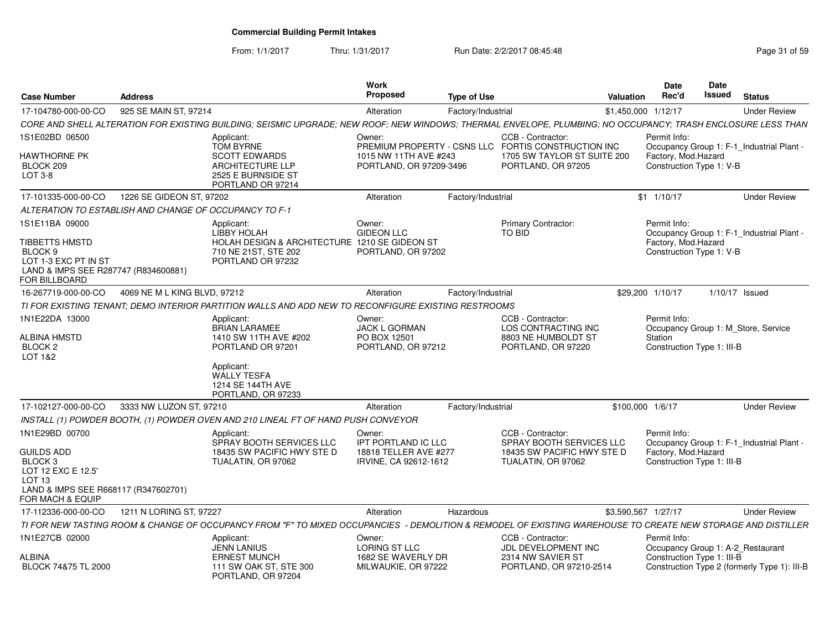From: 1/1/2017

Thru: 1/31/2017 **Run Date: 2/2/2017 08:45:48** Page 31 of 59

| <b>Case Number</b>                                                                                                                             | <b>Address</b>               |                                                                                                                                                              | <b>Work</b><br><b>Proposed</b>                                                  | <b>Type of Use</b> |                                                                                                   | <b>Valuation</b>    | Date<br>Rec'd                                                     | Date<br>Issued | <b>Status</b>                                |
|------------------------------------------------------------------------------------------------------------------------------------------------|------------------------------|--------------------------------------------------------------------------------------------------------------------------------------------------------------|---------------------------------------------------------------------------------|--------------------|---------------------------------------------------------------------------------------------------|---------------------|-------------------------------------------------------------------|----------------|----------------------------------------------|
| 17-104780-000-00-CO                                                                                                                            | 925 SE MAIN ST, 97214        |                                                                                                                                                              | Alteration                                                                      | Factory/Industrial |                                                                                                   | \$1,450,000 1/12/17 |                                                                   |                | <b>Under Review</b>                          |
|                                                                                                                                                |                              | CORE AND SHELL ALTERATION FOR EXISTING BUILDING; SEISMIC UPGRADE; NEW ROOF; NEW WINDOWS; THERMAL ENVELOPE, PLUMBING; NO OCCUPANCY; TRASH ENCLOSURE LESS THAN |                                                                                 |                    |                                                                                                   |                     |                                                                   |                |                                              |
| 1S1E02BD 06500                                                                                                                                 |                              | Applicant:<br><b>TOM BYRNE</b>                                                                                                                               | Owner:                                                                          |                    | CCB - Contractor:<br>PREMIUM PROPERTY - CSNS LLC FORTIS CONSTRUCTION INC                          |                     | Permit Info:                                                      |                | Occupancy Group 1: F-1_Industrial Plant -    |
| HAWTHORNE PK<br>BLOCK 209<br>LOT 3-8                                                                                                           |                              | <b>SCOTT EDWARDS</b><br>ARCHITECTURE LLP<br>2525 E BURNSIDE ST<br>PORTLAND OR 97214                                                                          | 1015 NW 11TH AVE #243<br>PORTLAND, OR 97209-3496                                |                    | 1705 SW TAYLOR ST SUITE 200<br>PORTLAND, OR 97205                                                 |                     | Factory, Mod. Hazard<br>Construction Type 1: V-B                  |                |                                              |
| 17-101335-000-00-CO                                                                                                                            | 1226 SE GIDEON ST, 97202     |                                                                                                                                                              | Alteration                                                                      | Factory/Industrial |                                                                                                   |                     | $$1 \quad 1/10/17$                                                |                | <b>Under Review</b>                          |
| ALTERATION TO ESTABLISH AND CHANGE OF OCCUPANCY TO F-1                                                                                         |                              |                                                                                                                                                              |                                                                                 |                    |                                                                                                   |                     |                                                                   |                |                                              |
| 1S1E11BA 09000<br>TIBBETTS HMSTD<br>BLOCK 9<br>LOT 1-3 EXC PT IN ST<br>LAND & IMPS SEE R287747 (R834600881)<br>FOR BILLBOARD                   |                              | Applicant:<br>LIBBY HOLAH<br>HOLAH DESIGN & ARCHITECTURE 1210 SE GIDEON ST<br>710 NE 21ST, STE 202<br>PORTLAND OR 97232                                      | Owner:<br><b>GIDEON LLC</b><br>PORTLAND, OR 97202                               |                    | <b>Primary Contractor:</b><br>TO BID                                                              |                     | Permit Info:<br>Factory, Mod.Hazard<br>Construction Type 1: V-B   |                | Occupancy Group 1: F-1_Industrial Plant -    |
| 16-267719-000-00-CO                                                                                                                            | 4069 NE M L KING BLVD, 97212 |                                                                                                                                                              | Alteration                                                                      | Factory/Industrial |                                                                                                   |                     | \$29,200 1/10/17                                                  |                | $1/10/17$ Issued                             |
|                                                                                                                                                |                              | TI FOR EXISTING TENANT; DEMO INTERIOR PARTITION WALLS AND ADD NEW TO RECONFIGURE EXISTING RESTROOMS                                                          |                                                                                 |                    |                                                                                                   |                     |                                                                   |                |                                              |
| 1N1E22DA 13000<br>ALBINA HMSTD<br>BLOCK 2<br>LOT 1&2                                                                                           |                              | Applicant:<br><b>BRIAN LARAMEE</b><br>1410 SW 11TH AVE #202<br>PORTLAND OR 97201<br>Applicant:                                                               | Owner:<br><b>JACK L GORMAN</b><br>PO BOX 12501<br>PORTLAND, OR 97212            |                    | CCB - Contractor:<br>LOS CONTRACTING INC<br>8803 NE HUMBOLDT ST<br>PORTLAND, OR 97220             |                     | Permit Info:<br>Station<br>Construction Type 1: III-B             |                | Occupancy Group 1: M_Store, Service          |
|                                                                                                                                                |                              | <b>WALLY TESFA</b><br>1214 SE 144TH AVE<br>PORTLAND, OR 97233                                                                                                |                                                                                 |                    |                                                                                                   |                     |                                                                   |                |                                              |
| 17-102127-000-00-CO                                                                                                                            | 3333 NW LUZON ST, 97210      |                                                                                                                                                              | Alteration                                                                      | Factory/Industrial |                                                                                                   | \$100,000 1/6/17    |                                                                   |                | <b>Under Review</b>                          |
|                                                                                                                                                |                              | INSTALL (1) POWDER BOOTH, (1) POWDER OVEN AND 210 LINEAL FT OF HAND PUSH CONVEYOR                                                                            |                                                                                 |                    |                                                                                                   |                     |                                                                   |                |                                              |
| 1N1E29BD 00700<br>GUILDS ADD<br>BLOCK 3<br>LOT 12 EXC E 12.5'<br>LOT <sub>13</sub><br>LAND & IMPS SEE R668117 (R347602701)<br>FOR MACH & EQUIP |                              | Applicant:<br>SPRAY BOOTH SERVICES LLC<br>18435 SW PACIFIC HWY STE D<br>TUALATIN, OR 97062                                                                   | Owner:<br>IPT PORTLAND IC LLC<br>18818 TELLER AVE #277<br>IRVINE, CA 92612-1612 |                    | CCB - Contractor:<br>SPRAY BOOTH SERVICES LLC<br>18435 SW PACIFIC HWY STE D<br>TUALATIN, OR 97062 |                     | Permit Info:<br>Factory, Mod.Hazard<br>Construction Type 1: III-B |                | Occupancy Group 1: F-1_Industrial Plant -    |
| 17-112336-000-00-CO                                                                                                                            | 1211 N LORING ST. 97227      |                                                                                                                                                              | Alteration                                                                      | Hazardous          |                                                                                                   | \$3,590,567 1/27/17 |                                                                   |                | <b>Under Review</b>                          |
|                                                                                                                                                |                              | TI FOR NEW TASTING ROOM & CHANGE OF OCCUPANCY FROM "F" TO MIXED OCCUPANCIES - DEMOLITION & REMODEL OF EXISTING WAREHOUSE TO CREATE NEW STORAGE AND DISTILLER |                                                                                 |                    |                                                                                                   |                     |                                                                   |                |                                              |
| 1N1E27CB 02000                                                                                                                                 |                              | Applicant:<br><b>JENN LANIUS</b>                                                                                                                             | Owner:<br>LORING ST LLC                                                         |                    | CCB - Contractor:<br>JDL DEVELOPMENT INC                                                          |                     | Permit Info:<br>Occupancy Group 1: A-2 Restaurant                 |                |                                              |
| ALBINA<br>BLOCK 74&75 TL 2000                                                                                                                  |                              | <b>ERNEST MUNCH</b><br>111 SW OAK ST, STE 300<br>PORTLAND, OR 97204                                                                                          | 1682 SE WAVERLY DR<br>MILWAUKIE, OR 97222                                       |                    | 2314 NW SAVIER ST<br>PORTLAND, OR 97210-2514                                                      |                     | Construction Type 1: III-B                                        |                | Construction Type 2 (formerly Type 1): III-B |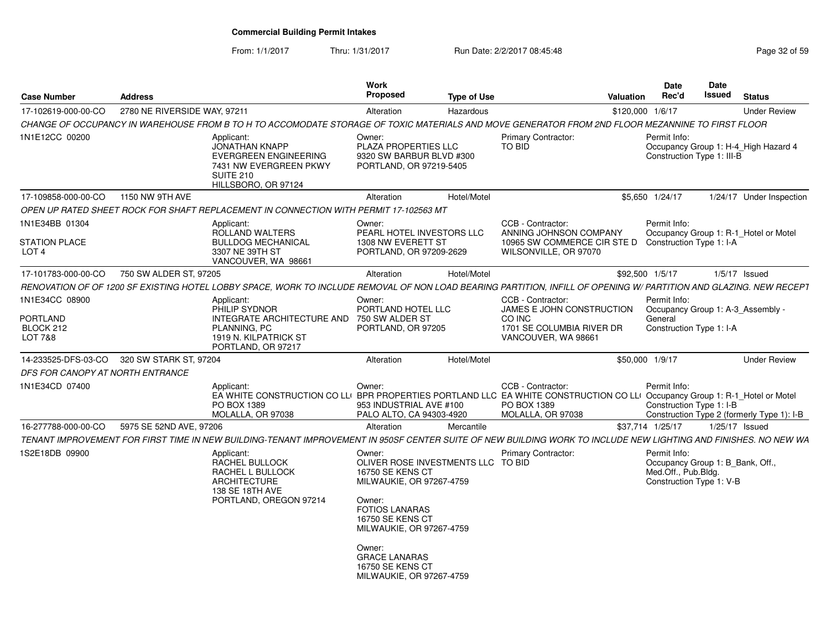From: 1/1/2017Thru: 1/31/2017 **Run Date: 2/2/2017 08:45:48** Page 32 of 59

| <b>Case Number</b>                                         | <b>Address</b>               |                                                                                                                                                                               | Work<br><b>Proposed</b>                                                                                                                                                                                                                      | <b>Type of Use</b> |                                                                                                                              | <b>Valuation</b> | Date<br>Rec'd                                                                                       | <b>Date</b><br>Issued | <b>Status</b>                              |
|------------------------------------------------------------|------------------------------|-------------------------------------------------------------------------------------------------------------------------------------------------------------------------------|----------------------------------------------------------------------------------------------------------------------------------------------------------------------------------------------------------------------------------------------|--------------------|------------------------------------------------------------------------------------------------------------------------------|------------------|-----------------------------------------------------------------------------------------------------|-----------------------|--------------------------------------------|
| 17-102619-000-00-CO                                        | 2780 NE RIVERSIDE WAY, 97211 |                                                                                                                                                                               | Alteration                                                                                                                                                                                                                                   | Hazardous          |                                                                                                                              |                  | \$120,000 1/6/17                                                                                    |                       | <b>Under Review</b>                        |
|                                                            |                              | CHANGE OF OCCUPANCY IN WAREHOUSE FROM B TO H TO ACCOMODATE STORAGE OF TOXIC MATERIALS AND MOVE GENERATOR FROM 2ND FLOOR MEZANNINE TO FIRST FLOOR                              |                                                                                                                                                                                                                                              |                    |                                                                                                                              |                  |                                                                                                     |                       |                                            |
| 1N1E12CC 00200                                             |                              | Applicant:<br><b>JONATHAN KNAPP</b><br><b>EVERGREEN ENGINEERING</b><br>7431 NW EVERGREEN PKWY<br><b>SUITE 210</b><br>HILLSBORO, OR 97124                                      | Owner:<br>PLAZA PROPERTIES LLC<br>9320 SW BARBUR BLVD #300<br>PORTLAND, OR 97219-5405                                                                                                                                                        |                    | <b>Primary Contractor:</b><br>TO BID                                                                                         |                  | Permit Info:<br>Construction Type 1: III-B                                                          |                       | Occupancy Group 1: H-4_High Hazard 4       |
| 17-109858-000-00-CO                                        | 1150 NW 9TH AVE              |                                                                                                                                                                               | Alteration                                                                                                                                                                                                                                   | Hotel/Motel        |                                                                                                                              |                  | \$5,650 1/24/17                                                                                     |                       | 1/24/17 Under Inspection                   |
|                                                            |                              | OPEN UP RATED SHEET ROCK FOR SHAFT REPLACEMENT IN CONNECTION WITH PERMIT 17-102563 MT                                                                                         |                                                                                                                                                                                                                                              |                    |                                                                                                                              |                  |                                                                                                     |                       |                                            |
| 1N1E34BB 01304<br><b>STATION PLACE</b><br>LOT <sub>4</sub> |                              | Applicant:<br>ROLLAND WALTERS<br><b>BULLDOG MECHANICAL</b><br>3307 NE 39TH ST<br>VANCOUVER, WA 98661                                                                          | Owner:<br>PEARL HOTEL INVESTORS LLC<br>1308 NW EVERETT ST<br>PORTLAND, OR 97209-2629                                                                                                                                                         |                    | CCB - Contractor:<br>ANNING JOHNSON COMPANY<br>10965 SW COMMERCE CIR STE D Construction Type 1: I-A<br>WILSONVILLE, OR 97070 |                  | Permit Info:                                                                                        |                       | Occupancy Group 1: R-1_Hotel or Motel      |
| 17-101783-000-00-CO                                        | 750 SW ALDER ST, 97205       |                                                                                                                                                                               | Alteration                                                                                                                                                                                                                                   | Hotel/Motel        |                                                                                                                              |                  | \$92,500 1/5/17                                                                                     |                       | $1/5/17$ Issued                            |
|                                                            |                              | RENOVATION OF OF 1200 SF EXISTING HOTEL LOBBY SPACE, WORK TO INCLUDE REMOVAL OF NON LOAD BEARING PARTITION, INFILL OF OPENING W/ PARTITION AND GLAZING. NEW RECEPT            |                                                                                                                                                                                                                                              |                    |                                                                                                                              |                  |                                                                                                     |                       |                                            |
| 1N1E34CC 08900<br>PORTLAND<br>BLOCK 212<br>LOT 7&8         |                              | Applicant:<br>PHILIP SYDNOR<br>INTEGRATE ARCHITECTURE AND<br>PLANNING, PC<br>1919 N. KILPATRICK ST<br>PORTLAND, OR 97217                                                      | Owner:<br>PORTLAND HOTEL LLC<br>750 SW ALDER ST<br>PORTLAND, OR 97205                                                                                                                                                                        |                    | CCB - Contractor:<br>JAMES E JOHN CONSTRUCTION<br>CO INC<br>1701 SE COLUMBIA RIVER DR<br>VANCOUVER, WA 98661                 |                  | Permit Info:<br>Occupancy Group 1: A-3_Assembly -<br>General<br>Construction Type 1: I-A            |                       |                                            |
| 14-233525-DFS-03-CO                                        | 320 SW STARK ST, 97204       |                                                                                                                                                                               | Alteration                                                                                                                                                                                                                                   | Hotel/Motel        |                                                                                                                              |                  | \$50,000 1/9/17                                                                                     |                       | <b>Under Review</b>                        |
| DFS FOR CANOPY AT NORTH ENTRANCE                           |                              |                                                                                                                                                                               |                                                                                                                                                                                                                                              |                    |                                                                                                                              |                  |                                                                                                     |                       |                                            |
| 1N1E34CD 07400                                             |                              | Applicant:<br>EA WHITE CONSTRUCTION CO LLI BPR PROPERTIES PORTLAND LLC EA WHITE CONSTRUCTION CO LLI Occupancy Group 1: R-1_Hotel or Motel<br>PO BOX 1389<br>MOLALLA, OR 97038 | Owner:<br>953 INDUSTRIAL AVE #100<br>PALO ALTO, CA 94303-4920                                                                                                                                                                                |                    | CCB - Contractor:<br>PO BOX 1389<br>MOLALLA, OR 97038                                                                        |                  | Permit Info:<br>Construction Type 1: I-B                                                            |                       | Construction Type 2 (formerly Type 1): I-B |
| 16-277788-000-00-CO                                        | 5975 SE 52ND AVE, 97206      |                                                                                                                                                                               | Alteration                                                                                                                                                                                                                                   | Mercantile         |                                                                                                                              |                  | \$37,714 1/25/17                                                                                    |                       | $1/25/17$ Issued                           |
|                                                            |                              | TENANT IMPROVEMENT FOR FIRST TIME IN NEW BUILDING-TENANT IMPROVEMENT IN 950SF CENTER SUITE OF NEW BUILDING WORK TO INCLUDE NEW LIGHTING AND FINISHES. NO NEW WA               |                                                                                                                                                                                                                                              |                    |                                                                                                                              |                  |                                                                                                     |                       |                                            |
| 1S2E18DB 09900                                             |                              | Applicant:<br>RACHEL BULLOCK<br>RACHEL L BULLOCK<br><b>ARCHITECTURE</b><br>138 SE 18TH AVE<br>PORTLAND, OREGON 97214                                                          | Owner:<br>OLIVER ROSE INVESTMENTS LLC TO BID<br>16750 SE KENS CT<br>MILWAUKIE, OR 97267-4759<br>Owner:<br><b>FOTIOS LANARAS</b><br>16750 SE KENS CT<br>MILWAUKIE, OR 97267-4759<br>Owner:<br><b>GRACE LANARAS</b><br><b>16750 SE KENS CT</b> |                    | Primary Contractor:                                                                                                          |                  | Permit Info:<br>Occupancy Group 1: B Bank, Off.,<br>Med.Off., Pub.Bldg.<br>Construction Type 1: V-B |                       |                                            |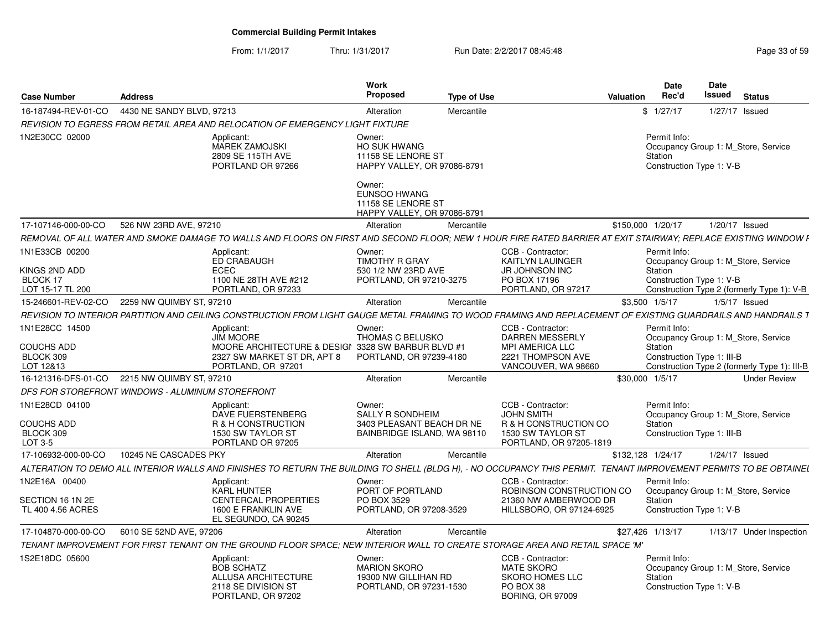#### From: 1/1/2017Thru: 1/31/2017 **Run Date: 2/2/2017 08:45:48** Page 33 of 59

| Proposed<br>Issued<br>Rec'd<br><b>Type of Use</b><br><b>Status</b><br><b>Case Number</b><br><b>Address</b><br>Valuation<br>16-187494-REV-01-CO 4430 NE SANDY BLVD, 97213<br>\$1/27/17<br>1/27/17 Issued<br>Mercantile<br>Alteration<br>REVISION TO EGRESS FROM RETAIL AREA AND RELOCATION OF EMERGENCY LIGHT FIXTURE<br>1N2E30CC 02000<br>Applicant:<br>Permit Info:<br>Owner:<br><b>MAREK ZAMOJSKI</b><br><b>HO SUK HWANG</b><br>2809 SE 115TH AVE<br>11158 SE LENORE ST<br>Station<br>HAPPY VALLEY, OR 97086-8791<br>PORTLAND OR 97266<br>Construction Type 1: V-B<br>Owner:<br><b>EUNSOO HWANG</b><br>11158 SE LENORE ST<br>HAPPY VALLEY, OR 97086-8791<br>526 NW 23RD AVE, 97210<br>1/20/17 Issued<br>17-107146-000-00-CO<br>\$150,000 1/20/17<br>Alteration<br>Mercantile<br>1N1E33CB 00200<br>CCB - Contractor:<br>Applicant:<br>Owner:<br>Permit Info:<br>ED CRABAUGH<br><b>TIMOTHY R GRAY</b><br>KAITLYN LAUINGER<br>KINGS 2ND ADD<br>ECEC<br>530 1/2 NW 23RD AVE<br><b>JR JOHNSON INC</b><br>Station<br>BLOCK 17<br>PORTLAND, OR 97210-3275<br>PO BOX 17196<br>1100 NE 28TH AVE #212<br>Construction Type 1: V-B<br>LOT 15-17 TL 200<br>PORTLAND, OR 97233<br>PORTLAND, OR 97217<br>15-246601-REV-02-CO 2259 NW QUIMBY ST, 97210<br>Alteration<br>Mercantile<br>\$3,500 1/5/17<br>$1/5/17$ Issued<br>1N1E28CC 14500<br>CCB - Contractor:<br>Applicant:<br>Owner:<br>Permit Info:<br><b>JIM MOORE</b><br>THOMAS C BELUSKO<br><b>DARREN MESSERLY</b><br><b>COUCHS ADD</b><br>MOORE ARCHITECTURE & DESIGI 3328 SW BARBUR BLVD #1<br><b>MPI AMERICA LLC</b><br>Station<br>BLOCK 309<br>2327 SW MARKET ST DR, APT 8<br>PORTLAND, OR 97239-4180<br>2221 THOMPSON AVE<br>Construction Type 1: III-B<br>LOT 12&13<br>PORTLAND, OR 97201<br>VANCOUVER, WA 98660<br>16-121316-DFS-01-CO 2215 NW QUIMBY ST, 97210<br>\$30,000 1/5/17<br>Alteration<br>Mercantile<br>DFS FOR STOREFRONT WINDOWS - ALUMINUM STOREFRONT<br>1N1E28CD 04100<br>Applicant:<br>CCB - Contractor:<br>Permit Info:<br>Owner:<br><b>SALLY R SONDHEIM</b><br>DAVE FUERSTENBERG<br><b>JOHN SMITH</b><br><b>COUCHS ADD</b><br>R & H CONSTRUCTION<br>3403 PLEASANT BEACH DR NE<br>R & H CONSTRUCTION CO<br>Station<br>BLOCK 309<br>1530 SW TAYLOR ST<br>BAINBRIDGE ISLAND, WA 98110<br>1530 SW TAYLOR ST<br>Construction Type 1: III-B<br>LOT 3-5<br>PORTLAND OR 97205<br>PORTLAND, OR 97205-1819<br>10245 NE CASCADES PKY<br>17-106932-000-00-CO<br>Mercantile<br>\$132,128 1/24/17<br>1/24/17 Issued<br>Alteration<br>1N2E16A 00400<br>CCB - Contractor:<br>Applicant:<br>Owner:<br>Permit Info:<br><b>KARL HUNTER</b><br>PORT OF PORTLAND<br>ROBINSON CONSTRUCTION CO<br><b>CENTERCAL PROPERTIES</b><br>21360 NW AMBERWOOD DR<br>SECTION 16 1N 2E<br>PO BOX 3529<br>Station<br>TL 400 4.56 ACRES<br>1600 E FRANKLIN AVE<br>PORTLAND, OR 97208-3529<br>HILLSBORO, OR 97124-6925<br>Construction Type 1: V-B<br>EL SEGUNDO. CA 90245 |                     |                         | Work       |            |                  | <b>Date</b> | <b>Date</b>              |
|-------------------------------------------------------------------------------------------------------------------------------------------------------------------------------------------------------------------------------------------------------------------------------------------------------------------------------------------------------------------------------------------------------------------------------------------------------------------------------------------------------------------------------------------------------------------------------------------------------------------------------------------------------------------------------------------------------------------------------------------------------------------------------------------------------------------------------------------------------------------------------------------------------------------------------------------------------------------------------------------------------------------------------------------------------------------------------------------------------------------------------------------------------------------------------------------------------------------------------------------------------------------------------------------------------------------------------------------------------------------------------------------------------------------------------------------------------------------------------------------------------------------------------------------------------------------------------------------------------------------------------------------------------------------------------------------------------------------------------------------------------------------------------------------------------------------------------------------------------------------------------------------------------------------------------------------------------------------------------------------------------------------------------------------------------------------------------------------------------------------------------------------------------------------------------------------------------------------------------------------------------------------------------------------------------------------------------------------------------------------------------------------------------------------------------------------------------------------------------------------------------------------------------------------------------------------------------------------------------------------------------------------------------------------------------------------------------------------------------------------------------------------------------------------------------------------------------------------------------------------------------------------------------|---------------------|-------------------------|------------|------------|------------------|-------------|--------------------------|
| Occupancy Group 1: M Store, Service<br>Occupancy Group 1: M Store, Service<br>Occupancy Group 1: M Store, Service<br>Occupancy Group 1: M_Store, Service<br>Occupancy Group 1: M_Store, Service                                                                                                                                                                                                                                                                                                                                                                                                                                                                                                                                                                                                                                                                                                                                                                                                                                                                                                                                                                                                                                                                                                                                                                                                                                                                                                                                                                                                                                                                                                                                                                                                                                                                                                                                                                                                                                                                                                                                                                                                                                                                                                                                                                                                                                                                                                                                                                                                                                                                                                                                                                                                                                                                                                       |                     |                         |            |            |                  |             |                          |
| REMOVAL OF ALL WATER AND SMOKE DAMAGE TO WALLS AND FLOORS ON FIRST AND SECOND FLOOR: NEW 1 HOUR FIRE RATED BARRIER AT EXIT STAIRWAY: REPLACE EXISTING WINDOW F<br>Construction Type 2 (formerly Type 1): V-B<br>REVISION TO INTERIOR PARTITION AND CEILING CONSTRUCTION FROM LIGHT GAUGE METAL FRAMING TO WOOD FRAMING AND REPLACEMENT OF EXISTING GUARDRAILS AND HANDRAILS 1<br>Construction Type 2 (formerly Type 1): III-B<br><b>Under Review</b><br>ALTERATION TO DEMO ALL INTERIOR WALLS AND FINISHES TO RETURN THE BUILDING TO SHELL (BLDG H), - NO OCCUPANCY THIS PERMIT. TENANT IMPROVEMENT PERMITS TO BE OBTAINEL                                                                                                                                                                                                                                                                                                                                                                                                                                                                                                                                                                                                                                                                                                                                                                                                                                                                                                                                                                                                                                                                                                                                                                                                                                                                                                                                                                                                                                                                                                                                                                                                                                                                                                                                                                                                                                                                                                                                                                                                                                                                                                                                                                                                                                                                            |                     |                         |            |            |                  |             |                          |
|                                                                                                                                                                                                                                                                                                                                                                                                                                                                                                                                                                                                                                                                                                                                                                                                                                                                                                                                                                                                                                                                                                                                                                                                                                                                                                                                                                                                                                                                                                                                                                                                                                                                                                                                                                                                                                                                                                                                                                                                                                                                                                                                                                                                                                                                                                                                                                                                                                                                                                                                                                                                                                                                                                                                                                                                                                                                                                       |                     |                         |            |            |                  |             |                          |
|                                                                                                                                                                                                                                                                                                                                                                                                                                                                                                                                                                                                                                                                                                                                                                                                                                                                                                                                                                                                                                                                                                                                                                                                                                                                                                                                                                                                                                                                                                                                                                                                                                                                                                                                                                                                                                                                                                                                                                                                                                                                                                                                                                                                                                                                                                                                                                                                                                                                                                                                                                                                                                                                                                                                                                                                                                                                                                       |                     |                         |            |            |                  |             |                          |
|                                                                                                                                                                                                                                                                                                                                                                                                                                                                                                                                                                                                                                                                                                                                                                                                                                                                                                                                                                                                                                                                                                                                                                                                                                                                                                                                                                                                                                                                                                                                                                                                                                                                                                                                                                                                                                                                                                                                                                                                                                                                                                                                                                                                                                                                                                                                                                                                                                                                                                                                                                                                                                                                                                                                                                                                                                                                                                       |                     |                         |            |            |                  |             |                          |
|                                                                                                                                                                                                                                                                                                                                                                                                                                                                                                                                                                                                                                                                                                                                                                                                                                                                                                                                                                                                                                                                                                                                                                                                                                                                                                                                                                                                                                                                                                                                                                                                                                                                                                                                                                                                                                                                                                                                                                                                                                                                                                                                                                                                                                                                                                                                                                                                                                                                                                                                                                                                                                                                                                                                                                                                                                                                                                       |                     |                         |            |            |                  |             |                          |
|                                                                                                                                                                                                                                                                                                                                                                                                                                                                                                                                                                                                                                                                                                                                                                                                                                                                                                                                                                                                                                                                                                                                                                                                                                                                                                                                                                                                                                                                                                                                                                                                                                                                                                                                                                                                                                                                                                                                                                                                                                                                                                                                                                                                                                                                                                                                                                                                                                                                                                                                                                                                                                                                                                                                                                                                                                                                                                       |                     |                         |            |            |                  |             |                          |
|                                                                                                                                                                                                                                                                                                                                                                                                                                                                                                                                                                                                                                                                                                                                                                                                                                                                                                                                                                                                                                                                                                                                                                                                                                                                                                                                                                                                                                                                                                                                                                                                                                                                                                                                                                                                                                                                                                                                                                                                                                                                                                                                                                                                                                                                                                                                                                                                                                                                                                                                                                                                                                                                                                                                                                                                                                                                                                       |                     |                         |            |            |                  |             |                          |
|                                                                                                                                                                                                                                                                                                                                                                                                                                                                                                                                                                                                                                                                                                                                                                                                                                                                                                                                                                                                                                                                                                                                                                                                                                                                                                                                                                                                                                                                                                                                                                                                                                                                                                                                                                                                                                                                                                                                                                                                                                                                                                                                                                                                                                                                                                                                                                                                                                                                                                                                                                                                                                                                                                                                                                                                                                                                                                       |                     |                         |            |            |                  |             |                          |
|                                                                                                                                                                                                                                                                                                                                                                                                                                                                                                                                                                                                                                                                                                                                                                                                                                                                                                                                                                                                                                                                                                                                                                                                                                                                                                                                                                                                                                                                                                                                                                                                                                                                                                                                                                                                                                                                                                                                                                                                                                                                                                                                                                                                                                                                                                                                                                                                                                                                                                                                                                                                                                                                                                                                                                                                                                                                                                       |                     |                         |            |            |                  |             |                          |
|                                                                                                                                                                                                                                                                                                                                                                                                                                                                                                                                                                                                                                                                                                                                                                                                                                                                                                                                                                                                                                                                                                                                                                                                                                                                                                                                                                                                                                                                                                                                                                                                                                                                                                                                                                                                                                                                                                                                                                                                                                                                                                                                                                                                                                                                                                                                                                                                                                                                                                                                                                                                                                                                                                                                                                                                                                                                                                       |                     |                         |            |            |                  |             |                          |
|                                                                                                                                                                                                                                                                                                                                                                                                                                                                                                                                                                                                                                                                                                                                                                                                                                                                                                                                                                                                                                                                                                                                                                                                                                                                                                                                                                                                                                                                                                                                                                                                                                                                                                                                                                                                                                                                                                                                                                                                                                                                                                                                                                                                                                                                                                                                                                                                                                                                                                                                                                                                                                                                                                                                                                                                                                                                                                       |                     |                         |            |            |                  |             |                          |
|                                                                                                                                                                                                                                                                                                                                                                                                                                                                                                                                                                                                                                                                                                                                                                                                                                                                                                                                                                                                                                                                                                                                                                                                                                                                                                                                                                                                                                                                                                                                                                                                                                                                                                                                                                                                                                                                                                                                                                                                                                                                                                                                                                                                                                                                                                                                                                                                                                                                                                                                                                                                                                                                                                                                                                                                                                                                                                       |                     |                         |            |            |                  |             |                          |
|                                                                                                                                                                                                                                                                                                                                                                                                                                                                                                                                                                                                                                                                                                                                                                                                                                                                                                                                                                                                                                                                                                                                                                                                                                                                                                                                                                                                                                                                                                                                                                                                                                                                                                                                                                                                                                                                                                                                                                                                                                                                                                                                                                                                                                                                                                                                                                                                                                                                                                                                                                                                                                                                                                                                                                                                                                                                                                       |                     |                         |            |            |                  |             |                          |
|                                                                                                                                                                                                                                                                                                                                                                                                                                                                                                                                                                                                                                                                                                                                                                                                                                                                                                                                                                                                                                                                                                                                                                                                                                                                                                                                                                                                                                                                                                                                                                                                                                                                                                                                                                                                                                                                                                                                                                                                                                                                                                                                                                                                                                                                                                                                                                                                                                                                                                                                                                                                                                                                                                                                                                                                                                                                                                       |                     |                         |            |            |                  |             |                          |
|                                                                                                                                                                                                                                                                                                                                                                                                                                                                                                                                                                                                                                                                                                                                                                                                                                                                                                                                                                                                                                                                                                                                                                                                                                                                                                                                                                                                                                                                                                                                                                                                                                                                                                                                                                                                                                                                                                                                                                                                                                                                                                                                                                                                                                                                                                                                                                                                                                                                                                                                                                                                                                                                                                                                                                                                                                                                                                       |                     |                         |            |            |                  |             |                          |
|                                                                                                                                                                                                                                                                                                                                                                                                                                                                                                                                                                                                                                                                                                                                                                                                                                                                                                                                                                                                                                                                                                                                                                                                                                                                                                                                                                                                                                                                                                                                                                                                                                                                                                                                                                                                                                                                                                                                                                                                                                                                                                                                                                                                                                                                                                                                                                                                                                                                                                                                                                                                                                                                                                                                                                                                                                                                                                       |                     |                         |            |            |                  |             |                          |
|                                                                                                                                                                                                                                                                                                                                                                                                                                                                                                                                                                                                                                                                                                                                                                                                                                                                                                                                                                                                                                                                                                                                                                                                                                                                                                                                                                                                                                                                                                                                                                                                                                                                                                                                                                                                                                                                                                                                                                                                                                                                                                                                                                                                                                                                                                                                                                                                                                                                                                                                                                                                                                                                                                                                                                                                                                                                                                       |                     |                         |            |            |                  |             |                          |
|                                                                                                                                                                                                                                                                                                                                                                                                                                                                                                                                                                                                                                                                                                                                                                                                                                                                                                                                                                                                                                                                                                                                                                                                                                                                                                                                                                                                                                                                                                                                                                                                                                                                                                                                                                                                                                                                                                                                                                                                                                                                                                                                                                                                                                                                                                                                                                                                                                                                                                                                                                                                                                                                                                                                                                                                                                                                                                       |                     |                         |            |            |                  |             |                          |
|                                                                                                                                                                                                                                                                                                                                                                                                                                                                                                                                                                                                                                                                                                                                                                                                                                                                                                                                                                                                                                                                                                                                                                                                                                                                                                                                                                                                                                                                                                                                                                                                                                                                                                                                                                                                                                                                                                                                                                                                                                                                                                                                                                                                                                                                                                                                                                                                                                                                                                                                                                                                                                                                                                                                                                                                                                                                                                       |                     |                         |            |            |                  |             |                          |
|                                                                                                                                                                                                                                                                                                                                                                                                                                                                                                                                                                                                                                                                                                                                                                                                                                                                                                                                                                                                                                                                                                                                                                                                                                                                                                                                                                                                                                                                                                                                                                                                                                                                                                                                                                                                                                                                                                                                                                                                                                                                                                                                                                                                                                                                                                                                                                                                                                                                                                                                                                                                                                                                                                                                                                                                                                                                                                       |                     |                         |            |            |                  |             |                          |
|                                                                                                                                                                                                                                                                                                                                                                                                                                                                                                                                                                                                                                                                                                                                                                                                                                                                                                                                                                                                                                                                                                                                                                                                                                                                                                                                                                                                                                                                                                                                                                                                                                                                                                                                                                                                                                                                                                                                                                                                                                                                                                                                                                                                                                                                                                                                                                                                                                                                                                                                                                                                                                                                                                                                                                                                                                                                                                       |                     |                         |            |            |                  |             |                          |
|                                                                                                                                                                                                                                                                                                                                                                                                                                                                                                                                                                                                                                                                                                                                                                                                                                                                                                                                                                                                                                                                                                                                                                                                                                                                                                                                                                                                                                                                                                                                                                                                                                                                                                                                                                                                                                                                                                                                                                                                                                                                                                                                                                                                                                                                                                                                                                                                                                                                                                                                                                                                                                                                                                                                                                                                                                                                                                       |                     |                         |            |            |                  |             |                          |
|                                                                                                                                                                                                                                                                                                                                                                                                                                                                                                                                                                                                                                                                                                                                                                                                                                                                                                                                                                                                                                                                                                                                                                                                                                                                                                                                                                                                                                                                                                                                                                                                                                                                                                                                                                                                                                                                                                                                                                                                                                                                                                                                                                                                                                                                                                                                                                                                                                                                                                                                                                                                                                                                                                                                                                                                                                                                                                       |                     |                         |            |            |                  |             |                          |
|                                                                                                                                                                                                                                                                                                                                                                                                                                                                                                                                                                                                                                                                                                                                                                                                                                                                                                                                                                                                                                                                                                                                                                                                                                                                                                                                                                                                                                                                                                                                                                                                                                                                                                                                                                                                                                                                                                                                                                                                                                                                                                                                                                                                                                                                                                                                                                                                                                                                                                                                                                                                                                                                                                                                                                                                                                                                                                       |                     |                         |            |            |                  |             |                          |
|                                                                                                                                                                                                                                                                                                                                                                                                                                                                                                                                                                                                                                                                                                                                                                                                                                                                                                                                                                                                                                                                                                                                                                                                                                                                                                                                                                                                                                                                                                                                                                                                                                                                                                                                                                                                                                                                                                                                                                                                                                                                                                                                                                                                                                                                                                                                                                                                                                                                                                                                                                                                                                                                                                                                                                                                                                                                                                       |                     |                         |            |            |                  |             |                          |
|                                                                                                                                                                                                                                                                                                                                                                                                                                                                                                                                                                                                                                                                                                                                                                                                                                                                                                                                                                                                                                                                                                                                                                                                                                                                                                                                                                                                                                                                                                                                                                                                                                                                                                                                                                                                                                                                                                                                                                                                                                                                                                                                                                                                                                                                                                                                                                                                                                                                                                                                                                                                                                                                                                                                                                                                                                                                                                       |                     |                         |            |            |                  |             |                          |
|                                                                                                                                                                                                                                                                                                                                                                                                                                                                                                                                                                                                                                                                                                                                                                                                                                                                                                                                                                                                                                                                                                                                                                                                                                                                                                                                                                                                                                                                                                                                                                                                                                                                                                                                                                                                                                                                                                                                                                                                                                                                                                                                                                                                                                                                                                                                                                                                                                                                                                                                                                                                                                                                                                                                                                                                                                                                                                       |                     |                         |            |            |                  |             |                          |
|                                                                                                                                                                                                                                                                                                                                                                                                                                                                                                                                                                                                                                                                                                                                                                                                                                                                                                                                                                                                                                                                                                                                                                                                                                                                                                                                                                                                                                                                                                                                                                                                                                                                                                                                                                                                                                                                                                                                                                                                                                                                                                                                                                                                                                                                                                                                                                                                                                                                                                                                                                                                                                                                                                                                                                                                                                                                                                       | 17-104870-000-00-CO | 6010 SE 52ND AVE, 97206 | Alteration | Mercantile | \$27,426 1/13/17 |             | 1/13/17 Under Inspection |
| TENANT IMPROVEMENT FOR FIRST TENANT ON THE GROUND FLOOR SPACE: NEW INTERIOR WALL TO CREATE STORAGE AREA AND RETAIL SPACE 'M'                                                                                                                                                                                                                                                                                                                                                                                                                                                                                                                                                                                                                                                                                                                                                                                                                                                                                                                                                                                                                                                                                                                                                                                                                                                                                                                                                                                                                                                                                                                                                                                                                                                                                                                                                                                                                                                                                                                                                                                                                                                                                                                                                                                                                                                                                                                                                                                                                                                                                                                                                                                                                                                                                                                                                                          |                     |                         |            |            |                  |             |                          |
| 1S2E18DC 05600<br>CCB - Contractor:<br>Applicant:<br>Permit Info:<br>Owner:                                                                                                                                                                                                                                                                                                                                                                                                                                                                                                                                                                                                                                                                                                                                                                                                                                                                                                                                                                                                                                                                                                                                                                                                                                                                                                                                                                                                                                                                                                                                                                                                                                                                                                                                                                                                                                                                                                                                                                                                                                                                                                                                                                                                                                                                                                                                                                                                                                                                                                                                                                                                                                                                                                                                                                                                                           |                     |                         |            |            |                  |             |                          |
| <b>BOB SCHATZ</b><br><b>MARION SKORO</b><br>MATE SKORO<br>Occupancy Group 1: M_Store, Service<br>ALLUSA ARCHITECTURE<br><b>SKORO HOMES LLC</b><br>19300 NW GILLIHAN RD<br>Station<br>2118 SE DIVISION ST<br>PORTLAND, OR 97231-1530<br>PO BOX 38<br>Construction Type 1: V-B<br>PORTLAND, OR 97202<br><b>BORING, OR 97009</b>                                                                                                                                                                                                                                                                                                                                                                                                                                                                                                                                                                                                                                                                                                                                                                                                                                                                                                                                                                                                                                                                                                                                                                                                                                                                                                                                                                                                                                                                                                                                                                                                                                                                                                                                                                                                                                                                                                                                                                                                                                                                                                                                                                                                                                                                                                                                                                                                                                                                                                                                                                         |                     |                         |            |            |                  |             |                          |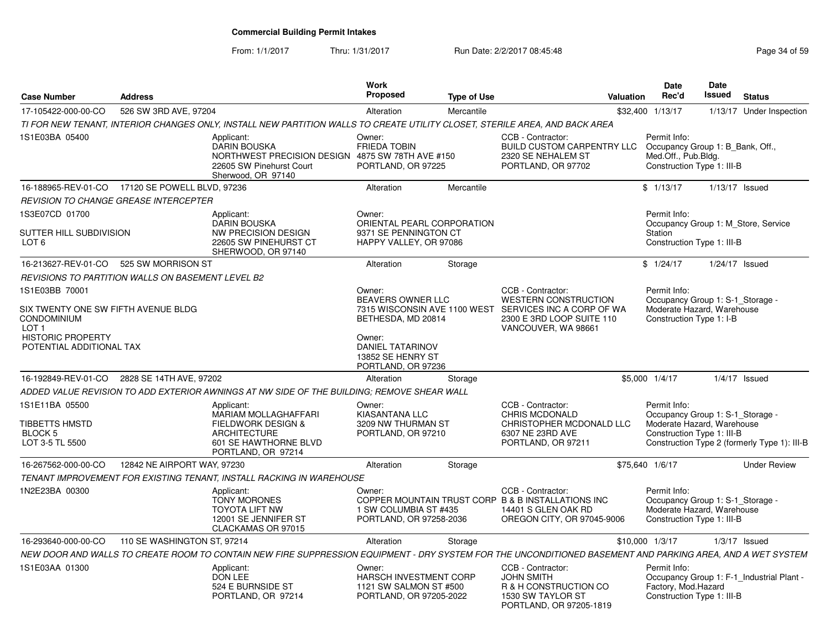#### From: 1/1/2017Thru: 1/31/2017 **Run Date: 2/2/2017 08:45:48** Page 34 of 59

| <b>Case Number</b>                                                            | <b>Address</b>              |                                                                                                                                                            | <b>Work</b><br><b>Proposed</b>                                                        | <b>Type of Use</b> |                                                                                                                              | <b>Valuation</b> | Date<br>Rec'd                                                                                                | Date<br>Issued | <b>Status</b>                                |
|-------------------------------------------------------------------------------|-----------------------------|------------------------------------------------------------------------------------------------------------------------------------------------------------|---------------------------------------------------------------------------------------|--------------------|------------------------------------------------------------------------------------------------------------------------------|------------------|--------------------------------------------------------------------------------------------------------------|----------------|----------------------------------------------|
| 17-105422-000-00-CO                                                           | 526 SW 3RD AVE, 97204       |                                                                                                                                                            | Alteration                                                                            | Mercantile         |                                                                                                                              | \$32,400         | 1/13/17                                                                                                      |                | 1/13/17 Under Inspection                     |
|                                                                               |                             | TI FOR NEW TENANT, INTERIOR CHANGES ONLY, INSTALL NEW PARTITION WALLS TO CREATE UTILITY CLOSET, STERILE AREA, AND BACK AREA                                |                                                                                       |                    |                                                                                                                              |                  |                                                                                                              |                |                                              |
| 1S1E03BA 05400                                                                |                             | Applicant:<br><b>DARIN BOUSKA</b><br>NORTHWEST PRECISION DESIGN<br>22605 SW Pinehurst Court<br>Sherwood, OR 97140                                          | Owner:<br><b>FRIEDA TOBIN</b><br>4875 SW 78TH AVE #150<br>PORTLAND, OR 97225          |                    | CCB - Contractor:<br><b>BUILD CUSTOM CARPENTRY LLC</b><br>2320 SE NEHALEM ST<br>PORTLAND, OR 97702                           |                  | Permit Info:<br>Occupancy Group 1: B Bank, Off.,<br>Med.Off., Pub.Bldg.<br>Construction Type 1: III-B        |                |                                              |
| 16-188965-REV-01-CO 17120 SE POWELL BLVD, 97236                               |                             |                                                                                                                                                            | Alteration                                                                            | Mercantile         |                                                                                                                              |                  | \$1/13/17                                                                                                    |                | $1/13/17$ Issued                             |
| REVISION TO CHANGE GREASE INTERCEPTER                                         |                             |                                                                                                                                                            |                                                                                       |                    |                                                                                                                              |                  |                                                                                                              |                |                                              |
| 1S3E07CD 01700                                                                |                             | Applicant:<br>DARIN BOUSKA                                                                                                                                 | Owner:<br>ORIENTAL PEARL CORPORATION                                                  |                    |                                                                                                                              |                  | Permit Info:                                                                                                 |                | Occupancy Group 1: M Store, Service          |
| SUTTER HILL SUBDIVISION<br>LOT <sub>6</sub>                                   |                             | <b>NW PRECISION DESIGN</b><br>22605 SW PINEHURST CT<br>SHERWOOD, OR 97140                                                                                  | 9371 SE PENNINGTON CT<br>HAPPY VALLEY, OR 97086                                       |                    |                                                                                                                              |                  | Station<br>Construction Type 1: III-B                                                                        |                |                                              |
| 16-213627-REV-01-CO                                                           | 525 SW MORRISON ST          |                                                                                                                                                            | Alteration                                                                            | Storage            |                                                                                                                              |                  | \$1/24/17                                                                                                    |                | $1/24/17$ Issued                             |
| REVISIONS TO PARTITION WALLS ON BASEMENT LEVEL B2                             |                             |                                                                                                                                                            |                                                                                       |                    |                                                                                                                              |                  |                                                                                                              |                |                                              |
| 1S1E03BB 70001                                                                |                             |                                                                                                                                                            | Owner:<br>BEAVERS OWNER LLC                                                           |                    | CCB - Contractor:<br>WESTERN CONSTRUCTION                                                                                    |                  | Permit Info:<br>Occupancy Group 1: S-1_Storage -                                                             |                |                                              |
| SIX TWENTY ONE SW FIFTH AVENUE BLDG<br><b>CONDOMINIUM</b><br>LOT <sub>1</sub> |                             |                                                                                                                                                            | BETHESDA, MD 20814                                                                    |                    | 7315 WISCONSIN AVE 1100 WEST SERVICES INC A CORP OF WA<br>2300 E 3RD LOOP SUITE 110<br>VANCOUVER, WA 98661                   |                  | Moderate Hazard, Warehouse<br>Construction Type 1: I-B                                                       |                |                                              |
| <b>HISTORIC PROPERTY</b><br>POTENTIAL ADDITIONAL TAX                          |                             |                                                                                                                                                            | Owner:<br>DANIEL TATARINOV<br>13852 SE HENRY ST<br>PORTLAND, OR 97236                 |                    |                                                                                                                              |                  |                                                                                                              |                |                                              |
| 16-192849-REV-01-CO                                                           | 2828 SE 14TH AVE, 97202     |                                                                                                                                                            | Alteration                                                                            | Storage            |                                                                                                                              |                  | \$5,000 1/4/17                                                                                               |                | $1/4/17$ Issued                              |
|                                                                               |                             | ADDED VALUE REVISION TO ADD EXTERIOR AWNINGS AT NW SIDE OF THE BUILDING; REMOVE SHEAR WALL                                                                 |                                                                                       |                    |                                                                                                                              |                  |                                                                                                              |                |                                              |
| 1S1E11BA 05500<br>TIBBETTS HMSTD                                              |                             | Applicant:<br>MARIAM MOLLAGHAFFARI<br><b>FIELDWORK DESIGN &amp;</b>                                                                                        | Owner:<br><b>KIASANTANA LLC</b><br>3209 NW THURMAN ST                                 |                    | CCB - Contractor:<br>CHRIS MCDONALD<br>CHRISTOPHER MCDONALD LLC                                                              |                  | Permit Info:<br>Occupancy Group 1: S-1_Storage -<br>Moderate Hazard, Warehouse                               |                |                                              |
| BLOCK 5<br>LOT 3-5 TL 5500                                                    |                             | <b>ARCHITECTURE</b><br>601 SE HAWTHORNE BLVD<br>PORTLAND, OR 97214                                                                                         | PORTLAND, OR 97210                                                                    |                    | 6307 NE 23RD AVE<br>PORTLAND, OR 97211                                                                                       |                  | Construction Type 1: III-B                                                                                   |                | Construction Type 2 (formerly Type 1): III-B |
| 16-267562-000-00-CO                                                           | 12842 NE AIRPORT WAY, 97230 |                                                                                                                                                            | Alteration                                                                            | Storage            |                                                                                                                              | \$75,640 1/6/17  |                                                                                                              |                | <b>Under Review</b>                          |
|                                                                               |                             | TENANT IMPROVEMENT FOR EXISTING TENANT, INSTALL RACKING IN WAREHOUSE                                                                                       |                                                                                       |                    |                                                                                                                              |                  |                                                                                                              |                |                                              |
| 1N2E23BA 00300                                                                |                             | Applicant:<br><b>TONY MORONES</b><br><b>TOYOTA LIFT NW</b><br>12001 SE JENNIFER ST<br>CLACKAMAS OR 97015                                                   | Owner:<br>1 SW COLUMBIA ST #435<br>PORTLAND, OR 97258-2036                            |                    | CCB - Contractor:<br>COPPER MOUNTAIN TRUST CORP B & B INSTALLATIONS INC<br>14401 S GLEN OAK RD<br>OREGON CITY, OR 97045-9006 |                  | Permit Info:<br>Occupancy Group 1: S-1_Storage -<br>Moderate Hazard, Warehouse<br>Construction Type 1: III-B |                |                                              |
| 16-293640-000-00-CO                                                           | 110 SE WASHINGTON ST, 97214 |                                                                                                                                                            | Alteration                                                                            | Storage            |                                                                                                                              | \$10,000 1/3/17  |                                                                                                              |                | $1/3/17$ Issued                              |
|                                                                               |                             | NEW DOOR AND WALLS TO CREATE ROOM TO CONTAIN NEW FIRE SUPPRESSION EQUIPMENT - DRY SYSTEM FOR THE UNCONDITIONED BASEMENT AND PARKING AREA, AND A WET SYSTEM |                                                                                       |                    |                                                                                                                              |                  |                                                                                                              |                |                                              |
| 1S1E03AA 01300                                                                |                             | Applicant:<br>DON LEE<br>524 E BURNSIDE ST<br>PORTLAND, OR 97214                                                                                           | Owner:<br>HARSCH INVESTMENT CORP<br>1121 SW SALMON ST #500<br>PORTLAND, OR 97205-2022 |                    | CCB - Contractor:<br><b>JOHN SMITH</b><br>R & H CONSTRUCTION CO<br>1530 SW TAYLOR ST<br>PORTLAND, OR 97205-1819              |                  | Permit Info:<br>Factory, Mod.Hazard<br>Construction Type 1: III-B                                            |                | Occupancy Group 1: F-1_Industrial Plant -    |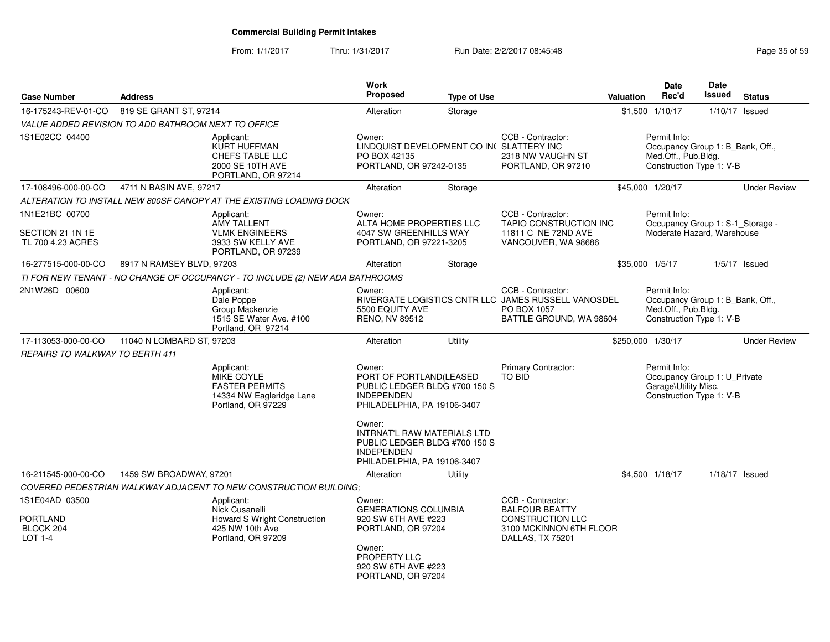From: 1/1/2017Thru: 1/31/2017 **Run Date: 2/2/2017 08:45:48** Page 35 of 59

| <b>Case Number</b>                                               | <b>Address</b>            |                                                                                                       | Work<br>Proposed                                                                                                                                          | <b>Type of Use</b> |                                                                                                                      | Valuation | <b>Date</b><br>Rec'd                                                                                | <b>Date</b><br>Issued | <b>Status</b>       |
|------------------------------------------------------------------|---------------------------|-------------------------------------------------------------------------------------------------------|-----------------------------------------------------------------------------------------------------------------------------------------------------------|--------------------|----------------------------------------------------------------------------------------------------------------------|-----------|-----------------------------------------------------------------------------------------------------|-----------------------|---------------------|
| 16-175243-REV-01-CO                                              | 819 SE GRANT ST, 97214    |                                                                                                       | Alteration                                                                                                                                                | Storage            |                                                                                                                      |           | \$1,500 1/10/17                                                                                     |                       | $1/10/17$ Issued    |
| VALUE ADDED REVISION TO ADD BATHROOM NEXT TO OFFICE              |                           |                                                                                                       |                                                                                                                                                           |                    |                                                                                                                      |           |                                                                                                     |                       |                     |
| 1S1E02CC 04400                                                   |                           | Applicant:<br>KURT HUFFMAN<br>CHEFS TABLE LLC<br>2000 SE 10TH AVE<br>PORTLAND, OR 97214               | Owner:<br>LINDQUIST DEVELOPMENT CO IN( SLATTERY INC<br>PO BOX 42135<br>PORTLAND, OR 97242-0135                                                            |                    | CCB - Contractor:<br>2318 NW VAUGHN ST<br>PORTLAND, OR 97210                                                         |           | Permit Info:<br>Occupancy Group 1: B_Bank, Off.,<br>Med.Off., Pub.Bldg.<br>Construction Type 1: V-B |                       |                     |
| 17-108496-000-00-CO                                              | 4711 N BASIN AVE, 97217   |                                                                                                       | Alteration                                                                                                                                                | Storage            |                                                                                                                      |           | \$45,000 1/20/17                                                                                    |                       | <b>Under Review</b> |
|                                                                  |                           | ALTERATION TO INSTALL NEW 800SF CANOPY AT THE EXISTING LOADING DOCK                                   |                                                                                                                                                           |                    |                                                                                                                      |           |                                                                                                     |                       |                     |
| 1N1E21BC 00700<br>SECTION 21 1N 1E<br>TL 700 4.23 ACRES          |                           | Applicant:<br><b>AMY TALLENT</b><br><b>VLMK ENGINEERS</b><br>3933 SW KELLY AVE<br>PORTLAND, OR 97239  | Owner:<br>ALTA HOME PROPERTIES LLC<br>4047 SW GREENHILLS WAY<br>PORTLAND, OR 97221-3205                                                                   |                    | CCB - Contractor:<br>TAPIO CONSTRUCTION INC<br>11811 C NE 72ND AVE<br>VANCOUVER, WA 98686                            |           | Permit Info:<br>Occupancy Group 1: S-1_Storage -<br>Moderate Hazard, Warehouse                      |                       |                     |
| 16-277515-000-00-CO                                              | 8917 N RAMSEY BLVD, 97203 |                                                                                                       | Alteration                                                                                                                                                | Storage            |                                                                                                                      |           | \$35,000 1/5/17                                                                                     |                       | $1/5/17$ Issued     |
|                                                                  |                           | TI FOR NEW TENANT - NO CHANGE OF OCCUPANCY - TO INCLUDE (2) NEW ADA BATHROOMS                         |                                                                                                                                                           |                    |                                                                                                                      |           |                                                                                                     |                       |                     |
| 2N1W26D 00600                                                    |                           | Applicant:<br>Dale Poppe<br>Group Mackenzie<br>1515 SE Water Ave. #100<br>Portland, OR 97214          | Owner:<br>5500 EQUITY AVE<br>RENO, NV 89512                                                                                                               |                    | CCB - Contractor:<br>RIVERGATE LOGISTICS CNTR LLC JAMES RUSSELL VANOSDEL<br>PO BOX 1057<br>BATTLE GROUND, WA 98604   |           | Permit Info:<br>Occupancy Group 1: B_Bank, Off.,<br>Med.Off., Pub.Bldg.<br>Construction Type 1: V-B |                       |                     |
| 17-113053-000-00-CO                                              | 11040 N LOMBARD ST, 97203 |                                                                                                       | Alteration                                                                                                                                                | Utility            |                                                                                                                      |           | \$250,000 1/30/17                                                                                   |                       | <b>Under Review</b> |
| <b>REPAIRS TO WALKWAY TO BERTH 411</b>                           |                           |                                                                                                       |                                                                                                                                                           |                    |                                                                                                                      |           |                                                                                                     |                       |                     |
|                                                                  |                           | Applicant:<br>MIKE COYLE<br><b>FASTER PERMITS</b><br>14334 NW Eagleridge Lane<br>Portland, OR 97229   | Owner:<br>PORT OF PORTLAND(LEASED<br>PUBLIC LEDGER BLDG #700 150 S<br><b>INDEPENDEN</b><br>PHILADELPHIA, PA 19106-3407                                    |                    | Primary Contractor:<br>TO BID                                                                                        |           | Permit Info:<br>Occupancy Group 1: U Private<br>Garage\Utility Misc.<br>Construction Type 1: V-B    |                       |                     |
|                                                                  |                           |                                                                                                       | Owner:<br><b>INTRNAT'L RAW MATERIALS LTD</b><br>PUBLIC LEDGER BLDG #700 150 S<br><b>INDEPENDEN</b><br>PHILADELPHIA, PA 19106-3407                         |                    |                                                                                                                      |           |                                                                                                     |                       |                     |
| 16-211545-000-00-CO                                              | 1459 SW BROADWAY, 97201   |                                                                                                       | Alteration                                                                                                                                                | Utility            |                                                                                                                      |           | \$4,500 1/18/17                                                                                     |                       | $1/18/17$ Issued    |
|                                                                  |                           | COVERED PEDESTRIAN WALKWAY ADJACENT TO NEW CONSTRUCTION BUILDING;                                     |                                                                                                                                                           |                    |                                                                                                                      |           |                                                                                                     |                       |                     |
| 1S1E04AD 03500<br><b>PORTLAND</b><br>BLOCK 204<br><b>LOT 1-4</b> |                           | Applicant:<br>Nick Cusanelli<br>Howard S Wright Construction<br>425 NW 10th Ave<br>Portland, OR 97209 | Owner:<br><b>GENERATIONS COLUMBIA</b><br>920 SW 6TH AVE #223<br>PORTLAND, OR 97204<br>Owner:<br>PROPERTY LLC<br>920 SW 6TH AVE #223<br>PORTLAND, OR 97204 |                    | CCB - Contractor:<br><b>BALFOUR BEATTY</b><br><b>CONSTRUCTION LLC</b><br>3100 MCKINNON 6TH FLOOR<br>DALLAS, TX 75201 |           |                                                                                                     |                       |                     |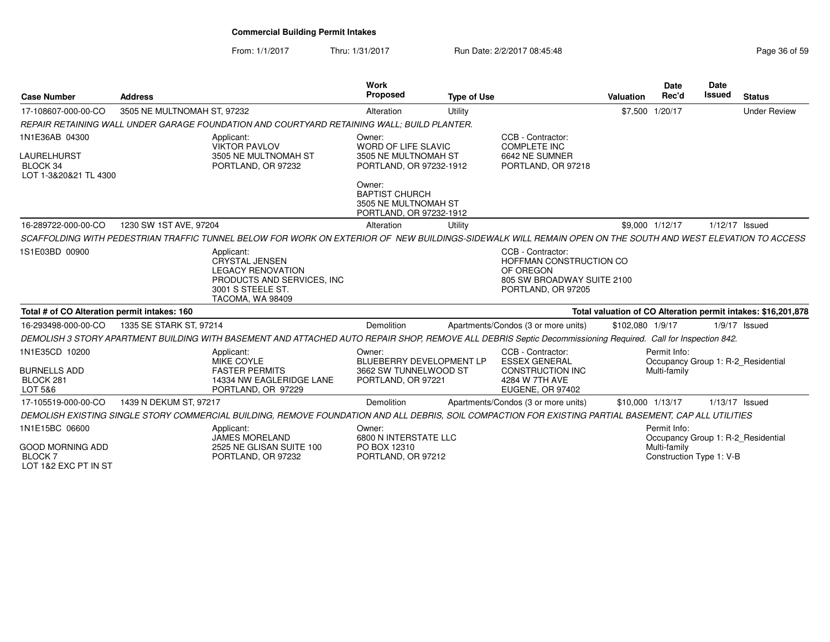From: 1/1/2017Thru: 1/31/2017 **Run Date: 2/2/2017 08:45:48** Page 36 of 59

| <b>Case Number</b>                                                        | <b>Address</b>                                                                                                                                               | <b>Work</b><br><b>Proposed</b>                                                          | <b>Type of Use</b> |                                                                                                               | <b>Valuation</b> | <b>Date</b><br>Rec'd                                     | Date<br><b>Issued</b> | <b>Status</b>                                                 |
|---------------------------------------------------------------------------|--------------------------------------------------------------------------------------------------------------------------------------------------------------|-----------------------------------------------------------------------------------------|--------------------|---------------------------------------------------------------------------------------------------------------|------------------|----------------------------------------------------------|-----------------------|---------------------------------------------------------------|
| 17-108607-000-00-CO                                                       | 3505 NE MULTNOMAH ST, 97232                                                                                                                                  | Alteration                                                                              | Utility            |                                                                                                               | \$7,500 1/20/17  |                                                          |                       | <b>Under Review</b>                                           |
|                                                                           | REPAIR RETAINING WALL UNDER GARAGE FOUNDATION AND COURTYARD RETAINING WALL: BUILD PLANTER.                                                                   |                                                                                         |                    |                                                                                                               |                  |                                                          |                       |                                                               |
| 1N1E36AB 04300<br><b>LAURELHURST</b><br>BLOCK 34<br>LOT 1-3&20&21 TL 4300 | Applicant:<br><b>VIKTOR PAVLOV</b><br>3505 NE MULTNOMAH ST<br>PORTLAND, OR 97232                                                                             | Owner:<br><b>WORD OF LIFE SLAVIC</b><br>3505 NE MULTNOMAH ST<br>PORTLAND, OR 97232-1912 |                    | CCB - Contractor:<br><b>COMPLETE INC</b><br>6642 NE SUMNER<br>PORTLAND, OR 97218                              |                  |                                                          |                       |                                                               |
|                                                                           |                                                                                                                                                              | Owner:<br><b>BAPTIST CHURCH</b><br>3505 NE MULTNOMAH ST<br>PORTLAND, OR 97232-1912      |                    |                                                                                                               |                  |                                                          |                       |                                                               |
| 16-289722-000-00-CO                                                       | 1230 SW 1ST AVE, 97204                                                                                                                                       | Alteration                                                                              | Utility            |                                                                                                               | \$9,000 1/12/17  |                                                          | 1/12/17 Issued        |                                                               |
|                                                                           | SCAFFOLDING WITH PEDESTRIAN TRAFFIC TUNNEL BELOW FOR WORK ON EXTERIOR OF NEW BUILDINGS-SIDEWALK WILL REMAIN OPEN ON THE SOUTH AND WEST ELEVATION TO ACCESS   |                                                                                         |                    |                                                                                                               |                  |                                                          |                       |                                                               |
| 1S1E03BD 00900                                                            | Applicant:<br><b>CRYSTAL JENSEN</b><br><b>LEGACY RENOVATION</b><br>PRODUCTS AND SERVICES, INC.<br>3001 S STEELE ST.<br>TACOMA, WA 98409                      |                                                                                         |                    | CCB - Contractor:<br>HOFFMAN CONSTRUCTION CO<br>OF OREGON<br>805 SW BROADWAY SUITE 2100<br>PORTLAND, OR 97205 |                  |                                                          |                       |                                                               |
| Total # of CO Alteration permit intakes: 160                              |                                                                                                                                                              |                                                                                         |                    |                                                                                                               |                  |                                                          |                       | Total valuation of CO Alteration permit intakes: \$16,201,878 |
| 16-293498-000-00-CO                                                       | 1335 SE STARK ST, 97214                                                                                                                                      | Demolition                                                                              |                    | Apartments/Condos (3 or more units)                                                                           | \$102,080 1/9/17 |                                                          |                       | $1/9/17$ Issued                                               |
|                                                                           | DEMOLISH 3 STORY APARTMENT BUILDING WITH BASEMENT AND ATTACHED AUTO REPAIR SHOP, REMOVE ALL DEBRIS Septic Decommissioning Required. Call for Inspection 842. |                                                                                         |                    |                                                                                                               |                  |                                                          |                       |                                                               |
| 1N1E35CD 10200<br><b>BURNELLS ADD</b><br>BLOCK 281<br>LOT 5&6             | Applicant:<br>MIKE COYLE<br><b>FASTER PERMITS</b><br>14334 NW EAGLERIDGE LANE<br>PORTLAND, OR 97229                                                          | Owner:<br>BLUEBERRY DEVELOPMENT LP<br>3662 SW TUNNELWOOD ST<br>PORTLAND, OR 97221       |                    | CCB - Contractor:<br><b>ESSEX GENERAL</b><br><b>CONSTRUCTION INC</b><br>4284 W 7TH AVE<br>EUGENE, OR 97402    |                  | Permit Info:<br>Multi-family                             |                       | Occupancy Group 1: R-2_Residential                            |
| 17-105519-000-00-CO                                                       | 1439 N DEKUM ST, 97217                                                                                                                                       | Demolition                                                                              |                    | Apartments/Condos (3 or more units)                                                                           | \$10.000 1/13/17 |                                                          | 1/13/17 Issued        |                                                               |
|                                                                           | DEMOLISH EXISTING SINGLE STORY COMMERCIAL BUILDING, REMOVE FOUNDATION AND ALL DEBRIS, SOIL COMPACTION FOR EXISTING PARTIAL BASEMENT, CAP ALL UTILITIES       |                                                                                         |                    |                                                                                                               |                  |                                                          |                       |                                                               |
| 1N1E15BC 06600<br><b>GOOD MORNING ADD</b><br><b>BLOCK7</b>                | Applicant:<br>JAMES MORELAND<br>2525 NE GLISAN SUITE 100<br>PORTLAND, OR 97232                                                                               | Owner:<br>6800 N INTERSTATE LLC<br>PO BOX 12310<br>PORTLAND, OR 97212                   |                    |                                                                                                               |                  | Permit Info:<br>Multi-family<br>Construction Type 1: V-B |                       | Occupancy Group 1: R-2_Residential                            |
| LOT 1&2 EXC PT IN ST                                                      |                                                                                                                                                              |                                                                                         |                    |                                                                                                               |                  |                                                          |                       |                                                               |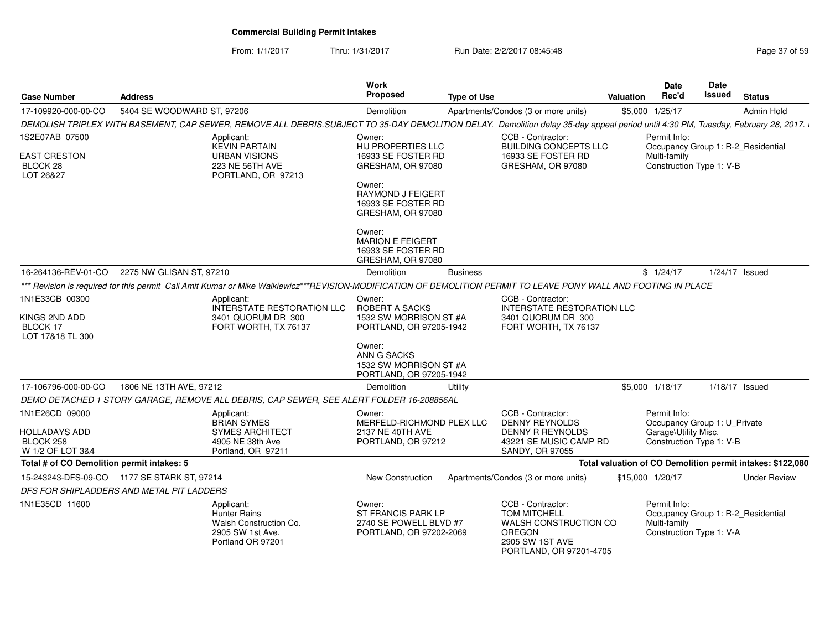From: 1/1/2017Thru: 1/31/2017 **Run Date: 2/2/2017 08:45:48** Page 37 of 59

| <b>Case Number</b>                             | <b>Address</b>                              |                                                                                                                                                                                   | Work<br><b>Proposed</b>                                                                  | <b>Type of Use</b> |                                                                                                                                  | <b>Valuation</b> | <b>Date</b><br>Rec'd                                                                           | <b>Date</b><br><b>Issued</b> | <b>Status</b>                                              |
|------------------------------------------------|---------------------------------------------|-----------------------------------------------------------------------------------------------------------------------------------------------------------------------------------|------------------------------------------------------------------------------------------|--------------------|----------------------------------------------------------------------------------------------------------------------------------|------------------|------------------------------------------------------------------------------------------------|------------------------------|------------------------------------------------------------|
| 17-109920-000-00-CO                            | 5404 SE WOODWARD ST, 97206                  |                                                                                                                                                                                   | Demolition                                                                               |                    | Apartments/Condos (3 or more units)                                                                                              |                  | \$5,000 1/25/17                                                                                |                              | Admin Hold                                                 |
|                                                |                                             | DEMOLISH TRIPLEX WITH BASEMENT, CAP SEWER, REMOVE ALL DEBRIS.SUBJECT TO 35-DAY DEMOLITION DELAY. Demolition delay 35-day appeal period until 4:30 PM, Tuesday, February 28, 2017. |                                                                                          |                    |                                                                                                                                  |                  |                                                                                                |                              |                                                            |
| 1S2E07AB 07500                                 |                                             | Applicant:<br><b>KEVIN PARTAIN</b>                                                                                                                                                | Owner:<br><b>HIJ PROPERTIES LLC</b>                                                      |                    | CCB - Contractor:<br><b>BUILDING CONCEPTS LLC</b>                                                                                |                  | Permit Info:<br>Occupancy Group 1: R-2_Residential                                             |                              |                                                            |
| EAST CRESTON<br>BLOCK 28<br>LOT 26&27          |                                             | <b>URBAN VISIONS</b><br>223 NE 56TH AVE<br>PORTLAND, OR 97213                                                                                                                     | 16933 SE FOSTER RD<br>GRESHAM, OR 97080                                                  |                    | 16933 SE FOSTER RD<br>GRESHAM, OR 97080                                                                                          |                  | Multi-family<br>Construction Type 1: V-B                                                       |                              |                                                            |
|                                                |                                             |                                                                                                                                                                                   | Owner:<br><b>RAYMOND J FEIGERT</b><br>16933 SE FOSTER RD<br>GRESHAM, OR 97080            |                    |                                                                                                                                  |                  |                                                                                                |                              |                                                            |
|                                                |                                             |                                                                                                                                                                                   | Owner:<br><b>MARION E FEIGERT</b><br>16933 SE FOSTER RD<br>GRESHAM, OR 97080             |                    |                                                                                                                                  |                  |                                                                                                |                              |                                                            |
| 16-264136-REV-01-CO                            | 2275 NW GLISAN ST, 97210                    |                                                                                                                                                                                   | Demolition                                                                               | <b>Business</b>    |                                                                                                                                  |                  | \$1/24/17                                                                                      |                              | $1/24/17$ Issued                                           |
|                                                |                                             | *** Revision is required for this permit Call Amit Kumar or Mike Walkiewicz***REVISION-MODIFICATION OF DEMOLITION PERMIT TO LEAVE PONY WALL AND FOOTING IN PLACE                  |                                                                                          |                    |                                                                                                                                  |                  |                                                                                                |                              |                                                            |
| 1N1E33CB 00300                                 |                                             | Applicant:<br><b>INTERSTATE RESTORATION LLC</b>                                                                                                                                   | Owner:<br><b>ROBERT A SACKS</b>                                                          |                    | CCB - Contractor:<br><b>INTERSTATE RESTORATION LLC</b>                                                                           |                  |                                                                                                |                              |                                                            |
| KINGS 2ND ADD<br>BLOCK 17<br>LOT 17&18 TL 300  |                                             | 3401 QUORUM DR 300<br>FORT WORTH, TX 76137                                                                                                                                        | 1532 SW MORRISON ST #A<br>PORTLAND, OR 97205-1942                                        |                    | 3401 QUORUM DR 300<br>FORT WORTH, TX 76137                                                                                       |                  |                                                                                                |                              |                                                            |
|                                                |                                             |                                                                                                                                                                                   | Owner:<br>ANN G SACKS<br>1532 SW MORRISON ST #A<br>PORTLAND, OR 97205-1942               |                    |                                                                                                                                  |                  |                                                                                                |                              |                                                            |
| 17-106796-000-00-CO                            | 1806 NE 13TH AVE, 97212                     |                                                                                                                                                                                   | Demolition                                                                               | Utility            |                                                                                                                                  |                  | \$5,000 1/18/17                                                                                |                              | $1/18/17$ Issued                                           |
|                                                |                                             | DEMO DETACHED 1 STORY GARAGE, REMOVE ALL DEBRIS, CAP SEWER, SEE ALERT FOLDER 16-208856AL                                                                                          |                                                                                          |                    |                                                                                                                                  |                  |                                                                                                |                              |                                                            |
| 1N1E26CD 09000                                 |                                             | Applicant:<br><b>BRIAN SYMES</b>                                                                                                                                                  | Owner:<br>MERFELD-RICHMOND PLEX LLC                                                      |                    | CCB - Contractor:<br><b>DENNY REYNOLDS</b>                                                                                       |                  | Permit Info:<br>Occupancy Group 1: U_Private                                                   |                              |                                                            |
| HOLLADAYS ADD<br>BLOCK 258<br>W 1/2 OF LOT 3&4 |                                             | <b>SYMES ARCHITECT</b><br>4905 NE 38th Ave<br>Portland, OR 97211                                                                                                                  | 2137 NE 40TH AVE<br>PORTLAND, OR 97212                                                   |                    | DENNY R REYNOLDS<br>43221 SE MUSIC CAMP RD<br><b>SANDY, OR 97055</b>                                                             |                  | Garage\Utility Misc.<br>Construction Type 1: V-B                                               |                              |                                                            |
| Total # of CO Demolition permit intakes: 5     |                                             |                                                                                                                                                                                   |                                                                                          |                    |                                                                                                                                  |                  |                                                                                                |                              | Total valuation of CO Demolition permit intakes: \$122,080 |
|                                                | 15-243243-DFS-09-CO 1177 SE STARK ST, 97214 |                                                                                                                                                                                   | <b>New Construction</b>                                                                  |                    | Apartments/Condos (3 or more units)                                                                                              |                  | \$15,000 1/20/17                                                                               |                              | <b>Under Review</b>                                        |
| DFS FOR SHIPLADDERS AND METAL PIT LADDERS      |                                             |                                                                                                                                                                                   |                                                                                          |                    |                                                                                                                                  |                  |                                                                                                |                              |                                                            |
| 1N1E35CD 11600                                 |                                             | Applicant:<br><b>Hunter Rains</b><br>Walsh Construction Co.<br>2905 SW 1st Ave.<br>Portland OR 97201                                                                              | Owner:<br><b>ST FRANCIS PARK LP</b><br>2740 SE POWELL BLVD #7<br>PORTLAND, OR 97202-2069 |                    | CCB - Contractor:<br><b>TOM MITCHELL</b><br>WALSH CONSTRUCTION CO<br><b>OREGON</b><br>2905 SW 1ST AVE<br>PORTLAND, OR 97201-4705 |                  | Permit Info:<br>Occupancy Group 1: R-2 Residential<br>Multi-family<br>Construction Type 1: V-A |                              |                                                            |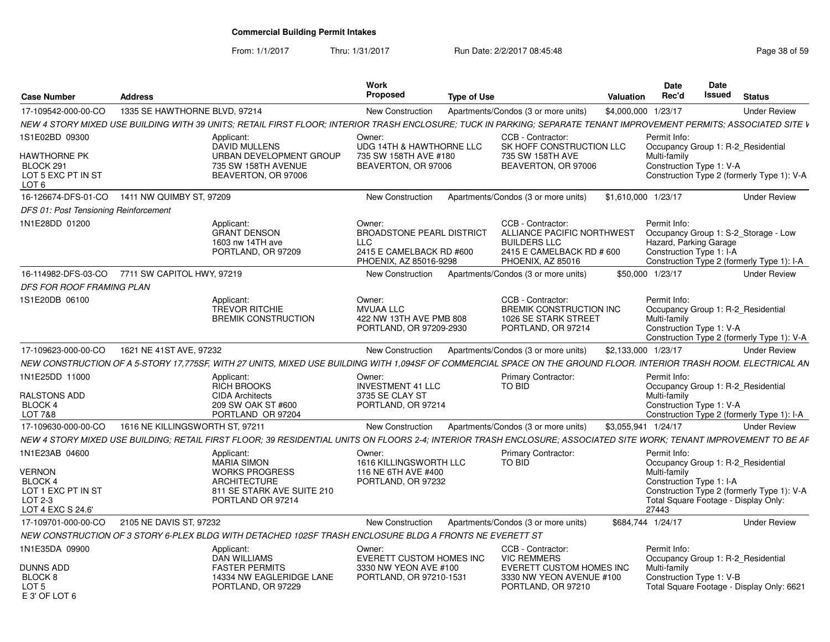From: 1/1/2017Thru: 1/31/2017 **Run Date: 2/2/2017 08:45:48** Page 38 of 59

| <b>Case Number</b>                                                                                      | <b>Address</b>                  |                                                                                                                                                                     | Work<br><b>Proposed</b>                                                                                        | <b>Type of Use</b> |                                                                                                                          | <b>Valuation</b>    | Date<br>Rec'd                                                      | <b>Date</b><br>Issued | <b>Status</b>                                                                                                            |
|---------------------------------------------------------------------------------------------------------|---------------------------------|---------------------------------------------------------------------------------------------------------------------------------------------------------------------|----------------------------------------------------------------------------------------------------------------|--------------------|--------------------------------------------------------------------------------------------------------------------------|---------------------|--------------------------------------------------------------------|-----------------------|--------------------------------------------------------------------------------------------------------------------------|
| 17-109542-000-00-CO                                                                                     | 1335 SE HAWTHORNE BLVD, 97214   |                                                                                                                                                                     | <b>New Construction</b>                                                                                        |                    | Apartments/Condos (3 or more units)                                                                                      | \$4,000,000 1/23/17 |                                                                    |                       | <b>Under Review</b>                                                                                                      |
|                                                                                                         |                                 | NEW 4 STORY MIXED USE BUILDING WITH 39 UNITS; RETAIL FIRST FLOOR; INTERIOR TRASH ENCLOSURE; TUCK IN PARKING; SEPARATE TENANT IMPROVEMENT PERMITS; ASSOCIATED SITE V |                                                                                                                |                    |                                                                                                                          |                     |                                                                    |                       |                                                                                                                          |
| 1S1E02BD 09300<br>HAWTHORNE PK<br>BLOCK 291<br>LOT 5 EXC PT IN ST<br>LOT 6                              |                                 | Applicant:<br><b>DAVID MULLENS</b><br>URBAN DEVELOPMENT GROUP<br>735 SW 158TH AVENUE<br>BEAVERTON, OR 97006                                                         | Owner:<br>UDG 14TH & HAWTHORNE LLC<br>735 SW 158TH AVE #180<br>BEAVERTON, OR 97006                             |                    | CCB - Contractor:<br>SK HOFF CONSTRUCTION LLC<br>735 SW 158TH AVE<br>BEAVERTON, OR 97006                                 |                     | Permit Info:<br>Multi-family<br>Construction Type 1: V-A           |                       | Occupancy Group 1: R-2 Residential<br>Construction Type 2 (formerly Type 1): V-A                                         |
| 16-126674-DFS-01-CO                                                                                     | 1411 NW QUIMBY ST, 97209        |                                                                                                                                                                     | New Construction                                                                                               |                    | Apartments/Condos (3 or more units)                                                                                      | \$1,610,000 1/23/17 |                                                                    |                       | <b>Under Review</b>                                                                                                      |
| DFS 01: Post Tensioning Reinforcement                                                                   |                                 |                                                                                                                                                                     |                                                                                                                |                    |                                                                                                                          |                     |                                                                    |                       |                                                                                                                          |
| 1N1E28DD 01200                                                                                          |                                 | Applicant:<br><b>GRANT DENSON</b><br>1603 nw 14TH ave<br>PORTLAND, OR 97209                                                                                         | Owner:<br><b>BROADSTONE PEARL DISTRICT</b><br><b>LLC</b><br>2415 E CAMELBACK RD #600<br>PHOENIX, AZ 85016-9298 |                    | CCB - Contractor:<br>ALLIANCE PACIFIC NORTHWEST<br><b>BUILDERS LLC</b><br>2415 E CAMELBACK RD # 600<br>PHOENIX, AZ 85016 |                     | Permit Info:<br>Hazard, Parking Garage<br>Construction Type 1: I-A |                       | Occupancy Group 1: S-2_Storage - Low<br>Construction Type 2 (formerly Type 1): I-A                                       |
| 16-114982-DFS-03-CO                                                                                     | 7711 SW CAPITOL HWY, 97219      |                                                                                                                                                                     | New Construction                                                                                               |                    | Apartments/Condos (3 or more units)                                                                                      |                     | \$50,000 1/23/17                                                   |                       | <b>Under Review</b>                                                                                                      |
| DFS FOR ROOF FRAMING PLAN                                                                               |                                 |                                                                                                                                                                     |                                                                                                                |                    |                                                                                                                          |                     |                                                                    |                       |                                                                                                                          |
| 1S1E20DB 06100                                                                                          |                                 | Applicant:<br>TREVOR RITCHIE<br><b>BREMIK CONSTRUCTION</b>                                                                                                          | Owner:<br><b>MVUAA LLC</b><br>422 NW 13TH AVE PMB 808<br>PORTLAND, OR 97209-2930                               |                    | CCB - Contractor:<br>BREMIK CONSTRUCTION INC<br>1026 SE STARK STREET<br>PORTLAND, OR 97214                               |                     | Permit Info:<br>Multi-family<br>Construction Type 1: V-A           |                       | Occupancy Group 1: R-2 Residential<br>Construction Type 2 (formerly Type 1): V-A                                         |
| 17-109623-000-00-CO                                                                                     | 1621 NE 41ST AVE, 97232         |                                                                                                                                                                     | New Construction                                                                                               |                    | Apartments/Condos (3 or more units)                                                                                      | \$2,133,000 1/23/17 |                                                                    |                       | <b>Under Review</b>                                                                                                      |
|                                                                                                         |                                 | NEW CONSTRUCTION OF A 5-STORY 17,775SF, WITH 27 UNITS, MIXED USE BUILDING WITH 1,094SF OF COMMERCIAL SPACE ON THE GROUND FLOOR. INTERIOR TRASH ROOM. ELECTRICAL AN  |                                                                                                                |                    |                                                                                                                          |                     |                                                                    |                       |                                                                                                                          |
| 1N1E25DD 11000<br>RALSTONS ADD<br><b>BLOCK 4</b><br>LOT 7&8                                             |                                 | Applicant:<br><b>RICH BROOKS</b><br><b>CIDA Architects</b><br>209 SW OAK ST #600<br>PORTLAND OR 97204                                                               | Owner:<br><b>INVESTMENT 41 LLC</b><br>3735 SE CLAY ST<br>PORTLAND, OR 97214                                    |                    | <b>Primary Contractor:</b><br><b>TO BID</b>                                                                              |                     | Permit Info:<br>Multi-family<br>Construction Type 1: V-A           |                       | Occupancy Group 1: R-2 Residential<br>Construction Type 2 (formerly Type 1): I-A                                         |
| 17-109630-000-00-CO                                                                                     | 1616 NE KILLINGSWORTH ST, 97211 |                                                                                                                                                                     | New Construction                                                                                               |                    | Apartments/Condos (3 or more units)                                                                                      | \$3,055,941 1/24/17 |                                                                    |                       | <b>Under Review</b>                                                                                                      |
|                                                                                                         |                                 | NEW 4 STORY MIXED USE BUILDING: RETAIL FIRST FLOOR: 39 RESIDENTIAL UNITS ON FLOORS 2-4: INTERIOR TRASH ENCLOSURE: ASSOCIATED SITE WORK: TENANT IMPROVEMENT TO BE AF |                                                                                                                |                    |                                                                                                                          |                     |                                                                    |                       |                                                                                                                          |
| 1N1E23AB 04600<br><b>VERNON</b><br><b>BLOCK 4</b><br>LOT 1 EXC PT IN ST<br>LOT 2-3<br>LOT 4 EXC S 24.6' |                                 | Applicant:<br><b>MARIA SIMON</b><br><b>WORKS PROGRESS</b><br><b>ARCHITECTURE</b><br>811 SE STARK AVE SUITE 210<br>PORTLAND OR 97214                                 | Owner:<br>1616 KILLINGSWORTH LLC<br>116 NE 6TH AVE #400<br>PORTLAND, OR 97232                                  |                    | <b>Primary Contractor:</b><br>TO BID                                                                                     |                     | Permit Info:<br>Multi-family<br>Construction Type 1: I-A<br>27443  |                       | Occupancy Group 1: R-2 Residential<br>Construction Type 2 (formerly Type 1): V-A<br>Total Square Footage - Display Only: |
| 17-109701-000-00-CO                                                                                     | 2105 NE DAVIS ST, 97232         |                                                                                                                                                                     | New Construction                                                                                               |                    | Apartments/Condos (3 or more units)                                                                                      | \$684,744 1/24/17   |                                                                    |                       | <b>Under Review</b>                                                                                                      |
|                                                                                                         |                                 | NEW CONSTRUCTION OF 3 STORY 6-PLEX BLDG WITH DETACHED 102SF TRASH ENCLOSURE BLDG A FRONTS NE EVERETT ST                                                             |                                                                                                                |                    |                                                                                                                          |                     |                                                                    |                       |                                                                                                                          |
| 1N1E35DA 09900<br>DUNNS ADD<br>BLOCK <sub>8</sub><br>LOT <sub>5</sub><br>E 3' OF LOT 6                  |                                 | Applicant:<br>DAN WILLIAMS<br><b>FASTER PERMITS</b><br>14334 NW EAGLERIDGE LANE<br>PORTLAND, OR 97229                                                               | Owner:<br><b>EVERETT CUSTOM HOMES INC</b><br>3330 NW YEON AVE #100<br>PORTLAND, OR 97210-1531                  |                    | CCB - Contractor:<br><b>VIC REMMERS</b><br>EVERETT CUSTOM HOMES INC<br>3330 NW YEON AVENUE #100<br>PORTLAND, OR 97210    |                     | Permit Info:<br>Multi-family<br>Construction Type 1: V-B           |                       | Occupancy Group 1: R-2_Residential<br>Total Square Footage - Display Only: 6621                                          |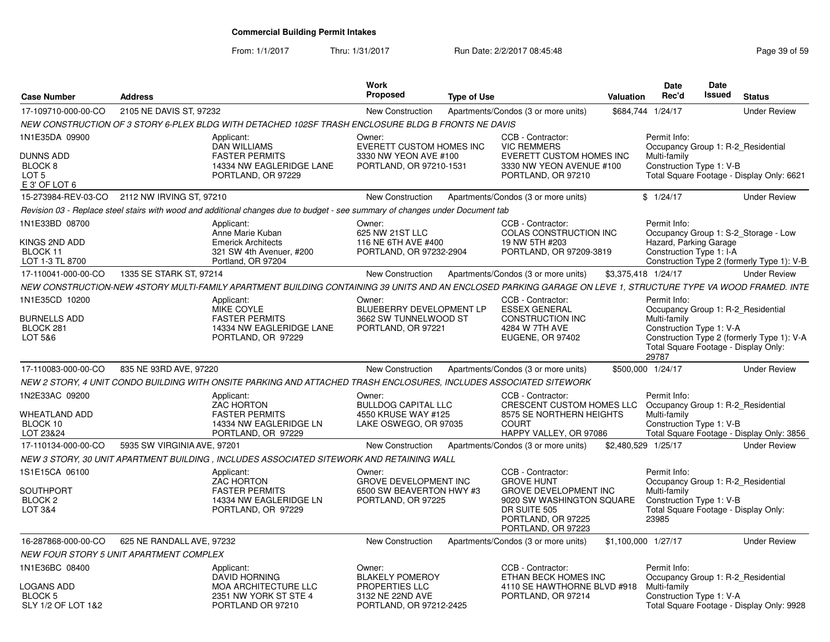From: 1/1/2017

Thru: 1/31/2017 **Run Date: 2/2/2017 08:45:48** Page 39 of 59

| <b>Case Number</b>                                               | <b>Address</b>                                                                                                                                                |                                                                    | Work<br><b>Proposed</b>                                                        | <b>Type of Use</b> |                                                                                                                                            | Valuation | Date<br>Rec'd                                                                                                                   | <b>Date</b><br><b>Issued</b> | <b>Status</b>                              |
|------------------------------------------------------------------|---------------------------------------------------------------------------------------------------------------------------------------------------------------|--------------------------------------------------------------------|--------------------------------------------------------------------------------|--------------------|--------------------------------------------------------------------------------------------------------------------------------------------|-----------|---------------------------------------------------------------------------------------------------------------------------------|------------------------------|--------------------------------------------|
| 17-109710-000-00-CO                                              | 2105 NE DAVIS ST, 97232                                                                                                                                       |                                                                    | New Construction                                                               |                    | Apartments/Condos (3 or more units)                                                                                                        |           | \$684,744 1/24/17                                                                                                               |                              | <b>Under Review</b>                        |
|                                                                  | NEW CONSTRUCTION OF 3 STORY 6-PLEX BLDG WITH DETACHED 102SF TRASH ENCLOSURE BLDG B FRONTS NE DAVIS                                                            |                                                                    |                                                                                |                    |                                                                                                                                            |           |                                                                                                                                 |                              |                                            |
| 1N1E35DA 09900                                                   | Applicant:<br>DAN WILLIAMS                                                                                                                                    |                                                                    | Owner:<br>EVERETT CUSTOM HOMES INC                                             |                    | CCB - Contractor:<br><b>VIC REMMERS</b>                                                                                                    |           | Permit Info:<br>Occupancy Group 1: R-2 Residential                                                                              |                              |                                            |
| <b>DUNNS ADD</b><br>BLOCK 8<br>LOT <sub>5</sub><br>E 3' OF LOT 6 | <b>FASTER PERMITS</b>                                                                                                                                         | 14334 NW EAGLERIDGE LANE<br>PORTLAND, OR 97229                     | 3330 NW YEON AVE #100<br>PORTLAND, OR 97210-1531                               |                    | EVERETT CUSTOM HOMES INC<br>3330 NW YEON AVENUE #100<br>PORTLAND, OR 97210                                                                 |           | Multi-family<br>Construction Type 1: V-B                                                                                        |                              | Total Square Footage - Display Only: 6621  |
| 15-273984-REV-03-CO                                              | 2112 NW IRVING ST, 97210                                                                                                                                      |                                                                    | New Construction                                                               |                    | Apartments/Condos (3 or more units)                                                                                                        |           | \$1/24/17                                                                                                                       |                              | <b>Under Review</b>                        |
|                                                                  | Revision 03 - Replace steel stairs with wood and additional changes due to budget - see summary of changes under Document tab                                 |                                                                    |                                                                                |                    |                                                                                                                                            |           |                                                                                                                                 |                              |                                            |
| 1N1E33BD 08700                                                   | Applicant:<br>Anne Marie Kuban                                                                                                                                |                                                                    | Owner:<br>625 NW 21ST LLC                                                      |                    | CCB - Contractor:<br>COLAS CONSTRUCTION INC                                                                                                |           | Permit Info:                                                                                                                    |                              | Occupancy Group 1: S-2 Storage - Low       |
| KINGS 2ND ADD<br>BLOCK 11<br>LOT 1-3 TL 8700                     | <b>Emerick Architects</b><br>Portland, OR 97204                                                                                                               | 321 SW 4th Avenuer, #200                                           | 116 NE 6TH AVE #400<br>PORTLAND, OR 97232-2904                                 |                    | 19 NW 5TH #203<br>PORTLAND, OR 97209-3819                                                                                                  |           | Hazard, Parking Garage<br>Construction Type 1: I-A                                                                              |                              | Construction Type 2 (formerly Type 1): V-B |
| 17-110041-000-00-CO                                              | 1335 SE STARK ST, 97214                                                                                                                                       |                                                                    | <b>New Construction</b>                                                        |                    | Apartments/Condos (3 or more units)                                                                                                        |           | \$3,375,418 1/24/17                                                                                                             |                              | <b>Under Review</b>                        |
|                                                                  | NEW CONSTRUCTION-NEW 4STORY MULTI-FAMILY APARTMENT BUILDING CONTAINING 39 UNITS AND AN ENCLOSED PARKING GARAGE ON LEVE 1. STRUCTURE TYPE VA WOOD FRAMED. INTE |                                                                    |                                                                                |                    |                                                                                                                                            |           |                                                                                                                                 |                              |                                            |
| 1N1E35CD 10200                                                   | Applicant:<br>MIKE COYLE                                                                                                                                      |                                                                    | Owner:<br>BLUEBERRY DEVELOPMENT LP                                             |                    | CCB - Contractor:<br><b>ESSEX GENERAL</b>                                                                                                  |           | Permit Info:<br>Occupancy Group 1: R-2_Residential                                                                              |                              |                                            |
| <b>BURNELLS ADD</b><br>BLOCK 281<br>LOT 5&6                      | <b>FASTER PERMITS</b>                                                                                                                                         | 14334 NW EAGLERIDGE LANE<br>PORTLAND, OR 97229                     | 3662 SW TUNNELWOOD ST<br>PORTLAND, OR 97221                                    |                    | CONSTRUCTION INC<br>4284 W 7TH AVE<br>EUGENE, OR 97402                                                                                     |           | Multi-family<br>Construction Type 1: V-A                                                                                        |                              | Construction Type 2 (formerly Type 1): V-A |
|                                                                  |                                                                                                                                                               |                                                                    |                                                                                |                    |                                                                                                                                            |           | Total Square Footage - Display Only:<br>29787                                                                                   |                              |                                            |
| 17-110083-000-00-CO                                              | 835 NE 93RD AVE, 97220                                                                                                                                        |                                                                    | New Construction                                                               |                    | Apartments/Condos (3 or more units)                                                                                                        |           | \$500,000 1/24/17                                                                                                               |                              | <b>Under Review</b>                        |
|                                                                  | NEW 2 STORY. 4 UNIT CONDO BUILDING WITH ONSITE PARKING AND ATTACHED TRASH ENCLOSURES. INCLUDES ASSOCIATED SITEWORK                                            |                                                                    |                                                                                |                    |                                                                                                                                            |           |                                                                                                                                 |                              |                                            |
| 1N2E33AC 09200                                                   | Applicant:<br>ZAC HORTON                                                                                                                                      |                                                                    | Owner:<br><b>BULLDOG CAPITAL LLC</b>                                           |                    | CCB - Contractor:<br>CRESCENT CUSTOM HOMES LLC                                                                                             |           | Permit Info:<br>Occupancy Group 1: R-2 Residential                                                                              |                              |                                            |
| <b>WHEATLAND ADD</b><br>BLOCK 10<br>LOT 23&24                    | <b>FASTER PERMITS</b>                                                                                                                                         | 14334 NW EAGLERIDGE LN<br>PORTLAND, OR 97229                       | 4550 KRUSE WAY #125<br>LAKE OSWEGO, OR 97035                                   |                    | 8575 SE NORTHERN HEIGHTS<br><b>COURT</b><br>HAPPY VALLEY, OR 97086                                                                         |           | Multi-family<br>Construction Type 1: V-B                                                                                        |                              | Total Square Footage - Display Only: 3856  |
| 17-110134-000-00-CO                                              | 5935 SW VIRGINIA AVE, 97201                                                                                                                                   |                                                                    | <b>New Construction</b>                                                        |                    | Apartments/Condos (3 or more units)                                                                                                        |           | \$2,480,529 1/25/17                                                                                                             |                              | <b>Under Review</b>                        |
|                                                                  | NEW 3 STORY, 30 UNIT APARTMENT BUILDING , INCLUDES ASSOCIATED SITEWORK AND RETAINING WALL                                                                     |                                                                    |                                                                                |                    |                                                                                                                                            |           |                                                                                                                                 |                              |                                            |
| 1S1E15CA 06100                                                   | Applicant:                                                                                                                                                    |                                                                    | Owner:                                                                         |                    | CCB - Contractor:                                                                                                                          |           | Permit Info:                                                                                                                    |                              |                                            |
| <b>SOUTHPORT</b><br>BLOCK <sub>2</sub><br><b>LOT 3&amp;4</b>     | <b>ZAC HORTON</b><br><b>FASTER PERMITS</b>                                                                                                                    | 14334 NW EAGLERIDGE LN<br>PORTLAND, OR 97229                       | <b>GROVE DEVELOPMENT INC</b><br>6500 SW BEAVERTON HWY #3<br>PORTLAND, OR 97225 |                    | <b>GROVE HUNT</b><br><b>GROVE DEVELOPMENT INC</b><br>9020 SW WASHINGTON SQUARE<br>DR SUITE 505<br>PORTLAND, OR 97225<br>PORTLAND, OR 97223 |           | Occupancy Group 1: R-2 Residential<br>Multi-family<br>Construction Type 1: V-B<br>Total Square Footage - Display Only:<br>23985 |                              |                                            |
| 16-287868-000-00-CO                                              | 625 NE RANDALL AVE, 97232                                                                                                                                     |                                                                    | New Construction                                                               |                    | Apartments/Condos (3 or more units)                                                                                                        |           | \$1,100,000 1/27/17                                                                                                             |                              | <b>Under Review</b>                        |
|                                                                  | NEW FOUR STORY 5 UNIT APARTMENT COMPLEX                                                                                                                       |                                                                    |                                                                                |                    |                                                                                                                                            |           |                                                                                                                                 |                              |                                            |
| 1N1E36BC 08400                                                   | Applicant:<br><b>DAVID HORNING</b>                                                                                                                            |                                                                    | Owner:<br><b>BLAKELY POMEROY</b>                                               |                    | CCB - Contractor:<br>ETHAN BECK HOMES INC                                                                                                  |           | Permit Info:<br>Occupancy Group 1: R-2_Residential                                                                              |                              |                                            |
| LOGANS ADD<br>BLOCK 5<br>SLY 1/2 OF LOT 1&2                      |                                                                                                                                                               | MOA ARCHITECTURE LLC<br>2351 NW YORK ST STE 4<br>PORTLAND OR 97210 | PROPERTIES LLC<br>3132 NE 22ND AVE<br>PORTLAND, OR 97212-2425                  |                    | 4110 SE HAWTHORNE BLVD #918<br>PORTLAND, OR 97214                                                                                          |           | Multi-family<br>Construction Type 1: V-A                                                                                        |                              | Total Square Footage - Display Only: 9928  |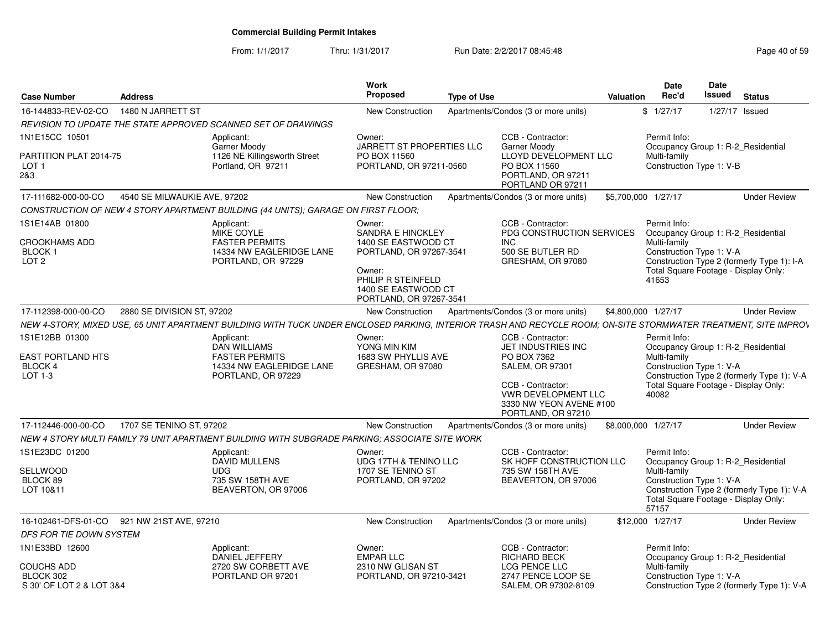From: 1/1/2017Thru: 1/31/2017 **Run Date: 2/2/2017 08:45:48** Page 40 of 59

| Case Number                                                             | <b>Address</b>               |                                                                                                                                                                 | Work<br>Proposed                                                                                                                                                       | <b>Type of Use</b> |                                                                                                                                                                                      | Valuation           | Date<br>Rec'd                         | Date<br>Issued                                                                                         | <b>Status</b>                              |
|-------------------------------------------------------------------------|------------------------------|-----------------------------------------------------------------------------------------------------------------------------------------------------------------|------------------------------------------------------------------------------------------------------------------------------------------------------------------------|--------------------|--------------------------------------------------------------------------------------------------------------------------------------------------------------------------------------|---------------------|---------------------------------------|--------------------------------------------------------------------------------------------------------|--------------------------------------------|
| 16-144833-REV-02-CO                                                     | 1480 N JARRETT ST            |                                                                                                                                                                 | New Construction                                                                                                                                                       |                    | Apartments/Condos (3 or more units)                                                                                                                                                  |                     | \$1/27/17                             | 1/27/17 Issued                                                                                         |                                            |
|                                                                         |                              | REVISION TO UPDATE THE STATE APPROVED SCANNED SET OF DRAWINGS                                                                                                   |                                                                                                                                                                        |                    |                                                                                                                                                                                      |                     |                                       |                                                                                                        |                                            |
| 1N1E15CC 10501<br>PARTITION PLAT 2014-75<br>LOT <sub>1</sub><br>2&3     |                              | Applicant:<br>Garner Moody<br>1126 NE Killingsworth Street<br>Portland, OR 97211                                                                                | Owner:<br>JARRETT ST PROPERTIES LLC<br>PO BOX 11560<br>PORTLAND, OR 97211-0560                                                                                         |                    | CCB - Contractor:<br>Garner Moody<br>LLOYD DEVELOPMENT LLC<br>PO BOX 11560<br>PORTLAND, OR 97211<br>PORTLAND OR 97211                                                                |                     | Permit Info:<br>Multi-family          | Occupancy Group 1: R-2 Residential<br>Construction Type 1: V-B                                         |                                            |
| 17-111682-000-00-CO                                                     | 4540 SE MILWAUKIE AVE, 97202 |                                                                                                                                                                 | New Construction                                                                                                                                                       |                    | Apartments/Condos (3 or more units)                                                                                                                                                  | \$5,700,000 1/27/17 |                                       |                                                                                                        | <b>Under Review</b>                        |
|                                                                         |                              | CONSTRUCTION OF NEW 4 STORY APARTMENT BUILDING (44 UNITS): GARAGE ON FIRST FLOOR:                                                                               |                                                                                                                                                                        |                    |                                                                                                                                                                                      |                     |                                       |                                                                                                        |                                            |
| 1S1E14AB 01800<br><b>CROOKHAMS ADD</b><br>BLOCK 1<br>LOT <sub>2</sub>   |                              | Applicant:<br>MIKE COYLE<br><b>FASTER PERMITS</b><br>14334 NW EAGLERIDGE LANE<br>PORTLAND, OR 97229                                                             | Owner:<br><b>SANDRA E HINCKLEY</b><br>1400 SE EASTWOOD CT<br>PORTLAND, OR 97267-3541<br>Owner:<br>PHILIP R STEINFELD<br>1400 SE EASTWOOD CT<br>PORTLAND, OR 97267-3541 |                    | CCB - Contractor:<br>PDG CONSTRUCTION SERVICES<br><b>INC</b><br>500 SE BUTLER RD<br>GRESHAM, OR 97080                                                                                |                     | Permit Info:<br>Multi-family<br>41653 | Occupancy Group 1: R-2_Residential<br>Construction Type 1: V-A<br>Total Square Footage - Display Only: | Construction Type 2 (formerly Type 1): I-A |
| 17-112398-000-00-CO                                                     | 2880 SE DIVISION ST, 97202   |                                                                                                                                                                 | <b>New Construction</b>                                                                                                                                                |                    | Apartments/Condos (3 or more units)                                                                                                                                                  | \$4,800,000 1/27/17 |                                       |                                                                                                        | <b>Under Review</b>                        |
|                                                                         |                              | NEW 4-STORY, MIXED USE, 65 UNIT APARTMENT BUILDING WITH TUCK UNDER ENCLOSED PARKING, INTERIOR TRASH AND RECYCLE ROOM; ON-SITE STORMWATER TREATMENT, SITE IMPROV |                                                                                                                                                                        |                    |                                                                                                                                                                                      |                     |                                       |                                                                                                        |                                            |
| 1S1E12BB 01300<br><b>EAST PORTLAND HTS</b><br><b>BLOCK 4</b><br>LOT 1-3 |                              | Applicant:<br><b>DAN WILLIAMS</b><br><b>FASTER PERMITS</b><br>14334 NW EAGLERIDGE LANE<br>PORTLAND, OR 97229                                                    | Owner:<br>YONG MIN KIM<br>1683 SW PHYLLIS AVE<br>GRESHAM, OR 97080                                                                                                     |                    | CCB - Contractor:<br>JET INDUSTRIES INC<br>PO BOX 7362<br><b>SALEM, OR 97301</b><br>CCB - Contractor:<br><b>VWR DEVELOPMENT LLC</b><br>3330 NW YEON AVENE #100<br>PORTLAND, OR 97210 |                     | Permit Info:<br>Multi-family<br>40082 | Occupancy Group 1: R-2_Residential<br>Construction Type 1: V-A<br>Total Square Footage - Display Only: | Construction Type 2 (formerly Type 1): V-A |
| 17-112446-000-00-CO                                                     | 1707 SE TENINO ST, 97202     |                                                                                                                                                                 | New Construction                                                                                                                                                       |                    | Apartments/Condos (3 or more units)                                                                                                                                                  | \$8,000,000 1/27/17 |                                       |                                                                                                        | <b>Under Review</b>                        |
|                                                                         |                              | NEW 4 STORY MULTI FAMILY 79 UNIT APARTMENT BUILDING WITH SUBGRADE PARKING; ASSOCIATE SITE WORK                                                                  |                                                                                                                                                                        |                    |                                                                                                                                                                                      |                     |                                       |                                                                                                        |                                            |
| 1S1E23DC 01200<br>SELLWOOD<br>BLOCK 89<br>LOT 10&11                     |                              | Applicant:<br>DAVID MULLENS<br><b>UDG</b><br>735 SW 158TH AVE<br>BEAVERTON, OR 97006                                                                            | Owner:<br>UDG 17TH & TENINO LLC<br>1707 SE TENINO ST<br>PORTLAND, OR 97202                                                                                             |                    | CCB - Contractor:<br>SK HOFF CONSTRUCTION LLC<br>735 SW 158TH AVE<br>BEAVERTON, OR 97006                                                                                             |                     | Permit Info:<br>Multi-family<br>57157 | Occupancy Group 1: R-2 Residential<br>Construction Type 1: V-A<br>Total Square Footage - Display Only: | Construction Type 2 (formerly Type 1): V-A |
| 16-102461-DFS-01-CO                                                     | 921 NW 21ST AVE, 97210       |                                                                                                                                                                 | New Construction                                                                                                                                                       |                    | Apartments/Condos (3 or more units)                                                                                                                                                  |                     | \$12,000 1/27/17                      |                                                                                                        | <b>Under Review</b>                        |
| <b>DFS FOR TIE DOWN SYSTEM</b>                                          |                              |                                                                                                                                                                 |                                                                                                                                                                        |                    |                                                                                                                                                                                      |                     |                                       |                                                                                                        |                                            |
| 1N1E33BD 12600<br>COUCHS ADD<br>BLOCK 302<br>S 30' OF LOT 2 & LOT 3&4   |                              | Applicant:<br>DANIEL JEFFERY<br>2720 SW CORBETT AVE<br>PORTLAND OR 97201                                                                                        | Owner:<br><b>EMPAR LLC</b><br>2310 NW GLISAN ST<br>PORTLAND, OR 97210-3421                                                                                             |                    | CCB - Contractor:<br><b>RICHARD BECK</b><br>LCG PENCE LLC<br>2747 PENCE LOOP SE<br>SALEM, OR 97302-8109                                                                              |                     | Permit Info:<br>Multi-family          | Occupancy Group 1: R-2_Residential<br>Construction Type 1: V-A                                         | Construction Type 2 (formerly Type 1): V-A |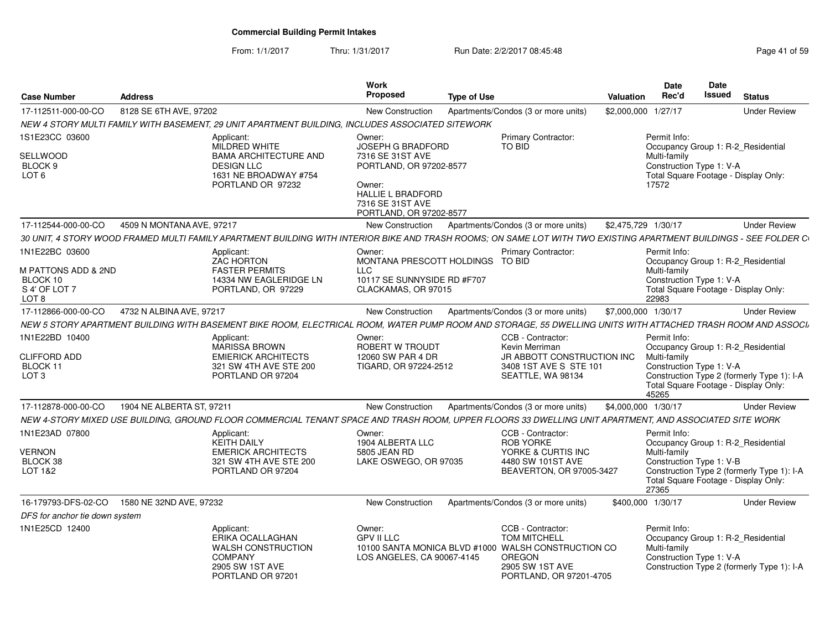From: 1/1/2017Thru: 1/31/2017 Run Date: 2/2/2017 08:45:48 Page 41 of 59

| <b>Case Number</b>                                                          | <b>Address</b>            |                                                                                                                                                                   | <b>Work</b><br>Proposed                                                                                                                                                | <b>Type of Use</b> |                                                                                                                                                                | Valuation           | Date<br>Rec'd                                                     | Date<br><b>Issued</b> | <b>Status</b>                                                                                                            |
|-----------------------------------------------------------------------------|---------------------------|-------------------------------------------------------------------------------------------------------------------------------------------------------------------|------------------------------------------------------------------------------------------------------------------------------------------------------------------------|--------------------|----------------------------------------------------------------------------------------------------------------------------------------------------------------|---------------------|-------------------------------------------------------------------|-----------------------|--------------------------------------------------------------------------------------------------------------------------|
| 17-112511-000-00-CO                                                         | 8128 SE 6TH AVE, 97202    |                                                                                                                                                                   | <b>New Construction</b>                                                                                                                                                |                    | Apartments/Condos (3 or more units)                                                                                                                            | \$2,000,000         | 1/27/17                                                           |                       | <b>Under Review</b>                                                                                                      |
|                                                                             |                           | NEW 4 STORY MULTI FAMILY WITH BASEMENT, 29 UNIT APARTMENT BUILDING, INCLUDES ASSOCIATED SITEWORK                                                                  |                                                                                                                                                                        |                    |                                                                                                                                                                |                     |                                                                   |                       |                                                                                                                          |
| 1S1E23CC 03600<br>SELLWOOD<br>BLOCK 9<br>LOT 6                              |                           | Applicant:<br>MILDRED WHITE<br><b>BAMA ARCHITECTURE AND</b><br><b>DESIGN LLC</b><br>1631 NE BROADWAY #754<br>PORTLAND OR 97232                                    | Owner:<br><b>JOSEPH G BRADFORD</b><br>7316 SE 31ST AVE<br>PORTLAND, OR 97202-8577<br>Owner:<br><b>HALLIE L BRADFORD</b><br>7316 SE 31ST AVE<br>PORTLAND, OR 97202-8577 |                    | Primary Contractor:<br>TO BID                                                                                                                                  |                     | Permit Info:<br>Multi-family<br>Construction Type 1: V-A<br>17572 |                       | Occupancy Group 1: R-2 Residential<br>Total Square Footage - Display Only:                                               |
| 17-112544-000-00-CO                                                         | 4509 N MONTANA AVE, 97217 |                                                                                                                                                                   | New Construction                                                                                                                                                       |                    | Apartments/Condos (3 or more units)                                                                                                                            | \$2,475,729 1/30/17 |                                                                   |                       | <b>Under Review</b>                                                                                                      |
|                                                                             |                           | 30 UNIT, 4 STORY WOOD FRAMED MULTI FAMILY APARTMENT BUILDING WITH INTERIOR BIKE AND TRASH ROOMS; ON SAME LOT WITH TWO EXISTING APARTMENT BUILDINGS - SEE FOLDER C |                                                                                                                                                                        |                    |                                                                                                                                                                |                     |                                                                   |                       |                                                                                                                          |
| 1N1E22BC 03600<br>M PATTONS ADD & 2ND<br>BLOCK 10<br>S 4' OF LOT 7<br>LOT 8 |                           | Applicant:<br><b>ZAC HORTON</b><br><b>FASTER PERMITS</b><br>14334 NW EAGLERIDGE LN<br>PORTLAND, OR 97229                                                          | Owner:<br>MONTANA PRESCOTT HOLDINGS TO BID<br><b>LLC</b><br>10117 SE SUNNYSIDE RD #F707<br>CLACKAMAS, OR 97015                                                         |                    | Primary Contractor:                                                                                                                                            |                     | Permit Info:<br>Multi-family<br>Construction Type 1: V-A<br>22983 |                       | Occupancy Group 1: R-2_Residential<br>Total Square Footage - Display Only:                                               |
| 17-112866-000-00-CO                                                         | 4732 N ALBINA AVE, 97217  |                                                                                                                                                                   | New Construction                                                                                                                                                       |                    | Apartments/Condos (3 or more units)                                                                                                                            | \$7,000,000 1/30/17 |                                                                   |                       | <b>Under Review</b>                                                                                                      |
|                                                                             |                           | NEW 5 STORY APARTMENT BUILDING WITH BASEMENT BIKE ROOM, ELECTRICAL ROOM, WATER PUMP ROOM AND STORAGE, 55 DWELLING UNITS WITH ATTACHED TRASH ROOM AND ASSOCI,      |                                                                                                                                                                        |                    |                                                                                                                                                                |                     |                                                                   |                       |                                                                                                                          |
| 1N1E22BD 10400<br><b>CLIFFORD ADD</b><br>BLOCK 11<br>LOT <sub>3</sub>       |                           | Applicant:<br><b>MARISSA BROWN</b><br><b>EMIERICK ARCHITECTS</b><br>321 SW 4TH AVE STE 200<br>PORTLAND OR 97204                                                   | Owner:<br>ROBERT W TROUDT<br>12060 SW PAR 4 DR<br>TIGARD, OR 97224-2512                                                                                                |                    | CCB - Contractor:<br>Kevin Merriman<br>JR ABBOTT CONSTRUCTION INC<br>3408 1ST AVE S STE 101<br>SEATTLE, WA 98134                                               |                     | Permit Info:<br>Multi-family<br>Construction Type 1: V-A<br>45265 |                       | Occupancy Group 1: R-2_Residential<br>Construction Type 2 (formerly Type 1): I-A<br>Total Square Footage - Display Only: |
| 17-112878-000-00-CO                                                         | 1904 NE ALBERTA ST, 97211 |                                                                                                                                                                   | <b>New Construction</b>                                                                                                                                                |                    | Apartments/Condos (3 or more units)                                                                                                                            | \$4,000,000 1/30/17 |                                                                   |                       | <b>Under Review</b>                                                                                                      |
|                                                                             |                           | NEW 4-STORY MIXED USE BUILDING, GROUND FLOOR COMMERCIAL TENANT SPACE AND TRASH ROOM, UPPER FLOORS 33 DWELLING UNIT APARTMENT, AND ASSOCIATED SITE WORK            |                                                                                                                                                                        |                    |                                                                                                                                                                |                     |                                                                   |                       |                                                                                                                          |
| 1N1E23AD 07800<br>VERNON<br>BLOCK 38<br>LOT 1&2                             |                           | Applicant:<br><b>KEITH DAILY</b><br><b>EMERICK ARCHITECTS</b><br>321 SW 4TH AVE STE 200<br>PORTLAND OR 97204                                                      | Owner:<br>1904 ALBERTA LLC<br>5805 JEAN RD<br>LAKE OSWEGO, OR 97035                                                                                                    |                    | CCB - Contractor:<br><b>ROB YORKE</b><br>YORKE & CURTIS INC<br>4480 SW 101ST AVE<br>BEAVERTON, OR 97005-3427                                                   |                     | Permit Info:<br>Multi-family<br>Construction Type 1: V-B<br>27365 |                       | Occupancy Group 1: R-2_Residential<br>Construction Type 2 (formerly Type 1): I-A<br>Total Square Footage - Display Only: |
| 16-179793-DFS-02-CO                                                         | 1580 NE 32ND AVE, 97232   |                                                                                                                                                                   | New Construction                                                                                                                                                       |                    | Apartments/Condos (3 or more units)                                                                                                                            | \$400,000 1/30/17   |                                                                   |                       | <b>Under Review</b>                                                                                                      |
| DFS for anchor tie down system                                              |                           |                                                                                                                                                                   |                                                                                                                                                                        |                    |                                                                                                                                                                |                     |                                                                   |                       |                                                                                                                          |
| 1N1E25CD 12400                                                              |                           | Applicant:<br>ERIKA OCALLAGHAN<br><b>WALSH CONSTRUCTION</b><br><b>COMPANY</b><br>2905 SW 1ST AVE<br>PORTLAND OR 97201                                             | Owner:<br><b>GPV II LLC</b><br>LOS ANGELES, CA 90067-4145                                                                                                              |                    | CCB - Contractor:<br><b>TOM MITCHELL</b><br>10100 SANTA MONICA BLVD #1000 WALSH CONSTRUCTION CO<br><b>OREGON</b><br>2905 SW 1ST AVE<br>PORTLAND, OR 97201-4705 |                     | Permit Info:<br>Multi-family<br>Construction Type 1: V-A          |                       | Occupancy Group 1: R-2 Residential<br>Construction Type 2 (formerly Type 1): I-A                                         |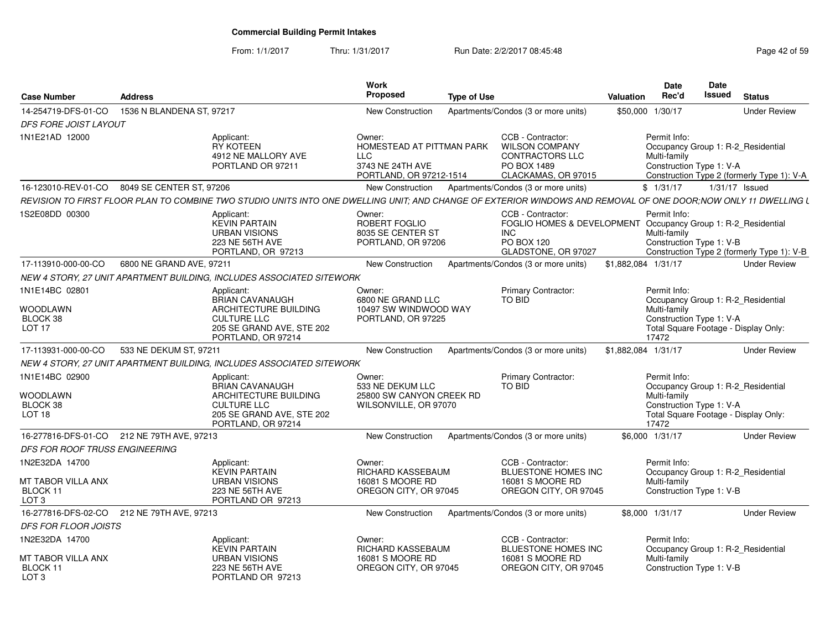#### From: 1/1/2017Thru: 1/31/2017 Run Date: 2/2/2017 08:45:48 Page 42 of 59

| <b>Case Number</b>                                                 | <b>Address</b>                                                                                                                                                 | <b>Work</b><br>Proposed                                                                          | <b>Type of Use</b> |                                                                                                                                 | <b>Valuation</b>    | <b>Date</b><br>Rec'd                                              | Date<br>Issued | <b>Status</b>                                                                    |
|--------------------------------------------------------------------|----------------------------------------------------------------------------------------------------------------------------------------------------------------|--------------------------------------------------------------------------------------------------|--------------------|---------------------------------------------------------------------------------------------------------------------------------|---------------------|-------------------------------------------------------------------|----------------|----------------------------------------------------------------------------------|
| 14-254719-DFS-01-CO                                                | 1536 N BLANDENA ST, 97217                                                                                                                                      | <b>New Construction</b>                                                                          |                    | Apartments/Condos (3 or more units)                                                                                             |                     | \$50,000 1/30/17                                                  |                | <b>Under Review</b>                                                              |
| <b>DFS FORE JOIST LAYOUT</b>                                       |                                                                                                                                                                |                                                                                                  |                    |                                                                                                                                 |                     |                                                                   |                |                                                                                  |
| 1N1E21AD 12000                                                     | Applicant:<br>RY KOTEEN<br>4912 NE MALLORY AVE<br>PORTLAND OR 97211                                                                                            | Owner:<br>HOMESTEAD AT PITTMAN PARK<br><b>LLC</b><br>3743 NE 24TH AVE<br>PORTLAND, OR 97212-1514 |                    | CCB - Contractor:<br><b>WILSON COMPANY</b><br><b>CONTRACTORS LLC</b><br>PO BOX 1489<br>CLACKAMAS, OR 97015                      |                     | Permit Info:<br>Multi-family<br>Construction Type 1: V-A          |                | Occupancy Group 1: R-2 Residential<br>Construction Type 2 (formerly Type 1): V-A |
|                                                                    | 16-123010-REV-01-CO 8049 SE CENTER ST, 97206                                                                                                                   | New Construction                                                                                 |                    | Apartments/Condos (3 or more units)                                                                                             |                     | \$1/31/17                                                         |                | $1/31/17$ Issued                                                                 |
|                                                                    | REVISION TO FIRST FLOOR PLAN TO COMBINE TWO STUDIO UNITS INTO ONE DWELLING UNIT; AND CHANGE OF EXTERIOR WINDOWS AND REMOVAL OF ONE DOOR;NOW ONLY 11 DWELLING L |                                                                                                  |                    |                                                                                                                                 |                     |                                                                   |                |                                                                                  |
| 1S2E08DD 00300                                                     | Applicant:<br><b>KEVIN PARTAIN</b><br><b>URBAN VISIONS</b><br>223 NE 56TH AVE<br>PORTLAND, OR 97213                                                            | Owner:<br>ROBERT FOGLIO<br>8035 SE CENTER ST<br>PORTLAND, OR 97206                               |                    | CCB - Contractor:<br>FOGLIO HOMES & DEVELOPMENT Occupancy Group 1: R-2_Residential<br>INC.<br>PO BOX 120<br>GLADSTONE, OR 97027 |                     | Permit Info:<br>Multi-family<br>Construction Type 1: V-B          |                | Construction Type 2 (formerly Type 1): V-B                                       |
| 17-113910-000-00-CO                                                | 6800 NE GRAND AVE, 97211                                                                                                                                       | <b>New Construction</b>                                                                          |                    | Apartments/Condos (3 or more units)                                                                                             | \$1,882,084 1/31/17 |                                                                   |                | <b>Under Review</b>                                                              |
|                                                                    | NEW 4 STORY, 27 UNIT APARTMENT BUILDING, INCLUDES ASSOCIATED SITEWORK                                                                                          |                                                                                                  |                    |                                                                                                                                 |                     |                                                                   |                |                                                                                  |
| 1N1E14BC 02801                                                     | Applicant:<br><b>BRIAN CAVANAUGH</b>                                                                                                                           | Owner:<br>6800 NE GRAND LLC                                                                      |                    | <b>Primary Contractor:</b><br><b>TO BID</b>                                                                                     |                     | Permit Info:                                                      |                | Occupancy Group 1: R-2_Residential                                               |
| <b>WOODLAWN</b><br>BLOCK 38<br>LOT <sub>17</sub>                   | <b>ARCHITECTURE BUILDING</b><br><b>CULTURE LLC</b><br>205 SE GRAND AVE, STE 202<br>PORTLAND, OR 97214                                                          | 10497 SW WINDWOOD WAY<br>PORTLAND, OR 97225                                                      |                    |                                                                                                                                 |                     | Multi-family<br>Construction Type 1: V-A<br>17472                 |                | Total Square Footage - Display Only:                                             |
| 17-113931-000-00-CO                                                | 533 NE DEKUM ST, 97211                                                                                                                                         | <b>New Construction</b>                                                                          |                    | Apartments/Condos (3 or more units)                                                                                             | \$1,882,084 1/31/17 |                                                                   |                | <b>Under Review</b>                                                              |
|                                                                    | NEW 4 STORY, 27 UNIT APARTMENT BUILDING, INCLUDES ASSOCIATED SITEWORK                                                                                          |                                                                                                  |                    |                                                                                                                                 |                     |                                                                   |                |                                                                                  |
| 1N1E14BC 02900<br><b>WOODLAWN</b><br>BLOCK 38<br>LOT <sub>18</sub> | Applicant:<br><b>BRIAN CAVANAUGH</b><br>ARCHITECTURE BUILDING<br><b>CULTURE LLC</b><br>205 SE GRAND AVE, STE 202<br>PORTLAND, OR 97214                         | Owner:<br>533 NE DEKUM LLC<br>25800 SW CANYON CREEK RD<br>WILSONVILLE, OR 97070                  |                    | Primary Contractor:<br><b>TO BID</b>                                                                                            |                     | Permit Info:<br>Multi-family<br>Construction Type 1: V-A<br>17472 |                | Occupancy Group 1: R-2_Residential<br>Total Square Footage - Display Only:       |
|                                                                    | 16-277816-DFS-01-CO 212 NE 79TH AVE, 97213                                                                                                                     | <b>New Construction</b>                                                                          |                    | Apartments/Condos (3 or more units)                                                                                             |                     | \$6,000 1/31/17                                                   |                | <b>Under Review</b>                                                              |
| DFS FOR ROOF TRUSS ENGINEERING                                     |                                                                                                                                                                |                                                                                                  |                    |                                                                                                                                 |                     |                                                                   |                |                                                                                  |
| 1N2E32DA 14700                                                     | Applicant:<br><b>KEVIN PARTAIN</b>                                                                                                                             | Owner:<br>RICHARD KASSEBAUM                                                                      |                    | CCB - Contractor:<br><b>BLUESTONE HOMES INC</b>                                                                                 |                     | Permit Info:                                                      |                | Occupancy Group 1: R-2_Residential                                               |
| MT TABOR VILLA ANX<br>BLOCK 11<br>LOT 3                            | <b>URBAN VISIONS</b><br>223 NE 56TH AVE<br>PORTLAND OR 97213                                                                                                   | 16081 S MOORE RD<br>OREGON CITY, OR 97045                                                        |                    | 16081 S MOORE RD<br>OREGON CITY, OR 97045                                                                                       |                     | Multi-family<br>Construction Type 1: V-B                          |                |                                                                                  |
|                                                                    | 16-277816-DFS-02-CO 212 NE 79TH AVE, 97213                                                                                                                     | New Construction                                                                                 |                    | Apartments/Condos (3 or more units)                                                                                             |                     | \$8,000 1/31/17                                                   |                | <b>Under Review</b>                                                              |
| <b>DFS FOR FLOOR JOISTS</b>                                        |                                                                                                                                                                |                                                                                                  |                    |                                                                                                                                 |                     |                                                                   |                |                                                                                  |
| 1N2E32DA 14700                                                     | Applicant:<br><b>KEVIN PARTAIN</b>                                                                                                                             | Owner:<br>RICHARD KASSEBAUM                                                                      |                    | CCB - Contractor:<br>BLUESTONE HOMES INC                                                                                        |                     | Permit Info:                                                      |                | Occupancy Group 1: R-2_Residential                                               |
| <b>MT TABOR VILLA ANX</b><br>BLOCK 11<br>LOT <sub>3</sub>          | <b>URBAN VISIONS</b><br>223 NE 56TH AVE<br>PORTLAND OR 97213                                                                                                   | 16081 S MOORE RD<br>OREGON CITY, OR 97045                                                        |                    | 16081 S MOORE RD<br>OREGON CITY, OR 97045                                                                                       |                     | Multi-family<br>Construction Type 1: V-B                          |                |                                                                                  |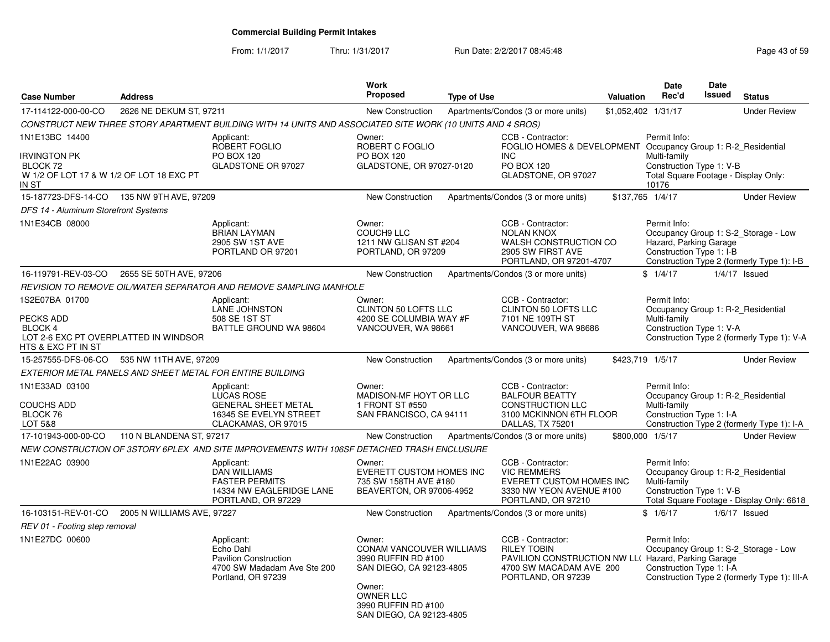#### From: 1/1/2017Thru: 1/31/2017 Run Date: 2/2/2017 08:45:48 Page 43 of 59

| <b>Case Number</b>                                  | <b>Address</b>                             |                                                                                                                                                                             | <b>Work</b><br>Proposed                                                                                                                                                | <b>Type of Use</b> |                                                                                                                                                 | Valuation           | <b>Date</b><br>Rec'd                                                                                      | <b>Date</b><br><b>Issued</b> | <b>Status</b>                                                                        |
|-----------------------------------------------------|--------------------------------------------|-----------------------------------------------------------------------------------------------------------------------------------------------------------------------------|------------------------------------------------------------------------------------------------------------------------------------------------------------------------|--------------------|-------------------------------------------------------------------------------------------------------------------------------------------------|---------------------|-----------------------------------------------------------------------------------------------------------|------------------------------|--------------------------------------------------------------------------------------|
| 17-114122-000-00-CO                                 | 2626 NE DEKUM ST, 97211                    |                                                                                                                                                                             | <b>New Construction</b>                                                                                                                                                |                    | Apartments/Condos (3 or more units)                                                                                                             | \$1,052,402 1/31/17 |                                                                                                           |                              | <b>Under Review</b>                                                                  |
|                                                     |                                            | CONSTRUCT NEW THREE STORY APARTMENT BUILDING WITH 14 UNITS AND ASSOCIATED SITE WORK (10 UNITS AND 4 SROS)                                                                   |                                                                                                                                                                        |                    |                                                                                                                                                 |                     |                                                                                                           |                              |                                                                                      |
| 1N1E13BC 14400<br>Irvington PK<br>BLOCK 72<br>IN ST | W 1/2 OF LOT 17 & W 1/2 OF LOT 18 EXC PT   | Applicant:<br>ROBERT FOGLIO<br>PO BOX 120<br>GLADSTONE OR 97027                                                                                                             | Owner:<br>ROBERT C FOGLIO<br><b>PO BOX 120</b><br>GLADSTONE, OR 97027-0120                                                                                             |                    | CCB - Contractor:<br>FOGLIO HOMES & DEVELOPMENT Occupancy Group 1: R-2 Residential<br><b>INC</b><br>PO BOX 120<br>GLADSTONE, OR 97027           |                     | Permit Info:<br>Multi-family<br>Construction Type 1: V-B<br>Total Square Footage - Display Only:<br>10176 |                              |                                                                                      |
|                                                     | 15-187723-DFS-14-CO  135 NW 9TH AVE, 97209 |                                                                                                                                                                             | <b>New Construction</b>                                                                                                                                                |                    | Apartments/Condos (3 or more units)                                                                                                             | \$137,765 1/4/17    |                                                                                                           |                              | <b>Under Review</b>                                                                  |
| DFS 14 - Aluminum Storefront Systems                |                                            |                                                                                                                                                                             |                                                                                                                                                                        |                    |                                                                                                                                                 |                     |                                                                                                           |                              |                                                                                      |
| 1N1E34CB 08000                                      |                                            | Applicant:<br><b>BRIAN LAYMAN</b><br>2905 SW 1ST AVE<br>PORTLAND OR 97201                                                                                                   | Owner:<br><b>COUCH9 LLC</b><br>1211 NW GLISAN ST #204<br>PORTLAND, OR 97209                                                                                            |                    | CCB - Contractor:<br><b>NOLAN KNOX</b><br>WALSH CONSTRUCTION CO<br>2905 SW FIRST AVE<br>PORTLAND, OR 97201-4707                                 |                     | Permit Info:<br>Hazard, Parking Garage<br>Construction Type 1: I-B                                        |                              | Occupancy Group 1: S-2 Storage - Low<br>Construction Type 2 (formerly Type 1): I-B   |
| 16-119791-REV-03-CO                                 | 2655 SE 50TH AVE, 97206                    |                                                                                                                                                                             | <b>New Construction</b>                                                                                                                                                |                    | Apartments/Condos (3 or more units)                                                                                                             |                     | \$1/4/17                                                                                                  |                              | $1/4/17$ Issued                                                                      |
|                                                     |                                            | REVISION TO REMOVE OIL/WATER SEPARATOR AND REMOVE SAMPLING MANHOLE                                                                                                          |                                                                                                                                                                        |                    |                                                                                                                                                 |                     |                                                                                                           |                              |                                                                                      |
| 1S2E07BA 01700<br>PECKS ADD<br>BLOCK 4              | LOT 2-6 EXC PT OVERPLATTED IN WINDSOR      | Applicant:<br><b>LANE JOHNSTON</b><br>508 SE 1ST ST<br>BATTLE GROUND WA 98604                                                                                               | Owner:<br>CLINTON 50 LOFTS LLC<br>4200 SE COLUMBIA WAY #F<br>VANCOUVER, WA 98661                                                                                       |                    | CCB - Contractor:<br>CLINTON 50 LOFTS LLC<br>7101 NE 109TH ST<br>VANCOUVER, WA 98686                                                            |                     | Permit Info:<br>Occupancy Group 1: R-2 Residential<br>Multi-family<br>Construction Type 1: V-A            |                              | Construction Type 2 (formerly Type 1): V-A                                           |
| HTS & EXC PT IN ST<br>15-257555-DFS-06-CO           | 535 NW 11TH AVE, 97209                     |                                                                                                                                                                             | New Construction                                                                                                                                                       |                    | Apartments/Condos (3 or more units)                                                                                                             | \$423,719 1/5/17    |                                                                                                           |                              | <b>Under Review</b>                                                                  |
|                                                     |                                            |                                                                                                                                                                             |                                                                                                                                                                        |                    |                                                                                                                                                 |                     |                                                                                                           |                              |                                                                                      |
| 1N1E33AD 03100<br>COUCHS ADD<br>BLOCK 76<br>LOT 5&8 |                                            | EXTERIOR METAL PANELS AND SHEET METAL FOR ENTIRE BUILDING<br>Applicant:<br><b>LUCAS ROSE</b><br><b>GENERAL SHEET METAL</b><br>16345 SE EVELYN STREET<br>CLACKAMAS, OR 97015 | Owner:<br>MADISON-MF HOYT OR LLC<br>1 FRONT ST #550<br>SAN FRANCISCO, CA 94111                                                                                         |                    | CCB - Contractor:<br><b>BALFOUR BEATTY</b><br><b>CONSTRUCTION LLC</b><br>3100 MCKINNON 6TH FLOOR<br>DALLAS, TX 75201                            |                     | Permit Info:<br>Occupancy Group 1: R-2 Residential<br>Multi-family<br>Construction Type 1: I-A            |                              | Construction Type 2 (formerly Type 1): I-A                                           |
| 17-101943-000-00-CO                                 | 110 N BLANDENA ST, 97217                   |                                                                                                                                                                             | New Construction                                                                                                                                                       |                    | Apartments/Condos (3 or more units)                                                                                                             | \$800,000 1/5/17    |                                                                                                           |                              | <b>Under Review</b>                                                                  |
|                                                     |                                            | NEW CONSTRUCTION OF 3STORY 6PLEX AND SITE IMPROVEMENTS WITH 106SF DETACHED TRASH ENCLUSURE                                                                                  |                                                                                                                                                                        |                    |                                                                                                                                                 |                     |                                                                                                           |                              |                                                                                      |
| 1N1E22AC 03900                                      |                                            | Applicant:<br><b>DAN WILLIAMS</b><br><b>FASTER PERMITS</b><br>14334 NW EAGLERIDGE LANE<br>PORTLAND, OR 97229                                                                | Owner:<br>EVERETT CUSTOM HOMES INC<br>735 SW 158TH AVE #180<br>BEAVERTON, OR 97006-4952                                                                                |                    | CCB - Contractor:<br><b>VIC REMMERS</b><br><b>EVERETT CUSTOM HOMES INC</b><br>3330 NW YEON AVENUE #100<br>PORTLAND, OR 97210                    |                     | Permit Info:<br>Occupancy Group 1: R-2 Residential<br>Multi-family<br>Construction Type 1: V-B            |                              | Total Square Footage - Display Only: 6618                                            |
| 16-103151-REV-01-CO                                 | 2005 N WILLIAMS AVE, 97227                 |                                                                                                                                                                             | New Construction                                                                                                                                                       |                    | Apartments/Condos (3 or more units)                                                                                                             |                     | \$1/6/17                                                                                                  |                              | $1/6/17$ Issued                                                                      |
| REV 01 - Footing step removal                       |                                            |                                                                                                                                                                             |                                                                                                                                                                        |                    |                                                                                                                                                 |                     |                                                                                                           |                              |                                                                                      |
| 1N1E27DC 00600                                      |                                            | Applicant:<br>Echo Dahl<br><b>Pavilion Construction</b><br>4700 SW Madadam Ave Ste 200<br>Portland, OR 97239                                                                | Owner:<br>CONAM VANCOUVER WILLIAMS<br>3990 RUFFIN RD #100<br>SAN DIEGO, CA 92123-4805<br>Owner:<br><b>OWNER LLC</b><br>3990 RUFFIN RD #100<br>SAN DIEGO, CA 92123-4805 |                    | CCB - Contractor:<br><b>RILEY TOBIN</b><br>PAVILION CONSTRUCTION NW LL( Hazard, Parking Garage<br>4700 SW MACADAM AVE 200<br>PORTLAND, OR 97239 |                     | Permit Info:<br>Construction Type 1: I-A                                                                  |                              | Occupancy Group 1: S-2_Storage - Low<br>Construction Type 2 (formerly Type 1): III-A |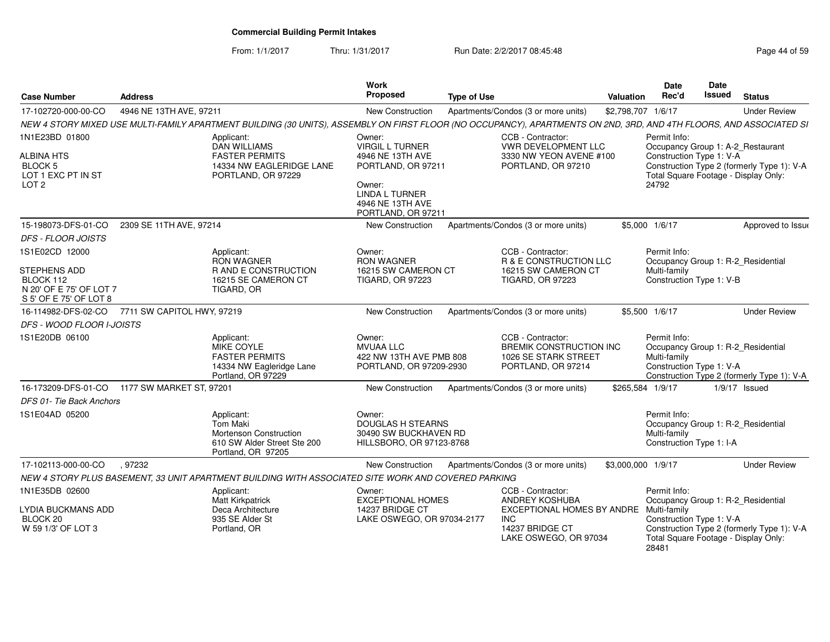From: 1/1/2017Thru: 1/31/2017 Run Date: 2/2/2017 08:45:48 Page 44 of 59

| <b>Case Number</b>                                                             | <b>Address</b>             |                                                                                                       | Work<br>Proposed                                                                                                    | <b>Type of Use</b>                                                                                                                                                  | Valuation          | Date<br>Rec'd                                                                                  | Date<br>Issued | <b>Status</b>                              |
|--------------------------------------------------------------------------------|----------------------------|-------------------------------------------------------------------------------------------------------|---------------------------------------------------------------------------------------------------------------------|---------------------------------------------------------------------------------------------------------------------------------------------------------------------|--------------------|------------------------------------------------------------------------------------------------|----------------|--------------------------------------------|
| 17-102720-000-00-CO                                                            | 4946 NE 13TH AVE, 97211    |                                                                                                       | <b>New Construction</b>                                                                                             | Apartments/Condos (3 or more units)                                                                                                                                 | \$2,798,707 1/6/17 |                                                                                                |                | <b>Under Review</b>                        |
|                                                                                |                            |                                                                                                       |                                                                                                                     | NEW 4 STORY MIXED USE MULTI-FAMILY APARTMENT BUILDING (30 UNITS), ASSEMBLY ON FIRST FLOOR (NO OCCUPANCY), APARTMENTS ON 2ND, 3RD, AND 4TH FLOORS, AND ASSOCIATED SI |                    |                                                                                                |                |                                            |
| 1N1E23BD 01800                                                                 |                            | Applicant:<br><b>DAN WILLIAMS</b>                                                                     | Owner:<br><b>VIRGIL L TURNER</b>                                                                                    | CCB - Contractor:<br><b>VWR DEVELOPMENT LLC</b>                                                                                                                     |                    | Permit Info:<br>Occupancy Group 1: A-2_Restaurant                                              |                |                                            |
| ALBINA HTS<br>BLOCK 5<br>LOT 1 EXC PT IN ST<br>LOT <sub>2</sub>                |                            | <b>FASTER PERMITS</b><br>14334 NW EAGLERIDGE LANE<br>PORTLAND, OR 97229                               | 4946 NE 13TH AVE<br>PORTLAND, OR 97211<br>Owner:<br><b>LINDA L TURNER</b><br>4946 NE 13TH AVE<br>PORTLAND, OR 97211 | 3330 NW YEON AVENE #100<br>PORTLAND, OR 97210                                                                                                                       |                    | Construction Type 1: V-A<br>Total Square Footage - Display Only:<br>24792                      |                | Construction Type 2 (formerly Type 1): V-A |
| 15-198073-DFS-01-CO                                                            | 2309 SE 11TH AVE, 97214    |                                                                                                       | New Construction                                                                                                    | Apartments/Condos (3 or more units)                                                                                                                                 |                    | \$5,000 1/6/17                                                                                 |                | Approved to Issue                          |
| <b>DFS - FLOOR JOISTS</b>                                                      |                            |                                                                                                       |                                                                                                                     |                                                                                                                                                                     |                    |                                                                                                |                |                                            |
| 1S1E02CD 12000                                                                 |                            | Applicant:<br><b>RON WAGNER</b>                                                                       | Owner:<br><b>RON WAGNER</b>                                                                                         | CCB - Contractor:<br>R & E CONSTRUCTION LLC                                                                                                                         |                    | Permit Info:<br>Occupancy Group 1: R-2_Residential                                             |                |                                            |
| STEPHENS ADD<br>BLOCK 112<br>N 20' OF E 75' OF LOT 7<br>S 5' OF E 75' OF LOT 8 |                            | <b>RAND E CONSTRUCTION</b><br>16215 SE CAMERON CT<br>TIGARD, OR                                       | 16215 SW CAMERON CT<br><b>TIGARD, OR 97223</b>                                                                      | 16215 SW CAMERON CT<br><b>TIGARD, OR 97223</b>                                                                                                                      |                    | Multi-family<br>Construction Type 1: V-B                                                       |                |                                            |
| 16-114982-DFS-02-CO                                                            | 7711 SW CAPITOL HWY, 97219 |                                                                                                       | New Construction                                                                                                    | Apartments/Condos (3 or more units)                                                                                                                                 |                    | \$5,500 1/6/17                                                                                 |                | <b>Under Review</b>                        |
| <b>DFS - WOOD FLOOR I-JOISTS</b>                                               |                            |                                                                                                       |                                                                                                                     |                                                                                                                                                                     |                    |                                                                                                |                |                                            |
| 1S1E20DB 06100                                                                 |                            | Applicant:<br>MIKE COYLE<br><b>FASTER PERMITS</b><br>14334 NW Eagleridge Lane<br>Portland, OR 97229   | Owner:<br><b>MVUAA LLC</b><br>422 NW 13TH AVE PMB 808<br>PORTLAND, OR 97209-2930                                    | CCB - Contractor:<br><b>BREMIK CONSTRUCTION INC</b><br>1026 SE STARK STREET<br>PORTLAND, OR 97214                                                                   |                    | Permit Info:<br>Occupancy Group 1: R-2_Residential<br>Multi-family<br>Construction Type 1: V-A |                | Construction Type 2 (formerly Type 1): V-A |
| 16-173209-DFS-01-CO                                                            | 1177 SW MARKET ST, 97201   |                                                                                                       | New Construction                                                                                                    | Apartments/Condos (3 or more units)                                                                                                                                 |                    | \$265,584 1/9/17                                                                               |                | $1/9/17$ Issued                            |
| DFS 01- Tie Back Anchors                                                       |                            |                                                                                                       |                                                                                                                     |                                                                                                                                                                     |                    |                                                                                                |                |                                            |
| 1S1E04AD 05200                                                                 |                            | Applicant:<br>Tom Maki<br>Mortenson Construction<br>610 SW Alder Street Ste 200<br>Portland, OR 97205 | Owner:<br><b>DOUGLAS H STEARNS</b><br>30490 SW BUCKHAVEN RD<br>HILLSBORO, OR 97123-8768                             |                                                                                                                                                                     |                    | Permit Info:<br>Occupancy Group 1: R-2_Residential<br>Multi-family<br>Construction Type 1: I-A |                |                                            |
| 17-102113-000-00-CO                                                            | .97232                     |                                                                                                       | New Construction                                                                                                    | Apartments/Condos (3 or more units)                                                                                                                                 | \$3,000,000 1/9/17 |                                                                                                |                | <b>Under Review</b>                        |
|                                                                                |                            | NEW 4 STORY PLUS BASEMENT, 33 UNIT APARTMENT BUILDING WITH ASSOCIATED SITE WORK AND COVERED PARKING   |                                                                                                                     |                                                                                                                                                                     |                    |                                                                                                |                |                                            |
| 1N1E35DB 02600                                                                 |                            | Applicant:<br><b>Matt Kirkpatrick</b>                                                                 | Owner:<br><b>EXCEPTIONAL HOMES</b>                                                                                  | CCB - Contractor:<br>ANDREY KOSHUBA                                                                                                                                 |                    | Permit Info:<br>Occupancy Group 1: R-2_Residential                                             |                |                                            |
| LYDIA BUCKMANS ADD<br>BLOCK 20<br>W 59 1/3' OF LOT 3                           |                            | Deca Architecture<br>935 SE Alder St<br>Portland, OR                                                  | 14237 BRIDGE CT<br>LAKE OSWEGO, OR 97034-2177                                                                       | EXCEPTIONAL HOMES BY ANDRE<br><b>INC</b><br>14237 BRIDGE CT<br>LAKE OSWEGO, OR 97034                                                                                |                    | Multi-family<br>Construction Type 1: V-A<br>Total Square Footage - Display Only:<br>28481      |                | Construction Type 2 (formerly Type 1): V-A |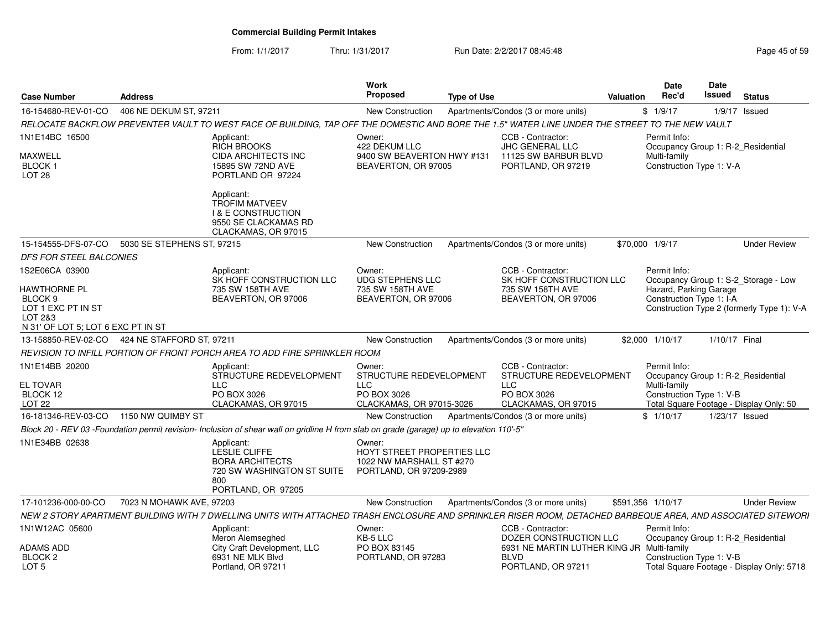From: 1/1/2017Thru: 1/31/2017 **Run Date: 2/2/2017 08:45:48** Page 45 of 59 of 59 of 59 of 59 of 59 of 59 of 59 of 59 of 59 of 59 of 59 of 59 of 59 of 59 of 59 of 59 of 59 of 59 of 59 of 59 of 59 of 59 of 59 of 59 of 59 of 59 of 59 of 59

| <b>Case Number</b>                                                                                        | <b>Address</b>                                                                                                                                               | Work<br><b>Proposed</b>                                                                     | <b>Type of Use</b>                                         | <b>Date</b><br>Rec'd<br><b>Valuation</b>           | Date<br>Issued<br><b>Status</b>                                       |
|-----------------------------------------------------------------------------------------------------------|--------------------------------------------------------------------------------------------------------------------------------------------------------------|---------------------------------------------------------------------------------------------|------------------------------------------------------------|----------------------------------------------------|-----------------------------------------------------------------------|
| 16-154680-REV-01-CO                                                                                       | 406 NE DEKUM ST, 97211                                                                                                                                       | New Construction                                                                            | Apartments/Condos (3 or more units)                        | \$1/9/17                                           | $1/9/17$ Issued                                                       |
|                                                                                                           | RELOCATE BACKFLOW PREVENTER VAULT TO WEST FACE OF BUILDING, TAP OFF THE DOMESTIC AND BORE THE 1.5" WATER LINE UNDER THE STREET TO THE NEW VAULT              |                                                                                             |                                                            |                                                    |                                                                       |
| 1N1E14BC 16500                                                                                            | Applicant:<br><b>RICH BROOKS</b>                                                                                                                             | Owner:<br>422 DEKUM LLC                                                                     | CCB - Contractor:<br><b>JHC GENERAL LLC</b>                | Permit Info:                                       | Occupancy Group 1: R-2_Residential                                    |
| MAXWELL<br>BLOCK 1<br>LOT <sub>28</sub>                                                                   | <b>CIDA ARCHITECTS INC</b><br>15895 SW 72ND AVE<br>PORTLAND OR 97224                                                                                         | 9400 SW BEAVERTON HWY #131<br>BEAVERTON, OR 97005                                           | 11125 SW BARBUR BLVD<br>PORTLAND, OR 97219                 | Multi-family<br>Construction Type 1: V-A           |                                                                       |
|                                                                                                           | Applicant:<br><b>TROFIM MATVEEV</b><br><b>I &amp; E CONSTRUCTION</b><br>9550 SE CLACKAMAS RD<br>CLACKAMAS, OR 97015                                          |                                                                                             |                                                            |                                                    |                                                                       |
| 15-154555-DFS-07-CO                                                                                       | 5030 SE STEPHENS ST, 97215                                                                                                                                   | New Construction                                                                            | Apartments/Condos (3 or more units)                        | \$70,000 1/9/17                                    | <b>Under Review</b>                                                   |
| DFS FOR STEEL BALCONIES                                                                                   |                                                                                                                                                              |                                                                                             |                                                            |                                                    |                                                                       |
| 1S2E06CA 03900                                                                                            | Applicant:<br>SK HOFF CONSTRUCTION LLC                                                                                                                       | Owner:<br><b>UDG STEPHENS LLC</b>                                                           | CCB - Contractor:                                          | Permit Info:<br>SK HOFF CONSTRUCTION LLC           | Occupancy Group 1: S-2_Storage - Low                                  |
| HAWTHORNE PL<br>BLOCK <sub>9</sub><br>LOT 1 EXC PT IN ST<br>LOT 2&3<br>N 31' OF LOT 5; LOT 6 EXC PT IN ST | 735 SW 158TH AVE<br>BEAVERTON, OR 97006                                                                                                                      | 735 SW 158TH AVE<br>BEAVERTON, OR 97006                                                     | 735 SW 158TH AVE<br>BEAVERTON, OR 97006                    | Hazard, Parking Garage<br>Construction Type 1: I-A | Construction Type 2 (formerly Type 1): V-A                            |
|                                                                                                           | 13-158850-REV-02-CO  424 NE STAFFORD ST, 97211                                                                                                               | New Construction                                                                            | Apartments/Condos (3 or more units)                        | \$2,000 1/10/17                                    | 1/10/17 Final                                                         |
|                                                                                                           | REVISION TO INFILL PORTION OF FRONT PORCH AREA TO ADD FIRE SPRINKLER ROOM                                                                                    |                                                                                             |                                                            |                                                    |                                                                       |
| 1N1E14BB 20200                                                                                            | Applicant:<br>STRUCTURE REDEVELOPMENT                                                                                                                        | Owner:<br>STRUCTURE REDEVELOPMENT                                                           | CCB - Contractor:                                          | Permit Info:<br>STRUCTURE REDEVELOPMENT            | Occupancy Group 1: R-2_Residential                                    |
| <b>EL TOVAR</b><br>BLOCK 12                                                                               | <b>LLC</b><br>PO BOX 3026                                                                                                                                    | <b>LLC</b><br>PO BOX 3026                                                                   | LLC.<br>PO BOX 3026                                        | Multi-family<br>Construction Type 1: V-B           |                                                                       |
| LOT 22<br>16-181346-REV-03-CO 1150 NW QUIMBY ST                                                           | CLACKAMAS, OR 97015                                                                                                                                          | CLACKAMAS, OR 97015-3026<br>New Construction                                                | CLACKAMAS, OR 97015<br>Apartments/Condos (3 or more units) | \$1/10/17                                          | Total Square Footage - Display Only: 50<br>1/23/17 Issued             |
|                                                                                                           | Block 20 - REV 03 -Foundation permit revision- Inclusion of shear wall on gridline H from slab on grade (garage) up to elevation 110'-5"                     |                                                                                             |                                                            |                                                    |                                                                       |
| 1N1E34BB 02638                                                                                            | Applicant:<br><b>LESLIE CLIFFE</b><br><b>BORA ARCHITECTS</b><br>720 SW WASHINGTON ST SUITE<br>800                                                            | Owner:<br>HOYT STREET PROPERTIES LLC<br>1022 NW MARSHALL ST #270<br>PORTLAND, OR 97209-2989 |                                                            |                                                    |                                                                       |
|                                                                                                           | PORTLAND, OR 97205                                                                                                                                           |                                                                                             |                                                            |                                                    |                                                                       |
| 17-101236-000-00-CO                                                                                       | 7023 N MOHAWK AVE, 97203                                                                                                                                     | <b>New Construction</b>                                                                     | Apartments/Condos (3 or more units)                        | \$591,356 1/10/17                                  | <b>Under Review</b>                                                   |
|                                                                                                           | NEW 2 STORY APARTMENT BUILDING WITH 7 DWELLING UNITS WITH ATTACHED TRASH ENCLOSURE AND SPRINKLER RISER ROOM, DETACHED BARBEQUE AREA, AND ASSOCIATED SITEWORI |                                                                                             |                                                            |                                                    |                                                                       |
| 1N1W12AC 05600                                                                                            | Applicant:<br>Meron Alemseghed                                                                                                                               | Owner:<br>KB-5 LLC                                                                          | CCB - Contractor:                                          | Permit Info:<br>DOZER CONSTRUCTION LLC             | Occupancy Group 1: R-2_Residential                                    |
| ADAMS ADD<br>BLOCK <sub>2</sub><br>LOT <sub>5</sub>                                                       | City Craft Development, LLC<br>6931 NE MLK Blvd<br>Portland, OR 97211                                                                                        | PO BOX 83145<br>PORTLAND, OR 97283                                                          | <b>BLVD</b><br>PORTLAND, OR 97211                          | 6931 NE MARTIN LUTHER KING JR Multi-family         | Construction Type 1: V-B<br>Total Square Footage - Display Only: 5718 |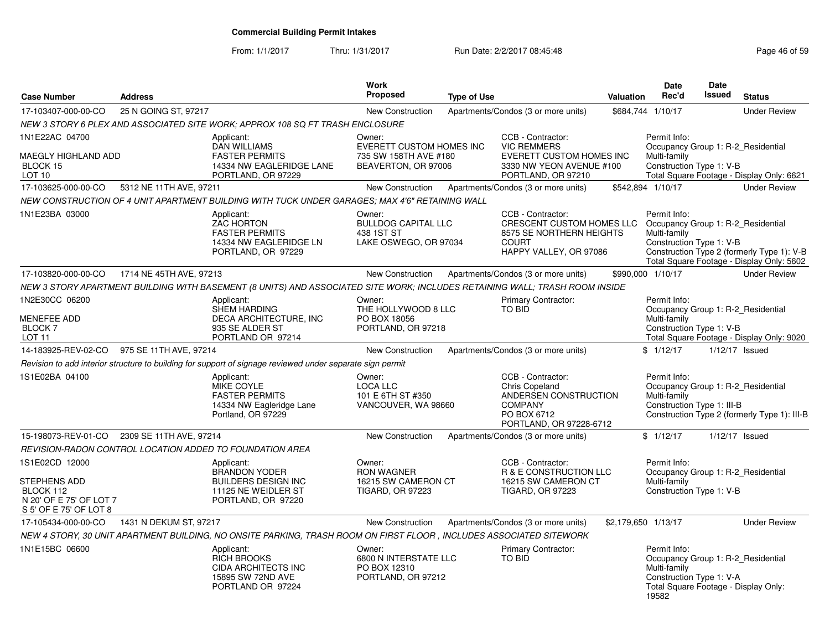From: 1/1/2017Thru: 1/31/2017 **Run Date: 2/2/2017 08:45:48** Page 46 of 59

| <b>Case Number</b>                                                                                      | <b>Address</b>                             |                                                                                                                             | <b>Work</b><br>Proposed                                                                   | <b>Type of Use</b> |                                                                                                                                                         | <b>Valuation</b>    | Date<br>Rec'd                                                                                                                                   | <b>Date</b><br>Issued | <b>Status</b>                                                                           |
|---------------------------------------------------------------------------------------------------------|--------------------------------------------|-----------------------------------------------------------------------------------------------------------------------------|-------------------------------------------------------------------------------------------|--------------------|---------------------------------------------------------------------------------------------------------------------------------------------------------|---------------------|-------------------------------------------------------------------------------------------------------------------------------------------------|-----------------------|-----------------------------------------------------------------------------------------|
| 17-103407-000-00-CO                                                                                     | 25 N GOING ST, 97217                       |                                                                                                                             | <b>New Construction</b>                                                                   |                    | Apartments/Condos (3 or more units)                                                                                                                     |                     | \$684,744 1/10/17                                                                                                                               |                       | <b>Under Review</b>                                                                     |
|                                                                                                         |                                            | NEW 3 STORY 6 PLEX AND ASSOCIATED SITE WORK: APPROX 108 SQ FT TRASH ENCLOSURE                                               |                                                                                           |                    |                                                                                                                                                         |                     |                                                                                                                                                 |                       |                                                                                         |
| 1N1E22AC 04700<br><b>MAEGLY HIGHLAND ADD</b><br>BLOCK 15<br>LOT 10                                      |                                            | Applicant:<br><b>DAN WILLIAMS</b><br><b>FASTER PERMITS</b><br>14334 NW EAGLERIDGE LANE<br>PORTLAND, OR 97229                | Owner:<br><b>EVERETT CUSTOM HOMES INC</b><br>735 SW 158TH AVE #180<br>BEAVERTON, OR 97006 |                    | CCB - Contractor:<br><b>VIC REMMERS</b><br><b>EVERETT CUSTOM HOMES INC</b><br>3330 NW YEON AVENUE #100<br>PORTLAND, OR 97210                            |                     | Permit Info:<br>Occupancy Group 1: R-2_Residential<br>Multi-family<br>Construction Type 1: V-B                                                  |                       | Total Square Footage - Display Only: 6621                                               |
| 17-103625-000-00-CO                                                                                     | 5312 NE 11TH AVE, 97211                    |                                                                                                                             | New Construction                                                                          |                    | Apartments/Condos (3 or more units)                                                                                                                     |                     | \$542,894 1/10/17                                                                                                                               |                       | <b>Under Review</b>                                                                     |
|                                                                                                         |                                            | NEW CONSTRUCTION OF 4 UNIT APARTMENT BUILDING WITH TUCK UNDER GARAGES: MAX 4'6" RETAINING WALL                              |                                                                                           |                    |                                                                                                                                                         |                     |                                                                                                                                                 |                       |                                                                                         |
| 1N1E23BA 03000                                                                                          |                                            | Applicant:<br><b>ZAC HORTON</b><br><b>FASTER PERMITS</b><br>14334 NW EAGLERIDGE LN<br>PORTLAND, OR 97229                    | Owner:<br><b>BULLDOG CAPITAL LLC</b><br>438 1ST ST<br>LAKE OSWEGO, OR 97034               |                    | CCB - Contractor:<br>CRESCENT CUSTOM HOMES LLC Occupancy Group 1: R-2 Residential<br>8575 SE NORTHERN HEIGHTS<br><b>COURT</b><br>HAPPY VALLEY, OR 97086 |                     | Permit Info:<br>Multi-family<br>Construction Type 1: V-B                                                                                        |                       | Construction Type 2 (formerly Type 1): V-B<br>Total Square Footage - Display Only: 5602 |
| 17-103820-000-00-CO                                                                                     | 1714 NE 45TH AVE, 97213                    |                                                                                                                             | New Construction                                                                          |                    | Apartments/Condos (3 or more units)                                                                                                                     |                     | \$990,000 1/10/17                                                                                                                               |                       | <b>Under Review</b>                                                                     |
|                                                                                                         |                                            | NEW 3 STORY APARTMENT BUILDING WITH BASEMENT (8 UNITS) AND ASSOCIATED SITE WORK; INCLUDES RETAINING WALL; TRASH ROOM INSIDE |                                                                                           |                    |                                                                                                                                                         |                     |                                                                                                                                                 |                       |                                                                                         |
| 1N2E30CC 06200<br>MENEFEE ADD<br><b>BLOCK7</b><br>LOT <sub>11</sub>                                     |                                            | Applicant:<br><b>SHEM HARDING</b><br>DECA ARCHITECTURE, INC<br>935 SE ALDER ST<br>PORTLAND OR 97214                         | Owner:<br>THE HOLLYWOOD 8 LLC<br>PO BOX 18056<br>PORTLAND, OR 97218                       |                    | <b>Primary Contractor:</b><br><b>TO BID</b>                                                                                                             |                     | Permit Info:<br>Occupancy Group 1: R-2 Residential<br>Multi-family<br>Construction Type 1: V-B                                                  |                       | Total Square Footage - Display Only: 9020                                               |
|                                                                                                         | 14-183925-REV-02-CO 975 SE 11TH AVE, 97214 |                                                                                                                             | New Construction                                                                          |                    | Apartments/Condos (3 or more units)                                                                                                                     |                     | \$1/12/17                                                                                                                                       |                       | 1/12/17 Issued                                                                          |
|                                                                                                         |                                            | Revision to add interior structure to building for support of signage reviewed under separate sign permit                   |                                                                                           |                    |                                                                                                                                                         |                     |                                                                                                                                                 |                       |                                                                                         |
| 1S1E02BA 04100                                                                                          |                                            | Applicant:<br><b>MIKE COYLE</b><br><b>FASTER PERMITS</b><br>14334 NW Eagleridge Lane<br>Portland, OR 97229                  | Owner:<br><b>LOCA LLC</b><br>101 E 6TH ST #350<br>VANCOUVER, WA 98660                     |                    | CCB - Contractor:<br>Chris Copeland<br>ANDERSEN CONSTRUCTION<br><b>COMPANY</b><br>PO BOX 6712<br>PORTLAND, OR 97228-6712                                |                     | Permit Info:<br>Occupancy Group 1: R-2_Residential<br>Multi-family<br>Construction Type 1: III-B                                                |                       | Construction Type 2 (formerly Type 1): III-B                                            |
| 15-198073-REV-01-CO                                                                                     | 2309 SE 11TH AVE, 97214                    |                                                                                                                             | New Construction                                                                          |                    | Apartments/Condos (3 or more units)                                                                                                                     |                     | \$1/12/17                                                                                                                                       |                       | 1/12/17 Issued                                                                          |
|                                                                                                         |                                            | REVISION-RADON CONTROL LOCATION ADDED TO FOUNDATION AREA                                                                    |                                                                                           |                    |                                                                                                                                                         |                     |                                                                                                                                                 |                       |                                                                                         |
| 1S1E02CD 12000<br><b>STEPHENS ADD</b><br>BLOCK 112<br>N 20' OF E 75' OF LOT 7<br>S 5' OF E 75' OF LOT 8 |                                            | Applicant:<br><b>BRANDON YODER</b><br><b>BUILDERS DESIGN INC</b><br>11125 NE WEIDLER ST<br>PORTLAND, OR 97220               | Owner:<br><b>RON WAGNER</b><br>16215 SW CAMERON CT<br><b>TIGARD, OR 97223</b>             |                    | CCB - Contractor:<br>R & E CONSTRUCTION LLC<br>16215 SW CAMERON CT<br><b>TIGARD, OR 97223</b>                                                           |                     | Permit Info:<br>Occupancy Group 1: R-2_Residential<br>Multi-family<br>Construction Type 1: V-B                                                  |                       |                                                                                         |
| 17-105434-000-00-CO                                                                                     | 1431 N DEKUM ST, 97217                     |                                                                                                                             | <b>New Construction</b>                                                                   |                    | Apartments/Condos (3 or more units)                                                                                                                     | \$2.179.650 1/13/17 |                                                                                                                                                 |                       | <b>Under Review</b>                                                                     |
|                                                                                                         |                                            | NEW 4 STORY, 30 UNIT APARTMENT BUILDING, NO ONSITE PARKING, TRASH ROOM ON FIRST FLOOR , INCLUDES ASSOCIATED SITEWORK        |                                                                                           |                    |                                                                                                                                                         |                     |                                                                                                                                                 |                       |                                                                                         |
| 1N1E15BC 06600                                                                                          |                                            | Applicant:<br><b>RICH BROOKS</b><br><b>CIDA ARCHITECTS INC</b><br>15895 SW 72ND AVE<br>PORTLAND OR 97224                    | Owner:<br>6800 N INTERSTATE LLC<br>PO BOX 12310<br>PORTLAND, OR 97212                     |                    | Primary Contractor:<br><b>TO BID</b>                                                                                                                    |                     | Permit Info:<br>Occupancy Group 1: R-2_Residential<br>Multi-family<br>Construction Type 1: V-A<br>Total Square Footage - Display Only:<br>19582 |                       |                                                                                         |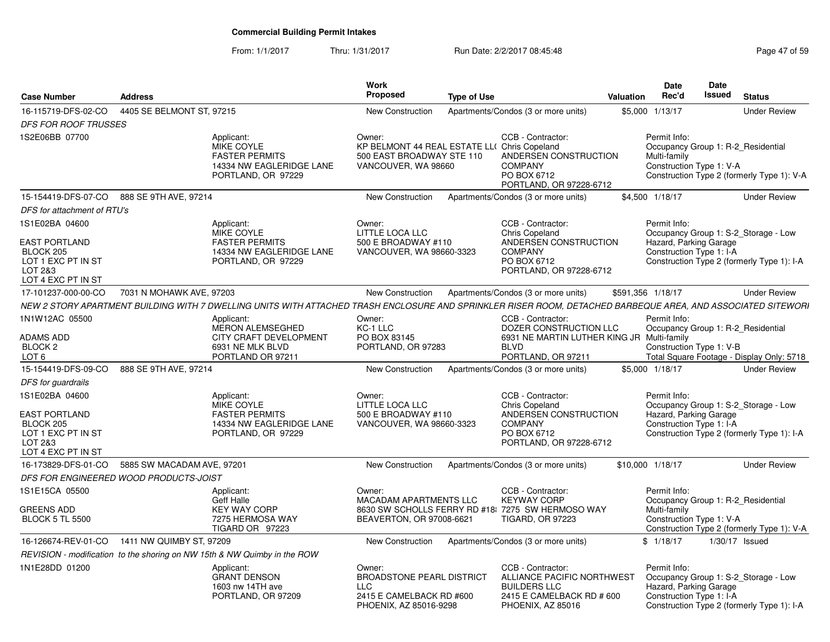From: 1/1/2017Thru: 1/31/2017 Run Date: 2/2/2017 08:45:48 Page 47 of 59

| <b>Case Number</b>                                                                                         | <b>Address</b>                         |                                                                                                                                                              | <b>Work</b><br>Proposed                                                                                        | <b>Type of Use</b> |                                                                                                                                 | Valuation | <b>Date</b><br>Rec'd                                                                           | <b>Date</b><br><b>Issued</b> | <b>Status</b>                                                                      |
|------------------------------------------------------------------------------------------------------------|----------------------------------------|--------------------------------------------------------------------------------------------------------------------------------------------------------------|----------------------------------------------------------------------------------------------------------------|--------------------|---------------------------------------------------------------------------------------------------------------------------------|-----------|------------------------------------------------------------------------------------------------|------------------------------|------------------------------------------------------------------------------------|
| 16-115719-DFS-02-CO                                                                                        | 4405 SE BELMONT ST, 97215              |                                                                                                                                                              | <b>New Construction</b>                                                                                        |                    | Apartments/Condos (3 or more units)                                                                                             |           | \$5,000 1/13/17                                                                                |                              | <b>Under Review</b>                                                                |
| <b>DFS FOR ROOF TRUSSES</b>                                                                                |                                        |                                                                                                                                                              |                                                                                                                |                    |                                                                                                                                 |           |                                                                                                |                              |                                                                                    |
| 1S2E06BB 07700                                                                                             |                                        | Applicant:<br>MIKE COYLE<br><b>FASTER PERMITS</b><br>14334 NW EAGLERIDGE LANE<br>PORTLAND, OR 97229                                                          | Owner:<br>KP BELMONT 44 REAL ESTATE LL( Chris Copeland<br>500 EAST BROADWAY STE 110<br>VANCOUVER, WA 98660     |                    | CCB - Contractor:<br>ANDERSEN CONSTRUCTION<br><b>COMPANY</b><br>PO BOX 6712<br>PORTLAND, OR 97228-6712                          |           | Permit Info:<br>Occupancy Group 1: R-2 Residential<br>Multi-family<br>Construction Type 1: V-A |                              | Construction Type 2 (formerly Type 1): V-A                                         |
| 15-154419-DFS-07-CO                                                                                        | 888 SE 9TH AVE, 97214                  |                                                                                                                                                              | <b>New Construction</b>                                                                                        |                    | Apartments/Condos (3 or more units)                                                                                             |           | \$4,500 1/18/17                                                                                |                              | <b>Under Review</b>                                                                |
| DFS for attachment of RTU's                                                                                |                                        |                                                                                                                                                              |                                                                                                                |                    |                                                                                                                                 |           |                                                                                                |                              |                                                                                    |
| 1S1E02BA 04600<br><b>EAST PORTLAND</b><br>BLOCK 205<br>LOT 1 EXC PT IN ST<br>LOT 2&3<br>LOT 4 EXC PT IN ST |                                        | Applicant:<br>MIKE COYLE<br><b>FASTER PERMITS</b><br>14334 NW EAGLERIDGE LANE<br>PORTLAND, OR 97229                                                          | Owner:<br>LITTLE LOCA LLC<br>500 E BROADWAY #110<br>VANCOUVER, WA 98660-3323                                   |                    | CCB - Contractor:<br><b>Chris Copeland</b><br>ANDERSEN CONSTRUCTION<br><b>COMPANY</b><br>PO BOX 6712<br>PORTLAND, OR 97228-6712 |           | Permit Info:<br>Hazard, Parking Garage<br>Construction Type 1: I-A                             |                              | Occupancy Group 1: S-2_Storage - Low<br>Construction Type 2 (formerly Type 1): I-A |
| 17-101237-000-00-CO                                                                                        | 7031 N MOHAWK AVE, 97203               |                                                                                                                                                              | <b>New Construction</b>                                                                                        |                    | Apartments/Condos (3 or more units)                                                                                             |           | \$591,356 1/18/17                                                                              |                              | <b>Under Review</b>                                                                |
|                                                                                                            |                                        | NEW 2 STORY APARTMENT BUILDING WITH 7 DWELLING UNITS WITH ATTACHED TRASH ENCLOSURE AND SPRINKLER RISER ROOM, DETACHED BARBEQUE AREA, AND ASSOCIATED SITEWORI |                                                                                                                |                    |                                                                                                                                 |           |                                                                                                |                              |                                                                                    |
| 1N1W12AC 05500<br>ADAMS ADD<br>BLOCK 2<br>LOT <sub>6</sub>                                                 |                                        | Applicant:<br><b>MERON ALEMSEGHED</b><br>CITY CRAFT DEVELOPMENT<br>6931 NE MLK BLVD<br>PORTLAND OR 97211                                                     | Owner:<br>KC-1 LLC<br>PO BOX 83145<br>PORTLAND, OR 97283                                                       |                    | CCB - Contractor:<br>DOZER CONSTRUCTION LLC<br>6931 NE MARTIN LUTHER KING JR Multi-family<br><b>BIVD</b><br>PORTLAND, OR 97211  |           | Permit Info:<br>Occupancy Group 1: R-2 Residential<br>Construction Type 1: V-B                 |                              | Total Square Footage - Display Only: 5718                                          |
| 15-154419-DFS-09-CO                                                                                        | 888 SE 9TH AVE, 97214                  |                                                                                                                                                              | <b>New Construction</b>                                                                                        |                    | Apartments/Condos (3 or more units)                                                                                             |           | \$5.000 1/18/17                                                                                |                              | <b>Under Review</b>                                                                |
| DFS for guardrails                                                                                         |                                        |                                                                                                                                                              |                                                                                                                |                    |                                                                                                                                 |           |                                                                                                |                              |                                                                                    |
| 1S1E02BA 04600<br><b>EAST PORTLAND</b><br>BLOCK 205<br>LOT 1 EXC PT IN ST<br>LOT 2&3<br>LOT 4 EXC PT IN ST |                                        | Applicant:<br>MIKE COYLE<br><b>FASTER PERMITS</b><br>14334 NW EAGLERIDGE LANE<br>PORTLAND, OR 97229                                                          | Owner:<br><b>LITTLE LOCA LLC</b><br>500 E BROADWAY #110<br>VANCOUVER, WA 98660-3323                            |                    | CCB - Contractor:<br><b>Chris Copeland</b><br>ANDERSEN CONSTRUCTION<br><b>COMPANY</b><br>PO BOX 6712<br>PORTLAND, OR 97228-6712 |           | Permit Info:<br>Hazard, Parking Garage<br>Construction Type 1: I-A                             |                              | Occupancy Group 1: S-2_Storage - Low<br>Construction Type 2 (formerly Type 1): I-A |
| 16-173829-DFS-01-CO                                                                                        | 5885 SW MACADAM AVE, 97201             |                                                                                                                                                              | <b>New Construction</b>                                                                                        |                    | Apartments/Condos (3 or more units)                                                                                             |           | \$10,000 1/18/17                                                                               |                              | <b>Under Review</b>                                                                |
|                                                                                                            | DFS FOR ENGINEERED WOOD PRODUCTS-JOIST |                                                                                                                                                              |                                                                                                                |                    |                                                                                                                                 |           |                                                                                                |                              |                                                                                    |
| 1S1E15CA 05500<br><b>GREENS ADD</b><br><b>BLOCK 5 TL 5500</b>                                              |                                        | Applicant:<br>Geff Halle<br><b>KEY WAY CORP</b><br>7275 HERMOSA WAY<br>TIGARD OR 97223                                                                       | Owner:<br><b>MACADAM APARTMENTS LLC</b><br>BEAVERTON, OR 97008-6621                                            |                    | CCB - Contractor:<br><b>KEYWAY CORP</b><br>8630 SW SCHOLLS FERRY RD #18 7275 SW HERMOSO WAY<br><b>TIGARD, OR 97223</b>          |           | Permit Info:<br>Occupancy Group 1: R-2_Residential<br>Multi-family<br>Construction Type 1: V-A |                              | Construction Type 2 (formerly Type 1): V-A                                         |
| 16-126674-REV-01-CO                                                                                        | 1411 NW QUIMBY ST, 97209               |                                                                                                                                                              | <b>New Construction</b>                                                                                        |                    | Apartments/Condos (3 or more units)                                                                                             |           | \$1/18/17                                                                                      |                              | 1/30/17 Issued                                                                     |
|                                                                                                            |                                        | REVISION - modification to the shoring on NW 15th & NW Quimby in the ROW                                                                                     |                                                                                                                |                    |                                                                                                                                 |           |                                                                                                |                              |                                                                                    |
| 1N1E28DD 01200                                                                                             |                                        | Applicant:<br><b>GRANT DENSON</b><br>1603 nw 14TH ave<br>PORTLAND, OR 97209                                                                                  | Owner:<br><b>BROADSTONE PEARL DISTRICT</b><br><b>LLC</b><br>2415 E CAMELBACK RD #600<br>PHOENIX, AZ 85016-9298 |                    | CCB - Contractor:<br>ALLIANCE PACIFIC NORTHWEST<br><b>BUILDERS LLC</b><br>2415 E CAMELBACK RD # 600<br>PHOENIX, AZ 85016        |           | Permit Info:<br>Hazard, Parking Garage<br>Construction Type 1: I-A                             |                              | Occupancy Group 1: S-2_Storage - Low<br>Construction Type 2 (formerly Type 1): I-A |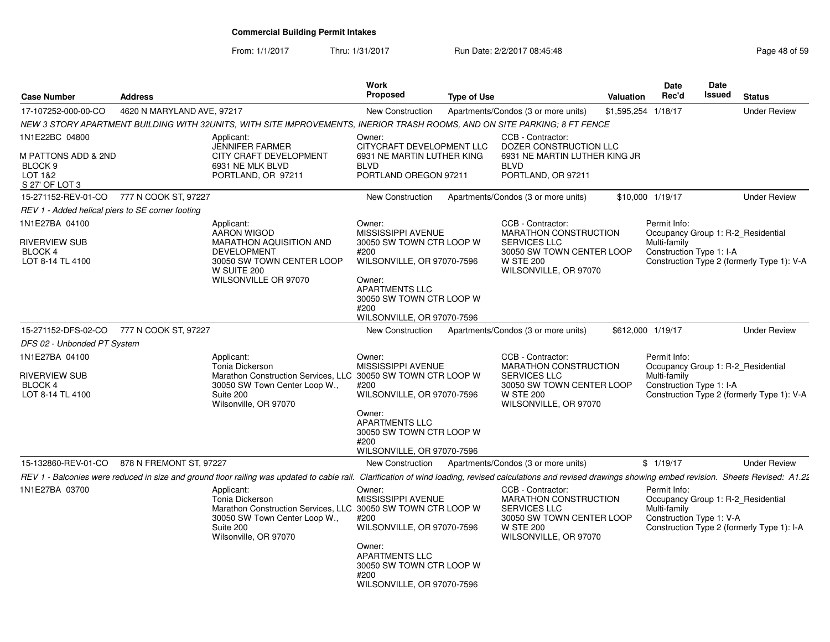From: 1/1/2017

Thru: 1/31/2017 Run Date: 2/2/2017 08:45:48 Page 48 of 59

| <b>Case Number</b>                                                                       | <b>Address</b>             |                                                                                                                                                                      | Work<br>Proposed                                                                                                                                                                                    | <b>Type of Use</b> |                                                                                                                                             | <b>Valuation</b> | <b>Date</b><br>Rec'd                                     | <b>Date</b><br>Issued | <b>Status</b>                                                                    |
|------------------------------------------------------------------------------------------|----------------------------|----------------------------------------------------------------------------------------------------------------------------------------------------------------------|-----------------------------------------------------------------------------------------------------------------------------------------------------------------------------------------------------|--------------------|---------------------------------------------------------------------------------------------------------------------------------------------|------------------|----------------------------------------------------------|-----------------------|----------------------------------------------------------------------------------|
| 17-107252-000-00-CO                                                                      | 4620 N MARYLAND AVE, 97217 |                                                                                                                                                                      | <b>New Construction</b>                                                                                                                                                                             |                    | Apartments/Condos (3 or more units)                                                                                                         | \$1,595,254      | 1/18/17                                                  |                       | <b>Under Review</b>                                                              |
|                                                                                          |                            | NEW 3 STORY APARTMENT BUILDING WITH 32UNITS, WITH SITE IMPROVEMENTS, INERIOR TRASH ROOMS, AND ON SITE PARKING; 8 FT FENCE                                            |                                                                                                                                                                                                     |                    |                                                                                                                                             |                  |                                                          |                       |                                                                                  |
| 1N1E22BC 04800<br>M PATTONS ADD & 2ND<br>BLOCK <sub>9</sub><br>LOT 1&2<br>S 27' OF LOT 3 |                            | Applicant:<br><b>JENNIFER FARMER</b><br>CITY CRAFT DEVELOPMENT<br>6931 NE MLK BLVD<br>PORTLAND, OR 97211                                                             | Owner:<br>CITYCRAFT DEVELOPMENT LLC<br>6931 NE MARTIN LUTHER KING<br><b>BLVD</b><br>PORTLAND OREGON 97211                                                                                           |                    | CCB - Contractor:<br>DOZER CONSTRUCTION LLC<br>6931 NE MARTIN LUTHER KING JR<br><b>BLVD</b><br>PORTLAND, OR 97211                           |                  |                                                          |                       |                                                                                  |
| 15-271152-REV-01-CO                                                                      | 777 N COOK ST, 97227       |                                                                                                                                                                      | New Construction                                                                                                                                                                                    |                    | Apartments/Condos (3 or more units)                                                                                                         |                  | \$10,000 1/19/17                                         |                       | <b>Under Review</b>                                                              |
| REV 1 - Added helical piers to SE corner footing                                         |                            |                                                                                                                                                                      |                                                                                                                                                                                                     |                    |                                                                                                                                             |                  |                                                          |                       |                                                                                  |
| 1N1E27BA 04100<br>RIVERVIEW SUB<br>BLOCK 4<br>LOT 8-14 TL 4100                           |                            | Applicant:<br><b>AARON WIGOD</b><br><b>MARATHON AQUISITION AND</b><br>DEVELOPMENT<br>30050 SW TOWN CENTER LOOP<br>W SUITE 200<br>WILSONVILLE OR 97070                | Owner:<br>MISSISSIPPI AVENUE<br>30050 SW TOWN CTR LOOP W<br>#200<br>WILSONVILLE, OR 97070-7596<br>Owner:<br><b>APARTMENTS LLC</b><br>30050 SW TOWN CTR LOOP W<br>#200<br>WILSONVILLE, OR 97070-7596 |                    | CCB - Contractor:<br>MARATHON CONSTRUCTION<br><b>SERVICES LLC</b><br>30050 SW TOWN CENTER LOOP<br><b>W STE 200</b><br>WILSONVILLE, OR 97070 |                  | Permit Info:<br>Multi-family<br>Construction Type 1: I-A |                       | Occupancy Group 1: R-2 Residential<br>Construction Type 2 (formerly Type 1): V-A |
| 15-271152-DFS-02-CO                                                                      | 777 N COOK ST, 97227       |                                                                                                                                                                      | New Construction                                                                                                                                                                                    |                    | Apartments/Condos (3 or more units)                                                                                                         |                  | \$612,000 1/19/17                                        |                       | <b>Under Review</b>                                                              |
| DFS 02 - Unbonded PT System                                                              |                            |                                                                                                                                                                      |                                                                                                                                                                                                     |                    |                                                                                                                                             |                  |                                                          |                       |                                                                                  |
| 1N1E27BA 04100                                                                           |                            | Applicant:                                                                                                                                                           | Owner:                                                                                                                                                                                              |                    | CCB - Contractor:                                                                                                                           |                  | Permit Info:                                             |                       |                                                                                  |
| <b>RIVERVIEW SUB</b><br><b>BLOCK4</b><br>LOT 8-14 TL 4100                                |                            | Tonia Dickerson<br>Marathon Construction Services, LLC 30050 SW TOWN CTR LOOP W<br>30050 SW Town Center Loop W.,<br>Suite 200<br>Wilsonville, OR 97070               | MISSISSIPPI AVENUE<br>#200<br>WILSONVILLE, OR 97070-7596<br>Owner:<br><b>APARTMENTS LLC</b><br>30050 SW TOWN CTR LOOP W<br>#200<br>WILSONVILLE, OR 97070-7596                                       |                    | <b>MARATHON CONSTRUCTION</b><br>SERVICES LLC<br>30050 SW TOWN CENTER LOOP<br><b>W STE 200</b><br>WILSONVILLE, OR 97070                      |                  | Multi-family<br>Construction Type 1: I-A                 |                       | Occupancy Group 1: R-2 Residential<br>Construction Type 2 (formerly Type 1): V-A |
| 15-132860-REV-01-CO                                                                      | 878 N FREMONT ST, 97227    |                                                                                                                                                                      | New Construction                                                                                                                                                                                    |                    | Apartments/Condos (3 or more units)                                                                                                         |                  | \$1/19/17                                                |                       | <b>Under Review</b>                                                              |
|                                                                                          |                            | REV 1 - Balconies were reduced in size and ground floor railing was updated to cable rail.                                                                           |                                                                                                                                                                                                     |                    | Clarification of wind loading, revised calculations and revised drawings showing embed revision. Sheets Revised: A1.22                      |                  |                                                          |                       |                                                                                  |
| 1N1E27BA 03700                                                                           |                            | Applicant:<br>Tonia Dickerson<br>Marathon Construction Services, LLC 30050 SW TOWN CTR LOOP W<br>30050 SW Town Center Loop W.,<br>Suite 200<br>Wilsonville, OR 97070 | Owner:<br>MISSISSIPPI AVENUE<br>#200<br>WILSONVILLE, OR 97070-7596<br>Owner:<br><b>APARTMENTS LLC</b><br>30050 SW TOWN CTR LOOP W<br>#200<br>WILSONVILLE, OR 97070-7596                             |                    | CCB - Contractor:<br>MARATHON CONSTRUCTION<br><b>SERVICES LLC</b><br>30050 SW TOWN CENTER LOOP<br><b>W STE 200</b><br>WILSONVILLE, OR 97070 |                  | Permit Info:<br>Multi-family<br>Construction Type 1: V-A |                       | Occupancy Group 1: R-2 Residential<br>Construction Type 2 (formerly Type 1): I-A |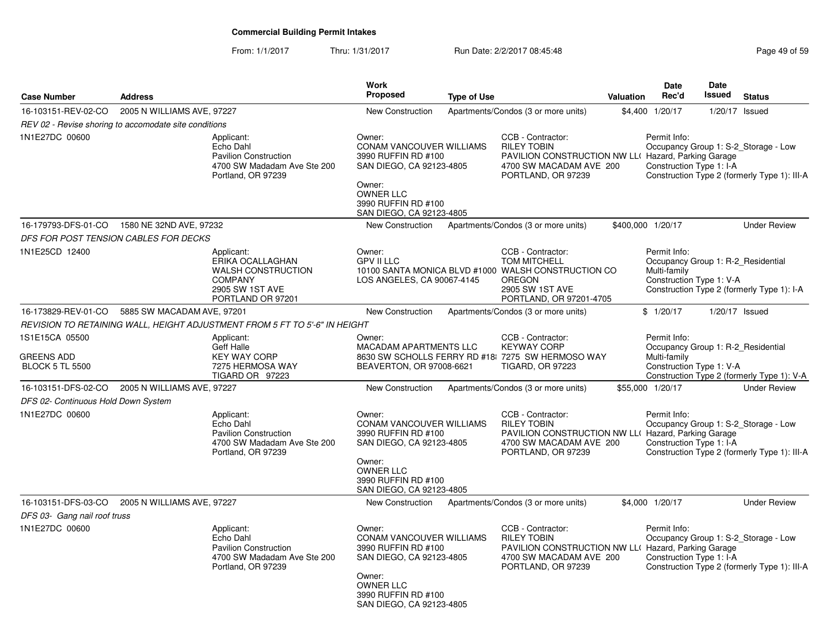From: 1/1/2017Thru: 1/31/2017 Run Date: 2/2/2017 08:45:48 Page 49 of 59

| <b>Case Number</b>                                            | <b>Address</b>                                        |                                                                                                                       | <b>Work</b><br><b>Proposed</b>                                                                                                                                                | <b>Type of Use</b> |                                                                                                                                                                | Valuation | Date<br>Rec'd                                                                                  | <b>Date</b><br>Issued | <b>Status</b>                                                                        |
|---------------------------------------------------------------|-------------------------------------------------------|-----------------------------------------------------------------------------------------------------------------------|-------------------------------------------------------------------------------------------------------------------------------------------------------------------------------|--------------------|----------------------------------------------------------------------------------------------------------------------------------------------------------------|-----------|------------------------------------------------------------------------------------------------|-----------------------|--------------------------------------------------------------------------------------|
| 16-103151-REV-02-CO                                           | 2005 N WILLIAMS AVE, 97227                            |                                                                                                                       | <b>New Construction</b>                                                                                                                                                       |                    | Apartments/Condos (3 or more units)                                                                                                                            |           | \$4,400 1/20/17                                                                                | $1/20/17$ Issued      |                                                                                      |
|                                                               | REV 02 - Revise shoring to accomodate site conditions |                                                                                                                       |                                                                                                                                                                               |                    |                                                                                                                                                                |           |                                                                                                |                       |                                                                                      |
| 1N1E27DC 00600                                                |                                                       | Applicant:<br>Echo Dahl<br><b>Pavilion Construction</b><br>4700 SW Madadam Ave Ste 200<br>Portland, OR 97239          | Owner:<br>CONAM VANCOUVER WILLIAMS<br>3990 RUFFIN RD #100<br>SAN DIEGO, CA 92123-4805<br>Owner:<br><b>OWNER LLC</b><br>3990 RUFFIN RD #100<br>SAN DIEGO, CA 92123-4805        |                    | CCB - Contractor:<br><b>RILEY TOBIN</b><br>PAVILION CONSTRUCTION NW LL( Hazard, Parking Garage<br>4700 SW MACADAM AVE 200<br>PORTLAND, OR 97239                |           | Permit Info:<br>Construction Type 1: I-A                                                       |                       | Occupancy Group 1: S-2_Storage - Low<br>Construction Type 2 (formerly Type 1): III-A |
| 16-179793-DFS-01-CO                                           | 1580 NE 32ND AVE, 97232                               |                                                                                                                       | <b>New Construction</b>                                                                                                                                                       |                    | Apartments/Condos (3 or more units)                                                                                                                            |           | \$400,000 1/20/17                                                                              |                       | <b>Under Review</b>                                                                  |
|                                                               | DFS FOR POST TENSION CABLES FOR DECKS                 |                                                                                                                       |                                                                                                                                                                               |                    |                                                                                                                                                                |           |                                                                                                |                       |                                                                                      |
| 1N1E25CD 12400                                                |                                                       | Applicant:<br>ERIKA OCALLAGHAN<br><b>WALSH CONSTRUCTION</b><br><b>COMPANY</b><br>2905 SW 1ST AVE<br>PORTLAND OR 97201 | Owner:<br><b>GPV II LLC</b><br>LOS ANGELES, CA 90067-4145                                                                                                                     |                    | CCB - Contractor:<br><b>TOM MITCHELL</b><br>10100 SANTA MONICA BLVD #1000 WALSH CONSTRUCTION CO<br><b>OREGON</b><br>2905 SW 1ST AVE<br>PORTLAND, OR 97201-4705 |           | Permit Info:<br>Occupancy Group 1: R-2_Residential<br>Multi-family<br>Construction Type 1: V-A |                       | Construction Type 2 (formerly Type 1): I-A                                           |
| 16-173829-REV-01-CO                                           | 5885 SW MACADAM AVE, 97201                            |                                                                                                                       | <b>New Construction</b>                                                                                                                                                       |                    | Apartments/Condos (3 or more units)                                                                                                                            |           | \$1/20/17                                                                                      | 1/20/17 Issued        |                                                                                      |
|                                                               |                                                       | REVISION TO RETAINING WALL, HEIGHT ADJUSTMENT FROM 5 FT TO 5'-6" IN HEIGHT                                            |                                                                                                                                                                               |                    |                                                                                                                                                                |           |                                                                                                |                       |                                                                                      |
| 1S1E15CA 05500<br><b>GREENS ADD</b><br><b>BLOCK 5 TL 5500</b> |                                                       | Applicant:<br>Geff Halle<br><b>KEY WAY CORP</b><br>7275 HERMOSA WAY<br>TIGARD OR 97223                                | Owner:<br>MACADAM APARTMENTS LLC<br>BEAVERTON, OR 97008-6621                                                                                                                  |                    | CCB - Contractor:<br><b>KEYWAY CORP</b><br>8630 SW SCHOLLS FERRY RD #18 7275 SW HERMOSO WAY<br><b>TIGARD, OR 97223</b>                                         |           | Permit Info:<br>Occupancy Group 1: R-2 Residential<br>Multi-family<br>Construction Type 1: V-A |                       | Construction Type 2 (formerly Type 1): V-A                                           |
| 16-103151-DFS-02-CO                                           | 2005 N WILLIAMS AVE, 97227                            |                                                                                                                       | <b>New Construction</b>                                                                                                                                                       |                    | Apartments/Condos (3 or more units)                                                                                                                            |           | \$55,000 1/20/17                                                                               |                       | <b>Under Review</b>                                                                  |
| DFS 02- Continuous Hold Down System                           |                                                       |                                                                                                                       |                                                                                                                                                                               |                    |                                                                                                                                                                |           |                                                                                                |                       |                                                                                      |
| 1N1E27DC 00600                                                |                                                       | Applicant:<br>Echo Dahl<br><b>Pavilion Construction</b><br>4700 SW Madadam Ave Ste 200<br>Portland, OR 97239          | Owner:<br>CONAM VANCOUVER WILLIAMS<br>3990 RUFFIN RD #100<br>SAN DIEGO, CA 92123-4805<br>Owner:<br><b>OWNER LLC</b><br>3990 RUFFIN RD #100<br>SAN DIEGO, CA 92123-4805        |                    | CCB - Contractor:<br><b>RILEY TOBIN</b><br>PAVILION CONSTRUCTION NW LL( Hazard, Parking Garage<br>4700 SW MACADAM AVE 200<br>PORTLAND, OR 97239                |           | Permit Info:<br>Construction Type 1: I-A                                                       |                       | Occupancy Group 1: S-2_Storage - Low<br>Construction Type 2 (formerly Type 1): III-A |
| 16-103151-DFS-03-CO                                           | 2005 N WILLIAMS AVE, 97227                            |                                                                                                                       | <b>New Construction</b>                                                                                                                                                       |                    | Apartments/Condos (3 or more units)                                                                                                                            |           | \$4,000 1/20/17                                                                                |                       | <b>Under Review</b>                                                                  |
| DFS 03- Gang nail roof truss                                  |                                                       |                                                                                                                       |                                                                                                                                                                               |                    |                                                                                                                                                                |           |                                                                                                |                       |                                                                                      |
| 1N1E27DC 00600                                                |                                                       | Applicant:<br>Echo Dahl<br><b>Pavilion Construction</b><br>4700 SW Madadam Ave Ste 200<br>Portland, OR 97239          | Owner:<br><b>CONAM VANCOUVER WILLIAMS</b><br>3990 RUFFIN RD #100<br>SAN DIEGO, CA 92123-4805<br>Owner:<br><b>OWNER LLC</b><br>3990 RUFFIN RD #100<br>SAN DIEGO, CA 92123-4805 |                    | CCB - Contractor:<br><b>RILEY TOBIN</b><br>PAVILION CONSTRUCTION NW LL( Hazard, Parking Garage<br>4700 SW MACADAM AVE 200<br>PORTLAND, OR 97239                |           | Permit Info:<br>Construction Type 1: I-A                                                       |                       | Occupancy Group 1: S-2_Storage - Low<br>Construction Type 2 (formerly Type 1): III-A |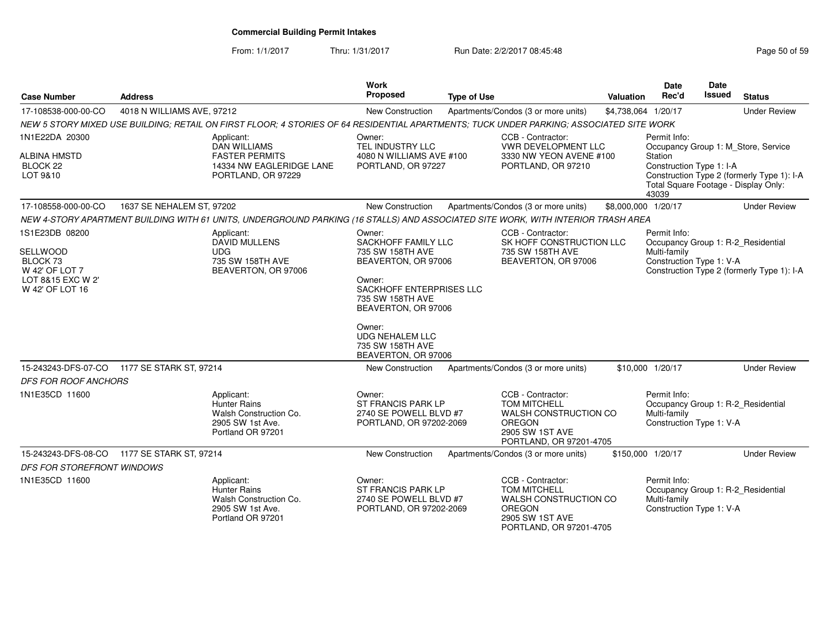From: 1/1/2017Thru: 1/31/2017 **Run Date: 2/2/2017 08:45:48** Page 50 of 59

| <b>Case Number</b>                                                                                          | <b>Address</b>             |                                                                                                                                         | <b>Work</b><br>Proposed                                                                                                                                                                                                                  | <b>Type of Use</b> |                                                                                                                                  | Valuation           | Date<br>Rec'd                                                       | Date<br>Issued | <b>Status</b>                                                                                                             |
|-------------------------------------------------------------------------------------------------------------|----------------------------|-----------------------------------------------------------------------------------------------------------------------------------------|------------------------------------------------------------------------------------------------------------------------------------------------------------------------------------------------------------------------------------------|--------------------|----------------------------------------------------------------------------------------------------------------------------------|---------------------|---------------------------------------------------------------------|----------------|---------------------------------------------------------------------------------------------------------------------------|
| 17-108538-000-00-CO                                                                                         | 4018 N WILLIAMS AVE, 97212 |                                                                                                                                         | New Construction                                                                                                                                                                                                                         |                    | Apartments/Condos (3 or more units)                                                                                              | \$4,738,064 1/20/17 |                                                                     |                | <b>Under Review</b>                                                                                                       |
|                                                                                                             |                            | NEW 5 STORY MIXED USE BUILDING; RETAIL ON FIRST FLOOR; 4 STORIES OF 64 RESIDENTIAL APARTMENTS; TUCK UNDER PARKING; ASSOCIATED SITE WORK |                                                                                                                                                                                                                                          |                    |                                                                                                                                  |                     |                                                                     |                |                                                                                                                           |
| 1N1E22DA 20300<br><b>ALBINA HMSTD</b><br>BLOCK <sub>22</sub><br>LOT 9&10                                    |                            | Applicant:<br><b>DAN WILLIAMS</b><br><b>FASTER PERMITS</b><br>14334 NW EAGLERIDGE LANE<br>PORTLAND, OR 97229                            | Owner:<br>TEL INDUSTRY LLC<br>4080 N WILLIAMS AVE #100<br>PORTLAND, OR 97227                                                                                                                                                             |                    | CCB - Contractor:<br>VWR DEVELOPMENT LLC<br>3330 NW YEON AVENE #100<br>PORTLAND, OR 97210                                        |                     | Permit Info:<br><b>Station</b><br>Construction Type 1: I-A<br>43039 |                | Occupancy Group 1: M_Store, Service<br>Construction Type 2 (formerly Type 1): I-A<br>Total Square Footage - Display Only: |
| 17-108558-000-00-CO                                                                                         | 1637 SE NEHALEM ST, 97202  |                                                                                                                                         | <b>New Construction</b>                                                                                                                                                                                                                  |                    | Apartments/Condos (3 or more units)                                                                                              | \$8,000,000 1/20/17 |                                                                     |                | <b>Under Review</b>                                                                                                       |
|                                                                                                             |                            | NEW 4-STORY APARTMENT BUILDING WITH 61 UNITS, UNDERGROUND PARKING (16 STALLS) AND ASSOCIATED SITE WORK, WITH INTERIOR TRASH AREA        |                                                                                                                                                                                                                                          |                    |                                                                                                                                  |                     |                                                                     |                |                                                                                                                           |
| 1S1E23DB 08200<br>SELLWOOD<br>BLOCK <sub>73</sub><br>W 42' OF LOT 7<br>LOT 8&15 EXC W 2'<br>W 42' OF LOT 16 |                            | Applicant:<br><b>DAVID MULLENS</b><br><b>UDG</b><br>735 SW 158TH AVE<br>BEAVERTON, OR 97006                                             | Owner:<br>SACKHOFF FAMILY LLC<br>735 SW 158TH AVE<br>BEAVERTON, OR 97006<br>Owner:<br>SACKHOFF ENTERPRISES LLC<br>735 SW 158TH AVE<br>BEAVERTON, OR 97006<br>Owner:<br><b>UDG NEHALEM LLC</b><br>735 SW 158TH AVE<br>BEAVERTON, OR 97006 |                    | CCB - Contractor:<br>SK HOFF CONSTRUCTION LLC<br>735 SW 158TH AVE<br>BEAVERTON, OR 97006                                         |                     | Permit Info:<br>Multi-family<br>Construction Type 1: V-A            |                | Occupancy Group 1: R-2_Residential<br>Construction Type 2 (formerly Type 1): I-A                                          |
| 15-243243-DFS-07-CO                                                                                         | 1177 SE STARK ST, 97214    |                                                                                                                                         | New Construction                                                                                                                                                                                                                         |                    | Apartments/Condos (3 or more units)                                                                                              |                     | \$10,000 1/20/17                                                    |                | <b>Under Review</b>                                                                                                       |
| <b>DFS FOR ROOF ANCHORS</b>                                                                                 |                            |                                                                                                                                         |                                                                                                                                                                                                                                          |                    |                                                                                                                                  |                     |                                                                     |                |                                                                                                                           |
| 1N1E35CD 11600                                                                                              |                            | Applicant:<br><b>Hunter Rains</b><br>Walsh Construction Co.<br>2905 SW 1st Ave.<br>Portland OR 97201                                    | Owner:<br>ST FRANCIS PARK LP<br>2740 SE POWELL BLVD #7<br>PORTLAND, OR 97202-2069                                                                                                                                                        |                    | CCB - Contractor:<br><b>TOM MITCHELL</b><br>WALSH CONSTRUCTION CO<br>OREGON<br>2905 SW 1ST AVE<br>PORTLAND, OR 97201-4705        |                     | Permit Info:<br>Multi-family<br>Construction Type 1: V-A            |                | Occupancy Group 1: R-2_Residential                                                                                        |
| 15-243243-DFS-08-CO                                                                                         | 1177 SE STARK ST, 97214    |                                                                                                                                         | New Construction                                                                                                                                                                                                                         |                    | Apartments/Condos (3 or more units)                                                                                              |                     | \$150,000 1/20/17                                                   |                | <b>Under Review</b>                                                                                                       |
| <b>DFS FOR STOREFRONT WINDOWS</b>                                                                           |                            |                                                                                                                                         |                                                                                                                                                                                                                                          |                    |                                                                                                                                  |                     |                                                                     |                |                                                                                                                           |
| 1N1E35CD 11600                                                                                              |                            | Applicant:<br><b>Hunter Rains</b><br>Walsh Construction Co.<br>2905 SW 1st Ave.<br>Portland OR 97201                                    | Owner:<br>ST FRANCIS PARK LP<br>2740 SE POWELL BLVD #7<br>PORTLAND, OR 97202-2069                                                                                                                                                        |                    | CCB - Contractor:<br><b>TOM MITCHELL</b><br>WALSH CONSTRUCTION CO<br><b>OREGON</b><br>2905 SW 1ST AVE<br>PORTLAND, OR 97201-4705 |                     | Permit Info:<br>Multi-family<br>Construction Type 1: V-A            |                | Occupancy Group 1: R-2_Residential                                                                                        |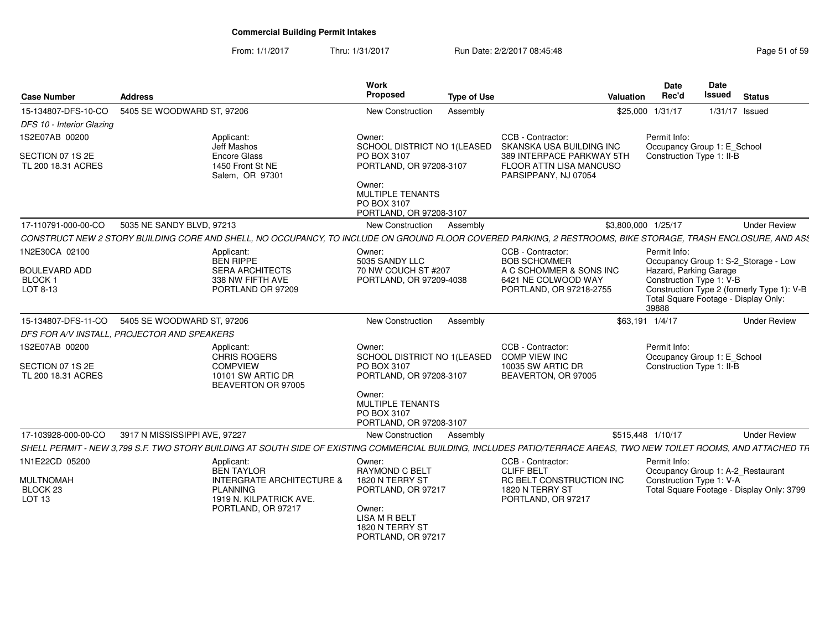#### From: 1/1/2017Thru: 1/31/2017 **Run Date: 2/2/2017 08:45:48** Page 51 of 59

| <b>Case Number</b>                                           | <b>Address</b>                                                                                                                                                      | Work<br><b>Proposed</b><br><b>Type of Use</b>                                   | Valuation                                                                             | <b>Date</b><br>Rec'd                                        | <b>Date</b><br><b>Issued</b>         | <b>Status</b>                              |
|--------------------------------------------------------------|---------------------------------------------------------------------------------------------------------------------------------------------------------------------|---------------------------------------------------------------------------------|---------------------------------------------------------------------------------------|-------------------------------------------------------------|--------------------------------------|--------------------------------------------|
| 15-134807-DFS-10-CO                                          | 5405 SE WOODWARD ST, 97206                                                                                                                                          | New Construction<br>Assembly                                                    |                                                                                       | \$25,000 1/31/17                                            | 1/31/17 Issued                       |                                            |
| DFS 10 - Interior Glazing                                    |                                                                                                                                                                     |                                                                                 |                                                                                       |                                                             |                                      |                                            |
| 1S2E07AB 00200                                               | Applicant:<br>Jeff Mashos                                                                                                                                           | Owner:<br>SCHOOL DISTRICT NO 1(LEASED                                           | CCB - Contractor:<br>SKANSKA USA BUILDING INC                                         | Permit Info:                                                | Occupancy Group 1: E_School          |                                            |
| SECTION 07 1S 2E<br>TL 200 18.31 ACRES                       | <b>Encore Glass</b><br>1450 Front St NE<br>Salem, OR 97301                                                                                                          | PO BOX 3107<br>PORTLAND, OR 97208-3107                                          | 389 INTERPACE PARKWAY 5TH<br><b>FLOOR ATTN LISA MANCUSO</b><br>PARSIPPANY, NJ 07054   | Construction Type 1: II-B                                   |                                      |                                            |
|                                                              |                                                                                                                                                                     | Owner:<br><b>MULTIPLE TENANTS</b><br>PO BOX 3107<br>PORTLAND, OR 97208-3107     |                                                                                       |                                                             |                                      |                                            |
| 17-110791-000-00-CO                                          | 5035 NE SANDY BLVD, 97213                                                                                                                                           | <b>New Construction</b><br>Assembly                                             |                                                                                       | \$3,800,000 1/25/17                                         |                                      | <b>Under Review</b>                        |
|                                                              | CONSTRUCT NEW 2 STORY BUILDING CORE AND SHELL, NO OCCUPANCY, TO INCLUDE ON GROUND FLOOR COVERED PARKING, 2 RESTROOMS, BIKE STORAGE, TRASH ENCLOSURE, AND AS!        |                                                                                 |                                                                                       |                                                             |                                      |                                            |
| 1N2E30CA 02100                                               | Applicant:<br><b>BEN RIPPE</b>                                                                                                                                      | Owner:<br>5035 SANDY LLC                                                        | CCB - Contractor:<br><b>BOB SCHOMMER</b>                                              | Permit Info:                                                |                                      | Occupancy Group 1: S-2_Storage - Low       |
| <b>BOULEVARD ADD</b><br><b>BLOCK1</b><br>LOT 8-13            | <b>SERA ARCHITECTS</b><br>338 NW FIFTH AVE<br>PORTLAND OR 97209                                                                                                     | 70 NW COUCH ST #207<br>PORTLAND, OR 97209-4038                                  | A C SCHOMMER & SONS INC<br>6421 NE COLWOOD WAY<br>PORTLAND, OR 97218-2755             | Hazard, Parking Garage<br>Construction Type 1: V-B<br>39888 | Total Square Footage - Display Only: | Construction Type 2 (formerly Type 1): V-B |
| 15-134807-DFS-11-CO                                          | 5405 SE WOODWARD ST, 97206                                                                                                                                          | New Construction<br>Assembly                                                    |                                                                                       | \$63.191 1/4/17                                             |                                      | <b>Under Review</b>                        |
|                                                              | DFS FOR A/V INSTALL, PROJECTOR AND SPEAKERS                                                                                                                         |                                                                                 |                                                                                       |                                                             |                                      |                                            |
| 1S2E07AB 00200<br>SECTION 07 1S 2E<br>TL 200 18.31 ACRES     | Applicant:<br><b>CHRIS ROGERS</b><br><b>COMPVIEW</b><br>10101 SW ARTIC DR                                                                                           | Owner:<br>SCHOOL DISTRICT NO 1(LEASED<br>PO BOX 3107<br>PORTLAND, OR 97208-3107 | CCB - Contractor:<br><b>COMP VIEW INC</b><br>10035 SW ARTIC DR<br>BEAVERTON, OR 97005 | Permit Info:<br>Construction Type 1: II-B                   | Occupancy Group 1: E School          |                                            |
|                                                              | BEAVERTON OR 97005                                                                                                                                                  | Owner:<br><b>MULTIPLE TENANTS</b><br>PO BOX 3107<br>PORTLAND, OR 97208-3107     |                                                                                       |                                                             |                                      |                                            |
| 17-103928-000-00-CO                                          | 3917 N MISSISSIPPI AVE, 97227                                                                                                                                       | New Construction<br>Assembly                                                    |                                                                                       | \$515,448 1/10/17                                           |                                      | <b>Under Review</b>                        |
|                                                              | SHELL PERMIT - NEW 3,799 S.F. TWO STORY BUILDING AT SOUTH SIDE OF EXISTING COMMERCIAL BUILDING, INCLUDES PATIO/TERRACE AREAS, TWO NEW TOILET ROOMS, AND ATTACHED TR |                                                                                 |                                                                                       |                                                             |                                      |                                            |
| 1N1E22CD 05200                                               | Applicant:<br><b>BEN TAYLOR</b>                                                                                                                                     | Owner:<br><b>RAYMOND C BELT</b>                                                 | CCB - Contractor:<br><b>CLIFF BELT</b>                                                | Permit Info:                                                | Occupancy Group 1: A-2_Restaurant    |                                            |
| <b>MULTNOMAH</b><br>BLOCK <sub>23</sub><br>LOT <sub>13</sub> | <b>INTERGRATE ARCHITECTURE &amp;</b><br><b>PLANNING</b><br>1919 N. KILPATRICK AVE.                                                                                  | 1820 N TERRY ST<br>PORTLAND, OR 97217                                           | <b>RC BELT CONSTRUCTION INC</b><br>1820 N TERRY ST<br>PORTLAND, OR 97217              | Construction Type 1: V-A                                    |                                      | Total Square Footage - Display Only: 3799  |
|                                                              | PORTLAND, OR 97217                                                                                                                                                  | Owner:<br><b>LISA M R BELT</b><br>1820 N TERRY ST<br>PORTLAND, OR 97217         |                                                                                       |                                                             |                                      |                                            |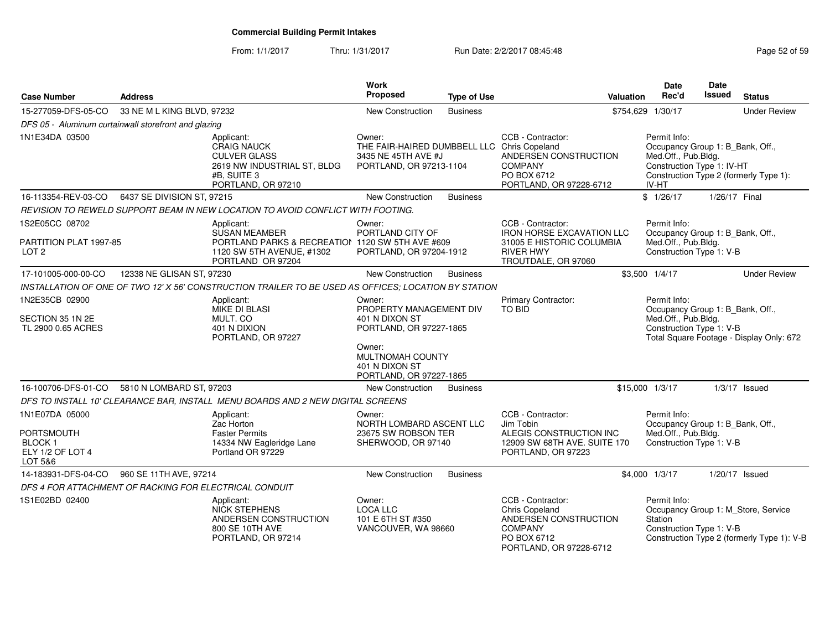#### From: 1/1/2017Thru: 1/31/2017 Run Date: 2/2/2017 08:45:48

| <b>Case Number</b>                                                     | <b>Address</b>             |                                                                                                                             | Work<br>Proposed                                                                                                                                | <b>Type of Use</b> | <b>Valuation</b>                                                                                                         |                   | <b>Date</b><br>Rec'd                                                                                           | <b>Date</b><br>Issued | <b>Status</b>                                                                     |
|------------------------------------------------------------------------|----------------------------|-----------------------------------------------------------------------------------------------------------------------------|-------------------------------------------------------------------------------------------------------------------------------------------------|--------------------|--------------------------------------------------------------------------------------------------------------------------|-------------------|----------------------------------------------------------------------------------------------------------------|-----------------------|-----------------------------------------------------------------------------------|
| 15-277059-DFS-05-CO                                                    | 33 NE M L KING BLVD, 97232 |                                                                                                                             | New Construction                                                                                                                                | <b>Business</b>    |                                                                                                                          | \$754,629 1/30/17 |                                                                                                                |                       | <b>Under Review</b>                                                               |
| DFS 05 - Aluminum curtainwall storefront and glazing                   |                            |                                                                                                                             |                                                                                                                                                 |                    |                                                                                                                          |                   |                                                                                                                |                       |                                                                                   |
| 1N1E34DA 03500                                                         |                            | Applicant:<br><b>CRAIG NAUCK</b><br><b>CULVER GLASS</b><br>2619 NW INDUSTRIAL ST, BLDG<br>#B, SUITE 3<br>PORTLAND, OR 97210 | Owner:<br>THE FAIR-HAIRED DUMBBELL LLC Chris Copeland<br>3435 NE 45TH AVE #J<br>PORTLAND, OR 97213-1104                                         |                    | CCB - Contractor:<br>ANDERSEN CONSTRUCTION<br><b>COMPANY</b><br>PO BOX 6712<br>PORTLAND, OR 97228-6712                   |                   | Permit Info:<br>Occupancy Group 1: B_Bank, Off.,<br>Med.Off., Pub.Bldg.<br>Construction Type 1: IV-HT<br>IV-HT |                       | Construction Type 2 (formerly Type 1):                                            |
| 16-113354-REV-03-CO                                                    | 6437 SE DIVISION ST, 97215 |                                                                                                                             | <b>New Construction</b>                                                                                                                         | <b>Business</b>    |                                                                                                                          |                   | \$1/26/17                                                                                                      | 1/26/17 Final         |                                                                                   |
|                                                                        |                            | REVISION TO REWELD SUPPORT BEAM IN NEW LOCATION TO AVOID CONFLICT WITH FOOTING.                                             |                                                                                                                                                 |                    |                                                                                                                          |                   |                                                                                                                |                       |                                                                                   |
| 1S2E05CC 08702                                                         |                            | Applicant:                                                                                                                  | Owner:                                                                                                                                          |                    | CCB - Contractor:                                                                                                        |                   | Permit Info:                                                                                                   |                       |                                                                                   |
| PARTITION PLAT 1997-85<br>LOT <sub>2</sub>                             |                            | <b>SUSAN MEAMBER</b><br>PORTLAND PARKS & RECREATION 1120 SW 5TH AVE #609<br>1120 SW 5TH AVENUE, #1302<br>PORTLAND OR 97204  | PORTLAND CITY OF<br>PORTLAND, OR 97204-1912                                                                                                     |                    | <b>IRON HORSE EXCAVATION LLC</b><br>31005 E HISTORIC COLUMBIA<br><b>RIVER HWY</b><br>TROUTDALE, OR 97060                 |                   | Occupancy Group 1: B_Bank, Off.,<br>Med.Off., Pub.Bldg.<br>Construction Type 1: V-B                            |                       |                                                                                   |
| 17-101005-000-00-CO                                                    | 12338 NE GLISAN ST, 97230  |                                                                                                                             | New Construction                                                                                                                                | <b>Business</b>    |                                                                                                                          | \$3,500 1/4/17    |                                                                                                                |                       | <b>Under Review</b>                                                               |
|                                                                        |                            | INSTALLATION OF ONE OF TWO 12' X 56' CONSTRUCTION TRAILER TO BE USED AS OFFICES; LOCATION BY STATION                        |                                                                                                                                                 |                    |                                                                                                                          |                   |                                                                                                                |                       |                                                                                   |
| 1N2E35CB 02900                                                         |                            | Applicant:                                                                                                                  | Owner:                                                                                                                                          |                    | <b>Primary Contractor:</b>                                                                                               |                   | Permit Info:                                                                                                   |                       |                                                                                   |
| SECTION 35 1N 2E<br>TL 2900 0.65 ACRES                                 |                            | <b>MIKE DI BLASI</b><br>MULT. CO<br>401 N DIXION<br>PORTLAND, OR 97227                                                      | PROPERTY MANAGEMENT DIV<br>401 N DIXON ST<br>PORTLAND, OR 97227-1865<br>Owner:<br>MULTNOMAH COUNTY<br>401 N DIXON ST<br>PORTLAND, OR 97227-1865 |                    | <b>TO BID</b>                                                                                                            |                   | Occupancy Group 1: B_Bank, Off.,<br>Med.Off., Pub.Bldg.<br>Construction Type 1: V-B                            |                       | Total Square Footage - Display Only: 672                                          |
| 16-100706-DFS-01-CO                                                    | 5810 N LOMBARD ST, 97203   |                                                                                                                             | <b>New Construction</b>                                                                                                                         | <b>Business</b>    |                                                                                                                          | \$15,000 1/3/17   |                                                                                                                |                       | $1/3/17$ Issued                                                                   |
|                                                                        |                            | DFS TO INSTALL 10' CLEARANCE BAR, INSTALL MENU BOARDS AND 2 NEW DIGITAL SCREENS                                             |                                                                                                                                                 |                    |                                                                                                                          |                   |                                                                                                                |                       |                                                                                   |
| 1N1E07DA 05000<br>PORTSMOUTH<br>BLOCK 1<br>ELY 1/2 OF LOT 4<br>LOT 5&6 |                            | Applicant:<br>Zac Horton<br><b>Faster Permits</b><br>14334 NW Eagleridge Lane<br>Portland OR 97229                          | Owner:<br>NORTH LOMBARD ASCENT LLC<br>23675 SW ROBSON TER<br>SHERWOOD, OR 97140                                                                 |                    | CCB - Contractor:<br>Jim Tobin<br>ALEGIS CONSTRUCTION INC<br>12909 SW 68TH AVE. SUITE 170<br>PORTLAND, OR 97223          |                   | Permit Info:<br>Occupancy Group 1: B_Bank, Off.,<br>Med.Off., Pub.Bldg.<br>Construction Type 1: V-B            |                       |                                                                                   |
| 14-183931-DFS-04-CO                                                    | 960 SE 11TH AVE, 97214     |                                                                                                                             | <b>New Construction</b>                                                                                                                         | <b>Business</b>    |                                                                                                                          | \$4,000 1/3/17    |                                                                                                                |                       | $1/20/17$ Issued                                                                  |
| DFS 4 FOR ATTACHMENT OF RACKING FOR ELECTRICAL CONDUIT                 |                            |                                                                                                                             |                                                                                                                                                 |                    |                                                                                                                          |                   |                                                                                                                |                       |                                                                                   |
| 1S1E02BD 02400                                                         |                            | Applicant:<br><b>NICK STEPHENS</b><br>ANDERSEN CONSTRUCTION<br>800 SE 10TH AVE<br>PORTLAND, OR 97214                        | Owner:<br><b>LOCA LLC</b><br>101 E 6TH ST #350<br>VANCOUVER, WA 98660                                                                           |                    | CCB - Contractor:<br>Chris Copeland<br>ANDERSEN CONSTRUCTION<br><b>COMPANY</b><br>PO BOX 6712<br>PORTLAND, OR 97228-6712 |                   | Permit Info:<br>Station<br>Construction Type 1: V-B                                                            |                       | Occupancy Group 1: M_Store, Service<br>Construction Type 2 (formerly Type 1): V-B |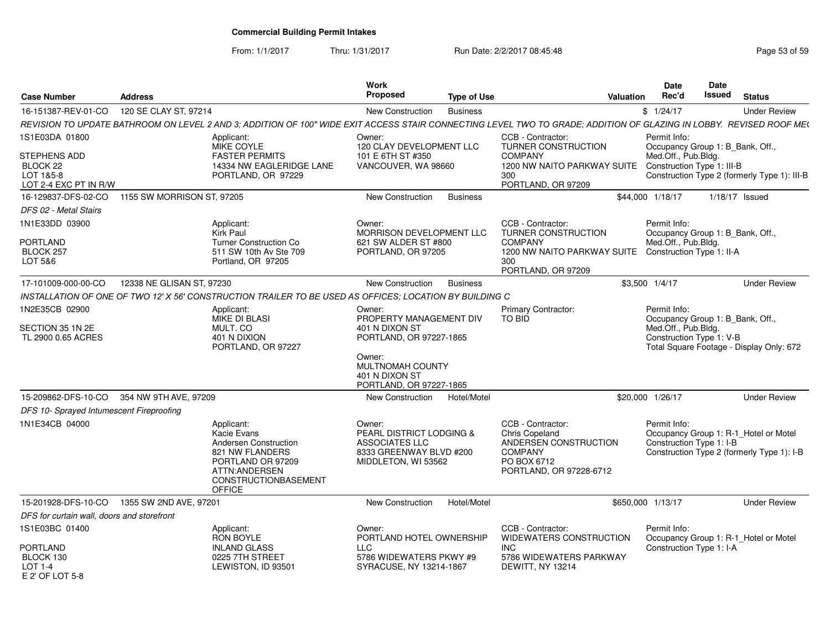From: 1/1/2017Thru: 1/31/2017 **Run Date: 2/2/2017 08:45:48** Page 53 of 59

| <b>Case Number</b>                                                    | <b>Address</b>                                                                                                                                                      | Work<br><b>Proposed</b><br><b>Type of Use</b>                                                          | Valuation                                                                                                                       | <b>Date</b><br>Rec'd                                  | Date<br>Issued                   | <b>Status</b>                                                                       |
|-----------------------------------------------------------------------|---------------------------------------------------------------------------------------------------------------------------------------------------------------------|--------------------------------------------------------------------------------------------------------|---------------------------------------------------------------------------------------------------------------------------------|-------------------------------------------------------|----------------------------------|-------------------------------------------------------------------------------------|
| 16-151387-REV-01-CO                                                   | 120 SE CLAY ST, 97214                                                                                                                                               | <b>New Construction</b><br><b>Business</b>                                                             |                                                                                                                                 | \$1/24/17                                             |                                  | <b>Under Review</b>                                                                 |
|                                                                       | REVISION TO UPDATE BATHROOM ON LEVEL 2 AND 3: ADDITION OF 100" WIDE EXIT ACCESS STAIR CONNECTING LEVEL TWO TO GRADE: ADDITION OF GLAZING IN LOBBY. REVISED ROOF ME( |                                                                                                        |                                                                                                                                 |                                                       |                                  |                                                                                     |
| 1S1E03DA 01800                                                        | Applicant:<br>MIKE COYLE                                                                                                                                            | Owner:<br>120 CLAY DEVELOPMENT LLC                                                                     | CCB - Contractor:<br><b>TURNER CONSTRUCTION</b>                                                                                 | Permit Info:<br>Occupancy Group 1: B Bank, Off.,      |                                  |                                                                                     |
| <b>STEPHENS ADD</b><br>BLOCK 22<br>LOT 1&5-8<br>LOT 2-4 EXC PT IN R/W | <b>FASTER PERMITS</b><br>14334 NW EAGLERIDGE LANE<br>PORTLAND, OR 97229                                                                                             | 101 E 6TH ST #350<br>VANCOUVER, WA 98660                                                               | <b>COMPANY</b><br>1200 NW NAITO PARKWAY SUITE Construction Type 1: III-B<br>300<br>PORTLAND, OR 97209                           | Med.Off., Pub.Bldg.                                   |                                  | Construction Type 2 (formerly Type 1): III-B                                        |
| 16-129837-DFS-02-CO                                                   | 1155 SW MORRISON ST, 97205                                                                                                                                          | <b>Business</b><br>New Construction                                                                    |                                                                                                                                 | \$44,000 1/18/17                                      | 1/18/17 Issued                   |                                                                                     |
| DFS 02 - Metal Stairs                                                 |                                                                                                                                                                     |                                                                                                        |                                                                                                                                 |                                                       |                                  |                                                                                     |
| 1N1E33DD 03900                                                        | Applicant:<br>Kirk Paul                                                                                                                                             | Owner:<br>MORRISON DEVELOPMENT LLC                                                                     | CCB - Contractor:<br><b>TURNER CONSTRUCTION</b>                                                                                 | Permit Info:                                          | Occupancy Group 1: B_Bank, Off., |                                                                                     |
| PORTLAND<br>BLOCK 257<br>LOT 5&6                                      | <b>Turner Construction Co</b><br>511 SW 10th Av Ste 709<br>Portland, OR 97205                                                                                       | 621 SW ALDER ST #800<br>PORTLAND, OR 97205                                                             | <b>COMPANY</b><br>1200 NW NAITO PARKWAY SUITE Construction Type 1: II-A<br>300<br>PORTLAND, OR 97209                            | Med.Off., Pub.Bldg.                                   |                                  |                                                                                     |
| 17-101009-000-00-CO                                                   | 12338 NE GLISAN ST. 97230                                                                                                                                           | New Construction<br><b>Business</b>                                                                    |                                                                                                                                 | \$3,500 1/4/17                                        |                                  | <b>Under Review</b>                                                                 |
|                                                                       | INSTALLATION OF ONE OF TWO 12' X 56' CONSTRUCTION TRAILER TO BE USED AS OFFICES; LOCATION BY BUILDING C                                                             |                                                                                                        |                                                                                                                                 |                                                       |                                  |                                                                                     |
| 1N2E35CB 02900                                                        | Applicant:<br><b>MIKE DI BLASI</b>                                                                                                                                  | Owner:<br>PROPERTY MANAGEMENT DIV                                                                      | <b>Primary Contractor:</b><br><b>TO BID</b>                                                                                     | Permit Info:                                          | Occupancy Group 1: B_Bank, Off., |                                                                                     |
| SECTION 35 1N 2E<br>TL 2900 0.65 ACRES                                | MULT. CO<br>401 N DIXION<br>PORTLAND, OR 97227                                                                                                                      | 401 N DIXON ST<br>PORTLAND, OR 97227-1865                                                              |                                                                                                                                 | Med.Off., Pub.Bldg.<br>Construction Type 1: V-B       |                                  | Total Square Footage - Display Only: 672                                            |
|                                                                       |                                                                                                                                                                     | Owner:<br>MULTNOMAH COUNTY<br>401 N DIXON ST<br>PORTLAND, OR 97227-1865                                |                                                                                                                                 |                                                       |                                  |                                                                                     |
| 15-209862-DFS-10-CO                                                   | 354 NW 9TH AVE, 97209                                                                                                                                               | Hotel/Motel<br>New Construction                                                                        |                                                                                                                                 | \$20,000 1/26/17                                      |                                  | <b>Under Review</b>                                                                 |
| DFS 10- Sprayed Intumescent Fireproofing                              |                                                                                                                                                                     |                                                                                                        |                                                                                                                                 |                                                       |                                  |                                                                                     |
| 1N1E34CB 04000                                                        | Applicant:<br>Kacie Evans<br>Andersen Construction<br>821 NW FLANDERS<br>PORTLAND OR 97209<br>ATTN: ANDERSEN<br>CONSTRUCTIONBASEMENT<br><b>OFFICE</b>               | Owner:<br>PEARL DISTRICT LODGING &<br>ASSOCIATES LLC<br>8333 GREENWAY BLVD #200<br>MIDDLETON, WI 53562 | CCB - Contractor:<br><b>Chris Copeland</b><br>ANDERSEN CONSTRUCTION<br><b>COMPANY</b><br>PO BOX 6712<br>PORTLAND, OR 97228-6712 | Permit Info:<br>Construction Type 1: I-B              |                                  | Occupancy Group 1: R-1_Hotel or Motel<br>Construction Type 2 (formerly Type 1): I-B |
|                                                                       | 15-201928-DFS-10-CO  1355 SW 2ND AVE, 97201                                                                                                                         | Hotel/Motel<br>New Construction                                                                        |                                                                                                                                 | \$650,000 1/13/17                                     |                                  | <b>Under Review</b>                                                                 |
| DFS for curtain wall, doors and storefront                            |                                                                                                                                                                     |                                                                                                        |                                                                                                                                 |                                                       |                                  |                                                                                     |
| 1S1E03BC 01400                                                        | Applicant:<br>RON BOYLE                                                                                                                                             | Owner:<br>PORTLAND HOTEL OWNERSHIP                                                                     | CCB - Contractor:<br>WIDEWATERS CONSTRUCTION                                                                                    | Permit Info:<br>Occupancy Group 1: R-1_Hotel or Motel |                                  |                                                                                     |
| <b>PORTLAND</b><br>BLOCK 130<br><b>LOT 1-4</b><br>$F$ 2' OF LOT 5-8   | <b>INLAND GLASS</b><br>0225 7TH STREET<br>LEWISTON, ID 93501                                                                                                        | LLC<br>5786 WIDEWATERS PKWY #9<br>SYRACUSE, NY 13214-1867                                              | INC.<br>5786 WIDEWATERS PARKWAY<br>DEWITT, NY 13214                                                                             | Construction Type 1: I-A                              |                                  |                                                                                     |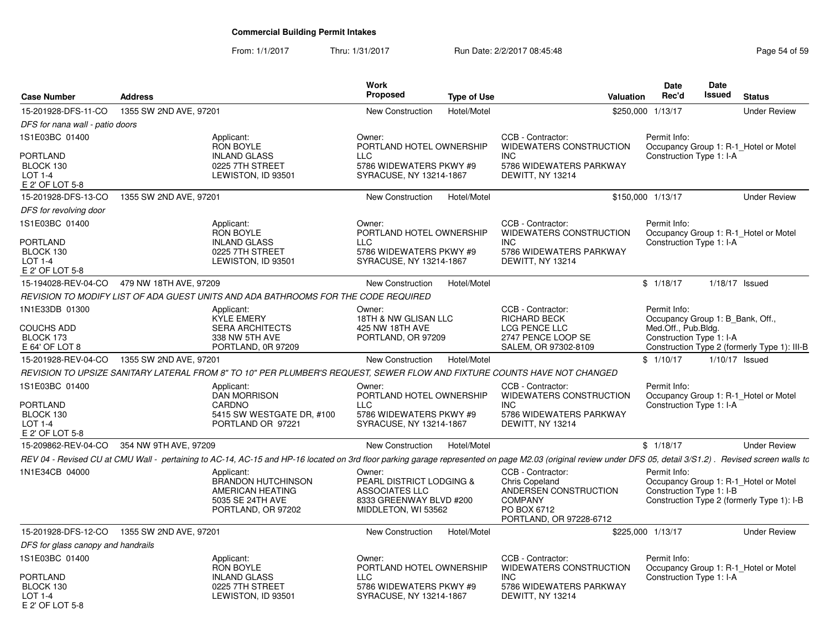From: 1/1/2017Thru: 1/31/2017 **Run Date: 2/2/2017 08:45:48** Page 54 of 59

| <b>Case Number</b>                                                | <b>Address</b>         |                                                                                                                                                                                                             | <b>Work</b><br><b>Proposed</b>                                                                         | <b>Type of Use</b> | <b>Valuation</b>                                                                                                                | Date<br>Rec'd                                    | Date<br><b>Issued</b> | <b>Status</b>                                                                       |
|-------------------------------------------------------------------|------------------------|-------------------------------------------------------------------------------------------------------------------------------------------------------------------------------------------------------------|--------------------------------------------------------------------------------------------------------|--------------------|---------------------------------------------------------------------------------------------------------------------------------|--------------------------------------------------|-----------------------|-------------------------------------------------------------------------------------|
| 15-201928-DFS-11-CO                                               | 1355 SW 2ND AVE, 97201 |                                                                                                                                                                                                             | New Construction                                                                                       | Hotel/Motel        |                                                                                                                                 | \$250,000 1/13/17                                |                       | <b>Under Review</b>                                                                 |
| DFS for nana wall - patio doors                                   |                        |                                                                                                                                                                                                             |                                                                                                        |                    |                                                                                                                                 |                                                  |                       |                                                                                     |
| 1S1E03BC 01400                                                    |                        | Applicant:<br><b>RON BOYLE</b>                                                                                                                                                                              | Owner:<br>PORTLAND HOTEL OWNERSHIP                                                                     |                    | CCB - Contractor:<br>WIDEWATERS CONSTRUCTION                                                                                    | Permit Info:                                     |                       | Occupancy Group 1: R-1_Hotel or Motel                                               |
| PORTLAND<br>BLOCK 130<br><b>LOT 1-4</b><br>E 2' OF LOT 5-8        |                        | <b>INLAND GLASS</b><br>0225 7TH STREET<br>LEWISTON, ID 93501                                                                                                                                                | <b>LLC</b><br>5786 WIDEWATERS PKWY #9<br>SYRACUSE, NY 13214-1867                                       |                    | INC.<br>5786 WIDEWATERS PARKWAY<br>DEWITT, NY 13214                                                                             | Construction Type 1: I-A                         |                       |                                                                                     |
| 15-201928-DFS-13-CO                                               | 1355 SW 2ND AVE, 97201 |                                                                                                                                                                                                             | New Construction                                                                                       | Hotel/Motel        |                                                                                                                                 | \$150,000 1/13/17                                |                       | <b>Under Review</b>                                                                 |
| DFS for revolving door                                            |                        |                                                                                                                                                                                                             |                                                                                                        |                    |                                                                                                                                 |                                                  |                       |                                                                                     |
| 1S1E03BC 01400<br>PORTLAND<br>BLOCK 130<br><b>LOT 1-4</b>         |                        | Applicant:<br>RON BOYLE<br><b>INLAND GLASS</b><br>0225 7TH STREET<br>LEWISTON, ID 93501                                                                                                                     | Owner:<br>PORTLAND HOTEL OWNERSHIP<br><b>LLC</b><br>5786 WIDEWATERS PKWY #9<br>SYRACUSE, NY 13214-1867 |                    | CCB - Contractor:<br>WIDEWATERS CONSTRUCTION<br><b>INC</b><br>5786 WIDEWATERS PARKWAY<br>DEWITT, NY 13214                       | Permit Info:<br>Construction Type 1: I-A         |                       | Occupancy Group 1: R-1_Hotel or Motel                                               |
| E 2' OF LOT 5-8                                                   |                        |                                                                                                                                                                                                             |                                                                                                        |                    |                                                                                                                                 |                                                  |                       |                                                                                     |
| 15-194028-REV-04-CO                                               | 479 NW 18TH AVE, 97209 |                                                                                                                                                                                                             | <b>New Construction</b>                                                                                | Hotel/Motel        |                                                                                                                                 | \$1/18/17                                        |                       | $1/18/17$ Issued                                                                    |
|                                                                   |                        | REVISION TO MODIFY LIST OF ADA GUEST UNITS AND ADA BATHROOMS FOR THE CODE REQUIRED                                                                                                                          |                                                                                                        |                    |                                                                                                                                 |                                                  |                       |                                                                                     |
| 1N1E33DB 01300                                                    |                        | Applicant:<br><b>KYLE EMERY</b>                                                                                                                                                                             | Owner:<br>18TH & NW GLISAN LLC                                                                         |                    | CCB - Contractor:<br><b>RICHARD BECK</b>                                                                                        | Permit Info:<br>Occupancy Group 1: B_Bank, Off., |                       |                                                                                     |
| <b>COUCHS ADD</b>                                                 |                        | <b>SERA ARCHITECTS</b>                                                                                                                                                                                      | 425 NW 18TH AVE                                                                                        |                    | LCG PENCE LLC                                                                                                                   | Med.Off., Pub.Bldg.                              |                       |                                                                                     |
| BLOCK 173<br>E 64' OF LOT 8                                       |                        | 338 NW 5TH AVE<br>PORTLAND, 0R 97209                                                                                                                                                                        | PORTLAND, OR 97209                                                                                     |                    | 2747 PENCE LOOP SE<br>SALEM, OR 97302-8109                                                                                      | Construction Type 1: I-A                         |                       | Construction Type 2 (formerly Type 1): III-B                                        |
| 15-201928-REV-04-CO                                               | 1355 SW 2ND AVE, 97201 |                                                                                                                                                                                                             | <b>New Construction</b>                                                                                | Hotel/Motel        |                                                                                                                                 | \$1/10/17                                        |                       | 1/10/17 Issued                                                                      |
|                                                                   |                        | REVISION TO UPSIZE SANITARY LATERAL FROM 8" TO 10" PER PLUMBER'S REQUEST, SEWER FLOW AND FIXTURE COUNTS HAVE NOT CHANGED                                                                                    |                                                                                                        |                    |                                                                                                                                 |                                                  |                       |                                                                                     |
| 1S1E03BC 01400                                                    |                        | Applicant:                                                                                                                                                                                                  | Owner:                                                                                                 |                    | CCB - Contractor:                                                                                                               | Permit Info:                                     |                       |                                                                                     |
| <b>PORTLAND</b><br>BLOCK 130<br>$LOT 1-4$<br>E 2' OF LOT 5-8      |                        | <b>DAN MORRISON</b><br>CARDNO<br>5415 SW WESTGATE DR, #100<br>PORTLAND OR 97221                                                                                                                             | PORTLAND HOTEL OWNERSHIP<br><b>LLC</b><br>5786 WIDEWATERS PKWY #9<br>SYRACUSE, NY 13214-1867           |                    | WIDEWATERS CONSTRUCTION<br><b>INC</b><br>5786 WIDEWATERS PARKWAY<br>DEWITT, NY 13214                                            | Construction Type 1: I-A                         |                       | Occupancy Group 1: R-1 Hotel or Motel                                               |
| 15-209862-REV-04-CO                                               | 354 NW 9TH AVE, 97209  |                                                                                                                                                                                                             | New Construction                                                                                       | Hotel/Motel        |                                                                                                                                 | \$1/18/17                                        |                       | <b>Under Review</b>                                                                 |
|                                                                   |                        | REV 04 - Revised CU at CMU Wall - pertaining to AC-14, AC-15 and HP-16 located on 3rd floor parking garage represented on page M2.03 (original review under DFS 05, detail 3/S1.2). Revised screen walls to |                                                                                                        |                    |                                                                                                                                 |                                                  |                       |                                                                                     |
| 1N1E34CB 04000                                                    |                        | Applicant:<br><b>BRANDON HUTCHINSON</b><br>AMERICAN HEATING<br>5035 SE 24TH AVE<br>PORTLAND, OR 97202                                                                                                       | Owner:<br>PEARL DISTRICT LODGING &<br>ASSOCIATES LLC<br>8333 GREENWAY BLVD #200<br>MIDDLETON, WI 53562 |                    | CCB - Contractor:<br><b>Chris Copeland</b><br>ANDERSEN CONSTRUCTION<br><b>COMPANY</b><br>PO BOX 6712<br>PORTLAND, OR 97228-6712 | Permit Info:<br>Construction Type 1: I-B         |                       | Occupancy Group 1: R-1_Hotel or Motel<br>Construction Type 2 (formerly Type 1): I-B |
| 15-201928-DFS-12-CO 1355 SW 2ND AVE, 97201                        |                        |                                                                                                                                                                                                             | New Construction                                                                                       | Hotel/Motel        |                                                                                                                                 | \$225,000 1/13/17                                |                       | <b>Under Review</b>                                                                 |
| DFS for glass canopy and handrails                                |                        |                                                                                                                                                                                                             |                                                                                                        |                    |                                                                                                                                 |                                                  |                       |                                                                                     |
| 1S1E03BC 01400                                                    |                        | Applicant:<br><b>RON BOYLE</b>                                                                                                                                                                              | Owner:<br>PORTLAND HOTEL OWNERSHIP                                                                     |                    | CCB - Contractor:<br>WIDEWATERS CONSTRUCTION                                                                                    | Permit Info:                                     |                       | Occupancy Group 1: R-1_Hotel or Motel                                               |
| <b>PORTLAND</b><br>BLOCK 130<br><b>LOT 1-4</b><br>E 2' OF LOT 5-8 |                        | <b>INLAND GLASS</b><br>0225 7TH STREET<br>LEWISTON, ID 93501                                                                                                                                                | <b>LLC</b><br>5786 WIDEWATERS PKWY #9<br>SYRACUSE, NY 13214-1867                                       |                    | INC.<br>5786 WIDEWATERS PARKWAY<br>DEWITT, NY 13214                                                                             | Construction Type 1: I-A                         |                       |                                                                                     |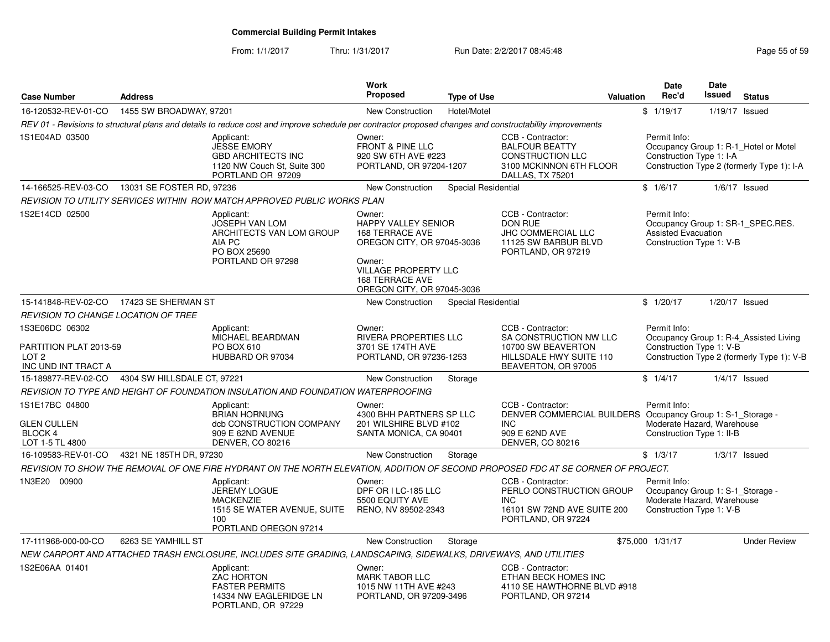From: 1/1/2017Thru: 1/31/2017 **Run Date: 2/2/2017 08:45:48** Page 55 of 59

| <b>Case Number</b>                                                                  | <b>Address</b>              |                                                                                                                                                          | Work<br>Proposed                                                                                                                                                                       | <b>Type of Use</b>  | <b>Valuation</b>                                                                                                                            | <b>Date</b><br>Rec'd                                                   | <b>Date</b><br>Issued<br><b>Status</b>                                               |
|-------------------------------------------------------------------------------------|-----------------------------|----------------------------------------------------------------------------------------------------------------------------------------------------------|----------------------------------------------------------------------------------------------------------------------------------------------------------------------------------------|---------------------|---------------------------------------------------------------------------------------------------------------------------------------------|------------------------------------------------------------------------|--------------------------------------------------------------------------------------|
| 16-120532-REV-01-CO                                                                 | 1455 SW BROADWAY, 97201     |                                                                                                                                                          | <b>New Construction</b>                                                                                                                                                                | Hotel/Motel         |                                                                                                                                             | \$1/19/17                                                              | 1/19/17 Issued                                                                       |
|                                                                                     |                             | REV 01 - Revisions to structural plans and details to reduce cost and improve schedule per contractor proposed changes and constructability improvements |                                                                                                                                                                                        |                     |                                                                                                                                             |                                                                        |                                                                                      |
| 1S1E04AD 03500                                                                      |                             | Applicant:<br><b>JESSE EMORY</b><br><b>GBD ARCHITECTS INC</b><br>1120 NW Couch St, Suite 300<br>PORTLAND OR 97209                                        | Owner:<br><b>FRONT &amp; PINE LLC</b><br>920 SW 6TH AVE #223<br>PORTLAND, OR 97204-1207                                                                                                |                     | CCB - Contractor:<br><b>BALFOUR BEATTY</b><br><b>CONSTRUCTION LLC</b><br>3100 MCKINNON 6TH FLOOR<br>DALLAS, TX 75201                        | Permit Info:<br>Construction Type 1: I-A                               | Occupancy Group 1: R-1 Hotel or Motel<br>Construction Type 2 (formerly Type 1): I-A  |
| 14-166525-REV-03-CO 13031 SE FOSTER RD, 97236                                       |                             |                                                                                                                                                          | <b>New Construction</b>                                                                                                                                                                | Special Residential |                                                                                                                                             | \$1/6/17                                                               | $1/6/17$ Issued                                                                      |
|                                                                                     |                             | REVISION TO UTILITY SERVICES WITHIN ROW MATCH APPROVED PUBLIC WORKS PLAN                                                                                 |                                                                                                                                                                                        |                     |                                                                                                                                             |                                                                        |                                                                                      |
| 1S2E14CD 02500                                                                      |                             | Applicant:<br>JOSEPH VAN LOM<br>ARCHITECTS VAN LOM GROUP<br>AIA PC<br>PO BOX 25690<br>PORTLAND OR 97298                                                  | Owner:<br>HAPPY VALLEY SENIOR<br><b>168 TERRACE AVE</b><br>OREGON CITY, OR 97045-3036<br>Owner:<br><b>VILLAGE PROPERTY LLC</b><br><b>168 TERRACE AVE</b><br>OREGON CITY, OR 97045-3036 |                     | CCB - Contractor:<br>DON RUE<br>JHC COMMERCIAL LLC<br>11125 SW BARBUR BLVD<br>PORTLAND, OR 97219                                            | Permit Info:<br><b>Assisted Evacuation</b><br>Construction Type 1: V-B | Occupancy Group 1: SR-1 SPEC.RES.                                                    |
| 15-141848-REV-02-CO 17423 SE SHERMAN ST                                             |                             |                                                                                                                                                          | <b>New Construction</b>                                                                                                                                                                | Special Residential |                                                                                                                                             | \$1/20/17                                                              | 1/20/17 Issued                                                                       |
| REVISION TO CHANGE LOCATION OF TREE                                                 |                             |                                                                                                                                                          |                                                                                                                                                                                        |                     |                                                                                                                                             |                                                                        |                                                                                      |
| 1S3E06DC 06302<br>PARTITION PLAT 2013-59<br>LOT <sub>2</sub><br>INC UND INT TRACT A |                             | Applicant:<br>MICHAEL BEARDMAN<br>PO BOX 610<br>HUBBARD OR 97034                                                                                         | Owner:<br>RIVERA PROPERTIES LLC<br>3701 SE 174TH AVE<br>PORTLAND, OR 97236-1253                                                                                                        |                     | CCB - Contractor:<br>SA CONSTRUCTION NW LLC<br>10700 SW BEAVERTON<br>HILLSDALE HWY SUITE 110<br>BEAVERTON, OR 97005                         | Permit Info:<br>Construction Type 1: V-B                               | Occupancy Group 1: R-4_Assisted Living<br>Construction Type 2 (formerly Type 1): V-B |
| 15-189877-REV-02-CO                                                                 | 4304 SW HILLSDALE CT, 97221 |                                                                                                                                                          | <b>New Construction</b>                                                                                                                                                                | Storage             |                                                                                                                                             | \$1/4/17                                                               | $1/4/17$ Issued                                                                      |
|                                                                                     |                             | REVISION TO TYPE AND HEIGHT OF FOUNDATION INSULATION AND FOUNDATION WATERPROOFING                                                                        |                                                                                                                                                                                        |                     |                                                                                                                                             |                                                                        |                                                                                      |
| 1S1E17BC 04800<br><b>GLEN CULLEN</b><br>BLOCK 4<br>LOT 1-5 TL 4800                  |                             | Applicant:<br><b>BRIAN HORNUNG</b><br>dcb CONSTRUCTION COMPANY<br>909 E 62ND AVENUE<br><b>DENVER, CO 80216</b>                                           | Owner:<br>4300 BHH PARTNERS SP LLC<br>201 WILSHIRE BLVD #102<br>SANTA MONICA, CA 90401                                                                                                 |                     | CCB - Contractor:<br>DENVER COMMERCIAL BUILDERS Occupancy Group 1: S-1_Storage -<br><b>INC</b><br>909 E 62ND AVE<br><b>DENVER, CO 80216</b> | Permit Info:<br>Construction Type 1: II-B                              | Moderate Hazard, Warehouse                                                           |
| 16-109583-REV-01-CO                                                                 | 4321 NE 185TH DR, 97230     |                                                                                                                                                          | New Construction                                                                                                                                                                       | Storage             |                                                                                                                                             | \$1/3/17                                                               | $1/3/17$ Issued                                                                      |
|                                                                                     |                             | REVISION TO SHOW THE REMOVAL OF ONE FIRE HYDRANT ON THE NORTH ELEVATION, ADDITION OF SECOND PROPOSED FDC AT SE CORNER OF PROJECT.                        |                                                                                                                                                                                        |                     |                                                                                                                                             |                                                                        |                                                                                      |
| 1N3E20 00900                                                                        |                             | Applicant:<br><b>JEREMY LOGUE</b><br><b>MACKENZIE</b><br>1515 SE WATER AVENUE, SUITE<br>100<br>PORTLAND OREGON 97214                                     | Owner:<br>DPF OR I LC-185 LLC<br>5500 EQUITY AVE<br>RENO, NV 89502-2343                                                                                                                |                     | CCB - Contractor:<br>PERLO CONSTRUCTION GROUP<br>INC.<br>16101 SW 72ND AVE SUITE 200<br>PORTLAND, OR 97224                                  | Permit Info:<br>Construction Type 1: V-B                               | Occupancy Group 1: S-1_Storage -<br>Moderate Hazard, Warehouse                       |
| 17-111968-000-00-CO                                                                 | 6263 SE YAMHILL ST          |                                                                                                                                                          | New Construction                                                                                                                                                                       | Storage             |                                                                                                                                             | \$75,000 1/31/17                                                       | <b>Under Review</b>                                                                  |
|                                                                                     |                             | NEW CARPORT AND ATTACHED TRASH ENCLOSURE, INCLUDES SITE GRADING, LANDSCAPING, SIDEWALKS, DRIVEWAYS, AND UTILITIES                                        |                                                                                                                                                                                        |                     |                                                                                                                                             |                                                                        |                                                                                      |
| 1S2E06AA 01401                                                                      |                             | Applicant:<br><b>ZAC HORTON</b><br><b>FASTER PERMITS</b><br>14334 NW EAGLERIDGE LN<br>PORTLAND, OR 97229                                                 | Owner:<br><b>MARK TABOR LLC</b><br>1015 NW 11TH AVE #243<br>PORTLAND, OR 97209-3496                                                                                                    |                     | CCB - Contractor:<br>ETHAN BECK HOMES INC<br>4110 SE HAWTHORNE BLVD #918<br>PORTLAND, OR 97214                                              |                                                                        |                                                                                      |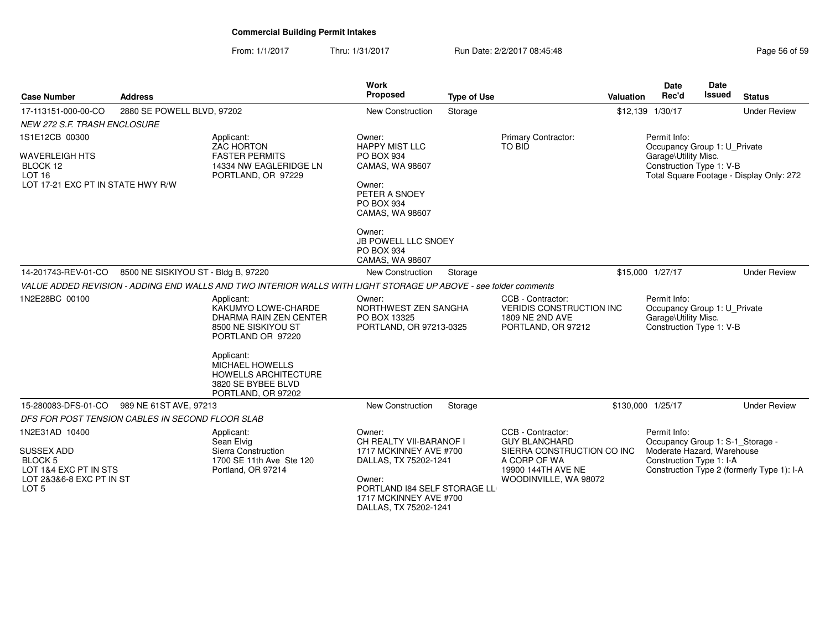From: 1/1/2017Thru: 1/31/2017 **Run Date: 2/2/2017 08:45:48** Page 56 of 59

| <b>Case Number</b>                                                                                                                 | <b>Address</b>                                   |                                                                                                                                                                                       | <b>Work</b><br><b>Proposed</b>                                                                                                                                                    | <b>Type of Use</b> |                                                                                                                                        | Valuation | <b>Date</b><br>Rec'd                                                                                       | Date<br><b>Issued</b> | <b>Status</b>                              |
|------------------------------------------------------------------------------------------------------------------------------------|--------------------------------------------------|---------------------------------------------------------------------------------------------------------------------------------------------------------------------------------------|-----------------------------------------------------------------------------------------------------------------------------------------------------------------------------------|--------------------|----------------------------------------------------------------------------------------------------------------------------------------|-----------|------------------------------------------------------------------------------------------------------------|-----------------------|--------------------------------------------|
| 17-113151-000-00-CO                                                                                                                | 2880 SE POWELL BLVD, 97202                       |                                                                                                                                                                                       | New Construction                                                                                                                                                                  | Storage            |                                                                                                                                        |           | \$12,139 1/30/17                                                                                           |                       | <b>Under Review</b>                        |
| <b>NEW 272 S.F. TRASH ENCLOSURE</b>                                                                                                |                                                  |                                                                                                                                                                                       |                                                                                                                                                                                   |                    |                                                                                                                                        |           |                                                                                                            |                       |                                            |
| 1S1E12CB 00300<br><b>WAVERLEIGH HTS</b><br>BLOCK 12<br><b>LOT 16</b><br>LOT 17-21 EXC PT IN STATE HWY R/W                          |                                                  | Applicant:<br>ZAC HORTON<br><b>FASTER PERMITS</b><br>14334 NW EAGLERIDGE LN<br>PORTLAND, OR 97229                                                                                     | Owner:<br><b>HAPPY MIST LLC</b><br>PO BOX 934<br>CAMAS, WA 98607<br>Owner:<br>PETER A SNOEY<br>PO BOX 934<br>CAMAS, WA 98607<br>Owner:<br>JB POWELL LLC SNOEY<br>PO BOX 934       |                    | Primary Contractor:<br><b>TO BID</b>                                                                                                   |           | Permit Info:<br>Occupancy Group 1: U Private<br>Garage\Utility Misc.<br>Construction Type 1: V-B           |                       | Total Square Footage - Display Only: 272   |
| 14-201743-REV-01-CO                                                                                                                | 8500 NE SISKIYOU ST - Bldg B, 97220              |                                                                                                                                                                                       | CAMAS, WA 98607<br><b>New Construction</b>                                                                                                                                        | Storage            |                                                                                                                                        |           | \$15,000 1/27/17                                                                                           |                       | <b>Under Review</b>                        |
|                                                                                                                                    |                                                  | VALUE ADDED REVISION - ADDING END WALLS AND TWO INTERIOR WALLS WITH LIGHT STORAGE UP ABOVE - see folder comments                                                                      |                                                                                                                                                                                   |                    |                                                                                                                                        |           |                                                                                                            |                       |                                            |
| 1N2E28BC 00100                                                                                                                     |                                                  | Applicant:<br>KAKUMYO LOWE-CHARDE<br><b>DHARMA RAIN ZEN CENTER</b><br>8500 NE SISKIYOU ST<br>PORTLAND OR 97220<br>Applicant:<br><b>MICHAEL HOWELLS</b><br><b>HOWELLS ARCHITECTURE</b> | Owner:<br>NORTHWEST ZEN SANGHA<br>PO BOX 13325<br>PORTLAND, OR 97213-0325                                                                                                         |                    | CCB - Contractor:<br><b>VERIDIS CONSTRUCTION INC</b><br>1809 NE 2ND AVE<br>PORTLAND, OR 97212                                          |           | Permit Info:<br>Occupancy Group 1: U Private<br>Garage\Utility Misc.<br>Construction Type 1: V-B           |                       |                                            |
|                                                                                                                                    |                                                  | 3820 SE BYBEE BLVD<br>PORTLAND, OR 97202                                                                                                                                              |                                                                                                                                                                                   |                    |                                                                                                                                        |           |                                                                                                            |                       |                                            |
| 15-280083-DFS-01-CO                                                                                                                | 989 NE 61ST AVE, 97213                           |                                                                                                                                                                                       | <b>New Construction</b>                                                                                                                                                           | Storage            |                                                                                                                                        |           | \$130,000 1/25/17                                                                                          |                       | <b>Under Review</b>                        |
|                                                                                                                                    | DFS FOR POST TENSION CABLES IN SECOND FLOOR SLAB |                                                                                                                                                                                       |                                                                                                                                                                                   |                    |                                                                                                                                        |           |                                                                                                            |                       |                                            |
| 1N2E31AD 10400<br><b>SUSSEX ADD</b><br>BLOCK <sub>5</sub><br>LOT 1&4 EXC PT IN STS<br>LOT 2&3&6-8 EXC PT IN ST<br>LOT <sub>5</sub> |                                                  | Applicant:<br>Sean Elvig<br>Sierra Construction<br>1700 SE 11th Ave Ste 120<br>Portland, OR 97214                                                                                     | Owner:<br>CH REALTY VII-BARANOF I<br>1717 MCKINNEY AVE #700<br>DALLAS, TX 75202-1241<br>Owner:<br>PORTLAND 184 SELF STORAGE LL<br>1717 MCKINNEY AVE #700<br>DALLAS, TX 75202-1241 |                    | CCB - Contractor:<br><b>GUY BLANCHARD</b><br>SIERRA CONSTRUCTION CO INC<br>A CORP OF WA<br>19900 144TH AVE NE<br>WOODINVILLE, WA 98072 |           | Permit Info:<br>Occupancy Group 1: S-1_Storage -<br>Moderate Hazard, Warehouse<br>Construction Type 1: I-A |                       | Construction Type 2 (formerly Type 1): I-A |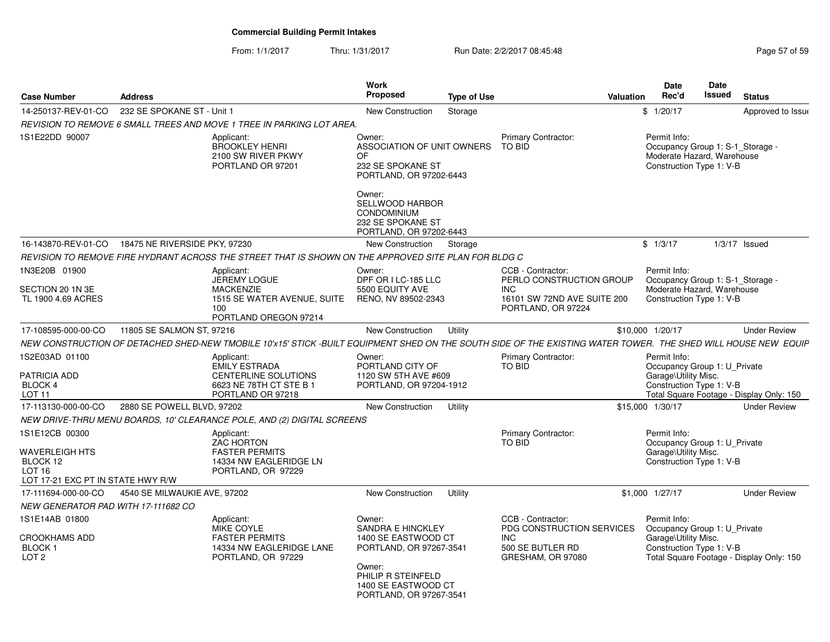#### From: 1/1/2017Thru: 1/31/2017 **Run Date: 2/2/2017 08:45:48** Page 57 of 59

| <b>Case Number</b>                                                                                            | <b>Address</b>                |                                                                                                                                                                | <b>Work</b><br>Proposed                                                                                                                                         | <b>Type of Use</b> |                                                                                                | <b>Valuation</b> | <b>Date</b><br>Rec'd                                                                                       | Date<br>Issued | <b>Status</b>                            |
|---------------------------------------------------------------------------------------------------------------|-------------------------------|----------------------------------------------------------------------------------------------------------------------------------------------------------------|-----------------------------------------------------------------------------------------------------------------------------------------------------------------|--------------------|------------------------------------------------------------------------------------------------|------------------|------------------------------------------------------------------------------------------------------------|----------------|------------------------------------------|
| 14-250137-REV-01-CO                                                                                           | 232 SE SPOKANE ST - Unit 1    |                                                                                                                                                                | New Construction                                                                                                                                                | Storage            |                                                                                                |                  | \$1/20/17                                                                                                  |                | Approved to Issue                        |
|                                                                                                               |                               | REVISION TO REMOVE 6 SMALL TREES AND MOVE 1 TREE IN PARKING LOT AREA.                                                                                          |                                                                                                                                                                 |                    |                                                                                                |                  |                                                                                                            |                |                                          |
| 1S1E22DD 90007                                                                                                |                               | Applicant:<br><b>BROOKLEY HENRI</b><br>2100 SW RIVER PKWY<br>PORTLAND OR 97201                                                                                 | Owner:<br>ASSOCIATION OF UNIT OWNERS<br>OF<br>232 SE SPOKANE ST<br>PORTLAND, OR 97202-6443<br>Owner:<br><b>SELLWOOD HARBOR</b>                                  |                    | <b>Primary Contractor:</b><br>TO BID                                                           |                  | Permit Info:<br>Occupancy Group 1: S-1_Storage -<br>Moderate Hazard, Warehouse<br>Construction Type 1: V-B |                |                                          |
|                                                                                                               |                               |                                                                                                                                                                | <b>CONDOMINIUM</b><br>232 SE SPOKANE ST<br>PORTLAND, OR 97202-6443                                                                                              |                    |                                                                                                |                  |                                                                                                            |                |                                          |
| 16-143870-REV-01-CO                                                                                           | 18475 NE RIVERSIDE PKY, 97230 |                                                                                                                                                                | New Construction                                                                                                                                                | Storage            |                                                                                                |                  | \$1/3/17                                                                                                   |                | $1/3/17$ Issued                          |
|                                                                                                               |                               | REVISION TO REMOVE FIRE HYDRANT ACROSS THE STREET THAT IS SHOWN ON THE APPROVED SITE PLAN FOR BLDG C                                                           |                                                                                                                                                                 |                    |                                                                                                |                  |                                                                                                            |                |                                          |
| 1N3E20B 01900                                                                                                 |                               | Applicant:<br><b>JEREMY LOGUE</b>                                                                                                                              | Owner:<br>DPF OR I LC-185 LLC                                                                                                                                   |                    | CCB - Contractor:<br>PERLO CONSTRUCTION GROUP                                                  |                  | Permit Info:<br>Occupancy Group 1: S-1 Storage -                                                           |                |                                          |
| SECTION 20 1N 3E<br>TL 1900 4.69 ACRES                                                                        |                               | <b>MACKENZIE</b><br>1515 SE WATER AVENUE, SUITE<br>100<br>PORTLAND OREGON 97214                                                                                | 5500 EQUITY AVE<br>RENO, NV 89502-2343                                                                                                                          |                    | <b>INC</b><br>16101 SW 72ND AVE SUITE 200<br>PORTLAND, OR 97224                                |                  | Moderate Hazard. Warehouse<br>Construction Type 1: V-B                                                     |                |                                          |
| 17-108595-000-00-CO                                                                                           | 11805 SE SALMON ST, 97216     |                                                                                                                                                                | New Construction                                                                                                                                                | Utility            |                                                                                                |                  | \$10,000 1/20/17                                                                                           |                | <b>Under Review</b>                      |
|                                                                                                               |                               | NEW CONSTRUCTION OF DETACHED SHED-NEW TMOBILE 10'x15' STICK -BUILT EQUIPMENT SHED ON THE SOUTH SIDE OF THE EXISTING WATER TOWER. THE SHED WILL HOUSE NEW EQUIP |                                                                                                                                                                 |                    |                                                                                                |                  |                                                                                                            |                |                                          |
| 1S2E03AD 01100<br>PATRICIA ADD<br><b>BLOCK4</b><br><b>LOT 11</b>                                              |                               | Applicant:<br><b>EMILY ESTRADA</b><br><b>CENTERLINE SOLUTIONS</b><br>6623 NE 78TH CT STE B 1<br>PORTLAND OR 97218                                              | Owner:<br>PORTLAND CITY OF<br>1120 SW 5TH AVE #609<br>PORTLAND, OR 97204-1912                                                                                   |                    | Primary Contractor:<br>TO BID                                                                  |                  | Permit Info:<br>Occupancy Group 1: U Private<br>Garage\Utility Misc.<br>Construction Type 1: V-B           |                | Total Square Footage - Display Only: 150 |
| 17-113130-000-00-CO                                                                                           | 2880 SE POWELL BLVD, 97202    |                                                                                                                                                                | New Construction                                                                                                                                                | Utility            |                                                                                                |                  | \$15,000 1/30/17                                                                                           |                | <b>Under Review</b>                      |
|                                                                                                               |                               | NEW DRIVE-THRU MENU BOARDS, 10' CLEARANCE POLE, AND (2) DIGITAL SCREENS                                                                                        |                                                                                                                                                                 |                    |                                                                                                |                  |                                                                                                            |                |                                          |
| 1S1E12CB 00300<br><b>WAVERLEIGH HTS</b><br>BLOCK 12<br>LOT <sub>16</sub><br>LOT 17-21 EXC PT IN STATE HWY R/W |                               | Applicant:<br><b>ZAC HORTON</b><br><b>FASTER PERMITS</b><br>14334 NW EAGLERIDGE LN<br>PORTLAND, OR 97229                                                       |                                                                                                                                                                 |                    | Primary Contractor:<br>TO BID                                                                  |                  | Permit Info:<br>Occupancy Group 1: U Private<br>Garage\Utility Misc.<br>Construction Type 1: V-B           |                |                                          |
| 17-111694-000-00-CO                                                                                           | 4540 SE MILWAUKIE AVE, 97202  |                                                                                                                                                                | New Construction                                                                                                                                                | Utility            |                                                                                                |                  | \$1,000 1/27/17                                                                                            |                | <b>Under Review</b>                      |
| <i>NEW GENERATOR PAD WITH 17-111682 CO</i>                                                                    |                               |                                                                                                                                                                |                                                                                                                                                                 |                    |                                                                                                |                  |                                                                                                            |                |                                          |
| 1S1E14AB 01800<br><b>CROOKHAMS ADD</b><br>BLOCK 1<br>LOT <sub>2</sub>                                         |                               | Applicant:<br><b>MIKE COYLE</b><br><b>FASTER PERMITS</b><br>14334 NW EAGLERIDGE LANE<br>PORTLAND, OR 97229                                                     | Owner:<br>SANDRA E HINCKLEY<br>1400 SE EASTWOOD CT<br>PORTLAND, OR 97267-3541<br>Owner:<br>PHILIP R STEINFELD<br>1400 SE EASTWOOD CT<br>PORTLAND, OR 97267-3541 |                    | CCB - Contractor:<br>PDG CONSTRUCTION SERVICES<br>INC<br>500 SE BUTLER RD<br>GRESHAM, OR 97080 |                  | Permit Info:<br>Occupancy Group 1: U Private<br>Garage\Utility Misc.<br>Construction Type 1: V-B           |                | Total Square Footage - Display Only: 150 |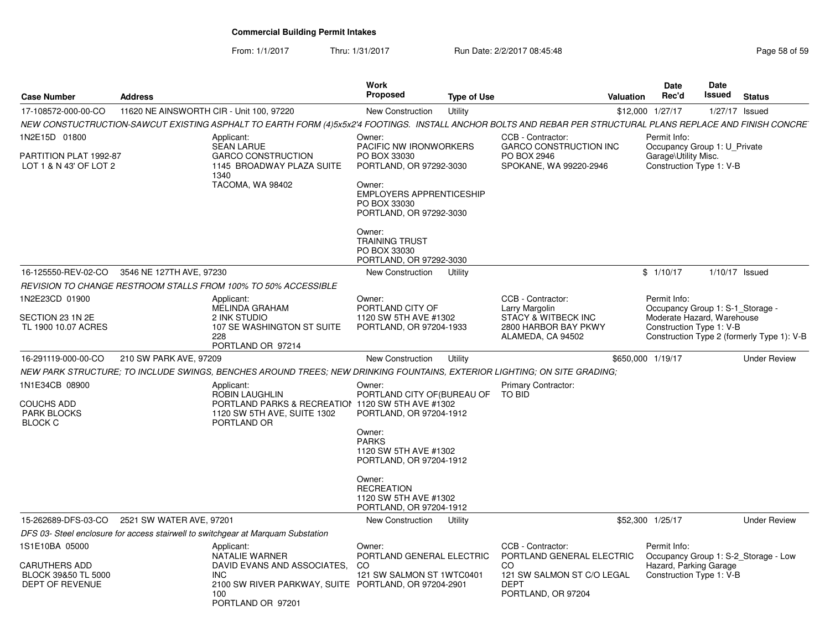From: 1/1/2017Thru: 1/31/2017 **Run Date: 2/2/2017 08:45:48** Page 58 of 59

| <b>Case Number</b>                               | <b>Address</b>                           |                                                                                                                                                              | <b>Work</b><br><b>Proposed</b>                                                  | <b>Type of Use</b> |                                                    | Valuation | <b>Date</b><br>Rec'd                             | Date<br><b>Issued</b> | <b>Status</b>                                                                                                                                                                                          |
|--------------------------------------------------|------------------------------------------|--------------------------------------------------------------------------------------------------------------------------------------------------------------|---------------------------------------------------------------------------------|--------------------|----------------------------------------------------|-----------|--------------------------------------------------|-----------------------|--------------------------------------------------------------------------------------------------------------------------------------------------------------------------------------------------------|
| 17-108572-000-00-CO                              | 11620 NE AINSWORTH CIR - Unit 100, 97220 |                                                                                                                                                              | <b>New Construction</b>                                                         | Utility            |                                                    |           | \$12,000 1/27/17                                 |                       | 1/27/17 Issued<br>Occupancy Group 1: U_Private<br>$1/10/17$ Issued<br>Construction Type 2 (formerly Type 1): V-B<br><b>Under Review</b><br><b>Under Review</b><br>Occupancy Group 1: S-2 Storage - Low |
|                                                  |                                          | NEW CONSTUCTRUCTION-SAWCUT EXISTING ASPHALT TO EARTH FORM (4)5x5x2'4 FOOTINGS. INSTALL ANCHOR BOLTS AND REBAR PER STRUCTURAL PLANS REPLACE AND FINISH CONCRE |                                                                                 |                    |                                                    |           |                                                  |                       |                                                                                                                                                                                                        |
| 1N2E15D 01800                                    |                                          | Applicant:<br><b>SEAN LARUE</b>                                                                                                                              | Owner:<br>PACIFIC NW IRONWORKERS                                                |                    | CCB - Contractor:<br><b>GARCO CONSTRUCTION INC</b> |           | Permit Info:                                     |                       |                                                                                                                                                                                                        |
| PARTITION PLAT 1992-87<br>LOT 1 & N 43' OF LOT 2 |                                          | <b>GARCO CONSTRUCTION</b><br>1145 BROADWAY PLAZA SUITE<br>1340                                                                                               | PO BOX 33030<br>PORTLAND, OR 97292-3030                                         |                    | PO BOX 2946<br>SPOKANE, WA 99220-2946              |           | Garage\Utility Misc.<br>Construction Type 1: V-B |                       |                                                                                                                                                                                                        |
|                                                  |                                          | TACOMA, WA 98402                                                                                                                                             | Owner:<br>EMPLOYERS APPRENTICESHIP<br>PO BOX 33030<br>PORTLAND, OR 97292-3030   |                    |                                                    |           |                                                  |                       |                                                                                                                                                                                                        |
|                                                  |                                          |                                                                                                                                                              | Owner:<br><b>TRAINING TRUST</b><br>PO BOX 33030<br>PORTLAND, OR 97292-3030      |                    |                                                    |           |                                                  |                       |                                                                                                                                                                                                        |
| 16-125550-REV-02-CO                              | 3546 NE 127TH AVE, 97230                 |                                                                                                                                                              | New Construction                                                                | Utility            |                                                    |           | \$1/10/17                                        |                       |                                                                                                                                                                                                        |
|                                                  |                                          | REVISION TO CHANGE RESTROOM STALLS FROM 100% TO 50% ACCESSIBLE                                                                                               |                                                                                 |                    |                                                    |           |                                                  |                       |                                                                                                                                                                                                        |
| 1N2E23CD 01900                                   |                                          | Applicant:<br>MELINDA GRAHAM                                                                                                                                 | Owner:<br>PORTLAND CITY OF                                                      |                    | CCB - Contractor:<br>Larry Margolin                |           | Permit Info:<br>Occupancy Group 1: S-1_Storage - |                       |                                                                                                                                                                                                        |
| SECTION 23 1N 2E                                 |                                          | 2 INK STUDIO                                                                                                                                                 | 1120 SW 5TH AVE #1302                                                           |                    | <b>STACY &amp; WITBECK INC</b>                     |           | Moderate Hazard, Warehouse                       |                       |                                                                                                                                                                                                        |
| TL 1900 10.07 ACRES                              |                                          | 107 SE WASHINGTON ST SUITE<br>228<br>PORTLAND OR 97214                                                                                                       | PORTLAND, OR 97204-1933                                                         |                    | 2800 HARBOR BAY PKWY<br>ALAMEDA, CA 94502          |           | Construction Type 1: V-B                         |                       |                                                                                                                                                                                                        |
| 16-291119-000-00-CO                              | 210 SW PARK AVE, 97209                   |                                                                                                                                                              | New Construction                                                                | Utility            |                                                    |           | \$650,000 1/19/17                                |                       |                                                                                                                                                                                                        |
|                                                  |                                          | NEW PARK STRUCTURE: TO INCLUDE SWINGS. BENCHES AROUND TREES: NEW DRINKING FOUNTAINS. EXTERIOR LIGHTING: ON SITE GRADING:                                     |                                                                                 |                    |                                                    |           |                                                  |                       |                                                                                                                                                                                                        |
| 1N1E34CB 08900                                   |                                          | Applicant:                                                                                                                                                   | Owner:                                                                          |                    | Primary Contractor:                                |           |                                                  |                       |                                                                                                                                                                                                        |
| <b>COUCHS ADD</b><br><b>PARK BLOCKS</b>          |                                          | ROBIN LAUGHLIN<br>PORTLAND PARKS & RECREATION 1120 SW 5TH AVE #1302<br>1120 SW 5TH AVE, SUITE 1302                                                           | PORTLAND CITY OF (BUREAU OF<br>PORTLAND, OR 97204-1912                          |                    | <b>TO BID</b>                                      |           |                                                  |                       |                                                                                                                                                                                                        |
| <b>BLOCK C</b>                                   |                                          | PORTLAND OR                                                                                                                                                  | Owner:<br><b>PARKS</b>                                                          |                    |                                                    |           |                                                  |                       |                                                                                                                                                                                                        |
|                                                  |                                          |                                                                                                                                                              | 1120 SW 5TH AVE #1302<br>PORTLAND, OR 97204-1912                                |                    |                                                    |           |                                                  |                       |                                                                                                                                                                                                        |
|                                                  |                                          |                                                                                                                                                              | Owner:<br><b>RECREATION</b><br>1120 SW 5TH AVE #1302<br>PORTLAND, OR 97204-1912 |                    |                                                    |           |                                                  |                       |                                                                                                                                                                                                        |
| 15-262689-DFS-03-CO                              | 2521 SW WATER AVE, 97201                 |                                                                                                                                                              | New Construction                                                                | Utility            |                                                    |           | \$52.300 1/25/17                                 |                       |                                                                                                                                                                                                        |
|                                                  |                                          | DFS 03- Steel enclosure for access stairwell to switchgear at Marquam Substation                                                                             |                                                                                 |                    |                                                    |           |                                                  |                       |                                                                                                                                                                                                        |
| 1S1E10BA 05000                                   |                                          | Applicant:<br>NATALIE WARNER                                                                                                                                 | Owner:<br>PORTLAND GENERAL ELECTRIC                                             |                    | CCB - Contractor:<br>PORTLAND GENERAL ELECTRIC     |           | Permit Info:                                     |                       |                                                                                                                                                                                                        |
| <b>CARUTHERS ADD</b>                             |                                          | DAVID EVANS AND ASSOCIATES.                                                                                                                                  | CO.                                                                             |                    | CO.                                                |           | Hazard, Parking Garage                           |                       |                                                                                                                                                                                                        |
| BLOCK 39&50 TL 5000<br>DEPT OF REVENUE           |                                          | <b>INC</b><br>2100 SW RIVER PARKWAY, SUITE PORTLAND, OR 97204-2901                                                                                           | 121 SW SALMON ST 1WTC0401                                                       |                    | 121 SW SALMON ST C/O LEGAL<br><b>DEPT</b>          |           | Construction Type 1: V-B                         |                       |                                                                                                                                                                                                        |
|                                                  |                                          | 100<br>PORTLAND OR 97201                                                                                                                                     |                                                                                 |                    | PORTLAND, OR 97204                                 |           |                                                  |                       |                                                                                                                                                                                                        |